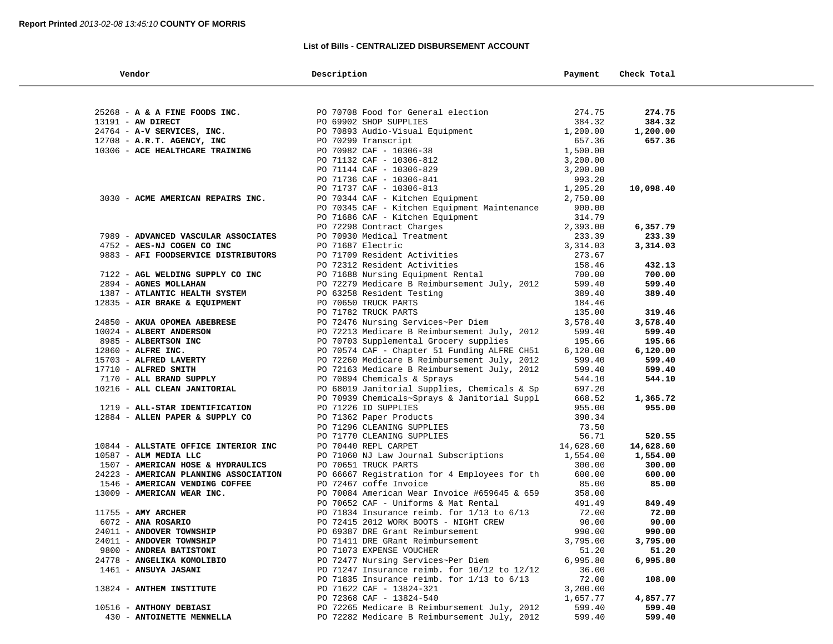÷

## **List of Bills - CENTRALIZED DISBURSEMENT ACCOUNT**

-

| Vendor                                                     | Description                                                               | Payment            | Check Total        |  |
|------------------------------------------------------------|---------------------------------------------------------------------------|--------------------|--------------------|--|
|                                                            |                                                                           |                    |                    |  |
| 25268 - A & A FINE FOODS INC.                              | PO 70708 Food for General election                                        | 274.75             | 274.75             |  |
| 13191 - AW DIRECT                                          | PO 69902 SHOP SUPPLIES                                                    | 384.32             | 384.32             |  |
| 24764 - A-V SERVICES, INC.                                 | PO 70893 Audio-Visual Equipment                                           | 1,200.00           | 1,200.00           |  |
| 12708 - A.R.T. AGENCY, INC                                 | PO 70299 Transcript                                                       | 657.36             | 657.36             |  |
| 10306 - ACE HEALTHCARE TRAINING                            | PO 70982 CAF - 10306-38                                                   | 1,500.00           |                    |  |
|                                                            | PO 71132 CAF - 10306-812                                                  | 3,200.00           |                    |  |
|                                                            | PO 71144 CAF - 10306-829                                                  | 3,200.00           |                    |  |
|                                                            | PO 71736 CAF - 10306-841                                                  | 993.20             |                    |  |
|                                                            | PO 71737 CAF - 10306-813                                                  | 1,205.20           | 10,098.40          |  |
| 3030 - ACME AMERICAN REPAIRS INC.                          | PO 70344 CAF - Kitchen Equipment                                          | 2,750.00           |                    |  |
|                                                            | PO 70345 CAF - Kitchen Equipment Maintenance                              | 900.00             |                    |  |
|                                                            | PO 71686 CAF - Kitchen Equipment                                          | 314.79             |                    |  |
|                                                            | PO 72298 Contract Charges                                                 | 2,393.00           | 6,357.79           |  |
| 7989 - ADVANCED VASCULAR ASSOCIATES                        | PO 70930 Medical Treatment                                                | 233.39             | 233.39             |  |
| 4752 - AES-NJ COGEN CO INC                                 | PO 71687 Electric                                                         | 3,314.03           | 3,314.03           |  |
| 9883 - AFI FOODSERVICE DISTRIBUTORS                        | PO 71709 Resident Activities                                              | 273.67             |                    |  |
|                                                            | PO 72312 Resident Activities                                              | 158.46<br>700.00   | 432.13             |  |
| 7122 - AGL WELDING SUPPLY CO INC                           | PO 71688 Nursing Equipment Rental                                         | 599.40             | 700.00             |  |
| 2894 - AGNES MOLLAHAN<br>1387 - ATLANTIC HEALTH SYSTEM     | PO 72279 Medicare B Reimbursement July, 2012<br>PO 63258 Resident Testing | 389.40             | 599.40<br>389.40   |  |
| 12835 - AIR BRAKE & EQUIPMENT                              | PO 70650 TRUCK PARTS                                                      | 184.46             |                    |  |
|                                                            | PO 71782 TRUCK PARTS                                                      | 135.00             | 319.46             |  |
| 24850 - AKUA OPOMEA ABEBRESE                               | PO 72476 Nursing Services~Per Diem                                        | 3,578.40           | 3,578.40           |  |
| 10024 - ALBERT ANDERSON                                    | PO 72213 Medicare B Reimbursement July, 2012                              | 599.40             | 599.40             |  |
| 8985 - ALBERTSON INC                                       | PO 70703 Supplemental Grocery supplies                                    | 195.66             | 195.66             |  |
| 12860 - ALFRE INC.                                         | PO 70574 CAF - Chapter 51 Funding ALFRE CH51                              | 6,120.00           | 6,120.00           |  |
| 15703 - ALFRED LAVERTY                                     | PO 72260 Medicare B Reimbursement July, 2012                              | 599.40             | 599.40             |  |
| 17710 - ALFRED SMITH                                       | PO 72163 Medicare B Reimbursement July, 2012                              | 599.40             | 599.40             |  |
| 7170 - ALL BRAND SUPPLY                                    | PO 70894 Chemicals & Sprays                                               | 544.10             | 544.10             |  |
| 10216 - ALL CLEAN JANITORIAL                               | PO 68019 Janitorial Supplies, Chemicals & Sp                              | 697.20             |                    |  |
|                                                            | PO 70939 Chemicals~Sprays & Janitorial Suppl                              | 668.52             | 1,365.72           |  |
| 1219 - ALL-STAR IDENTIFICATION                             | PO 71226 ID SUPPLIES                                                      | 955.00             | 955.00             |  |
| 12884 - ALLEN PAPER & SUPPLY CO                            | PO 71362 Paper Products                                                   | 390.34             |                    |  |
|                                                            | PO 71296 CLEANING SUPPLIES                                                | 73.50              |                    |  |
|                                                            | PO 71770 CLEANING SUPPLIES                                                | 56.71              | 520.55             |  |
| 10844 - ALLSTATE OFFICE INTERIOR INC                       | PO 70440 REPL CARPET                                                      | 14,628.60          | 14,628.60          |  |
| 10587 - ALM MEDIA LLC<br>1507 - AMERICAN HOSE & HYDRAULICS | PO 71060 NJ Law Journal Subscriptions<br>PO 70651 TRUCK PARTS             | 1,554.00<br>300.00 | 1,554.00<br>300.00 |  |
| 24223 - AMERICAN PLANNING ASSOCIATION                      | PO 66667 Registration for 4 Employees for th                              | 600.00             | 600.00             |  |
| 1546 - AMERICAN VENDING COFFEE                             | PO 72467 coffe Invoice                                                    | 85.00              | 85.00              |  |
| 13009 - AMERICAN WEAR INC.                                 | PO 70084 American Wear Invoice #659645 & 659                              | 358.00             |                    |  |
|                                                            | PO 70652 CAF - Uniforms & Mat Rental                                      | 491.49             | 849.49             |  |
| $11755$ - AMY ARCHER                                       | PO 71834 Insurance reimb. for $1/13$ to $6/13$                            | 72.00              | 72.00              |  |
| 6072 - ANA ROSARIO                                         | PO 72415 2012 WORK BOOTS - NIGHT CREW                                     | 90.00              | 90.00              |  |
| 24011 - ANDOVER TOWNSHIP                                   | PO 69387 DRE Grant Reimbursement                                          | 990.00             | 990.00             |  |
| 24011 - ANDOVER TOWNSHIP                                   | PO 71411 DRE GRant Reimbursement                                          | 3,795.00           | 3,795.00           |  |
| 9800 - ANDREA BATISTONI                                    | PO 71073 EXPENSE VOUCHER                                                  | 51.20              | 51.20              |  |
| 24778 - ANGELIKA KOMOLIBIO                                 | PO 72477 Nursing Services~Per Diem                                        | 6,995.80           | 6,995.80           |  |
| 1461 - ANSUYA JASANI                                       | PO 71247 Insurance reimb. for 10/12 to 12/12                              | 36.00              |                    |  |
|                                                            | PO 71835 Insurance reimb. for $1/13$ to $6/13$                            | 72.00              | 108.00             |  |
| 13824 - ANTHEM INSTITUTE                                   | PO 71622 CAF - 13824-321                                                  | 3,200.00           |                    |  |
|                                                            | PO 72368 CAF - 13824-540                                                  | 1,657.77           | 4,857.77           |  |
| 10516 - ANTHONY DEBIASI                                    | PO 72265 Medicare B Reimbursement July, 2012                              | 599.40             | 599.40             |  |
| 430 - ANTOINETTE MENNELLA                                  | PO 72282 Medicare B Reimbursement July, 2012                              | 599.40             | 599.40             |  |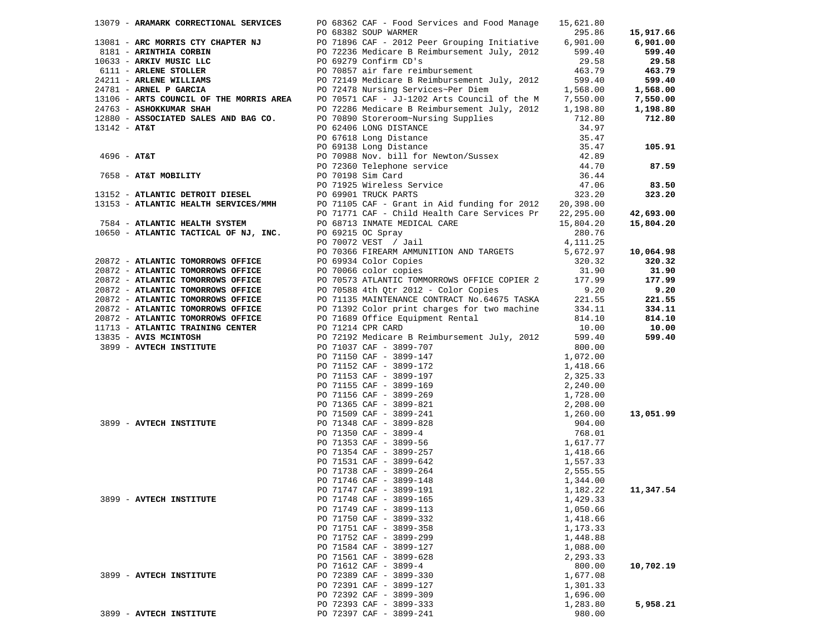|                |                                                                                                     |                                         | 13079 - ARAMARK CORRECTIONAL SERVICES PO 68362 CAF - Food Services and Food Manage                                                                                                                                                               | 15,621.80                                |                     |
|----------------|-----------------------------------------------------------------------------------------------------|-----------------------------------------|--------------------------------------------------------------------------------------------------------------------------------------------------------------------------------------------------------------------------------------------------|------------------------------------------|---------------------|
|                |                                                                                                     |                                         | PO 68382 SOUP WARMER                                                                                                                                                                                                                             | 295.86                                   | 15,917.66           |
|                | 13081 - ARC MORRIS CTY CHAPTER NJ                                                                   |                                         | PO 71896 CAF - 2012 Peer Grouping Initiative 6,901.00<br>PO 72236 Medicare B Reimbursement July, 2012 599.40<br>PO 69279 Confirm CD's 29.58                                                                                                      |                                          | 6,901.00            |
|                | 8181 - ARINTHIA CORBIN                                                                              |                                         |                                                                                                                                                                                                                                                  |                                          | 599.40              |
|                | 10633 - ARKIV MUSIC LLC                                                                             |                                         |                                                                                                                                                                                                                                                  |                                          | 29.58               |
|                | 6111 - ARLENE STOLLER<br>24211 - ARLENE WILLIAMS<br>24781 - ARNEL P GARCIA<br>6111 - ARLENE STOLLER |                                         | PO 70857 air fare reimbursement                                                                                                                                                                                                                  | 463.79                                   | 463.79              |
|                |                                                                                                     |                                         | 24211 - ARLENE WILLIAMS<br>24781 - ARLENE WILLIAMS<br>24781 - ARNEL P GARCIA<br>24781 - ARNEL P GARCIA<br>24781 - ARNEL P GARCIA<br>24781 - ARNEL P GARCIA<br>24781 - ARNEL P GARCIA<br>24781 - ARNEL P GARCIA<br>24781 - ARNEL P GARCIA<br>2478 |                                          | 599.40              |
|                |                                                                                                     |                                         |                                                                                                                                                                                                                                                  |                                          | 1,568.00            |
|                |                                                                                                     |                                         |                                                                                                                                                                                                                                                  |                                          | 7,550.00            |
|                | 24763 - ASHOKKUMAR SHAH                                                                             |                                         | PO 72286 Medicare B Reimbursement July, 2012 1,198.80                                                                                                                                                                                            |                                          | 1,198.80            |
|                | 12880 - ASSOCIATED SALES AND BAG CO.                                                                |                                         |                                                                                                                                                                                                                                                  | 712.80                                   | 712.80              |
| $13142 - AT&T$ |                                                                                                     |                                         | PO 70890 Storeroom~Nursing Supplies<br>PO 62406 LONG DISTANCE                                                                                                                                                                                    |                                          |                     |
|                |                                                                                                     |                                         |                                                                                                                                                                                                                                                  | 34.97<br>35.47                           |                     |
|                |                                                                                                     |                                         |                                                                                                                                                                                                                                                  |                                          | 105.91              |
|                |                                                                                                     |                                         |                                                                                                                                                                                                                                                  |                                          |                     |
|                |                                                                                                     |                                         |                                                                                                                                                                                                                                                  |                                          | 87.59               |
|                |                                                                                                     | PO 72360 Telephone<br>PO 70198 Sim Card | PO 62406 LONG Distance<br>PO 67618 Long Distance<br>PO 69138 Long Distance<br>PO 70988 Nov. bill for Newton/Sussex<br>PO 72360 Telephone service<br>DO 70198 Sim Card                                                                            | $35.47$<br>$42.89$<br>$44.70$<br>$36.44$ |                     |
|                | 7658 - <b>AT&amp;T MOBILITY</b><br>3152 - <u>Amrici</u>                                             |                                         | PO 70198 Sim Cara<br>PO 71925 Wireless Service<br>PO 71925 Wireless Service                                                                                                                                                                      | 47.06                                    | 83.50               |
|                | 13152 - ATLANTIC DETROIT DIESEL                                                                     |                                         | PO 69901 TRUCK PARTS                                                                                                                                                                                                                             | 323.20                                   | 323.20              |
|                | 13153 - ATLANTIC HEALTH SERVICES/MMH                                                                |                                         | PO 71105 CAF - Grant in Aid funding for 2012 20,398.00                                                                                                                                                                                           |                                          |                     |
|                |                                                                                                     |                                         | PO 71771 CAF - Child Health Care Services Pr 22,295.00                                                                                                                                                                                           |                                          | 42,693.00           |
|                | 7584 - ATLANTIC HEALTH SYSTEM                                                                       |                                         | PO 68713 INMATE MEDICAL CARE                                                                                                                                                                                                                     | 15,804.20                                | 15,804.20           |
|                | 10650 - ATLANTIC TACTICAL OF NJ, INC.                                                               |                                         | PO 69215 OC Spray                                                                                                                                                                                                                                | 280.76                                   |                     |
|                |                                                                                                     |                                         | PO 70072 VEST / Jail                                                                                                                                                                                                                             | 4,111.25                                 |                     |
|                |                                                                                                     |                                         | PO 70366 FIREARM AMMUNITION AND TARGETS                                                                                                                                                                                                          | 5,672.97                                 |                     |
|                | 20872 - ATLANTIC TOMORROWS OFFICE                                                                   |                                         | PO 69934 Color Copies                                                                                                                                                                                                                            | 320.32                                   | 10,064.98<br>320.32 |
|                | 20872 - ATLANTIC TOMORROWS OFFICE                                                                   |                                         | PO 70066 color copies                                                                                                                                                                                                                            | 31.90                                    | 31.90               |
|                | 20872 - ATLANTIC TOMORROWS OFFICE                                                                   |                                         | PO 70573 ATLANTIC TOMMORROWS OFFICE COPIER 2                                                                                                                                                                                                     | 177.99                                   | 177.99              |
|                | 20872 - ATLANTIC TOMORROWS OFFICE                                                                   |                                         | PO 70588 4th Qtr 2012 - Color Copies                                                                                                                                                                                                             | 9.20                                     | 9.20                |
|                | 20872 - ATLANTIC TOMORROWS OFFICE                                                                   |                                         | PO 71135 MAINTENANCE CONTRACT No.64675 TASKA                                                                                                                                                                                                     | 221.55                                   | 221.55              |
|                | 20872 - ATLANTIC TOMORROWS OFFICE                                                                   |                                         | PO 71392 Color print charges for two machine                                                                                                                                                                                                     | 334.11                                   | 334.11              |
|                | 20872 - ATLANTIC TOMORROWS OFFICE                                                                   |                                         | PO 71689 Office Equipment Rental                                                                                                                                                                                                                 | 814.10                                   | 814.10              |
|                | 11713 - ATLANTIC TRAINING CENTER                                                                    |                                         | PO 71214 CPR CARD                                                                                                                                                                                                                                | 10.00                                    | 10.00               |
|                | 13835 - AVIS MCINTOSH                                                                               |                                         | PO 72192 Medicare B Reimbursement July, 2012                                                                                                                                                                                                     | 599.40                                   | 599.40              |
|                | 3899 - AVTECH INSTITUTE                                                                             |                                         | PO 71037 CAF - 3899-707                                                                                                                                                                                                                          | 800.00                                   |                     |
|                |                                                                                                     |                                         | PO 71037 CAF - 3899-707<br>PO 71150 CAF - 3899-147<br>PO 71152 CAF - 3899-172<br>PO 71153 CAF - 3899-197<br>PO 71155 CAF - 3899-169<br>PO 71365 CAF - 3899-269<br>PO 71365 CAF - 3899-241<br>PO 71360 CAF - 3899-241<br>PO 71348 CAF - 3899-82   | 1,072.00                                 |                     |
|                |                                                                                                     |                                         |                                                                                                                                                                                                                                                  | 1,418.66                                 |                     |
|                |                                                                                                     |                                         |                                                                                                                                                                                                                                                  | 2,325.33                                 |                     |
|                |                                                                                                     |                                         |                                                                                                                                                                                                                                                  | 2,240.00                                 |                     |
|                |                                                                                                     |                                         |                                                                                                                                                                                                                                                  | 1,728.00                                 |                     |
|                |                                                                                                     |                                         |                                                                                                                                                                                                                                                  |                                          |                     |
|                |                                                                                                     |                                         |                                                                                                                                                                                                                                                  | 2,208.00<br>1,260.00                     | 13,051.99           |
|                | 3899 - AVTECH INSTITUTE                                                                             |                                         |                                                                                                                                                                                                                                                  |                                          |                     |
|                |                                                                                                     |                                         |                                                                                                                                                                                                                                                  | 904.00<br>768.01                         |                     |
|                |                                                                                                     |                                         |                                                                                                                                                                                                                                                  | 1,617.77                                 |                     |
|                |                                                                                                     |                                         |                                                                                                                                                                                                                                                  |                                          |                     |
|                |                                                                                                     |                                         |                                                                                                                                                                                                                                                  | 1,418.66                                 |                     |
|                |                                                                                                     |                                         |                                                                                                                                                                                                                                                  | 1,557.33                                 |                     |
|                |                                                                                                     |                                         |                                                                                                                                                                                                                                                  | 2,555.55                                 |                     |
|                |                                                                                                     |                                         |                                                                                                                                                                                                                                                  | 1,344.00                                 |                     |
|                | 3899 - AVTECH INSTITUTE                                                                             |                                         | PO 71747 CAF - 3899-191<br>PO 71748 CAF - 3899-165                                                                                                                                                                                               | 1,182.22<br>1,429.33                     | 11,347.54           |
|                |                                                                                                     |                                         | PO 71749 CAF - 3899-113                                                                                                                                                                                                                          | 1,050.66                                 |                     |
|                |                                                                                                     |                                         | PO 71750 CAF - 3899-332                                                                                                                                                                                                                          | 1,418.66                                 |                     |
|                |                                                                                                     |                                         | PO 71751 CAF - 3899-358                                                                                                                                                                                                                          | 1,173.33                                 |                     |
|                |                                                                                                     |                                         | PO 71752 CAF - 3899-299                                                                                                                                                                                                                          | 1,448.88                                 |                     |
|                |                                                                                                     |                                         | PO 71584 CAF - 3899-127                                                                                                                                                                                                                          | 1,088.00                                 |                     |
|                |                                                                                                     |                                         | PO 71561 CAF - 3899-628                                                                                                                                                                                                                          | 2,293.33                                 |                     |
|                |                                                                                                     |                                         | PO 71612 CAF - 3899-4                                                                                                                                                                                                                            | 800.00                                   | 10,702.19           |
|                | 3899 - AVTECH INSTITUTE                                                                             |                                         | PO 72389 CAF - 3899-330                                                                                                                                                                                                                          | 1,677.08                                 |                     |
|                |                                                                                                     |                                         | PO 72391 CAF - 3899-127                                                                                                                                                                                                                          |                                          |                     |
|                |                                                                                                     |                                         | PO 72392 CAF - 3899-309                                                                                                                                                                                                                          | 1,301.33                                 |                     |
|                |                                                                                                     |                                         |                                                                                                                                                                                                                                                  | 1,696.00                                 |                     |
|                |                                                                                                     |                                         | PO 72393 CAF - 3899-333                                                                                                                                                                                                                          | 1,283.80                                 | 5,958.21            |
|                | 3899 - AVTECH INSTITUTE                                                                             |                                         | PO 72397 CAF - 3899-241                                                                                                                                                                                                                          | 980.00                                   |                     |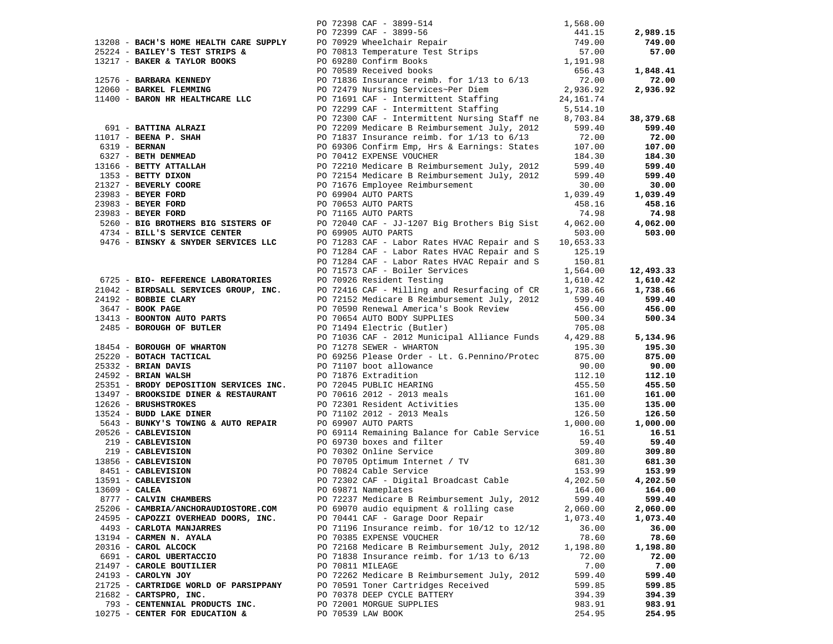|               |                                       |                  |                                                                                                                                                                                                                                                                                        |                  | 2,989.15  |
|---------------|---------------------------------------|------------------|----------------------------------------------------------------------------------------------------------------------------------------------------------------------------------------------------------------------------------------------------------------------------------------|------------------|-----------|
|               |                                       |                  |                                                                                                                                                                                                                                                                                        |                  | 749.00    |
|               |                                       |                  | 13208 - <b>BACH'S HOME HEALTH CARE SUPPLY</b><br>25224 - <b>BAILEY'S TEST STRIPS &amp;</b><br>1568.00<br>25224 - <b>BAILEY'S TEST STRIPS &amp;</b><br>25224 - <b>BAILEY'S TEST STRIPS &amp;</b><br>27.00<br>27.00<br>27.00<br>27.00<br>27.00<br>27.00<br>27.00<br>29.00 CHE PO 71838 I |                  |           |
|               |                                       |                  |                                                                                                                                                                                                                                                                                        |                  | 57.00     |
|               |                                       |                  |                                                                                                                                                                                                                                                                                        |                  |           |
|               |                                       |                  |                                                                                                                                                                                                                                                                                        |                  | 1,848.41  |
|               |                                       |                  |                                                                                                                                                                                                                                                                                        |                  | 72.00     |
|               |                                       |                  |                                                                                                                                                                                                                                                                                        |                  | 2,936.92  |
|               |                                       |                  |                                                                                                                                                                                                                                                                                        |                  |           |
|               |                                       |                  |                                                                                                                                                                                                                                                                                        |                  |           |
|               |                                       |                  |                                                                                                                                                                                                                                                                                        |                  | 38,379.68 |
|               |                                       |                  |                                                                                                                                                                                                                                                                                        |                  | 599.40    |
|               |                                       |                  |                                                                                                                                                                                                                                                                                        |                  | 72.00     |
|               |                                       |                  |                                                                                                                                                                                                                                                                                        |                  | 107.00    |
|               |                                       |                  |                                                                                                                                                                                                                                                                                        |                  | 184.30    |
|               |                                       |                  |                                                                                                                                                                                                                                                                                        |                  |           |
|               |                                       |                  |                                                                                                                                                                                                                                                                                        |                  | 599.40    |
|               |                                       |                  |                                                                                                                                                                                                                                                                                        |                  | 599.40    |
|               |                                       |                  |                                                                                                                                                                                                                                                                                        |                  | 30.00     |
|               |                                       |                  |                                                                                                                                                                                                                                                                                        |                  | 1,039.49  |
|               |                                       |                  |                                                                                                                                                                                                                                                                                        |                  | 458.16    |
|               |                                       |                  |                                                                                                                                                                                                                                                                                        |                  | 74.98     |
|               |                                       |                  | 5260 - BIG BROTHERS BIG SISTERS OF PO 72040 CAF - JJ-1207 Big Brothers Big Sist 4,062.00                                                                                                                                                                                               |                  | 4,062.00  |
|               | 4734 - BILL'S SERVICE CENTER          |                  | PO 69905 AUTO PARTS                                                                                                                                                                                                                                                                    | 503.00           | 503.00    |
|               | 9476 - BINSKY & SNYDER SERVICES LLC   |                  | PO 71283 CAF - Labor Rates HVAC Repair and S                                                                                                                                                                                                                                           | 10,653.33        |           |
|               |                                       |                  |                                                                                                                                                                                                                                                                                        |                  |           |
|               |                                       |                  | PO 71284 CAF - Labor Rates HVAC Repair and S                                                                                                                                                                                                                                           | 125.19<br>150.81 |           |
|               |                                       |                  | PO 71284 CAF - Labor Rates HVAC Repair and S                                                                                                                                                                                                                                           |                  |           |
|               |                                       |                  | PO 71573 CAF - Boiler Services                                                                                                                                                                                                                                                         | 1,564.00         | 12,493.33 |
|               | 6725 - BIO- REFERENCE LABORATORIES    |                  | PO 70926 Resident Testing                                                                                                                                                                                                                                                              | 1,610.42         | 1,610.42  |
|               | 21042 - BIRDSALL SERVICES GROUP, INC. |                  |                                                                                                                                                                                                                                                                                        | 1,738.66         | 1,738.66  |
|               | 24192 - BOBBIE CLARY                  |                  | PO 72416 CAF - Milling and Resurfacing of CR 1,738.66<br>PO 72152 Medicare B Reimbursement July, 2012 599.40                                                                                                                                                                           |                  | 599.40    |
|               | 3647 - <b>BOOK PAGE</b>               |                  | PO 70590 Renewal America's Book Review 456.00                                                                                                                                                                                                                                          |                  | 456.00    |
|               | 13413 - BOONTON AUTO PARTS            |                  | PO 70654 AUTO BODY SUPPLIES                                                                                                                                                                                                                                                            | 500.34           | 500.34    |
|               | 2485 - BOROUGH OF BUTLER              |                  |                                                                                                                                                                                                                                                                                        |                  |           |
|               |                                       |                  | PO 71494 Electric (Butler) 705.08<br>PO 71036 CAF - 2012 Municipal Alliance Funds 4,429.88                                                                                                                                                                                             |                  | 5,134.96  |
|               |                                       |                  | 18454 - BOROUGH OF WHARTON<br>25220 - BOTACH TACTICAL PO 71278 SEWER - WHARTON<br>25332 - BRIAN DAVIS<br>25332 - BRIAN NAVIS PO 69256 Please Order - Lt. G.Pennino/Protec 875.00<br>24592 - BRIAN WALSH PO 71876 Extradition<br>25351 -                                                |                  | 195.30    |
|               |                                       |                  |                                                                                                                                                                                                                                                                                        |                  |           |
|               |                                       |                  |                                                                                                                                                                                                                                                                                        |                  | 875.00    |
|               |                                       |                  |                                                                                                                                                                                                                                                                                        |                  | 90.00     |
|               |                                       |                  |                                                                                                                                                                                                                                                                                        |                  | 112.10    |
|               |                                       |                  |                                                                                                                                                                                                                                                                                        |                  | 455.50    |
|               |                                       |                  |                                                                                                                                                                                                                                                                                        |                  | 161.00    |
|               |                                       |                  |                                                                                                                                                                                                                                                                                        |                  | 135.00    |
|               |                                       |                  |                                                                                                                                                                                                                                                                                        |                  | 126.50    |
|               |                                       |                  |                                                                                                                                                                                                                                                                                        |                  | 1,000.00  |
|               |                                       |                  | PO 69114 Remaining Balance for Cable Service                                                                                                                                                                                                                                           | 16.51            | 16.51     |
|               |                                       |                  |                                                                                                                                                                                                                                                                                        | 59.40            | 59.40     |
|               |                                       |                  | 20526 - CABLEVISION<br>20526 - CABLEVISION<br>219 - CABLEVISION<br>219 - CABLEVISION<br>219 - CABLEVISION<br>219 - CABLEVISION<br>219 - CABLEVISION<br>219 - CABLEVISION<br>219 - CABLEVISION<br>219 - CABLEVISION<br>219 - CABLEVISION<br>219 - CAB                                   | 309.80           | 309.80    |
|               |                                       |                  |                                                                                                                                                                                                                                                                                        | 681.30           | 681.30    |
|               |                                       |                  |                                                                                                                                                                                                                                                                                        | 153.99           | 153.99    |
|               |                                       |                  | PO 72302 CAF - Digital Broadcast Cable                                                                                                                                                                                                                                                 | 4,202.50         | 4,202.50  |
|               |                                       |                  |                                                                                                                                                                                                                                                                                        |                  |           |
| 13609 - CALEA |                                       |                  | PO 69871 Nameplates                                                                                                                                                                                                                                                                    | 164.00           | 164.00    |
|               | 8777 - CALVIN CHAMBERS                |                  | PO 72237 Medicare B Reimbursement July, 2012                                                                                                                                                                                                                                           | 599.40           | 599.40    |
|               | 25206 - CAMBRIA/ANCHORAUDIOSTORE.COM  |                  | PO 69070 audio equipment & rolling case                                                                                                                                                                                                                                                | 2,060.00         | 2,060.00  |
|               | 24595 - CAPOZZI OVERHEAD DOORS, INC.  |                  | PO 70441 CAF - Garage Door Repair                                                                                                                                                                                                                                                      | 1,073.40         | 1,073.40  |
|               | 4493 - CARLOTA MANJARRES              |                  | PO 71196 Insurance reimb. for 10/12 to 12/12                                                                                                                                                                                                                                           | 36.00            | 36.00     |
|               | 13194 - CARMEN N. AYALA               |                  | PO 70385 EXPENSE VOUCHER                                                                                                                                                                                                                                                               | 78.60            | 78.60     |
|               | 20316 - CAROL ALCOCK                  |                  | PO 72168 Medicare B Reimbursement July, 2012                                                                                                                                                                                                                                           | 1,198.80         | 1,198.80  |
|               | 6691 - CAROL UBERTACCIO               |                  | PO 71838 Insurance reimb. for $1/13$ to $6/13$                                                                                                                                                                                                                                         | 72.00            | 72.00     |
|               | 21497 - CAROLE BOUTILIER              | PO 70811 MILEAGE |                                                                                                                                                                                                                                                                                        | 7.00             | 7.00      |
|               | 24193 - CAROLYN JOY                   |                  | PO 72262 Medicare B Reimbursement July, 2012                                                                                                                                                                                                                                           | 599.40           | 599.40    |
|               | 21725 - CARTRIDGE WORLD OF PARSIPPANY |                  | PO 70591 Toner Cartridges Received                                                                                                                                                                                                                                                     | 599.85           | 599.85    |
|               |                                       |                  | PO 70378 DEEP CYCLE BATTERY                                                                                                                                                                                                                                                            | 394.39           |           |
|               | $21682$ - CARTSPRO, INC.              |                  |                                                                                                                                                                                                                                                                                        |                  | 394.39    |
|               | 793 - CENTENNIAL PRODUCTS INC.        |                  | PO 72001 MORGUE SUPPLIES                                                                                                                                                                                                                                                               | 983.91           | 983.91    |
|               | 10275 - CENTER FOR EDUCATION &        |                  | PO 70539 LAW BOOK                                                                                                                                                                                                                                                                      | 254.95           | 254.95    |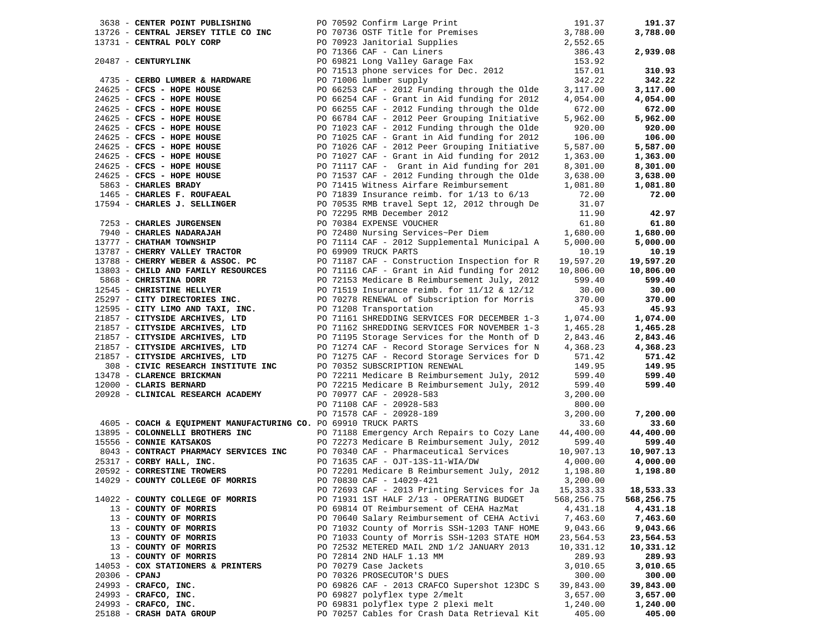|                 | 3638 - CENTER POINT PUBLISHING                                    |  | PO 70592 Confirm Large Print                                                                                                                                                                                                             | 191.37             | 191.37                |
|-----------------|-------------------------------------------------------------------|--|------------------------------------------------------------------------------------------------------------------------------------------------------------------------------------------------------------------------------------------|--------------------|-----------------------|
|                 | 13726 - CENTRAL JERSEY TITLE CO INC                               |  | PO 70736 OSTF Title for Premises<br>PO 70923 Janitorial Supplies<br>PO 71366 CAF - Can Liners<br>PO 71366 CAF - Can Liners<br>PO 69221 Jone Ville Can Liners<br>2006 221 Jone Cap - 11 Jone Cap - 12 Jone Cap - 12 Jone Cap - 12 Jone Ca |                    | 3,788.00              |
|                 | 13731 - CENTRAL POLY CORP                                         |  |                                                                                                                                                                                                                                          |                    |                       |
|                 |                                                                   |  |                                                                                                                                                                                                                                          |                    | 2,939.08              |
|                 | 20487 - CENTURYLINK                                               |  | PO 69821 Long Valley Garage Fax                                                                                                                                                                                                          | 153.92             |                       |
|                 |                                                                   |  | PO 71513 phone services for Dec. 2012                                                                                                                                                                                                    | 157.01             | 310.93                |
|                 | 4735 - CERBO LUMBER & HARDWARE                                    |  | PO 71006 lumber supply                                                                                                                                                                                                                   | 342.22             | 342.22                |
|                 | 24625 - CFCS - HOPE HOUSE                                         |  | PO 66253 CAF - 2012 Funding through the Olde                                                                                                                                                                                             | 3,117.00           | 3,117.00              |
|                 | 24625 - CFCS - HOPE HOUSE                                         |  | PO 66254 CAF - Grant in Aid funding for 2012                                                                                                                                                                                             | 4,054.00           | 4,054.00              |
|                 | 24625 - CFCS - HOPE HOUSE                                         |  | PO 66255 CAF - 2012 Funding through the Olde                                                                                                                                                                                             | 672.00             | 672.00                |
|                 | $24625$ - CFCS - HOPE HOUSE                                       |  | PO 66784 CAF - 2012 Peer Grouping Initiative                                                                                                                                                                                             | 5,962.00           | 5,962.00              |
|                 | 24625 - CFCS - HOPE HOUSE                                         |  | PO 71023 CAF - 2012 Funding through the Olde                                                                                                                                                                                             | 920.00             | 920.00                |
|                 | 24625 - CFCS - HOPE HOUSE                                         |  | PO 71025 CAF - Grant in Aid funding for 2012                                                                                                                                                                                             | 106.00             | 106.00                |
|                 | $24625$ - CFCS - HOPE HOUSE                                       |  | PO 71026 CAF - 2012 Peer Grouping Initiative                                                                                                                                                                                             | 5,587.00           | 5,587.00              |
|                 | $24625$ - CFCS - HOPE HOUSE                                       |  | PO 71027 CAF - Grant in Aid funding for 2012                                                                                                                                                                                             | 1,363.00           | 1,363.00              |
|                 | $24625$ - CFCS - HOPE HOUSE                                       |  | PO 71117 CAF - Grant in Aid funding for 201                                                                                                                                                                                              | 8,301.00           | 8,301.00              |
|                 | $24625$ - CFCS - HOPE HOUSE                                       |  | PO 71537 CAF - 2012 Funding through the Olde                                                                                                                                                                                             | 3,638.00           | 3,638.00              |
|                 | 5863 - CHARLES BRADY                                              |  | PO 71415 Witness Airfare Reimbursement                                                                                                                                                                                                   | 1,081.80           | 1,081.80              |
|                 | 1465 - CHARLES F. ROUFAEAL                                        |  | PO 71839 Insurance reimb. for $1/13$ to $6/13$                                                                                                                                                                                           | 72.00              | 72.00                 |
|                 | 17594 - CHARLES J. SELLINGER                                      |  | PO 70535 RMB travel Sept 12, 2012 through De                                                                                                                                                                                             | 31.07              |                       |
|                 |                                                                   |  | PO 72295 RMB December 2012                                                                                                                                                                                                               | 11.90              | 42.97                 |
|                 | 7253 - CHARLES JURGENSEN                                          |  | PO 70384 EXPENSE VOUCHER                                                                                                                                                                                                                 | 61.80              | 61.80                 |
|                 | 7940 - CHARLES NADARAJAH                                          |  | PO 72480 Nursing Services~Per Diem                                                                                                                                                                                                       | 1,680.00           | 1,680.00              |
|                 | 13777 - CHATHAM TOWNSHIP                                          |  | PO 71114 CAF - 2012 Supplemental Municipal A                                                                                                                                                                                             | 5,000.00           | 5,000.00              |
|                 | 13787 - CHERRY VALLEY TRACTOR                                     |  | PO 69909 TRUCK PARTS                                                                                                                                                                                                                     | 10.19              | 10.19                 |
|                 | 13788 - CHERRY WEBER & ASSOC. PC                                  |  | PO 71187 CAF - Construction Inspection for R                                                                                                                                                                                             | 19,597.20          | 19,597.20             |
|                 | 13803 - CHILD AND FAMILY RESOURCES                                |  | PO 71116 CAF - Grant in Aid funding for 2012                                                                                                                                                                                             | 10,806.00          | 10,806.00             |
|                 | 5868 - CHRISTINA DORR                                             |  | PO 72153 Medicare B Reimbursement July, 2012                                                                                                                                                                                             | 599.40             | 599.40                |
|                 | 12545 - CHRISTINE HELLYER                                         |  | PO 71519 Insurance reimb. for 11/12 & 12/12                                                                                                                                                                                              | 30.00              | 30.00                 |
|                 | 25297 - CITY DIRECTORIES INC.                                     |  | PO 70278 RENEWAL of Subscription for Morris                                                                                                                                                                                              | 370.00             | 370.00                |
|                 | 12595 - CITY LIMO AND TAXI, INC.                                  |  | PO 71208 Transportation                                                                                                                                                                                                                  | 45.93              | 45.93                 |
|                 | 21857 - CITYSIDE ARCHIVES, LTD                                    |  | PO 71161 SHREDDING SERVICES FOR DECEMBER 1-3                                                                                                                                                                                             | 1,074.00           | 1,074.00              |
|                 | 21857 - CITYSIDE ARCHIVES, LTD                                    |  | PO 71162 SHREDDING SERVICES FOR NOVEMBER 1-3                                                                                                                                                                                             | 1,465.28           | 1,465.28              |
|                 | 21857 - CITYSIDE ARCHIVES, LTD                                    |  | PO 71195 Storage Services for the Month of D                                                                                                                                                                                             | 2,843.46           | 2,843.46              |
|                 | 21857 - CITYSIDE ARCHIVES, LTD                                    |  | PO 71274 CAF - Record Storage Services for N                                                                                                                                                                                             | 4,368.23           | 4,368.23              |
|                 | 21857 - CITYSIDE ARCHIVES, LTD                                    |  | PO 71275 CAF - Record Storage Services for D                                                                                                                                                                                             | 571.42             | 571.42                |
|                 | 308 - CIVIC RESEARCH INSTITUTE INC                                |  | PO 70352 SUBSCRIPTION RENEWAL                                                                                                                                                                                                            | 149.95             | 149.95                |
|                 | 13478 - CLARENCE BRICKMAN                                         |  | PO 72211 Medicare B Reimbursement July, 2012                                                                                                                                                                                             | 599.40             | 599.40                |
|                 | 12000 - CLARIS BERNARD                                            |  | PO 72215 Medicare B Reimbursement July, 2012                                                                                                                                                                                             | 599.40             | 599.40                |
|                 | 20928 - CLINICAL RESEARCH ACADEMY                                 |  | PO 70977 CAF - 20928-583                                                                                                                                                                                                                 | 3,200.00           |                       |
|                 |                                                                   |  | PO 71108 CAF - 20928-583                                                                                                                                                                                                                 | 800.00             |                       |
|                 |                                                                   |  | PO 71578 CAF - 20928-189                                                                                                                                                                                                                 | 3,200.00           | 7,200.00              |
|                 | 4605 - COACH & EQUIPMENT MANUFACTURING CO. PO 69910 TRUCK PARTS   |  |                                                                                                                                                                                                                                          | 33.60              | 33.60                 |
|                 | 13895 - COLONNELLI BROTHERS INC                                   |  | PO 71188 Emergency Arch Repairs to Cozy Lane                                                                                                                                                                                             | 44,400.00          | 44,400.00             |
|                 | 15556 - CONNIE KATSAKOS                                           |  | PO 72273 Medicare B Reimbursement July, 2012                                                                                                                                                                                             | 599.40             | 599.40                |
|                 | 8043 - CONTRACT PHARMACY SERVICES INC<br>25317 - CORBY HALL, INC. |  | PO 70340 CAF - Pharmaceutical Services                                                                                                                                                                                                   | 10,907.13          | 10,907.13             |
|                 | $25317$ - CORBY HALL, INC.                                        |  | PO 71635 CAF - OJT-13S-11-WIA/DW                                                                                                                                                                                                         | 4,000.00           | 4,000.00              |
|                 | 20592 - CORRESTINE TROWERS                                        |  | PO 72201 Medicare B Reimbursement July, 2012                                                                                                                                                                                             | 1,198.80           | 1,198.80              |
|                 | 14029 - COUNTY COLLEGE OF MORRIS                                  |  | PO 70830 CAF - 14029-421                                                                                                                                                                                                                 | 3,200.00           |                       |
|                 |                                                                   |  | PO 72693 CAF - 2013 Printing Services for Ja                                                                                                                                                                                             | 15, 333.33         | 18,533.33             |
|                 | 14022 - COUNTY COLLEGE OF MORRIS                                  |  | PO 71931 1ST HALF 2/13 - OPERATING BUDGET                                                                                                                                                                                                | 568,256.75         | 568,256.75            |
|                 | 13 - COUNTY OF MORRIS                                             |  | PO 69814 OT Reimbursement of CEHA HazMat                                                                                                                                                                                                 | 4,431.18           | 4,431.18              |
|                 | 13 - COUNTY OF MORRIS                                             |  | PO 70640 Salary Reimbursement of CEHA Activi                                                                                                                                                                                             | 7,463.60           | 7,463.60              |
|                 | 13 - COUNTY OF MORRIS<br>13 - COUNTY OF MORRIS                    |  | PO 71032 County of Morris SSH-1203 TANF HOME<br>PO 71033 County of Morris SSH-1203 STATE HOM                                                                                                                                             | 9,043.66           | 9,043.66              |
|                 |                                                                   |  |                                                                                                                                                                                                                                          | 23,564.53          | 23,564.53             |
|                 | 13 - COUNTY OF MORRIS                                             |  | PO 72532 METERED MAIL 2ND 1/2 JANUARY 2013<br>PO 72814 2ND HALF 1.13 MM                                                                                                                                                                  | 10,331.12          | 10,331.12             |
|                 | 13 - COUNTY OF MORRIS                                             |  |                                                                                                                                                                                                                                          | 289.93             | 289.93                |
| $20306$ - CPANJ | 14053 - COX STATIONERS & PRINTERS                                 |  | PO 70279 Case Jackets                                                                                                                                                                                                                    | 3,010.65<br>300.00 | 3,010.65<br>300.00    |
|                 | 24993 - CRAFCO, INC.                                              |  | PO 70326 PROSECUTOR'S DUES                                                                                                                                                                                                               | 39,843.00          |                       |
|                 |                                                                   |  | PO 69826 CAF - 2013 CRAFCO Supershot 123DC S<br>PO 69827 polyflex type 2/melt                                                                                                                                                            | 3,657.00           | 39,843.00<br>3,657.00 |
|                 | 24993 - CRAFCO, INC.<br>24993 - CRAFCO, INC.                      |  |                                                                                                                                                                                                                                          |                    |                       |
|                 | 25188 - CRASH DATA GROUP                                          |  | PO 69831 polyflex type 2 plexi melt<br>PO 70257 Cables for Crash Data Retrieval Kit                                                                                                                                                      | 1,240.00<br>405.00 | 1,240.00<br>405.00    |
|                 |                                                                   |  |                                                                                                                                                                                                                                          |                    |                       |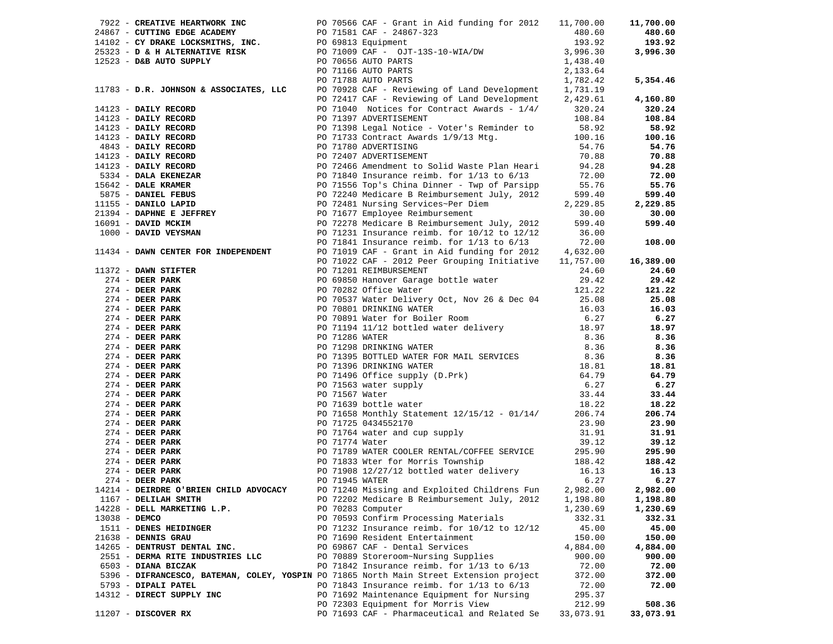|               |                                                                                                                                                                                                                                                   | PO 70566 CAF - Grant in Aid funding for 2012 11,700.00                                                                                                                                                                                     |           | 11,700.00        |
|---------------|---------------------------------------------------------------------------------------------------------------------------------------------------------------------------------------------------------------------------------------------------|--------------------------------------------------------------------------------------------------------------------------------------------------------------------------------------------------------------------------------------------|-----------|------------------|
|               |                                                                                                                                                                                                                                                   |                                                                                                                                                                                                                                            | 480.60    | 480.60           |
|               |                                                                                                                                                                                                                                                   | 922 - CKEATIVE HERNATIVE.<br>24867 - CUTTING EDGE ACADEMY<br>14102 - CY DRAKE LOCKSMITHS, INC.<br>25323 - D& H ALTERNATIVE RISK PO 71009 CAF - OJT-13S-10-WIA/DW<br>2523 - D&B AUTO SUPPLY PO 71666 AUTO PARTS<br>PO 71166 AUTO PARTS<br>P | 193.92    | 193.92           |
|               |                                                                                                                                                                                                                                                   |                                                                                                                                                                                                                                            | 3,996.30  | 3,996.30         |
|               |                                                                                                                                                                                                                                                   |                                                                                                                                                                                                                                            | 1,438.40  |                  |
|               |                                                                                                                                                                                                                                                   |                                                                                                                                                                                                                                            | 2,133.64  |                  |
|               | 11783 - D.R. JOHNSON & ASSOCIATES, LLC                                                                                                                                                                                                            |                                                                                                                                                                                                                                            | 1,782.42  | 5,354.46         |
|               |                                                                                                                                                                                                                                                   | PO 70928 CAF - Reviewing of Land Development                                                                                                                                                                                               | 1,731.19  |                  |
|               |                                                                                                                                                                                                                                                   | PO 72417 CAF - Reviewing of Land Development 2,429.61                                                                                                                                                                                      |           | 4,160.80         |
|               | 14123 - DAILY RECORD<br>14123 - DAILY RECORD<br>14123 - DAILY RECORD<br>14123 - DAILY RECORD<br>14123 - DAILY RECORD<br>14123 - DAILY RECORD<br>14123 - DAILY RECORD<br>14123 - DAILY RECORD<br>14123 - DAILY RECORD<br>14123 - DAILY RECORD<br>1 | PO 71040 Notices for Contract Awards - 1/4/                                                                                                                                                                                                | 320.24    | 320.24           |
|               |                                                                                                                                                                                                                                                   |                                                                                                                                                                                                                                            | 108.84    | 108.84           |
|               |                                                                                                                                                                                                                                                   |                                                                                                                                                                                                                                            |           |                  |
|               |                                                                                                                                                                                                                                                   | PO 71398 Legal Notice - Voter's Reminder to 58.92<br>PO 71733 Contract Awards 1/9/13 Mtg. 100.16                                                                                                                                           |           | 58.92            |
|               |                                                                                                                                                                                                                                                   |                                                                                                                                                                                                                                            |           | 100.16           |
|               |                                                                                                                                                                                                                                                   |                                                                                                                                                                                                                                            | 54.76     | 54.76            |
|               |                                                                                                                                                                                                                                                   |                                                                                                                                                                                                                                            | 70.88     | 70.88            |
|               |                                                                                                                                                                                                                                                   | PO 72466 Amendment to Solid Waste Plan Heari                                                                                                                                                                                               | 94.28     | 94.28            |
|               |                                                                                                                                                                                                                                                   | PO 71840 Insurance reimb. for $1/13$ to $6/13$                                                                                                                                                                                             | 72.00     | 72.00            |
|               |                                                                                                                                                                                                                                                   | PO 72240 Medicare B Reimbursement July, 2012<br>PO 72481 Nursing Services Ber July, 2012                                                                                                                                                   | 55.76     | 55.76            |
|               |                                                                                                                                                                                                                                                   |                                                                                                                                                                                                                                            | 599.40    | 599.40           |
|               |                                                                                                                                                                                                                                                   | PO 72481 Nursing Services~Per Diem                                                                                                                                                                                                         | 2,229.85  | 2,229.85         |
|               |                                                                                                                                                                                                                                                   |                                                                                                                                                                                                                                            | 30.00     | 30.00            |
|               |                                                                                                                                                                                                                                                   | PO 72278 Medicare B Reimbursement July, 2012                                                                                                                                                                                               | 599.40    | 599.40           |
|               |                                                                                                                                                                                                                                                   | PO 71231 Insurance reimb. for $10/12$ to $12/12$                                                                                                                                                                                           | 36.00     |                  |
|               |                                                                                                                                                                                                                                                   |                                                                                                                                                                                                                                            |           | 108.00           |
|               | 11434 - DAWN CENTER FOR INDEPENDENT                                                                                                                                                                                                               | PO 71841 Insurance reimb. for 1/13 to 6/13 72.00<br>PO 71019 CAF - Grant in Aid funding for 2012 4,632.00                                                                                                                                  |           |                  |
|               |                                                                                                                                                                                                                                                   |                                                                                                                                                                                                                                            |           | 16,389.00        |
|               |                                                                                                                                                                                                                                                   |                                                                                                                                                                                                                                            |           |                  |
|               |                                                                                                                                                                                                                                                   |                                                                                                                                                                                                                                            |           | 24.60            |
|               |                                                                                                                                                                                                                                                   |                                                                                                                                                                                                                                            |           | 29.42            |
|               |                                                                                                                                                                                                                                                   |                                                                                                                                                                                                                                            |           | 121.22           |
|               |                                                                                                                                                                                                                                                   |                                                                                                                                                                                                                                            |           | 25.08            |
|               |                                                                                                                                                                                                                                                   |                                                                                                                                                                                                                                            |           | 16.03            |
|               |                                                                                                                                                                                                                                                   |                                                                                                                                                                                                                                            |           | 6.27             |
|               |                                                                                                                                                                                                                                                   |                                                                                                                                                                                                                                            |           | 18.97            |
|               |                                                                                                                                                                                                                                                   |                                                                                                                                                                                                                                            |           | 8.36             |
|               |                                                                                                                                                                                                                                                   |                                                                                                                                                                                                                                            |           | 8.36             |
|               |                                                                                                                                                                                                                                                   |                                                                                                                                                                                                                                            |           | 8.36             |
|               |                                                                                                                                                                                                                                                   |                                                                                                                                                                                                                                            |           | 18.81            |
|               |                                                                                                                                                                                                                                                   |                                                                                                                                                                                                                                            |           | 64.79            |
|               |                                                                                                                                                                                                                                                   |                                                                                                                                                                                                                                            |           | 6.27             |
|               |                                                                                                                                                                                                                                                   |                                                                                                                                                                                                                                            |           | 33.44            |
|               |                                                                                                                                                                                                                                                   |                                                                                                                                                                                                                                            |           | 18.22            |
|               |                                                                                                                                                                                                                                                   |                                                                                                                                                                                                                                            |           | 206.74           |
|               |                                                                                                                                                                                                                                                   |                                                                                                                                                                                                                                            |           | 23.90            |
|               |                                                                                                                                                                                                                                                   |                                                                                                                                                                                                                                            |           | 31.91            |
|               |                                                                                                                                                                                                                                                   | 2131 - DAWN CENTER PORT (2002) CAP - Grant in Aid funding for 2012 4,622.00<br>274 - DEER PARK (2002) CAP - 2012 CAP - 2012 Peer Grouping Initiative 11,752 - DAMN CENTER (2002)<br>274 - DEER PARK (2002) CAP - 2022 OCTION (CAP          |           | 39.12            |
|               |                                                                                                                                                                                                                                                   |                                                                                                                                                                                                                                            |           |                  |
|               |                                                                                                                                                                                                                                                   |                                                                                                                                                                                                                                            |           | 295.90<br>188.42 |
|               |                                                                                                                                                                                                                                                   |                                                                                                                                                                                                                                            |           |                  |
|               |                                                                                                                                                                                                                                                   |                                                                                                                                                                                                                                            |           | 16.13            |
|               |                                                                                                                                                                                                                                                   |                                                                                                                                                                                                                                            |           | 6.27             |
|               | 14214 - DEIRDRE O'BRIEN CHILD ADVOCACY                                                                                                                                                                                                            | PO 71240 Missing and Exploited Childrens Fun                                                                                                                                                                                               | 2,982.00  | 2,982.00         |
|               | 1167 - DELILAH SMITH                                                                                                                                                                                                                              | PO 72202 Medicare B Reimbursement July, 2012                                                                                                                                                                                               | 1,198.80  | 1,198.80         |
|               | 14228 - DELL MARKETING L.P.                                                                                                                                                                                                                       | PO 70283 Computer                                                                                                                                                                                                                          | 1,230.69  | 1,230.69         |
| 13038 - DEMCO |                                                                                                                                                                                                                                                   | PO 70593 Confirm Processing Materials                                                                                                                                                                                                      | 332.31    | 332.31           |
|               | 1511 - DENES HEIDINGER                                                                                                                                                                                                                            | PO 71232 Insurance reimb. for 10/12 to 12/12                                                                                                                                                                                               | 45.00     | 45.00            |
|               | 21638 - DENNIS GRAU                                                                                                                                                                                                                               | PO 71690 Resident Entertainment                                                                                                                                                                                                            | 150.00    | 150.00           |
|               | 14265 - DENTRUST DENTAL INC.                                                                                                                                                                                                                      | PO 69867 CAF - Dental Services                                                                                                                                                                                                             | 4,884.00  | 4,884.00         |
|               | 2551 - DERMA RITE INDUSTRIES LLC                                                                                                                                                                                                                  | PO 70889 Storeroom~Nursing Supplies                                                                                                                                                                                                        | 900.00    | 900.00           |
|               | 6503 - DIANA BICZAK                                                                                                                                                                                                                               | PO 71842 Insurance reimb. for $1/13$ to $6/13$                                                                                                                                                                                             | 72.00     | 72.00            |
|               |                                                                                                                                                                                                                                                   | 5396 - DIFRANCESCO, BATEMAN, COLEY, YOSPIN PO 71865 North Main Street Extension project                                                                                                                                                    | 372.00    | 372.00           |
|               | 5793 - DIPALI PATEL                                                                                                                                                                                                                               | PO 71843 Insurance reimb. for $1/13$ to $6/13$                                                                                                                                                                                             | 72.00     | 72.00            |
|               | 14312 - DIRECT SUPPLY INC                                                                                                                                                                                                                         | PO 71692 Maintenance Equipment for Nursing                                                                                                                                                                                                 | 295.37    |                  |
|               |                                                                                                                                                                                                                                                   | PO 72303 Equipment for Morris View                                                                                                                                                                                                         | 212.99    | 508.36           |
|               | 11207 - DISCOVER RX                                                                                                                                                                                                                               | PO 71693 CAF - Pharmaceutical and Related Se                                                                                                                                                                                               | 33,073.91 | 33,073.91        |
|               |                                                                                                                                                                                                                                                   |                                                                                                                                                                                                                                            |           |                  |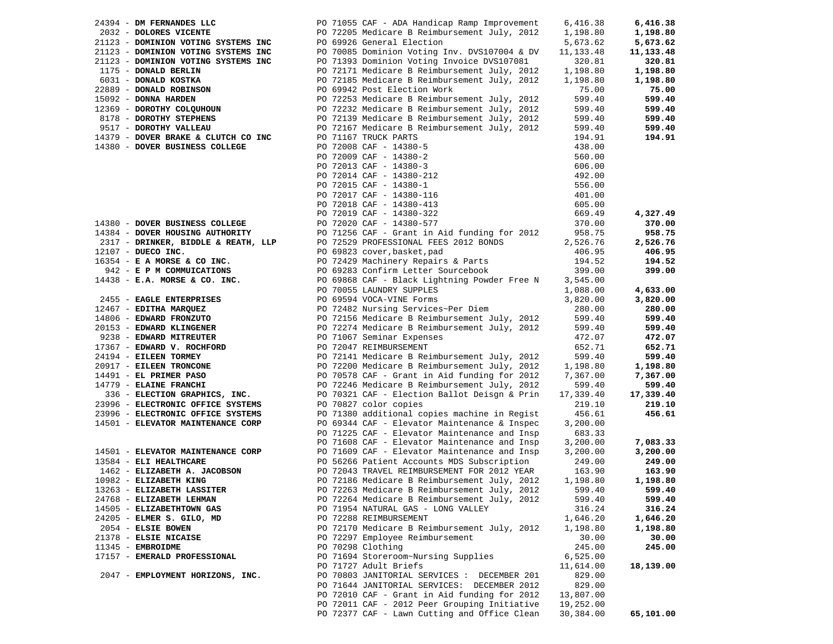| 24394 - DM FERNANDES LLC            | PO 71055 CAF - ADA Handicap Ramp Improvement                                                | 6,416.38  | 6,416.38  |
|-------------------------------------|---------------------------------------------------------------------------------------------|-----------|-----------|
| 2032 - DOLORES VICENTE              | PO 72205 Medicare B Reimbursement July, 2012                                                | 1,198.80  | 1,198.80  |
| 21123 - DOMINION VOTING SYSTEMS INC | PO 69926 General Election                                                                   | 5,673.62  | 5,673.62  |
| 21123 - DOMINION VOTING SYSTEMS INC | PO 70085 Dominion Voting Inv. DVS107004 & DV                                                | 11,133.48 | 11,133.48 |
| 21123 - DOMINION VOTING SYSTEMS INC | PO 71393 Dominion Voting Invoice DVS107081                                                  | 320.81    | 320.81    |
| 1175 - DONALD BERLIN                | PO 72171 Medicare B Reimbursement July, 2012                                                | 1,198.80  | 1,198.80  |
| 6031 - DONALD KOSTKA                | PO 72185 Medicare B Reimbursement July, 2012                                                | 1,198.80  | 1,198.80  |
| 22889 - DONALD ROBINSON             | PO 69942 Post Election Work                                                                 | 75.00     | 75.00     |
| 15092 - DONNA HARDEN                | PO 72253 Medicare B Reimbursement July, 2012                                                | 599.40    | 599.40    |
| 12369 - DOROTHY COLQUHOUN           | PO 72232 Medicare B Reimbursement July, 2012                                                | 599.40    | 599.40    |
| 8178 - DOROTHY STEPHENS             | PO 72139 Medicare B Reimbursement July, 2012                                                | 599.40    | 599.40    |
| 9517 - DOROTHY VALLEAU              | PO 72167 Medicare B Reimbursement July, 2012                                                | 599.40    | 599.40    |
| 14379 - DOVER BRAKE & CLUTCH CO INC | PO 71167 TRUCK PARTS                                                                        | 194.91    | 194.91    |
| 14380 - DOVER BUSINESS COLLEGE      | PO 72008 CAF - 14380-5                                                                      | 438.00    |           |
|                                     | PO 72009 CAF - 14380-2                                                                      | 560.00    |           |
|                                     | PO 72013 CAF - 14380-3                                                                      | 606.00    |           |
|                                     | PO 72014 CAF - 14380-212                                                                    | 492.00    |           |
|                                     | PO 72015 CAF - 14380-1                                                                      | 556.00    |           |
|                                     | PO 72017 CAF - 14380-116                                                                    | 401.00    |           |
|                                     | PO 72018 CAF - 14380-413                                                                    | 605.00    |           |
|                                     | PO 72019 CAF - 14380-322                                                                    | 669.49    | 4,327.49  |
| 14380 - DOVER BUSINESS COLLEGE      | PO 72020 CAF - 14380-577                                                                    | 370.00    | 370.00    |
| 14384 - DOVER HOUSING AUTHORITY     | PO 71256 CAF - Grant in Aid funding for 2012                                                | 958.75    | 958.75    |
| 2317 - DRINKER, BIDDLE & REATH, LLP | PO 72529 PROFESSIONAL FEES 2012 BONDS                                                       | 2,526.76  | 2,526.76  |
| 12107 - DUECO INC.                  | PO 69823 cover, basket, pad                                                                 | 406.95    | 406.95    |
| $16354$ - E A MORSE & CO INC.       | PO 72429 Machinery Repairs & Parts                                                          | 194.52    | 194.52    |
| 942 - E P M COMMUICATIONS           | PO 69283 Confirm Letter Sourcebook                                                          | 399.00    | 399.00    |
| $14438$ - E.A. MORSE & CO. INC.     | PO 69868 CAF - Black Lightning Powder Free N                                                | 3,545.00  |           |
|                                     | PO 70055 LAUNDRY SUPPLES                                                                    | 1,088.00  | 4,633.00  |
| 2455 - EAGLE ENTERPRISES            | PO 69594 VOCA-VINE Forms                                                                    | 3,820.00  | 3,820.00  |
| 12467 - EDITHA MARQUEZ              | PO 72482 Nursing Services~Per Diem                                                          | 280.00    | 280.00    |
| 14806 - EDWARD FRONZUTO             | PO 72156 Medicare B Reimbursement July, 2012                                                | 599.40    | 599.40    |
| 20153 - EDWARD KLINGENER            | PO 72274 Medicare B Reimbursement July, 2012                                                | 599.40    | 599.40    |
| 9238 - EDWARD MITREUTER             | PO 71067 Seminar Expenses                                                                   | 472.07    | 472.07    |
| 17367 - EDWARD V. ROCHFORD          | PO 72047 REIMBURSEMENT                                                                      | 652.71    | 652.71    |
| 24194 - EILEEN TORMEY               | PO 72141 Medicare B Reimbursement July, 2012                                                | 599.40    | 599.40    |
| 20917 - EILEEN TRONCONE             | PO 72200 Medicare B Reimbursement July, 2012                                                | 1,198.80  | 1,198.80  |
| 14491 - EL PRIMER PASO              | PO 70578 CAF - Grant in Aid funding for 2012                                                | 7,367.00  | 7,367.00  |
| 14779 - ELAINE FRANCHI              | PO 72246 Medicare B Reimbursement July, 2012                                                | 599.40    | 599.40    |
| 336 - ELECTION GRAPHICS, INC.       | PO 70321 CAF - Election Ballot Deisgn & Prin                                                | 17,339.40 | 17,339.40 |
| 23996 - ELECTRONIC OFFICE SYSTEMS   | PO 70827 color copies                                                                       | 219.10    | 219.10    |
| 23996 - ELECTRONIC OFFICE SYSTEMS   | PO 71380 additional copies machine in Regist                                                | 456.61    | 456.61    |
| 14501 - ELEVATOR MAINTENANCE CORP   | PO 69344 CAF - Elevator Maintenance & Inspec                                                | 3,200.00  |           |
|                                     | PO 71225 CAF - Elevator Maintenance and Insp                                                | 683.33    |           |
|                                     | PO 71608 CAF - Elevator Maintenance and Insp                                                | 3,200.00  | 7,083.33  |
| 14501 - ELEVATOR MAINTENANCE CORP   | PO 71609 CAF - Elevator Maintenance and Insp                                                | 3,200.00  | 3,200.00  |
| 13584 - ELI HEALTHCARE              | PO 56266 Patient Accounts MDS Subscription                                                  | 249.00    | 249.00    |
| 1462 - ELIZABETH A. JACOBSON        | PO 72043 TRAVEL REIMBURSEMENT FOR 2012 YEAR                                                 | 163.90    | 163.90    |
| 10982 - ELIZABETH KING              | PO 72186 Medicare B Reimbursement July, 2012                                                | 1,198.80  | 1,198.80  |
| 13263 - ELIZABETH LASSITER          | PO 72263 Medicare B Reimbursement July, 2012                                                | 599.40    | 599.40    |
| 24768 - ELIZABETH LEHMAN            | PO 72264 Medicare B Reimbursement July, 2012                                                | 599.40    | 599.40    |
| 14505 - ELIZABETHTOWN GAS           | PO 71954 NATURAL GAS - LONG VALLEY                                                          | 316.24    | 316.24    |
| 24205 - ELMER S. GILO, MD           | PO 72288 REIMBURSEMENT                                                                      | 1,646.20  | 1,646.20  |
| 2054 - ELSIE BOWEN                  | PO 72170 Medicare B Reimbursement July, 2012                                                | 1,198.80  | 1,198.80  |
| 21378 - ELSIE NICAISE               | PO 72297 Employee Reimbursement                                                             | 30.00     | 30.00     |
| 11345 - EMBROIDME                   | PO 70298 Clothing                                                                           | 245.00    | 245.00    |
| 17157 - EMERALD PROFESSIONAL        | PO 71694 Storeroom~Nursing Supplies                                                         | 6,525.00  |           |
|                                     | PO 71727 Adult Briefs                                                                       | 11,614.00 | 18,139.00 |
| 2047 - EMPLOYMENT HORIZONS, INC.    | PO 70803 JANITORIAL SERVICES : DECEMBER 201                                                 | 829.00    |           |
|                                     |                                                                                             |           |           |
|                                     | PO 71644 JANITORIAL SERVICES: DECEMBER 2012<br>PO 72010 CAF - Grant in Aid funding for 2012 | 829.00    |           |
|                                     |                                                                                             | 13,807.00 |           |
|                                     | PO 72011 CAF - 2012 Peer Grouping Initiative                                                | 19,252.00 |           |
|                                     | PO 72377 CAF - Lawn Cutting and Office Clean                                                | 30,384.00 | 65,101.00 |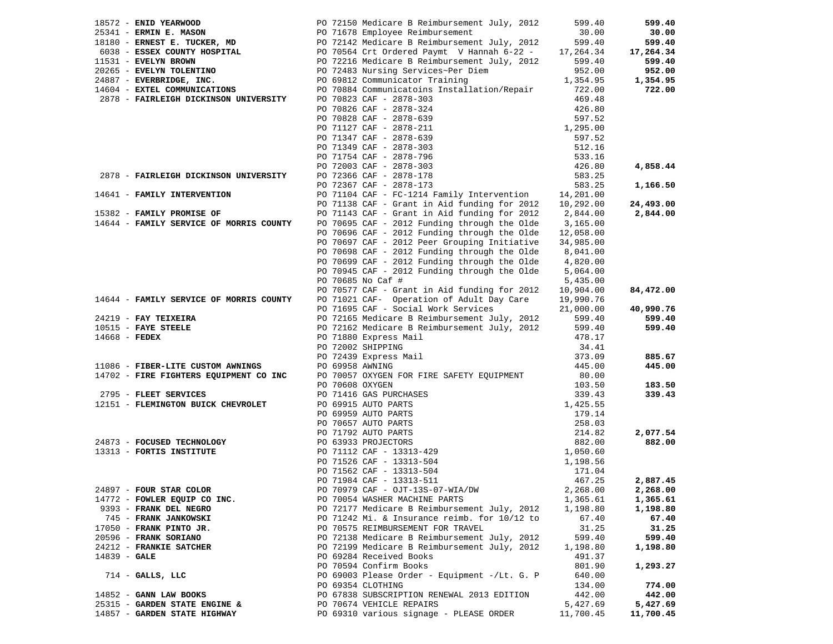|                 | 18572 - ENID YEARWOOD                            | PO 72150 Medicare B Reimbursement July, 2012                                                                                                                                                                                                                            | 599.40             | 599.40    |
|-----------------|--------------------------------------------------|-------------------------------------------------------------------------------------------------------------------------------------------------------------------------------------------------------------------------------------------------------------------------|--------------------|-----------|
|                 |                                                  |                                                                                                                                                                                                                                                                         |                    | 30.00     |
|                 |                                                  | 2534<br>2534 - <b>ERNIN E. MASON</b><br>2678 - <b>ERNIN E. MASON</b><br>2778 - <b>ERNIN E. MASON</b><br>2778 - <b>ERNIN ERNIN E. TUCKER, MD</b><br>2778 - PO 701678 - PO 70564 Crt Ordered Paymt V Hannah 6-22 - 17,264.34<br>2788 - <b>EVELYN BROWN</b><br>2789.40<br> |                    | 599.40    |
|                 |                                                  |                                                                                                                                                                                                                                                                         |                    | 17,264.34 |
|                 |                                                  |                                                                                                                                                                                                                                                                         |                    | 599.40    |
|                 |                                                  |                                                                                                                                                                                                                                                                         |                    | 952.00    |
|                 |                                                  |                                                                                                                                                                                                                                                                         |                    | 1,354.95  |
|                 | 2878 - FAIRLEIGH DICKINSON UNIVERSITY            |                                                                                                                                                                                                                                                                         |                    | 722.00    |
|                 |                                                  | PO 70823 CAF - 2878-303                                                                                                                                                                                                                                                 | 469.48             |           |
|                 |                                                  | PO 70826 CAF - 2878-324<br>PO 70828 CAF - 2878-639                                                                                                                                                                                                                      | 426.80<br>597.52   |           |
|                 |                                                  | PO 71127 CAF - 2878-211                                                                                                                                                                                                                                                 | 1,295.00           |           |
|                 |                                                  | PO 71347 CAF - 2878-639                                                                                                                                                                                                                                                 | 597.52             |           |
|                 |                                                  | PO 71349 CAF - 2878-303                                                                                                                                                                                                                                                 | 512.16             |           |
|                 |                                                  | PO 71754 CAF - 2878-796                                                                                                                                                                                                                                                 | 533.16             |           |
|                 |                                                  | PO 72003 CAF - 2878-303                                                                                                                                                                                                                                                 | 426.80             | 4,858.44  |
|                 | 2878 - FAIRLEIGH DICKINSON UNIVERSITY            | PO 72366 CAF - 2878-178                                                                                                                                                                                                                                                 | 583.25             |           |
|                 |                                                  | PO 72367 CAF - 2878-173                                                                                                                                                                                                                                                 | 583.25             | 1,166.50  |
|                 | 14641 - FAMILY INTERVENTION                      | PO 71104 CAF - FC-1214 Family Intervention 14,201.00                                                                                                                                                                                                                    |                    |           |
|                 |                                                  | PO 71138 CAF - Grant in Aid funding for 2012 10,292.00                                                                                                                                                                                                                  |                    | 24,493.00 |
|                 | 15382 - FAMILY PROMISE OF                        | PO 71143 CAF - Grant in Aid funding for 2012                                                                                                                                                                                                                            | 2,844.00           | 2,844.00  |
|                 | 14644 - FAMILY SERVICE OF MORRIS COUNTY          | PO 70695 CAF - 2012 Funding through the Olde                                                                                                                                                                                                                            | 3,165.00           |           |
|                 |                                                  | PO 70696 CAF - 2012 Funding through the Olde                                                                                                                                                                                                                            | 12,058.00          |           |
|                 |                                                  | PO 70697 CAF - 2012 Peer Grouping Initiative                                                                                                                                                                                                                            | 34,985.00          |           |
|                 |                                                  | PO 70698 CAF - 2012 Funding through the Olde                                                                                                                                                                                                                            | 8,041.00           |           |
|                 |                                                  | PO 70699 CAF - 2012 Funding through the Olde                                                                                                                                                                                                                            | 4,820.00           |           |
|                 |                                                  | PO 70945 CAF - 2012 Funding through the Olde                                                                                                                                                                                                                            | 5,064.00           |           |
|                 |                                                  | PO 70685 No Caf #                                                                                                                                                                                                                                                       | 5,435.00           |           |
|                 |                                                  | PO 70577 CAF - Grant in Aid funding for 2012                                                                                                                                                                                                                            | 10,904.00          | 84,472.00 |
|                 | 14644 - FAMILY SERVICE OF MORRIS COUNTY          | PO 71021 CAF- Operation of Adult Day Care                                                                                                                                                                                                                               | 19,990.76          |           |
|                 |                                                  | PO 71695 CAF - Social Work Services                                                                                                                                                                                                                                     | 21,000.00          | 40,990.76 |
|                 | 24219 - FAY TEIXEIRA                             | PO 72165 Medicare B Reimbursement July, 2012                                                                                                                                                                                                                            | 599.40             | 599.40    |
|                 | $10515$ - FAYE STEELE                            | PO 72162 Medicare B Reimbursement July, 2012                                                                                                                                                                                                                            | 599.40             | 599.40    |
| $14668$ - FEDEX |                                                  | PO 71880 Express Mail                                                                                                                                                                                                                                                   | 478.17             |           |
|                 |                                                  | PO 72002 SHIPPING<br>PO 72439 Express Mail                                                                                                                                                                                                                              | 34.41<br>373.09    | 885.67    |
|                 | 11086 - FIBER-LITE CUSTOM AWNINGS                | PO 69958 AWNING                                                                                                                                                                                                                                                         | 445.00             | 445.00    |
|                 | 14702 - FIRE FIGHTERS EQUIPMENT CO INC           | PO 70057 OXYGEN FOR FIRE SAFETY EQUIPMENT                                                                                                                                                                                                                               | 80.00              |           |
|                 |                                                  | PO 70608 OXYGEN                                                                                                                                                                                                                                                         | 103.50             | 183.50    |
|                 | 2795 - FLEET SERVICES                            |                                                                                                                                                                                                                                                                         |                    | 339.43    |
|                 | 12151 - FLEMINGTON BUICK CHEVROLET               |                                                                                                                                                                                                                                                                         |                    |           |
|                 |                                                  |                                                                                                                                                                                                                                                                         |                    |           |
|                 |                                                  |                                                                                                                                                                                                                                                                         |                    |           |
|                 |                                                  |                                                                                                                                                                                                                                                                         |                    | 2,077.54  |
|                 | 24873 - FOCUSED TECHNOLOGY                       |                                                                                                                                                                                                                                                                         |                    | 882.00    |
|                 | 13313 - FORTIS INSTITUTE                         | PO 70406 OATGEN<br>PO 71416 GAS PURCHASES<br>PO 69915 AUTO PARTS<br>PO 70657 AUTO PARTS<br>PO 70657 AUTO PARTS<br>PO 71792 AUTO PARTS<br>PO 7112 CAF - 13313-429<br>PO 71112 CAF - 13313-429<br>PO 71112 CAF - 13313-429<br>PO 7112 CAF - 13313-                        |                    |           |
|                 |                                                  | PO 71526 CAF - 13313-504<br>PO 71526 CAF - 13313-504<br>PO 71562 CAF - 13313-504                                                                                                                                                                                        | 1,198.56           |           |
|                 |                                                  |                                                                                                                                                                                                                                                                         | 171.04             |           |
|                 |                                                  |                                                                                                                                                                                                                                                                         | 467.25             | 2,887.45  |
|                 | 24897 - FOUR STAR COLOR                          | PO 70979 CAF - OJT-13S-07-WIA/DW                                                                                                                                                                                                                                        | 2,268.00           | 2,268.00  |
|                 | 14772 - FOWLER EQUIP CO INC.                     | PO 70054 WASHER MACHINE PARTS                                                                                                                                                                                                                                           | 1,365.61           | 1,365.61  |
|                 | 9393 - FRANK DEL NEGRO                           | PO 72177 Medicare B Reimbursement July, 2012                                                                                                                                                                                                                            | 1,198.80           | 1,198.80  |
|                 | 745 - FRANK JANKOWSKI                            | PO 71242 Mi. & Insurance reimb. for 10/12 to<br>PO 70575 REIMBURSEMENT FOR TRAVEL                                                                                                                                                                                       | 67.40              | 67.40     |
|                 | 17050 - FRANK PINTO JR.<br>20596 - FRANK SORIANO | PO 72138 Medicare B Reimbursement July, 2012                                                                                                                                                                                                                            | 31.25              | 31.25     |
|                 | 24212 - FRANKIE SATCHER                          | PO 72199 Medicare B Reimbursement July, 2012                                                                                                                                                                                                                            | 599.40             | 599.40    |
| $14839 - GALE$  |                                                  | PO 69284 Received Books                                                                                                                                                                                                                                                 | 1,198.80<br>491.37 | 1,198.80  |
|                 |                                                  | PO 70594 Confirm Books                                                                                                                                                                                                                                                  | 801.90             | 1,293.27  |
|                 | $714$ - GALLS, LLC                               | PO 69003 Please Order - Equipment -/Lt. G. P                                                                                                                                                                                                                            | 640.00             |           |
|                 |                                                  | PO 69354 CLOTHING                                                                                                                                                                                                                                                       | 134.00             | 774.00    |
|                 | $14852$ - GANN LAW BOOKS                         | PO 67838 SUBSCRIPTION RENEWAL 2013 EDITION                                                                                                                                                                                                                              | 442.00             | 442.00    |
|                 | 25315 - GARDEN STATE ENGINE &                    | PO 70674 VEHICLE REPAIRS                                                                                                                                                                                                                                                | 5,427.69           | 5,427.69  |
|                 | 14857 - GARDEN STATE HIGHWAY                     | PO 69310 various signage - PLEASE ORDER                                                                                                                                                                                                                                 | 11,700.45          | 11,700.45 |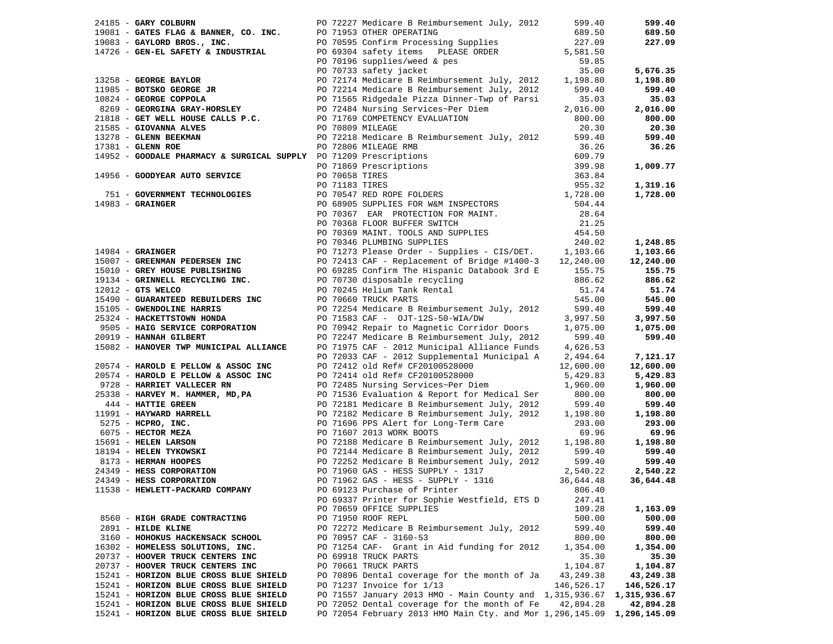| 24185 - GARY COLBURN                                                                                                                                                                                                                                                               |  | PO 72227 Medicare B Reimbursement July, 2012                           | 599.40      | 599.40     |
|------------------------------------------------------------------------------------------------------------------------------------------------------------------------------------------------------------------------------------------------------------------------------------|--|------------------------------------------------------------------------|-------------|------------|
|                                                                                                                                                                                                                                                                                    |  |                                                                        |             | 689.50     |
|                                                                                                                                                                                                                                                                                    |  |                                                                        |             | 227.09     |
|                                                                                                                                                                                                                                                                                    |  |                                                                        |             |            |
|                                                                                                                                                                                                                                                                                    |  |                                                                        |             |            |
|                                                                                                                                                                                                                                                                                    |  |                                                                        |             | 5,676.35   |
|                                                                                                                                                                                                                                                                                    |  |                                                                        |             | 1,198.80   |
|                                                                                                                                                                                                                                                                                    |  |                                                                        |             |            |
|                                                                                                                                                                                                                                                                                    |  |                                                                        |             | 599.40     |
|                                                                                                                                                                                                                                                                                    |  |                                                                        |             | 35.03      |
|                                                                                                                                                                                                                                                                                    |  |                                                                        |             | 2,016.00   |
|                                                                                                                                                                                                                                                                                    |  |                                                                        |             | 800.00     |
|                                                                                                                                                                                                                                                                                    |  |                                                                        |             | 20.30      |
|                                                                                                                                                                                                                                                                                    |  |                                                                        |             | 599.40     |
| 24185 <b>- GARY COLBURN</b><br>19081 <b>- GATES FLAG &amp; BANNER, CO. INC.</b><br>19083 <b>- GATES FLAG &amp; BANNER, CO. INC.</b><br>19083 <b>- GEN-EL SAFETY &amp; INDUSTRIAL</b><br>19083 <b>- GEN-EL SAFETY &amp; INDUSTRIAL</b><br>27.09<br>19070793 SCHILD PROCESSING & PES |  |                                                                        |             | 36.26      |
|                                                                                                                                                                                                                                                                                    |  |                                                                        |             |            |
|                                                                                                                                                                                                                                                                                    |  |                                                                        |             | 1,009.77   |
|                                                                                                                                                                                                                                                                                    |  |                                                                        |             |            |
|                                                                                                                                                                                                                                                                                    |  |                                                                        |             | 1,319.16   |
|                                                                                                                                                                                                                                                                                    |  |                                                                        |             | 1,728.00   |
|                                                                                                                                                                                                                                                                                    |  |                                                                        |             |            |
|                                                                                                                                                                                                                                                                                    |  |                                                                        |             |            |
|                                                                                                                                                                                                                                                                                    |  |                                                                        |             |            |
|                                                                                                                                                                                                                                                                                    |  |                                                                        |             |            |
|                                                                                                                                                                                                                                                                                    |  |                                                                        |             |            |
| 17378 - <b>CLERN BEXMAN PROPARAM DEVICE BREAD AND 17381 - CLERN ROBE<br/> 17381 - CLERN ROBE<br/> 17381 - CLERN ROBE<br/> 17395 - GOODILE PHARMACY &amp; SURGICAL SUPPLY PO 71209 Prescriptions<br/> 17955 - GOODYEAR AUTO SERVICE<br/> 17956 - GOODYEA</b>                        |  |                                                                        |             | 1,248.85   |
|                                                                                                                                                                                                                                                                                    |  |                                                                        |             | 1,103.66   |
|                                                                                                                                                                                                                                                                                    |  |                                                                        |             | 12,240.00  |
|                                                                                                                                                                                                                                                                                    |  |                                                                        |             | 155.75     |
|                                                                                                                                                                                                                                                                                    |  |                                                                        |             | 886.62     |
|                                                                                                                                                                                                                                                                                    |  |                                                                        |             | 51.74      |
| 15490 - <b>GUARANTEED REBUILDERS INC</b><br>15490 - <b>GUARANTEED REBUILDERS INC</b><br>15105 - <b>GUERNOLINE HARRIS</b><br>25324 - <b>HACKETTOWN HONDA</b><br>25324 - <b>HACKETTOWN HONDA</b><br>25324 - <b>HACKET CORPORATION</b><br>25525 - <b>HAIG SERVICE CORPORATION</b>     |  |                                                                        |             | 545.00     |
|                                                                                                                                                                                                                                                                                    |  |                                                                        |             | 599.40     |
|                                                                                                                                                                                                                                                                                    |  |                                                                        |             | 3,997.50   |
|                                                                                                                                                                                                                                                                                    |  |                                                                        |             | 1,075.00   |
|                                                                                                                                                                                                                                                                                    |  | PO 72247 Medicare B Reimbursement July, 2012 599.40                    |             | 599.40     |
| 20919 - HANNAH GILBERT<br>15082 - HANOVER TWP MUNICIPAL ALLIANCE                                                                                                                                                                                                                   |  | PO 71975 CAF - 2012 Municipal Alliance Funds 4,626.53                  |             |            |
|                                                                                                                                                                                                                                                                                    |  | PO 72033 CAF - 2012 Supplemental Municipal A $2,494.64$                |             | 7,121.17   |
| 20574 - HAROLD E PELLOW & ASSOC INC                                                                                                                                                                                                                                                |  | PO 72412 old Ref# CF20100528000                                        | 12,600.00   | 12,600.00  |
|                                                                                                                                                                                                                                                                                    |  |                                                                        |             |            |
|                                                                                                                                                                                                                                                                                    |  |                                                                        |             |            |
|                                                                                                                                                                                                                                                                                    |  |                                                                        |             |            |
|                                                                                                                                                                                                                                                                                    |  |                                                                        |             |            |
|                                                                                                                                                                                                                                                                                    |  |                                                                        |             |            |
|                                                                                                                                                                                                                                                                                    |  |                                                                        |             |            |
|                                                                                                                                                                                                                                                                                    |  |                                                                        |             |            |
| 20574 <b>- HAROLD E PELLOW &amp; ASSOCINC</b><br>20574 <b>- HAROLD E PELLOW &amp; ASSOCINC</b><br>20574 <b>- HAROLD E PELLOW &amp; ASSOCINC</b><br>20574 <b>- HARNEY M. HAMMER, MD, PA</b><br>20575 <b>- HARNEY M. HAMMER, MD, PA</b><br>2013 <b>E ARNEY M. HAMMER, MD, PA</b><br> |  |                                                                        |             |            |
|                                                                                                                                                                                                                                                                                    |  |                                                                        |             |            |
|                                                                                                                                                                                                                                                                                    |  |                                                                        |             |            |
|                                                                                                                                                                                                                                                                                    |  |                                                                        |             |            |
|                                                                                                                                                                                                                                                                                    |  |                                                                        |             |            |
|                                                                                                                                                                                                                                                                                    |  |                                                                        |             |            |
|                                                                                                                                                                                                                                                                                    |  |                                                                        |             |            |
|                                                                                                                                                                                                                                                                                    |  | PO 69337 Printer for Sophie Westfield, ETS D                           | 247.41      |            |
|                                                                                                                                                                                                                                                                                    |  | PO 70659 OFFICE SUPPLIES                                               | 109.28      | 1,163.09   |
| 8560 - HIGH GRADE CONTRACTING                                                                                                                                                                                                                                                      |  | PO 71950 ROOF REPL                                                     | 500.00      | 500.00     |
| 2891 - HILDE KLINE                                                                                                                                                                                                                                                                 |  | PO 72272 Medicare B Reimbursement July, 2012                           | 599.40      | 599.40     |
| 3160 - HOHOKUS HACKENSACK SCHOOL                                                                                                                                                                                                                                                   |  | PO 70957 CAF - 3160-53                                                 | 800.00      | 800.00     |
| 16302 - HOMELESS SOLUTIONS, INC.                                                                                                                                                                                                                                                   |  | PO 71254 CAF- Grant in Aid funding for 2012                            | 1,354.00    | 1,354.00   |
| 20737 - HOOVER TRUCK CENTERS INC                                                                                                                                                                                                                                                   |  | PO 69918 TRUCK PARTS                                                   | 35.30       | 35.30      |
| 20737 - HOOVER TRUCK CENTERS INC                                                                                                                                                                                                                                                   |  | PO 70661 TRUCK PARTS                                                   | 1,104.87    | 1,104.87   |
| 15241 - HORIZON BLUE CROSS BLUE SHIELD                                                                                                                                                                                                                                             |  | PO 70896 Dental coverage for the month of Ja                           | 43, 249. 38 | 43,249.38  |
| 15241 - HORIZON BLUE CROSS BLUE SHIELD                                                                                                                                                                                                                                             |  | PO 71237 Invoice for 1/13                                              | 146,526.17  | 146,526.17 |
| 15241 - HORIZON BLUE CROSS BLUE SHIELD                                                                                                                                                                                                                                             |  | PO 71557 January 2013 HMO - Main County and 1,315,936.67 1,315,936.67  |             |            |
| 15241 - HORIZON BLUE CROSS BLUE SHIELD                                                                                                                                                                                                                                             |  | PO 72052 Dental coverage for the month of Fe                           | 42,894.28   | 42,894.28  |
| 15241 - HORIZON BLUE CROSS BLUE SHIELD                                                                                                                                                                                                                                             |  | PO 72054 February 2013 HMO Main Cty. and Mor 1,296,145.09 1,296,145.09 |             |            |
|                                                                                                                                                                                                                                                                                    |  |                                                                        |             |            |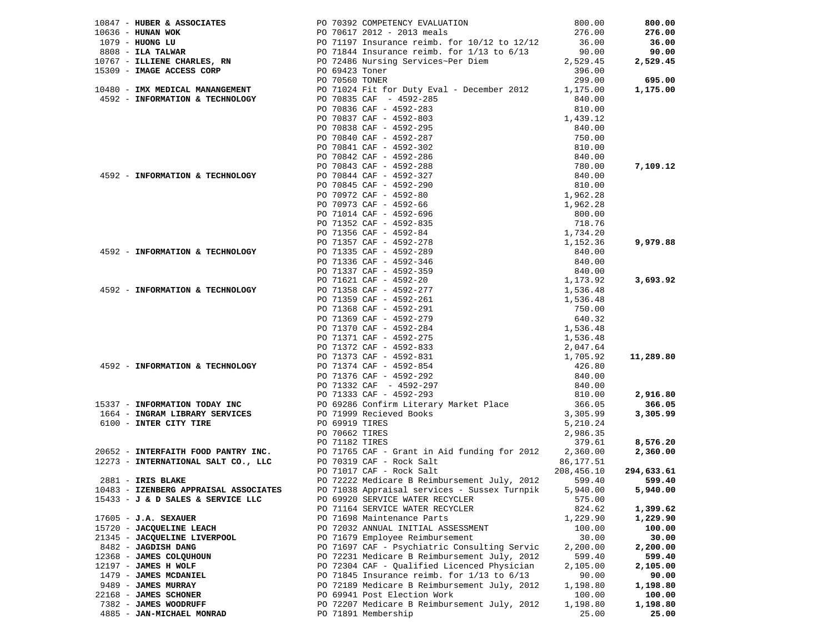| 10847 - HUBER & ASSOCIATES                                      | PO 70392 COMPETENCY EVALUATION                                                                                                                                                                                                             | 800.00               | 800.00                |
|-----------------------------------------------------------------|--------------------------------------------------------------------------------------------------------------------------------------------------------------------------------------------------------------------------------------------|----------------------|-----------------------|
|                                                                 |                                                                                                                                                                                                                                            |                      |                       |
| 10636 - HUNAN WOK                                               |                                                                                                                                                                                                                                            |                      | 276.00                |
| 1079 - HUONG LU                                                 |                                                                                                                                                                                                                                            |                      | 36.00                 |
| $8808$ - ILA TALWAR                                             |                                                                                                                                                                                                                                            |                      | 90.00                 |
| 10767 - ILLIENE CHARLES, RN                                     | PO 70617 2012 - 2013 meals<br>PO 70617 2012 - 2013 meals<br>PO 71197 Insurance reimb. for 10/12 to 12/12<br>PO 71844 Insurance reimb. for 1/13 to 6/13<br>PO 72486 Nursing Services~Per Diem<br>PO 69423 Toner<br>PO 70560 TONER<br>299.00 |                      | 2,529.45              |
| 15309 - IMAGE ACCESS CORP                                       |                                                                                                                                                                                                                                            |                      |                       |
|                                                                 |                                                                                                                                                                                                                                            |                      | 695.00                |
|                                                                 | 10480 - IMX MEDICAL MANANGEMENT PO 71024 Fit for Duty Eval - December 2012 1,175.00                                                                                                                                                        |                      | 1,175.00              |
| 4592 - INFORMATION & TECHNOLOGY                                 | PO 70835 CAF - 4592-285                                                                                                                                                                                                                    | 840.00               |                       |
|                                                                 |                                                                                                                                                                                                                                            |                      |                       |
|                                                                 | PO 70836 CAF - 4592-283                                                                                                                                                                                                                    | 810.00               |                       |
|                                                                 | PO 70837 CAF - 4592-803                                                                                                                                                                                                                    | 1,439.12             |                       |
|                                                                 |                                                                                                                                                                                                                                            |                      |                       |
|                                                                 |                                                                                                                                                                                                                                            |                      |                       |
|                                                                 |                                                                                                                                                                                                                                            |                      |                       |
|                                                                 |                                                                                                                                                                                                                                            |                      |                       |
|                                                                 |                                                                                                                                                                                                                                            |                      | 7,109.12              |
| 4592 - INFORMATION & TECHNOLOGY                                 |                                                                                                                                                                                                                                            |                      |                       |
|                                                                 |                                                                                                                                                                                                                                            |                      |                       |
|                                                                 |                                                                                                                                                                                                                                            |                      |                       |
|                                                                 |                                                                                                                                                                                                                                            |                      |                       |
|                                                                 |                                                                                                                                                                                                                                            |                      |                       |
|                                                                 |                                                                                                                                                                                                                                            |                      |                       |
|                                                                 |                                                                                                                                                                                                                                            |                      |                       |
|                                                                 |                                                                                                                                                                                                                                            |                      |                       |
|                                                                 |                                                                                                                                                                                                                                            |                      | 9,979.88              |
| 4592 - INFORMATION & TECHNOLOGY                                 | PO 71335 CAF - 4592-289                                                                                                                                                                                                                    |                      |                       |
|                                                                 |                                                                                                                                                                                                                                            |                      |                       |
|                                                                 |                                                                                                                                                                                                                                            |                      |                       |
|                                                                 |                                                                                                                                                                                                                                            |                      | 3,693.92              |
|                                                                 |                                                                                                                                                                                                                                            |                      |                       |
| 4592 - INFORMATION & TECHNOLOGY                                 | PO 71358 CAF - 4592-277                                                                                                                                                                                                                    | 1,536.48             |                       |
|                                                                 | PO 71359 CAF - 4592-261                                                                                                                                                                                                                    | 1,536.48             |                       |
|                                                                 | PO 71368 CAF - 4592-291<br>PO 71369 CAF - 4592-279<br>PO 71370 CAF - 4592-284<br>PO 71371 CAF - 4592-275                                                                                                                                   | 750.00               |                       |
|                                                                 |                                                                                                                                                                                                                                            | 640.32               |                       |
|                                                                 |                                                                                                                                                                                                                                            | 1,536.48<br>1,536.48 |                       |
|                                                                 |                                                                                                                                                                                                                                            |                      |                       |
|                                                                 | PO 71372 CAF - 4592-833<br>PO 71373 CAF - 4592-831                                                                                                                                                                                         |                      |                       |
|                                                                 |                                                                                                                                                                                                                                            | 2,047.64<br>1,705.92 | 11,289.80             |
| 4592 - INFORMATION & TECHNOLOGY                                 | PO 71374 CAF - 4592-854                                                                                                                                                                                                                    | 426.80               |                       |
|                                                                 | PO 71376 CAF - 4592-292                                                                                                                                                                                                                    | 840.00               |                       |
|                                                                 |                                                                                                                                                                                                                                            |                      |                       |
|                                                                 | PO 71332 CAF - 4592-297                                                                                                                                                                                                                    | 840.00               |                       |
|                                                                 | PO 71333 CAF - 4592-293                                                                                                                                                                                                                    | 810.00               | 2,916.80              |
| 15337 - INFORMATION TODAY INC<br>1664 - INGRAM LIBRARY SERVICES | 90 69286 Confirm Literary Market Place 366.05<br>PO 71999 Recieved Books 3,305.99                                                                                                                                                          |                      | 366.05                |
|                                                                 |                                                                                                                                                                                                                                            |                      | 3,305.99              |
| 6100 - INTER CITY TIRE                                          | PO 69919 TIRES                                                                                                                                                                                                                             | 5,210.24             |                       |
|                                                                 | PO 70662 TIRES                                                                                                                                                                                                                             | 2,986.35             |                       |
|                                                                 |                                                                                                                                                                                                                                            |                      | 8,576.20              |
|                                                                 | 2,986.35<br>20652 - <b>INTERFAITH FOOD PANTRY INC.</b><br>279.61 PO 71765 CAF - Grant in Aid funding for 2012<br>2,360.00 PO 70319 CAF - Rock Salt<br>2,177.51 PO 70319 CAF - Rock Salt                                                    |                      | 2,360.00              |
|                                                                 |                                                                                                                                                                                                                                            |                      |                       |
|                                                                 | PO 71017 CAF - Rock Salt                                                                                                                                                                                                                   |                      | 208,456.10 294,633.61 |
|                                                                 |                                                                                                                                                                                                                                            |                      |                       |
| $2881$ - IRIS BLAKE                                             | PO 72222 Medicare B Reimbursement July, 2012                                                                                                                                                                                               | 599.40               | 599.40                |
| 10483 - IZENBERG APPRAISAL ASSOCIATES                           | PO 71038 Appraisal services - Sussex Turnpik 5,940.00 5,940.00                                                                                                                                                                             |                      |                       |
| 15433 - J & D SALES & SERVICE LLC                               | PO 69920 SERVICE WATER RECYCLER                                                                                                                                                                                                            | 575.00               |                       |
|                                                                 | PO 71164 SERVICE WATER RECYCLER                                                                                                                                                                                                            | 824.62               | 1,399.62              |
| $17605 - J.A.$ SEXAUER                                          | PO 71698 Maintenance Parts                                                                                                                                                                                                                 | 1,229.90             | 1,229.90              |
| 15720 - JACQUELINE LEACH                                        | PO 72032 ANNUAL INITIAL ASSESSMENT                                                                                                                                                                                                         | 100.00               | 100.00                |
| 21345 - JACQUELINE LIVERPOOL                                    | PO 71679 Employee Reimbursement                                                                                                                                                                                                            | 30.00                | 30.00                 |
| 8482 - JAGDISH DANG                                             | PO 71697 CAF - Psychiatric Consulting Servic                                                                                                                                                                                               | 2,200.00             | 2,200.00              |
| 12368 - JAMES COLOUHOUN                                         | PO 72231 Medicare B Reimbursement July, 2012                                                                                                                                                                                               | 599.40               | 599.40                |
| 12197 - JAMES H WOLF                                            | PO 72304 CAF - Qualified Licenced Physician                                                                                                                                                                                                | 2,105.00             | 2,105.00              |
| 1479 - JAMES MCDANIEL                                           |                                                                                                                                                                                                                                            |                      |                       |
|                                                                 | PO 71845 Insurance reimb. for $1/13$ to $6/13$                                                                                                                                                                                             | 90.00                | 90.00                 |
| 9489 - JAMES MURRAY                                             | PO 72189 Medicare B Reimbursement July, 2012                                                                                                                                                                                               | 1,198.80             | 1,198.80              |
| 22168 - JAMES SCHONER                                           | PO 69941 Post Election Work                                                                                                                                                                                                                | 100.00               | 100.00                |
| 7382 - JAMES WOODRUFF                                           | PO 72207 Medicare B Reimbursement July, 2012                                                                                                                                                                                               | 1,198.80             | 1,198.80              |
| 4885 - JAN-MICHAEL MONRAD                                       | PO 71891 Membership                                                                                                                                                                                                                        | 25.00                | 25.00                 |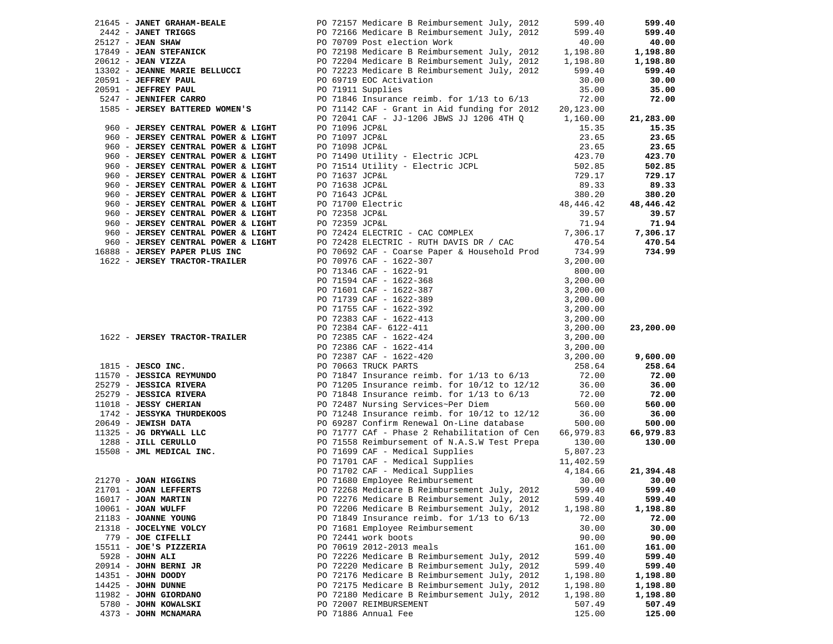|                                                             |                | $21645$ - JANET GRAHAM-BEALE $PQ$ 72157 Medicare B Reimbursement July, 2012                                                                                                                                                                                                                                                           | 599.40    | 599.40    |
|-------------------------------------------------------------|----------------|---------------------------------------------------------------------------------------------------------------------------------------------------------------------------------------------------------------------------------------------------------------------------------------------------------------------------------------|-----------|-----------|
|                                                             |                |                                                                                                                                                                                                                                                                                                                                       |           | 599.40    |
|                                                             |                |                                                                                                                                                                                                                                                                                                                                       |           | 40.00     |
|                                                             |                |                                                                                                                                                                                                                                                                                                                                       |           | 1,198.80  |
|                                                             |                |                                                                                                                                                                                                                                                                                                                                       |           | 1,198.80  |
|                                                             |                |                                                                                                                                                                                                                                                                                                                                       |           | 599.40    |
| 20591 - JEFFREY PAUL                                        |                | 21645 - <b>JANET GRAHAM-BEALE</b><br>2442 - <b>JANET TRIGGS</b><br>25127 - <b>JEAN SHAW</b><br>26127 - <b>JEAN SHAW</b><br>26 - <b>JEAN SHAW</b><br>26 - <b>JEAN SHAW</b><br>26 - <b>JEAN SHAW</b><br>26 - <b>JEAN SHAW</b><br>26 - <b>JEAN SHAW</b><br>26 - <b>JEAN SHAWE ARTICK</b><br>26 - <b>PO 72</b><br>PO 69719 EOC Activation | 30.00     | 30.00     |
| 20591 - JEFFREY PAUL                                        |                | PO 71911 Supplies<br>PO 71846 Insurance reimb. for 1/13 to 6/13                                                                                                                                                                                                                                                                       | 35.00     | 35.00     |
| 10591 - <b>JEFFREY PAUL</b><br>5247 - <b>JENNIFER CARRO</b> |                |                                                                                                                                                                                                                                                                                                                                       | 72.00     | 72.00     |
|                                                             |                | 1585 - JERSEY BATTERED WOMEN'S PO 71142 CAF - Grant in Aid funding for 2012                                                                                                                                                                                                                                                           | 20,123.00 |           |
|                                                             |                | PO 72041 CAF - JJ-1206 JBWS JJ 1206 4TH Q 1,160.00                                                                                                                                                                                                                                                                                    |           | 21,283.00 |
| 960 - JERSEY CENTRAL POWER & LIGHT                          | PO 71096 JCP&L |                                                                                                                                                                                                                                                                                                                                       | 15.35     | 15.35     |
| 960 - JERSEY CENTRAL POWER & LIGHT                          |                |                                                                                                                                                                                                                                                                                                                                       | 23.65     | 23.65     |
| 960 - JERSEY CENTRAL POWER & LIGHT                          |                |                                                                                                                                                                                                                                                                                                                                       | 23.65     | 23.65     |
| 960 - JERSEY CENTRAL POWER & LIGHT                          |                |                                                                                                                                                                                                                                                                                                                                       | 423.70    | 423.70    |
| 960 - JERSEY CENTRAL POWER & LIGHT                          |                | PO 71097 JCP&L<br>PO 71098 JCP&L<br>PO 71490 Utility - Electric JCPL<br>PO 71514 Utility - Electric JCPL<br>TO 71514 Utility - Electric JCPL                                                                                                                                                                                          | 502.85    | 502.85    |
| 960 - JERSEY CENTRAL POWER & LIGHT                          | PO 71637 JCP&L |                                                                                                                                                                                                                                                                                                                                       | 729.17    | 729.17    |
| 960 - JERSEY CENTRAL POWER & LIGHT                          |                | PO 71637 JCP&L<br>PO 71638 JCP&L<br>PO 71643 JCP&L<br>PO 71700 Electric<br>PO 72358 JCP&L<br>PO 72359 JCP&L<br>PO 72424 ELECTRIC - CAC COMPLEX<br>PO 72424 ELECTRIC - CAC COMPLEX<br>PO 72424 ELECTRIC - CAC COMPLEX<br>PO 72424 ELECTRIC - CAC                                                                                       |           | 89.33     |
| 960 - JERSEY CENTRAL POWER & LIGHT                          |                |                                                                                                                                                                                                                                                                                                                                       |           | 380.20    |
| 960 - JERSEY CENTRAL POWER & LIGHT                          |                |                                                                                                                                                                                                                                                                                                                                       |           | 48,446.42 |
| 960 - JERSEY CENTRAL POWER & LIGHT                          |                |                                                                                                                                                                                                                                                                                                                                       |           | 39.57     |
| 960 - JERSEY CENTRAL POWER & LIGHT                          |                |                                                                                                                                                                                                                                                                                                                                       |           | 71.94     |
| 960 - JERSEY CENTRAL POWER & LIGHT                          |                |                                                                                                                                                                                                                                                                                                                                       |           | 7,306.17  |
| 960 - JERSEY CENTRAL POWER & LIGHT                          |                | PO 72428 ELECTRIC - RUTH DAVIS DR / CAC                                                                                                                                                                                                                                                                                               | 470.54    | 470.54    |
| 16888 - JERSEY PAPER PLUS INC                               |                | PO 70692 CAF - Coarse Paper & Household Prod                                                                                                                                                                                                                                                                                          | 734.99    | 734.99    |
| 1622 - JERSEY TRACTOR-TRAILER                               |                | PO 70976 CAF - 1622-307                                                                                                                                                                                                                                                                                                               | 3,200.00  |           |
|                                                             |                |                                                                                                                                                                                                                                                                                                                                       |           |           |
|                                                             |                |                                                                                                                                                                                                                                                                                                                                       |           |           |
|                                                             |                |                                                                                                                                                                                                                                                                                                                                       |           |           |
|                                                             |                |                                                                                                                                                                                                                                                                                                                                       |           |           |
|                                                             |                |                                                                                                                                                                                                                                                                                                                                       |           |           |
|                                                             |                |                                                                                                                                                                                                                                                                                                                                       |           |           |
|                                                             |                |                                                                                                                                                                                                                                                                                                                                       |           | 23,200.00 |
| 1622 - JERSEY TRACTOR-TRAILER                               |                |                                                                                                                                                                                                                                                                                                                                       |           |           |
|                                                             |                |                                                                                                                                                                                                                                                                                                                                       |           |           |
|                                                             |                |                                                                                                                                                                                                                                                                                                                                       |           | 9,600.00  |
|                                                             |                | 90 70976 CAF - 1622-30<br>90 71346 CAF - 1622-91<br>90 71594 CAF - 1622-368<br>90 71601 CAF - 1622-388<br>90 71601 CAF - 1622-389<br>90 71755 CAF - 1622-392<br>90 72383 CAF - 1622-413<br>90 72384 CAF - 6122-411<br>90 72386 CAF - 1622-414<br>                                                                                     | 258.64    | 258.64    |
|                                                             |                |                                                                                                                                                                                                                                                                                                                                       | 72.00     | 72.00     |
|                                                             |                |                                                                                                                                                                                                                                                                                                                                       | 36.00     | 36.00     |
|                                                             |                |                                                                                                                                                                                                                                                                                                                                       | 72.00     | 72.00     |
|                                                             |                |                                                                                                                                                                                                                                                                                                                                       | 560.00    | 560.00    |
|                                                             |                |                                                                                                                                                                                                                                                                                                                                       | 36.00     | 36.00     |
|                                                             |                |                                                                                                                                                                                                                                                                                                                                       | 500.00    | 500.00    |
|                                                             |                |                                                                                                                                                                                                                                                                                                                                       | 66,979.83 | 66,979.83 |
|                                                             |                | PO 71558 Reimbursement of N.A.S.W Test Prepa                                                                                                                                                                                                                                                                                          | 130.00    | 130.00    |
|                                                             |                | 1815 - <b>JESCO INC.</b><br>1923 - <b>JESCO INC.</b><br>1925 - <b>JESSICA REYMUNDO</b><br>25279 - <b>JESSICA RIVERA</b><br>25279 - <b>JESSICA RIVERA</b><br>26279 - <b>JESSICA RIVERA</b><br>279 - <b>JESSICA RIVERA</b><br>279 - <b>JESSICA RIVERA</b><br>279 - <b>JESSICA RIVERA</b><br>27                                          | 5,807.23  |           |
|                                                             |                |                                                                                                                                                                                                                                                                                                                                       |           |           |
|                                                             |                |                                                                                                                                                                                                                                                                                                                                       |           | 21,394.48 |
| 21270 - JOAN HIGGINS                                        |                | PO 71701 CAF - Medical Supplies 11,402.59<br>PO 71702 CAF - Medical Supplies 4,184.66<br>PO 71680 Employee Reimbursement 30.00                                                                                                                                                                                                        |           | 30.00     |
| 21701 - JOAN LEFFERTS                                       |                | PO 72268 Medicare B Reimbursement July, 2012 599.40                                                                                                                                                                                                                                                                                   |           | 599.40    |
| $16017 - JOAN$ <b>MARTIN</b>                                |                | PO 72276 Medicare B Reimbursement July, 2012                                                                                                                                                                                                                                                                                          | 599.40    | 599.40    |
| $10061$ - JOAN WULFF                                        |                | PO 72206 Medicare B Reimbursement July, 2012                                                                                                                                                                                                                                                                                          | 1,198.80  | 1,198.80  |
| 21183 - JOANNE YOUNG                                        |                | PO 71849 Insurance reimb. for $1/13$ to $6/13$                                                                                                                                                                                                                                                                                        | 72.00     | 72.00     |
| 21318 - JOCELYNE VOLCY                                      |                | PO 71681 Employee Reimbursement                                                                                                                                                                                                                                                                                                       | 30.00     | 30.00     |
| 779 - JOE CIFELLI                                           |                | PO 72441 work boots                                                                                                                                                                                                                                                                                                                   | 90.00     | 90.00     |
| 15511 - JOE'S PIZZERIA                                      |                | PO 70619 2012-2013 meals                                                                                                                                                                                                                                                                                                              | 161.00    | 161.00    |
| $5928 - JOHN ALL$                                           |                | PO 72226 Medicare B Reimbursement July, 2012                                                                                                                                                                                                                                                                                          | 599.40    | 599.40    |
| 20914 - JOHN BERNI JR                                       |                | PO 72220 Medicare B Reimbursement July, 2012                                                                                                                                                                                                                                                                                          | 599.40    | 599.40    |
| 14351 - JOHN DOODY                                          |                | PO 72176 Medicare B Reimbursement July, 2012                                                                                                                                                                                                                                                                                          | 1,198.80  | 1,198.80  |
| 14425 - JOHN DUNNE                                          |                | PO 72175 Medicare B Reimbursement July, 2012                                                                                                                                                                                                                                                                                          | 1,198.80  | 1,198.80  |
| 11982 - JOHN GIORDANO                                       |                | PO 72180 Medicare B Reimbursement July, 2012                                                                                                                                                                                                                                                                                          | 1,198.80  | 1,198.80  |
| 5780 - JOHN KOWALSKI                                        |                | PO 72007 REIMBURSEMENT                                                                                                                                                                                                                                                                                                                | 507.49    | 507.49    |
| 4373 - JOHN MCNAMARA                                        |                | PO 71886 Annual Fee                                                                                                                                                                                                                                                                                                                   | 125.00    | 125.00    |
|                                                             |                |                                                                                                                                                                                                                                                                                                                                       |           |           |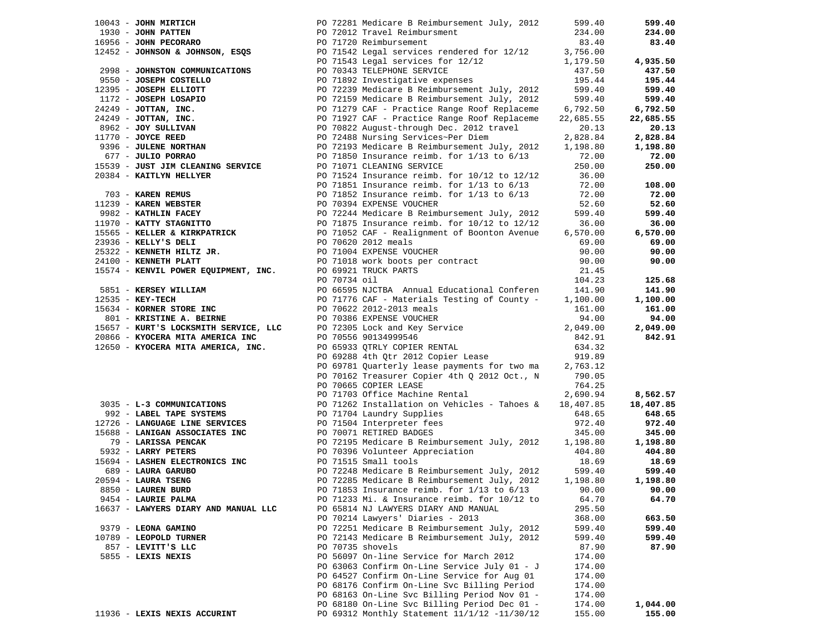| $10043$ - JOHN MIRTICH                                                                                                                           |              | PO 72281 Medicare B Reimbursement July, 2012                                                 | 599.40    | 599.40    |
|--------------------------------------------------------------------------------------------------------------------------------------------------|--------------|----------------------------------------------------------------------------------------------|-----------|-----------|
| 1930 - JOHN PATTEN<br>16956 - JOHN PECORARO PO 71720 Reimbursement<br>12452 - JOHNSON & JOHNSON, ESQS PO 71542 Legal services rendered for 12/12 |              |                                                                                              | 234.00    | 234.00    |
|                                                                                                                                                  |              |                                                                                              | 83.40     | 83.40     |
|                                                                                                                                                  |              |                                                                                              | 3,756.00  |           |
|                                                                                                                                                  |              | PO 71543 Legal services for 12/12                                                            | 1,179.50  | 4,935.50  |
| 2998 - JOHNSTON COMMUNICATIONS                                                                                                                   |              | PO 70343 TELEPHONE SERVICE                                                                   | 437.50    | 437.50    |
| 9550 - JOSEPH COSTELLO                                                                                                                           |              | PO 71892 Investigative expenses                                                              | 195.44    | 195.44    |
| 12395 - JOSEPH ELLIOTT<br>1172 - JOSEPH LOSAPIO<br>24249 - JOTTAN, INC.<br>24249 - JOTTAN, INC.<br>8962 - JOY SULLIVAN<br>11770 - JOYCE REED     |              | PO 72239 Medicare B Reimbursement July, 2012                                                 | 599.40    | 599.40    |
|                                                                                                                                                  |              | PO 72159 Medicare B Reimbursement July, 2012                                                 | 599.40    | 599.40    |
|                                                                                                                                                  |              | PO 71279 CAF - Practice Range Roof Replaceme                                                 | 6,792.50  | 6,792.50  |
|                                                                                                                                                  |              | PO 71927 CAF - Practice Range Roof Replaceme                                                 | 22,685.55 | 22,685.55 |
|                                                                                                                                                  |              | PO 70822 August-through Dec. 2012 travel                                                     | 20.13     | 20.13     |
|                                                                                                                                                  |              | PO 72488 Nursing Services~Per Diem                                                           | 2,828.84  | 2,828.84  |
| 9396 - JULENE NORTHAN<br>677 - JULIO PORRAO                                                                                                      |              | PO 72193 Medicare B Reimbursement July, 2012                                                 | 1,198.80  | 1,198.80  |
| 677 - JULIO PORRAO                                                                                                                               |              | PO 71850 Insurance reimb. for $1/13$ to $6/13$                                               | 72.00     | 72.00     |
| 15539 - JUST JIM CLEANING SERVICE                                                                                                                |              | PO 71071 CLEANING SERVICE                                                                    | 250.00    | 250.00    |
| 20384 - KAITLYN HELLYER                                                                                                                          |              | PO 71524 Insurance reimb. for 10/12 to 12/12                                                 | 36.00     |           |
|                                                                                                                                                  |              | PO 71851 Insurance reimb. for $1/13$ to $6/13$                                               | 72.00     | 108.00    |
| 703 - KAREN REMUS                                                                                                                                |              | PO 71852 Insurance reimb. for $1/13$ to $6/13$                                               | 72.00     | 72.00     |
| 11239 - KAREN WEBSTER                                                                                                                            |              | PO 70394 EXPENSE VOUCHER                                                                     | 52.60     | 52.60     |
| 9982 - KATHLIN FACEY                                                                                                                             |              | PO 72244 Medicare B Reimbursement July, 2012                                                 | 599.40    | 599.40    |
| 11970 - KATTY STAGNITTO                                                                                                                          |              | PO 71875 Insurance reimb. for 10/12 to 12/12<br>PO 71052 CAF - Realignment of Boonton Avenue | 36.00     | 36.00     |
| 15565 - KELLER & KIRKPATRICK                                                                                                                     |              | PO 71052 CAF - Realignment of Boonton Avenue                                                 | 6,570.00  | 6,570.00  |
| 23936 - KELLY'S DELI                                                                                                                             |              | PO 70620 2012 meals                                                                          | 69.00     | 69.00     |
| 25322 - KENNETH HILTZ JR.                                                                                                                        |              | PO 71004 EXPENSE VOUCHER                                                                     | 90.00     | 90.00     |
| 24100 - KENNETH PLATT                                                                                                                            |              | PO 71018 work boots per contract                                                             | 90.00     | 90.00     |
| 15574 - KENVIL POWER EQUIPMENT, INC.                                                                                                             |              | PO 69921 TRUCK PARTS                                                                         | 21.45     |           |
|                                                                                                                                                  | PO 70734 oil |                                                                                              | 104.23    | 125.68    |
| 5851 - KERSEY WILLIAM                                                                                                                            |              | PO 66595 NJCTBA Annual Educational Conferen                                                  | 141.90    | 141.90    |
| $12535 - K$ EY-TECH                                                                                                                              |              | PO 71776 CAF - Materials Testing of County -                                                 | 1,100.00  | 1,100.00  |
| 15634 - KORNER STORE INC                                                                                                                         |              | PO 70622 2012-2013 meals                                                                     | 161.00    | 161.00    |
| 801 - KRISTINE A. BEIRNE                                                                                                                         |              | PO 70386 EXPENSE VOUCHER                                                                     | 94.00     | 94.00     |
| 15657 - KURT'S LOCKSMITH SERVICE, LLC                                                                                                            |              | PO 72305 Lock and Key Service                                                                | 2,049.00  | 2,049.00  |
| 20866 - KYOCERA MITA AMERICA INC                                                                                                                 |              | PO 70556 90134999546                                                                         | 842.91    | 842.91    |
| 12650 - KYOCERA MITA AMERICA, INC.                                                                                                               |              | PO 65933 QTRLY COPIER RENTAL                                                                 | 634.32    |           |
|                                                                                                                                                  |              | PO 69288 4th Qtr 2012 Copier Lease                                                           | 919.89    |           |
|                                                                                                                                                  |              | PO 69781 Quarterly lease payments for two ma                                                 | 2,763.12  |           |
|                                                                                                                                                  |              | PO 70162 Treasurer Copier 4th Q 2012 Oct., N                                                 | 790.05    |           |
|                                                                                                                                                  |              | PO 70665 COPIER LEASE                                                                        | 764.25    |           |
|                                                                                                                                                  |              | PO 71703 Office Machine Rental                                                               | 2,690.94  | 8,562.57  |
| 3035 - L-3 COMMUNICATIONS                                                                                                                        |              | PO 71262 Installation on Vehicles - Tahoes &                                                 | 18,407.85 | 18,407.85 |
| 992 - LABEL TAPE SYSTEMS                                                                                                                         |              | PO 71704 Laundry Supplies                                                                    | 648.65    | 648.65    |
| 12726 - LANGUAGE LINE SERVICES                                                                                                                   |              | PO 71504 Interpreter fees                                                                    | 972.40    | 972.40    |
| 15688 - LANIGAN ASSOCIATES INC                                                                                                                   |              | PO 70071 RETIRED BADGES                                                                      | 345.00    | 345.00    |
| 79 - LARISSA PENCAK                                                                                                                              |              | PO 72195 Medicare B Reimbursement July, 2012                                                 | 1,198.80  | 1,198.80  |
| 5932 - LARRY PETERS                                                                                                                              |              | PO 70396 Volunteer Appreciation                                                              | 404.80    | 404.80    |
| 15694 - LASHEN ELECTRONICS INC                                                                                                                   |              | PO 71515 Small tools                                                                         | 18.69     | 18.69     |
| 689 - LAURA GARUBO                                                                                                                               |              | PO 72248 Medicare B Reimbursement July, 2012                                                 | 599.40    | 599.40    |
| 20594 - LAURA TSENG                                                                                                                              |              | PO 72285 Medicare B Reimbursement July, 2012                                                 | 1,198.80  | 1,198.80  |
| 8850 - LAUREN BURD                                                                                                                               |              | PO 71853 Insurance reimb. for $1/13$ to $6/13$                                               | 90.00     | 90.00     |
| 9454 - LAURIE PALMA                                                                                                                              |              | PO 71233 Mi. & Insurance reimb. for 10/12 to                                                 | 64.70     | 64.70     |
| 16637 - LAWYERS DIARY AND MANUAL LLC                                                                                                             |              | PO 65814 NJ LAWYERS DIARY AND MANUAL                                                         | 295.50    |           |
|                                                                                                                                                  |              | PO 70214 Lawyers' Diaries - 2013                                                             | 368.00    | 663.50    |
| 9379 - LEONA GAMINO                                                                                                                              |              | PO 72251 Medicare B Reimbursement July, 2012                                                 | 599.40    | 599.40    |
| 10789 - LEOPOLD TURNER                                                                                                                           |              | PO 72143 Medicare B Reimbursement July, 2012                                                 | 599.40    | 599.40    |
| 857 - LEVITT'S LLC                                                                                                                               |              | PO 70735 shovels                                                                             | 87.90     | 87.90     |
| 5855 - LEXIS NEXIS                                                                                                                               |              | PO 56097 On-line Service for March 2012                                                      | 174.00    |           |
|                                                                                                                                                  |              | PO 63063 Confirm On-Line Service July 01 - J                                                 | 174.00    |           |
|                                                                                                                                                  |              | PO 64527 Confirm On-Line Service for Aug 01                                                  | 174.00    |           |
|                                                                                                                                                  |              | PO 68176 Confirm On-Line Svc Billing Period                                                  | 174.00    |           |
|                                                                                                                                                  |              | PO 68163 On-Line Svc Billing Period Nov 01 -                                                 | 174.00    |           |
|                                                                                                                                                  |              | PO 68180 On-Line Svc Billing Period Dec 01 -                                                 | 174.00    | 1,044.00  |
| 11936 - LEXIS NEXIS ACCURINT                                                                                                                     |              | PO 69312 Monthly Statement 11/1/12 -11/30/12                                                 | 155.00    | 155.00    |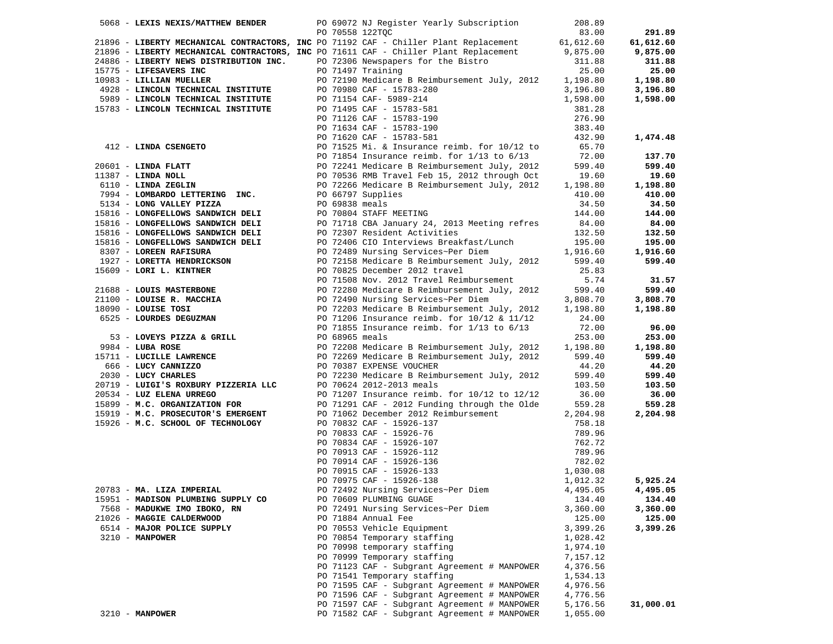|                       | 5068 - LEXIS NEXIS/MATTHEW BENDER      |                | PO 69072 NJ Register Yearly Subscription                                                                                                 | 208.89               |           |
|-----------------------|----------------------------------------|----------------|------------------------------------------------------------------------------------------------------------------------------------------|----------------------|-----------|
|                       |                                        |                | PO 70558 122TQC                                                                                                                          | 83.00                | 291.89    |
|                       |                                        |                | 21896 - LIBERTY MECHANICAL CONTRACTORS, INC PO 71192 CAF - Chiller Plant Replacement                                                     | 61,612.60            | 61,612.60 |
|                       |                                        |                | 21896 - LIBERTY MECHANICAL CONTRACTORS, INC PO 71611 CAF - Chiller Plant Replacement                                                     | 9,875.00             | 9,875.00  |
|                       | 24886 - LIBERTY NEWS DISTRIBUTION INC. |                | PO 72306 Newspapers for the Bistro                                                                                                       | 311.88               | 311.88    |
|                       | 15775 - LIFESAVERS INC                 |                | PO 71497 Training                                                                                                                        | 25.00                | 25.00     |
|                       | 10983 - LILLIAN MUELLER                |                | PO 72190 Medicare B Reimbursement July, 2012                                                                                             | 1,198.80             | 1,198.80  |
|                       | 4928 - LINCOLN TECHNICAL INSTITUTE     |                | PO 70980 CAF - 15783-280                                                                                                                 | 3,196.80             | 3,196.80  |
|                       | 5989 - LINCOLN TECHNICAL INSTITUTE     |                | PO 71154 CAF- 5989-214                                                                                                                   | 1,598.00             | 1,598.00  |
|                       | 15783 - LINCOLN TECHNICAL INSTITUTE    |                | PO 71495 CAF - 15783-581                                                                                                                 | 381.28               |           |
|                       |                                        |                | PO 71126 CAF - 15783-190                                                                                                                 | 276.90               |           |
|                       |                                        |                | PO 71634 CAF - 15783-190                                                                                                                 | 383.40               |           |
|                       |                                        |                | PO 71620 CAF - 15783-581                                                                                                                 | 432.90               | 1,474.48  |
|                       | 412 - LINDA CSENGETO                   |                | PO 71525 Mi. & Insurance reimb. for 10/12 to                                                                                             | 65.70                |           |
|                       |                                        |                | PO 71854 Insurance reimb. for $1/13$ to $6/13$                                                                                           | 72.00                | 137.70    |
| $20601$ - LINDA FLATT |                                        |                |                                                                                                                                          | 599.40               | 599.40    |
|                       |                                        |                | PO 72241 Medicare B Reimbursement July, 2012                                                                                             |                      |           |
| $11387 - LINDA NOLL$  |                                        |                | PO 70536 RMB Travel Feb 15, 2012 through Oct                                                                                             | 19.60                | 19.60     |
|                       | 6110 - LINDA ZEGLIN                    |                | PO 72266 Medicare B Reimbursement July, 2012                                                                                             | 1,198.80             | 1,198.80  |
|                       | 7994 - LOMBARDO LETTERING INC.         |                | PO 66797 Supplies                                                                                                                        | 410.00               | 410.00    |
|                       | 5134 - LONG VALLEY PIZZA               | PO 69838 meals |                                                                                                                                          | 34.50                | 34.50     |
|                       | 15816 - LONGFELLOWS SANDWICH DELI      |                | PO 70804 STAFF MEETING                                                                                                                   | 144.00               | 144.00    |
|                       | 15816 - LONGFELLOWS SANDWICH DELI      |                | PO 71718 CBA January 24, 2013 Meeting refres                                                                                             | 84.00                | 84.00     |
|                       | 15816 - LONGFELLOWS SANDWICH DELI      |                | PO 72307 Resident Activities                                                                                                             | 132.50               | 132.50    |
|                       | 15816 - LONGFELLOWS SANDWICH DELI      |                | PO 72406 CIO Interviews Breakfast/Lunch                                                                                                  | 195.00               | 195.00    |
|                       | 8307 - LOREEN RAFISURA                 |                | PO 72489 Nursing Services~Per Diem                                                                                                       | 1,916.60             | 1,916.60  |
|                       | 1927 - LORETTA HENDRICKSON             |                | PO 72158 Medicare B Reimbursement July, 2012                                                                                             | 599.40               | 599.40    |
|                       | 15609 - LORI L. KINTNER                |                | PO 70825 December 2012 travel                                                                                                            | 25.83                |           |
|                       |                                        |                | PO 71508 Nov. 2012 Travel Reimbursement                                                                                                  | 5.74                 | 31.57     |
|                       | 21688 - LOUIS MASTERBONE               |                | PO 72280 Medicare B Reimbursement July, 2012                                                                                             | 599.40               | 599.40    |
|                       | 21100 - LOUISE R. MACCHIA              |                | PO 72490 Nursing Services~Per Diem                                                                                                       | 3,808.70             | 3,808.70  |
| 18090 - LOUISE TOSI   |                                        |                | PO 72203 Medicare B Reimbursement July, 2012                                                                                             | 1,198.80             | 1,198.80  |
|                       | 6525 - LOURDES DEGUZMAN                |                | PO 71206 Insurance reimb. for 10/12 & 11/12                                                                                              | 24.00                |           |
|                       |                                        |                | PO 71855 Insurance reimb. for $1/13$ to $6/13$                                                                                           | 72.00                | 96.00     |
|                       | 53 - LOVEYS PIZZA & GRILL              | PO 68965 meals |                                                                                                                                          | 253.00               | 253.00    |
| $9984 - LUBA ROSE$    |                                        |                | PO 72208 Medicare B Reimbursement July, 2012                                                                                             | 1,198.80             | 1,198.80  |
|                       | 15711 - LUCILLE LAWRENCE               |                | PO 72269 Medicare B Reimbursement July, 2012                                                                                             | 599.40               | 599.40    |
|                       | 666 - LUCY CANNIZZO                    |                | PO 70387 EXPENSE VOUCHER                                                                                                                 | 44.20                | 44.20     |
|                       | 2030 - LUCY CHARLES                    |                | PO 72230 Medicare B Reimbursement July, 2012                                                                                             | 599.40               | 599.40    |
|                       | 20719 - LUIGI'S ROXBURY PIZZERIA LLC   |                | PO 70624 2012-2013 meals                                                                                                                 | 103.50               | 103.50    |
|                       | 20534 - LUZ ELENA URREGO               |                | PO 71207 Insurance reimb. for 10/12 to 12/12                                                                                             | 36.00                | 36.00     |
|                       | 15899 - M.C. ORGANIZATION FOR          |                | PO 71291 CAF - 2012 Funding through the Olde                                                                                             | 559.28               | 559.28    |
|                       | 15919 - M.C. PROSECUTOR'S EMERGENT     |                | PO 71062 December 2012 Reimbursement                                                                                                     | 2,204.98             | 2,204.98  |
|                       | 15926 - M.C. SCHOOL OF TECHNOLOGY      |                | PO 70832 CAF - 15926-137                                                                                                                 | 758.18               |           |
|                       |                                        |                | PO 70833 CAF - 15926-76                                                                                                                  | 789.96               |           |
|                       |                                        |                | PO 70834 CAF - 15926-107                                                                                                                 | 762.72               |           |
|                       |                                        |                | PO 70913 CAF - 15926-112<br>PO 70914 CAF - 15926-136<br>PO 70915 CAF - 15926-133<br>PO 70975 CAF - 15926-138<br>PO 70975 CAF - 15926-138 | 789.96               |           |
|                       |                                        |                |                                                                                                                                          | 782.02               |           |
|                       |                                        |                |                                                                                                                                          | 1,030.08             |           |
|                       |                                        |                |                                                                                                                                          | 1,012.32             | 5,925.24  |
|                       | 20783 - <b>MA. LIZA IMPERIAL</b>       |                | PO 72492 Nursing Services~Per Diem                                                                                                       | 4,495.05             | 4,495.05  |
|                       | 15951 - MADISON PLUMBING SUPPLY CO     |                | PO 70609 PLUMBING GUAGE                                                                                                                  | 134.40               | 134.40    |
|                       | 7568 - MADUKWE IMO IBOKO, RN           |                | PO 72491 Nursing Services~Per Diem                                                                                                       | 3,360.00             | 3,360.00  |
|                       | 21026 - MAGGIE CALDERWOOD              |                | PO 71884 Annual Fee                                                                                                                      | 125.00               | 125.00    |
|                       | 6514 - MAJOR POLICE SUPPLY             |                |                                                                                                                                          |                      |           |
| 3210 - MANPOWER       |                                        |                | PO 70553 Vehicle Equipment<br>PO 70854 Temporary staffing                                                                                | 3,399.26<br>1,028.42 | 3,399.26  |
|                       |                                        |                |                                                                                                                                          |                      |           |
|                       |                                        |                | PO 70998 temporary staffing                                                                                                              | 1,974.10             |           |
|                       |                                        |                | PO 70999 Temporary staffing                                                                                                              | 7,157.12             |           |
|                       |                                        |                | PO 71123 CAF - Subgrant Agreement # MANPOWER                                                                                             | 4,376.56             |           |
|                       |                                        |                | PO 71541 Temporary staffing                                                                                                              | 1,534.13             |           |
|                       |                                        |                | PO 71595 CAF - Subgrant Agreement # MANPOWER                                                                                             | 4,976.56             |           |
|                       |                                        |                | PO 71596 CAF - Subgrant Agreement # MANPOWER                                                                                             | 4,776.56             |           |
|                       |                                        |                | PO 71597 CAF - Subgrant Agreement # MANPOWER                                                                                             | 5,176.56             | 31,000.01 |
| 3210 - MANPOWER       |                                        |                | PO 71582 CAF - Subgrant Agreement # MANPOWER                                                                                             | 1,055.00             |           |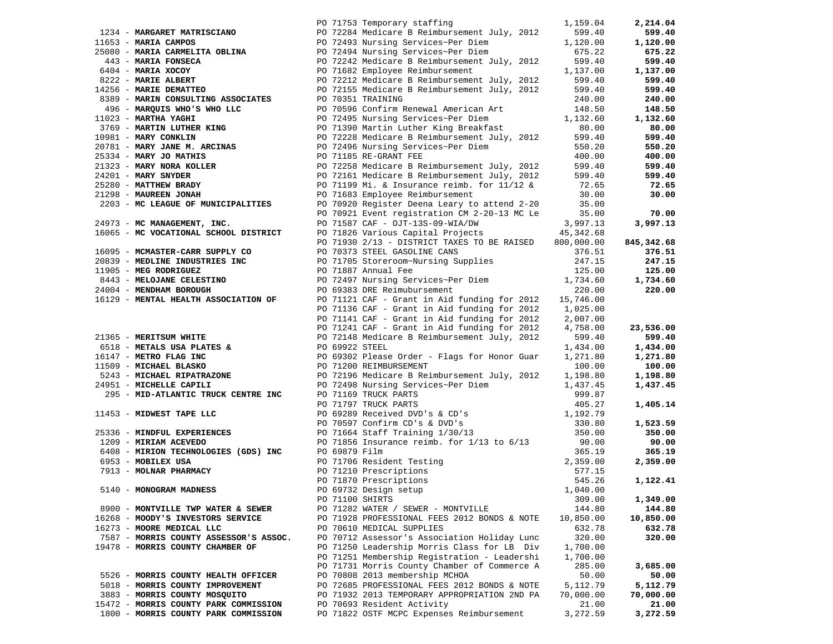|                                                                                                                             |                 | PO 71753 Temporary staffing                                                                                            | 1,159.04   | 2,214.04   |
|-----------------------------------------------------------------------------------------------------------------------------|-----------------|------------------------------------------------------------------------------------------------------------------------|------------|------------|
|                                                                                                                             |                 | 1234 - MARGARET MATRISCIANO PO 72284 Medicare B Reimbursement July, 2012                                               | 599.40     | 599.40     |
| 11653 - MARIA CAMPOS                                                                                                        |                 | PO 72493 Nursing Services~Per Diem                                                                                     | 1,120.00   | 1,120.00   |
|                                                                                                                             |                 |                                                                                                                        | 675.22     | 675.22     |
| 443 - MARIA FONSECA                                                                                                         |                 |                                                                                                                        | 599.40     | 599.40     |
|                                                                                                                             |                 | PO 72242 Medicare B Reimbursement July, 2012                                                                           |            |            |
| 6404 - MARIA XOCOY                                                                                                          |                 | PO 71682 Employee Reimbursement                                                                                        | 1,137.00   | 1,137.00   |
| 8222 - MARIE ALBERT<br>14256 - MARIE DEMATTEO                                                                               |                 | PO 72212 Medicare B Reimbursement July, 2012                                                                           | 599.40     | 599.40     |
|                                                                                                                             |                 | PO 72155 Medicare B Reimbursement July, 2012                                                                           | 599.40     | 599.40     |
| 8389 - MARIN CONSULTING ASSOCIATES                                                                                          |                 | PO 70351 TRAINING                                                                                                      | 240.00     | 240.00     |
| 496 - MARQUIS WHO'S WHO LLC                                                                                                 |                 | PO 70596 Confirm Renewal American Art                                                                                  | 148.50     | 148.50     |
| $11023$ - MARTHA YAGHI                                                                                                      |                 | PO 72495 Nursing Services~Per Diem                                                                                     | 1,132.60   | 1,132.60   |
| 3769 - MARTIN LUTHER KING                                                                                                   |                 | PO 71390 Martin Luther King Breakfast                                                                                  | 80.00      | 80.00      |
|                                                                                                                             |                 |                                                                                                                        |            |            |
| 10981 - MARY CONKLIN                                                                                                        |                 | PO 72228 Medicare B Reimbursement July, 2012                                                                           | 599.40     | 599.40     |
| 20781 - MARY JANE M. ARCINAS                                                                                                |                 | PO 72496 Nursing Services~Per Diem                                                                                     | 550.20     | 550.20     |
|                                                                                                                             |                 | PO 71185 RE-GRANT FEE                                                                                                  | 400.00     | 400.00     |
| 25334 - MARY JO MATHIS<br>21323 - MARY NORA KOLLER<br>24201 - MARY SNYDER<br>25280 - MATTHEW BRADY<br>21298 - MAUREEN JONAH |                 | PO 72258 Medicare B Reimbursement July, 2012                                                                           | 599.40     | 599.40     |
|                                                                                                                             |                 | PO 72161 Medicare B Reimbursement July, 2012                                                                           | 599.40     | 599.40     |
|                                                                                                                             |                 | PO 71199 Mi. & Insurance reimb. for $11/12$ &                                                                          | 72.65      | 72.65      |
|                                                                                                                             |                 |                                                                                                                        |            |            |
|                                                                                                                             |                 | PO 71683 Employee Reimbursement                                                                                        | 30.00      | 30.00      |
| 2203 - MC LEAGUE OF MUNICIPALITIES                                                                                          |                 | PO 70920 Register Deena Leary to attend 2-20                                                                           | 35.00      |            |
|                                                                                                                             |                 | PO 70921 Event registration CM 2-20-13 MC Le                                                                           | 35.00      | 70.00      |
| 24973 - MC MANAGEMENT, INC.                                                                                                 |                 | PO 71587 CAF - OJT-13S-09-WIA/DW                                                                                       | 3,997.13   | 3,997.13   |
| 16065 - MC VOCATIONAL SCHOOL DISTRICT                                                                                       |                 | PO 71826 Various Capital Projects 45,342.68                                                                            |            |            |
|                                                                                                                             |                 | PO 71930 2/13 - DISTRICT TAXES TO BE RAISED                                                                            | 800,000.00 | 845,342.68 |
| 16095 - MCMASTER-CARR SUPPLY CO                                                                                             |                 |                                                                                                                        |            | 376.51     |
|                                                                                                                             |                 | PO 70373 STEEL GASOLINE CANS<br>PO 71705 Storeroom~Nursing Supplies                                                    | 376.51     |            |
| 20839 - MEDLINE INDUSTRIES INC                                                                                              |                 |                                                                                                                        | 247.15     | 247.15     |
| 11905 - MEG RODRIGUEZ                                                                                                       |                 | PO 71887 Annual Fee                                                                                                    | 125.00     | 125.00     |
| 8443 - MELOJANE CELESTINO                                                                                                   |                 | PO 72497 Nursing Services~Per Diem                                                                                     | 1,734.60   | 1,734.60   |
| 24004 - MENDHAM BOROUGH                                                                                                     |                 | PO 69383 DRE Reimubursement                                                                                            | 220.00     | 220.00     |
| 16129 - MENTAL HEALTH ASSOCIATION OF                                                                                        |                 | PO 71121 CAF - Grant in Aid funding for 2012 15,746.00                                                                 |            |            |
|                                                                                                                             |                 | PO 71136 CAF - Grant in Aid funding for 2012 1,025.00                                                                  |            |            |
|                                                                                                                             |                 | PO 71141 CAF - Grant in Aid funding for 2012                                                                           | 2,007.00   |            |
|                                                                                                                             |                 |                                                                                                                        |            |            |
|                                                                                                                             |                 | PO 71241 CAF - Grant in Aid funding for 2012                                                                           | 4,758.00   | 23,536.00  |
| 21365 - MERITSUM WHITE                                                                                                      |                 | PO 72148 Medicare B Reimbursement July, 2012                                                                           | 599.40     | 599.40     |
| 6518 - METALS USA PLATES &                                                                                                  | PO 69922 STEEL  |                                                                                                                        | 1,434.00   | 1,434.00   |
|                                                                                                                             |                 |                                                                                                                        | 1,271.80   | 1,271.80   |
| 16147 - METRO FLAG INC<br>11509 - MICHAEL BLASKO<br>11509 - MICHAEL BLASKO                                                  |                 |                                                                                                                        | 100.00     | 100.00     |
| 5243 - MICHAEL RIPATRAZONE<br>24951 - MICHRLLR CAPILI                                                                       |                 | PO 69302 Please Order - Flags for Honor Guar<br>PO 71200 REIMBURSEMENT<br>PO 72196 Medicare B Reimbursement July, 2012 | 1,198.80   | 1,198.80   |
| 24951 - MICHELLE CAPILI                                                                                                     |                 | PO 72498 Nursing Services~Per Diem                                                                                     | 1,437.45   | 1,437.45   |
|                                                                                                                             |                 |                                                                                                                        |            |            |
| 295 - MID-ATLANTIC TRUCK CENTRE INC                                                                                         |                 | PO 71169 TRUCK PARTS                                                                                                   | 999.87     |            |
|                                                                                                                             |                 | PO 71797 TRUCK PARTS                                                                                                   | 405.27     | 1,405.14   |
| 11453 - MIDWEST TAPE LLC                                                                                                    |                 | PO 69289 Received DVD's & CD's<br>PO 70597 Confirm CD's & DVD's<br>PO 71664 Staff Training 1/30/13                     | 1,192.79   |            |
|                                                                                                                             |                 |                                                                                                                        | 330.80     | 1,523.59   |
| 25336 - MINDFUL EXPERIENCES                                                                                                 |                 |                                                                                                                        | 350.00     | 350.00     |
| 1209 - MIRIAM ACEVEDO                                                                                                       |                 | PO 71856 Insurance reimb. for $1/13$ to $6/13$                                                                         | 90.00      | 90.00      |
|                                                                                                                             | PO 69879 Film   |                                                                                                                        | 365.19     | 365.19     |
| 6408 - MIRION TECHNOLOGIES (GDS) INC<br>6953 - MOBILEX USA                                                                  |                 |                                                                                                                        | 2,359.00   | 2,359.00   |
| 6953 - MOBILEX USA<br>7913 - MOLNAR PHARMACY                                                                                |                 | PO 71706 Resident Testing<br>PO 71210 Prescriptions<br>PO 71870 Prescriptions                                          |            |            |
|                                                                                                                             |                 |                                                                                                                        | 577.15     |            |
|                                                                                                                             |                 |                                                                                                                        | 545.26     | 1,122.41   |
| 5140 - MONOGRAM MADNESS                                                                                                     |                 | PO 69732 Design setup                                                                                                  | 1,040.00   |            |
|                                                                                                                             | PO 71100 SHIRTS |                                                                                                                        | 309.00     | 1,349.00   |
| 8900 - MONTVILLE TWP WATER & SEWER                                                                                          |                 | PO 71282 WATER / SEWER - MONTVILLE                                                                                     | 144.80     | 144.80     |
| 16268 - MOODY'S INVESTORS SERVICE                                                                                           |                 | PO 71928 PROFESSIONAL FEES 2012 BONDS & NOTE                                                                           | 10,850.00  | 10,850.00  |
| 16273 - MOORE MEDICAL LLC                                                                                                   |                 | PO 70610 MEDICAL SUPPLIES                                                                                              | 632.78     | 632.78     |
| 7587 - MORRIS COUNTY ASSESSOR'S ASSOC.                                                                                      |                 | PO 70712 Assessor's Association Holiday Lunc                                                                           | 320.00     | 320.00     |
|                                                                                                                             |                 |                                                                                                                        |            |            |
| 19478 - MORRIS COUNTY CHAMBER OF                                                                                            |                 | PO 71250 Leadership Morris Class for LB Div                                                                            | 1,700.00   |            |
|                                                                                                                             |                 | PO 71251 Membership Registration - Leadershi                                                                           | 1,700.00   |            |
|                                                                                                                             |                 | PO 71731 Morris County Chamber of Commerce A                                                                           | 285.00     | 3,685.00   |
| 5526 - MORRIS COUNTY HEALTH OFFICER                                                                                         |                 | PO 70808 2013 membership MCHOA                                                                                         | 50.00      | 50.00      |
| 5018 - MORRIS COUNTY IMPROVEMENT                                                                                            |                 | PO 72685 PROFESSIONAL FEES 2012 BONDS & NOTE                                                                           | 5,112.79   | 5,112.79   |
| 3883 - MORRIS COUNTY MOSQUITO                                                                                               |                 | PO 71932 2013 TEMPORARY APPROPRIATION 2ND PA                                                                           | 70,000.00  | 70,000.00  |
|                                                                                                                             |                 |                                                                                                                        |            |            |
| 15472 - MORRIS COUNTY PARK COMMISSION                                                                                       |                 | PO 70693 Resident Activity                                                                                             | 21.00      | 21.00      |
| 1800 - MORRIS COUNTY PARK COMMISSION                                                                                        |                 | PO 71822 OSTF MCPC Expenses Reimbursement                                                                              | 3,272.59   | 3,272.59   |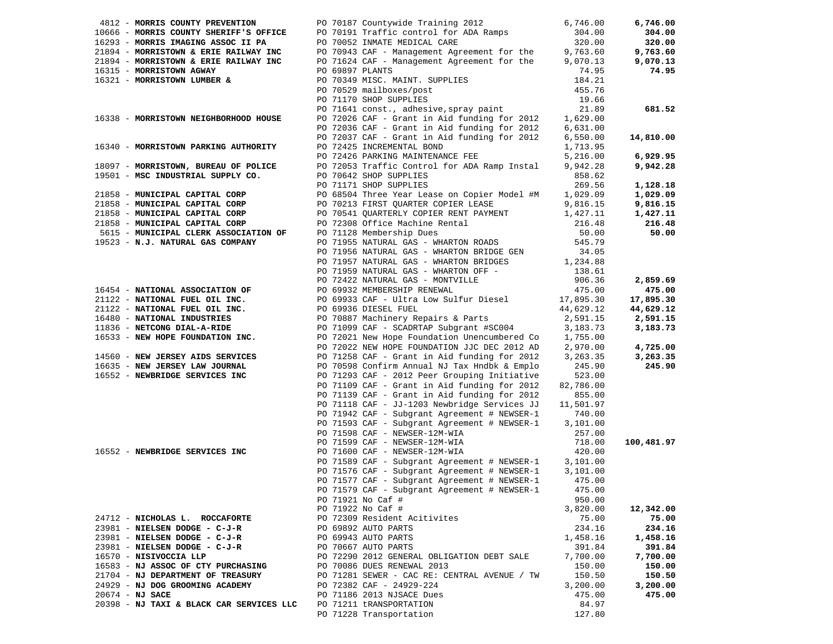| 4812 - MORRIS COUNTY PREVENTION                                                |                 | PO 70187 Countywide Training 2012                                                                            | 6,746.00           | 6,746.00           |
|--------------------------------------------------------------------------------|-----------------|--------------------------------------------------------------------------------------------------------------|--------------------|--------------------|
| 10666 - MORRIS COUNTY SHERIFF'S OFFICE                                         |                 | PO 70191 Traffic control for ADA Ramps                                                                       | 304.00             | 304.00             |
| 16293 - MORRIS IMAGING ASSOC II PA                                             |                 | PO 70052 INMATE MEDICAL CARE                                                                                 | 320.00             | 320.00             |
| 21894 - MORRISTOWN & ERIE RAILWAY INC<br>21894 - MORRISTOWN & ERIE RAILWAY INC |                 |                                                                                                              |                    | 9,763.60           |
|                                                                                |                 | PO 70943 CAF - Management Agreement for the 9,763.60<br>PO 71624 CAF - Management Agreement for the 9,070.13 | 9,070.13           | 9,070.13           |
| 16315 - MORRISTOWN AGWAY                                                       | PO 69897 PLANTS |                                                                                                              | 74.95              | 74.95              |
| 16321 - MORRISTOWN LUMBER &                                                    |                 | PO 70349 MISC. MAINT. SUPPLIES                                                                               | 184.21             |                    |
|                                                                                |                 | PO 70529 mailboxes/post                                                                                      | 455.76             |                    |
|                                                                                |                 | PO 71170 SHOP SUPPLIES                                                                                       | 19.66              |                    |
|                                                                                |                 | PO 71641 const., adhesive, spray paint                                                                       | 21.89              | 681.52             |
| 16338 - MORRISTOWN NEIGHBORHOOD HOUSE                                          |                 | PO 72026 CAF - Grant in Aid funding for 2012                                                                 | 1,629.00           |                    |
|                                                                                |                 | PO 72036 CAF - Grant in Aid funding for 2012                                                                 | 6,631.00           |                    |
|                                                                                |                 | PO 72037 CAF - Grant in Aid funding for 2012                                                                 | 6,550.00           | 14,810.00          |
| 16340 - MORRISTOWN PARKING AUTHORITY                                           |                 | PO 72425 INCREMENTAL BOND                                                                                    | 1,713.95           |                    |
|                                                                                |                 | PO 72426 PARKING MAINTENANCE FEE                                                                             | 5,216.00           | 6,929.95           |
| 18097 - MORRISTOWN, BUREAU OF POLICE                                           |                 | PO 72053 Traffic Control for ADA Ramp Instal                                                                 | 9,942.28           | 9,942.28           |
| 19501 - MSC INDUSTRIAL SUPPLY CO.                                              |                 | PO 70642 SHOP SUPPLIES                                                                                       | 858.62             |                    |
|                                                                                |                 | PO 71171 SHOP SUPPLIES                                                                                       | 269.56             | 1,128.18           |
| 21858 - MUNICIPAL CAPITAL CORP                                                 |                 | PO 68504 Three Year Lease on Copier Model #M                                                                 | 1,029.09           | 1,029.09           |
| 21858 - MUNICIPAL CAPITAL CORP                                                 |                 | PO 70213 FIRST QUARTER COPIER LEASE                                                                          | 9,816.15           | 9,816.15           |
| 21858 - MUNICIPAL CAPITAL CORP                                                 |                 | PO 70541 QUARTERLY COPIER RENT PAYMENT                                                                       | 1,427.11           | 1,427.11           |
| 21858 - MUNICIPAL CAPITAL CORP                                                 |                 | PO 72308 Office Machine Rental                                                                               | 216.48             | 216.48             |
| 5615 - MUNICIPAL CLERK ASSOCIATION OF                                          |                 | PO 71128 Membership Dues<br>PO 71955 NATURAL GAS - WHARTON ROADS                                             | 50.00              | 50.00              |
| 19523 - N.J. NATURAL GAS COMPANY                                               |                 |                                                                                                              | 545.79             |                    |
|                                                                                |                 | PO 71956 NATURAL GAS - WHARTON BRIDGE GEN                                                                    | 34.05              |                    |
|                                                                                |                 | PO 71957 NATURAL GAS - WHARTON BRIDGES 1,234.88                                                              |                    |                    |
|                                                                                |                 |                                                                                                              | 138.61             |                    |
|                                                                                |                 | PO 71959 NATURAL GAS - WHARTON OFF -<br>PO 72422 NATURAL GAS - MONTVILLE<br>PO 69932 MEMBERSHIP RENEWAL      | 906.36             | 2,859.69           |
| 16454 - NATIONAL ASSOCIATION OF                                                |                 |                                                                                                              | 475.00             | 475.00             |
| 21122 - NATIONAL FUEL OIL INC.                                                 |                 | PO 69933 CAF - Ultra Low Sulfur Diesel 17,895.30                                                             |                    | 17,895.30          |
| 21122 - NATIONAL FUEL OIL INC.                                                 |                 | PO 69936 DIESEL FUEL                                                                                         | 44,629.12          | 44,629.12          |
| 16480 - NATIONAL INDUSTRIES                                                    |                 | PO 70887 Machinery Repairs & Parts                                                                           | 2,591.15           | 2,591.15           |
| 11836 - NETCONG DIAL-A-RIDE                                                    |                 | PO 71099 CAF - SCADRTAP Subgrant #SC004                                                                      | 3,183.73           | 3,183.73           |
| 16533 - NEW HOPE FOUNDATION INC.                                               |                 | PO 72021 New Hope Foundation Unencumbered Co                                                                 | 1,755.00           |                    |
|                                                                                |                 | PO 72022 NEW HOPE FOUNDATION JJC DEC 2012 AD                                                                 | 2,970.00           | 4,725.00           |
| 14560 - NEW JERSEY AIDS SERVICES                                               |                 | PO 71258 CAF - Grant in Aid funding for 2012                                                                 | 3,263.35           | 3,263.35           |
| 16635 - NEW JERSEY LAW JOURNAL                                                 |                 | PO 70598 Confirm Annual NJ Tax Hndbk & Emplo                                                                 | 245.90             | 245.90             |
| 16552 - NEWBRIDGE SERVICES INC                                                 |                 | PO 71293 CAF - 2012 Peer Grouping Initiative                                                                 | 523.00             |                    |
|                                                                                |                 | PO 71109 CAF - Grant in Aid funding for 2012                                                                 | 82,786.00          |                    |
|                                                                                |                 | PO 71139 CAF - Grant in Aid funding for 2012                                                                 | 855.00             |                    |
|                                                                                |                 | PO 71118 CAF - JJ-1203 Newbridge Services JJ                                                                 | 11,501.97          |                    |
|                                                                                |                 | PO 71942 CAF - Subgrant Agreement # NEWSER-1                                                                 | 740.00             |                    |
|                                                                                |                 | PO 71593 CAF - Subgrant Agreement # NEWSER-1                                                                 | 3,101.00           |                    |
|                                                                                |                 | PO 71598 CAF - NEWSER-12M-WIA                                                                                | 257.00             |                    |
|                                                                                |                 | PO 71599 CAF - NEWSER-12M-WIA                                                                                | 718.00             | 100,481.97         |
| 16552 - NEWBRIDGE SERVICES INC                                                 |                 | PO 71600 CAF - NEWSER-12M-WIA                                                                                | 420.00             |                    |
|                                                                                |                 | PO 71589 CAF - Subgrant Agreement # NEWSER-1                                                                 | 3,101.00           |                    |
|                                                                                |                 | PO 71576 CAF - Subgrant Agreement # NEWSER-1                                                                 | 3,101.00           |                    |
|                                                                                |                 | PO 71577 CAF - Subgrant Agreement # NEWSER-1                                                                 | 475.00             |                    |
|                                                                                |                 | PO 71579 CAF - Subgrant Agreement # NEWSER-1                                                                 | 475.00             |                    |
|                                                                                |                 | PO 71921 No Caf #                                                                                            | 950.00<br>3,820.00 |                    |
| 24712 - NICHOLAS L. ROCCAFORTE                                                 |                 | PO 71922 No Caf #<br>PO 72309 Resident Acitivites                                                            | 75.00              | 12,342.00<br>75.00 |
| 23981 - NIELSEN DODGE - C-J-R                                                  |                 | PO 69892 AUTO PARTS                                                                                          | 234.16             | 234.16             |
| 23981 - NIELSEN DODGE - C-J-R                                                  |                 | PO 69943 AUTO PARTS                                                                                          | 1,458.16           | 1,458.16           |
| 23981 - NIELSEN DODGE - C-J-R                                                  |                 | PO 70667 AUTO PARTS                                                                                          | 391.84             | 391.84             |
| 16570 - NISIVOCCIA LLP                                                         |                 | PO 72290 2012 GENERAL OBLIGATION DEBT SALE                                                                   | 7,700.00           | 7,700.00           |
| 16583 - NJ ASSOC OF CTY PURCHASING                                             |                 | PO 70086 DUES RENEWAL 2013                                                                                   | 150.00             | 150.00             |
| 21704 - NJ DEPARTMENT OF TREASURY                                              |                 | PO 71281 SEWER - CAC RE: CENTRAL AVENUE / TW                                                                 | 150.50             | 150.50             |
| 24929 - NJ DOG GROOMING ACADEMY                                                |                 | PO 72382 CAF - 24929-224                                                                                     | 3,200.00           | 3,200.00           |
| $20674 - NJ$ SACE                                                              |                 | PO 71186 2013 NJSACE Dues                                                                                    | 475.00             | 475.00             |
| 20398 - NJ TAXI & BLACK CAR SERVICES LLC                                       |                 | PO 71211 tRANSPORTATION                                                                                      | 84.97              |                    |
|                                                                                |                 | PO 71228 Transportation                                                                                      | 127.80             |                    |
|                                                                                |                 |                                                                                                              |                    |                    |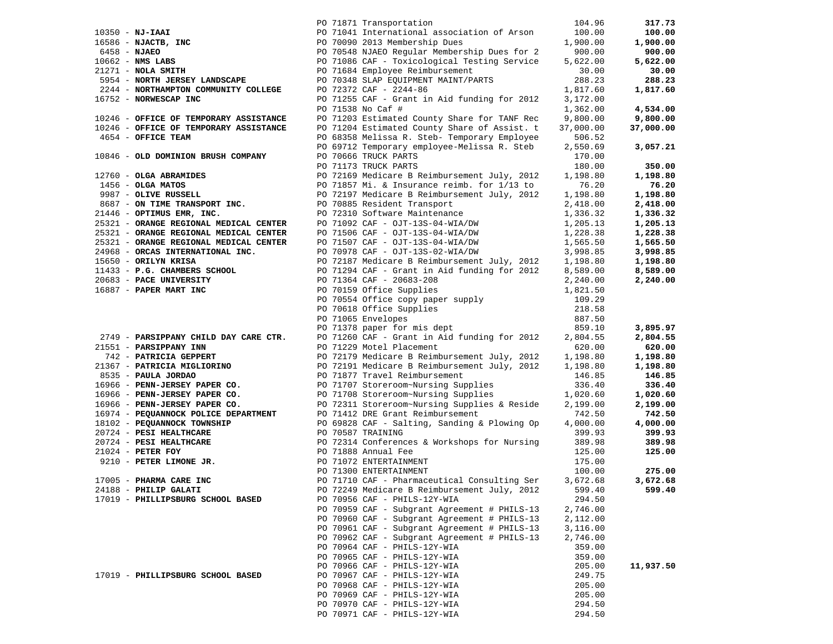|                                                                                                                         |  | PO 71871 Transportation                                              | 104.96    | 317.73    |
|-------------------------------------------------------------------------------------------------------------------------|--|----------------------------------------------------------------------|-----------|-----------|
|                                                                                                                         |  | PO 71041 International association of Arson                          | 100.00    | 100.00    |
|                                                                                                                         |  | PO 70090 2013 Membership Dues                                        | 1,900.00  | 1,900.00  |
|                                                                                                                         |  | PO 70548 NJAEO Regular Membership Dues for 2                         | 900.00    | 900.00    |
|                                                                                                                         |  | PO 71086 CAF - Toxicological Testing Service                         | 5,622.00  | 5,622.00  |
| 10350 - NJ-IAAI<br>16586 - NJACTB, INC<br>6458 - NJAEO<br>1062 - NMS LABS<br>21271 - NOLA CHATTIT<br>21271 - NOLA SMITH |  |                                                                      |           |           |
|                                                                                                                         |  | PO 71684 Employee Reimbursement                                      | 30.00     | 30.00     |
| 5954 - NORTH JERSEY LANDSCAPE                                                                                           |  | PO 70348 SLAP EQUIPMENT MAINT/PARTS                                  | 288.23    | 288.23    |
| 2244 - NORTHAMPTON COMMUNITY COLLEGE                                                                                    |  | PO 72372 CAF - 2244-86                                               | 1,817.60  | 1,817.60  |
| 16752 - NORWESCAP INC                                                                                                   |  | PO 71255 CAF - Grant in Aid funding for 2012                         | 3,172.00  |           |
|                                                                                                                         |  | PO 71538 No Caf #                                                    | 1,362.00  | 4,534.00  |
| 10246 - OFFICE OF TEMPORARY ASSISTANCE                                                                                  |  | PO 71203 Estimated County Share for TANF Rec                         | 9,800.00  | 9,800.00  |
| 10246 - OFFICE OF TEMPORARY ASSISTANCE                                                                                  |  | PO 71204 Estimated County Share of Assist. t                         | 37,000.00 | 37,000.00 |
| 4654 - OFFICE TEAM                                                                                                      |  | PO 68358 Melissa R. Steb- Temporary Employee                         | 506.52    |           |
|                                                                                                                         |  | PO 69712 Temporary employee-Melissa R. Steb                          | 2,550.69  | 3,057.21  |
| 10846 - OLD DOMINION BRUSH COMPANY                                                                                      |  | PO 70666 TRUCK PARTS                                                 | 170.00    |           |
|                                                                                                                         |  | PO 71173 TRUCK PARTS                                                 | 180.00    | 350.00    |
|                                                                                                                         |  |                                                                      |           |           |
| 12760 - <b>OLGA ABRAMIDES</b>                                                                                           |  | PO 72169 Medicare B Reimbursement July, 2012                         | 1,198.80  | 1,198.80  |
| $1456 - OLGA$ MATOS<br>$9987 - 0$ LIVE RUSSELL                                                                          |  | PO 71857 Mi. & Insurance reimb. for 1/13 to                          | 76.20     | 76.20     |
|                                                                                                                         |  | PO 72197 Medicare B Reimbursement July, 2012                         | 1,198.80  | 1,198.80  |
| 8687 - ON TIME TRANSPORT INC.                                                                                           |  | PO 70885 Resident Transport                                          | 2,418.00  | 2,418.00  |
| 21446 - OPTIMUS EMR, INC.                                                                                               |  | PO 72310 Software Maintenance                                        | 1,336.32  | 1,336.32  |
| 25321 - ORANGE REGIONAL MEDICAL CENTER                                                                                  |  | PO 71092 CAF - OJT-13S-04-WIA/DW                                     | 1,205.13  | 1,205.13  |
| 25321 - ORANGE REGIONAL MEDICAL CENTER                                                                                  |  | PO 71506 CAF - OJT-13S-04-WIA/DW                                     | 1,228.38  | 1,228.38  |
| 25321 - ORANGE REGIONAL MEDICAL CENTER                                                                                  |  | PO 71507 CAF - OJT-13S-04-WIA/DW                                     | 1,565.50  | 1,565.50  |
| 24968 - ORCAS INTERNATIONAL INC.                                                                                        |  | PO 70978 CAF - OJT-13S-02-WIA/DW                                     | 3,998.85  | 3,998.85  |
| 15650 - ORILYN KRISA                                                                                                    |  | PO 72187 Medicare B Reimbursement July, 2012                         | 1,198.80  | 1,198.80  |
| 11433 - P.G. CHAMBERS SCHOOL                                                                                            |  | PO 71294 CAF - Grant in Aid funding for 2012                         | 8,589.00  | 8,589.00  |
| 20683 - PACE UNIVERSITY                                                                                                 |  | PO 71364 CAF - 20683-208                                             | 2,240.00  | 2,240.00  |
| 16887 - PAPER MART INC                                                                                                  |  | PO 70159 Office Supplies                                             | 1,821.50  |           |
|                                                                                                                         |  | PO 70554 Office copy paper supply                                    | 109.29    |           |
|                                                                                                                         |  |                                                                      | 218.58    |           |
|                                                                                                                         |  | PO 70618 Office Supplies<br>PO 71065 Envelopes<br>PO 71065 Envelopes | 887.50    |           |
|                                                                                                                         |  | PO 71378 paper for mis dept                                          | 859.10    |           |
|                                                                                                                         |  |                                                                      |           | 3,895.97  |
| 2749 - PARSIPPANY CHILD DAY CARE CTR.                                                                                   |  | PO 71260 CAF - Grant in Aid funding for 2012                         | 2,804.55  | 2,804.55  |
| 21551 - PARSIPPANY INN                                                                                                  |  | PO 71229 Motel Placement                                             | 620.00    | 620.00    |
| 742 - PATRICIA GEPPERT                                                                                                  |  | PO 72179 Medicare B Reimbursement July, 2012                         | 1,198.80  | 1,198.80  |
| 21367 - PATRICIA MIGLIORINO                                                                                             |  | PO 72191 Medicare B Reimbursement July, 2012                         | 1,198.80  | 1,198.80  |
| 8535 - PAULA JORDAO                                                                                                     |  | PO 71877 Travel Reimbursement                                        | 146.85    | 146.85    |
| 16966 - PENN-JERSEY PAPER CO.                                                                                           |  | PO 71707 Storeroom~Nursing Supplies                                  | 336.40    | 336.40    |
| 16966 - PENN-JERSEY PAPER CO.                                                                                           |  | PO 71708 Storeroom~Nursing Supplies                                  | 1,020.60  | 1,020.60  |
| 16966 - PENN-JERSEY PAPER CO.                                                                                           |  | PO 72311 Storeroom~Nursing Supplies & Reside                         | 2,199.00  | 2,199.00  |
| 16974 - PEQUANNOCK POLICE DEPARTMENT                                                                                    |  | PO 71412 DRE Grant Reimbursement                                     | 742.50    | 742.50    |
| 18102 - PEQUANNOCK TOWNSHIP                                                                                             |  | PO 69828 CAF - Salting, Sanding & Plowing Op                         | 4,000.00  | 4,000.00  |
| 20724 - PESI HEALTHCARE                                                                                                 |  | PO 70587 TRAINING                                                    | 399.93    | 399.93    |
| 20724 - PESI HEALTHCARE                                                                                                 |  | PO 72314 Conferences & Workshops for Nursing                         | 389.98    | 389.98    |
| $21024$ - PETER FOY                                                                                                     |  | PO 71888 Annual Fee                                                  | 125.00    | 125.00    |
| 10724 - PESI HEALTHCARE<br>11024 - PETER FOY<br>9210 - PETER LIMONE JR.                                                 |  | PO 71072 ENTERTAINMENT                                               | 175.00    |           |
|                                                                                                                         |  | PO 71300 ENTERTAINMENT                                               | 100.00    | 275.00    |
| 17005 - PHARMA CARE INC                                                                                                 |  | PO 71710 CAF - Pharmaceutical Consulting Ser                         | 3,672.68  | 3,672.68  |
| 24188 - PHILIP GALATI                                                                                                   |  | PO 72249 Medicare B Reimbursement July, 2012                         | 599.40    | 599.40    |
| 17019 - PHILLIPSBURG SCHOOL BASED                                                                                       |  | PO 70956 CAF - PHILS-12Y-WIA                                         | 294.50    |           |
|                                                                                                                         |  | PO 70959 CAF - Subgrant Agreement # PHILS-13                         | 2,746.00  |           |
|                                                                                                                         |  | PO 70960 CAF - Subgrant Agreement # PHILS-13                         | 2,112.00  |           |
|                                                                                                                         |  |                                                                      |           |           |
|                                                                                                                         |  | PO 70961 CAF - Subgrant Agreement # PHILS-13                         | 3,116.00  |           |
|                                                                                                                         |  | PO 70962 CAF - Subgrant Agreement # PHILS-13                         | 2,746.00  |           |
|                                                                                                                         |  | PO 70964 CAF - PHILS-12Y-WIA                                         | 359.00    |           |
|                                                                                                                         |  | PO 70965 CAF - PHILS-12Y-WIA                                         | 359.00    |           |
|                                                                                                                         |  | PO 70966 CAF - PHILS-12Y-WIA                                         | 205.00    | 11,937.50 |
| 17019 - PHILLIPSBURG SCHOOL BASED                                                                                       |  | PO 70967 CAF - PHILS-12Y-WIA                                         | 249.75    |           |
|                                                                                                                         |  | PO 70968 CAF - PHILS-12Y-WIA                                         | 205.00    |           |
|                                                                                                                         |  | PO 70969 CAF - PHILS-12Y-WIA                                         | 205.00    |           |
|                                                                                                                         |  | PO 70970 CAF - PHILS-12Y-WIA                                         | 294.50    |           |
|                                                                                                                         |  | PO 70971 CAF - PHILS-12Y-WIA                                         | 294.50    |           |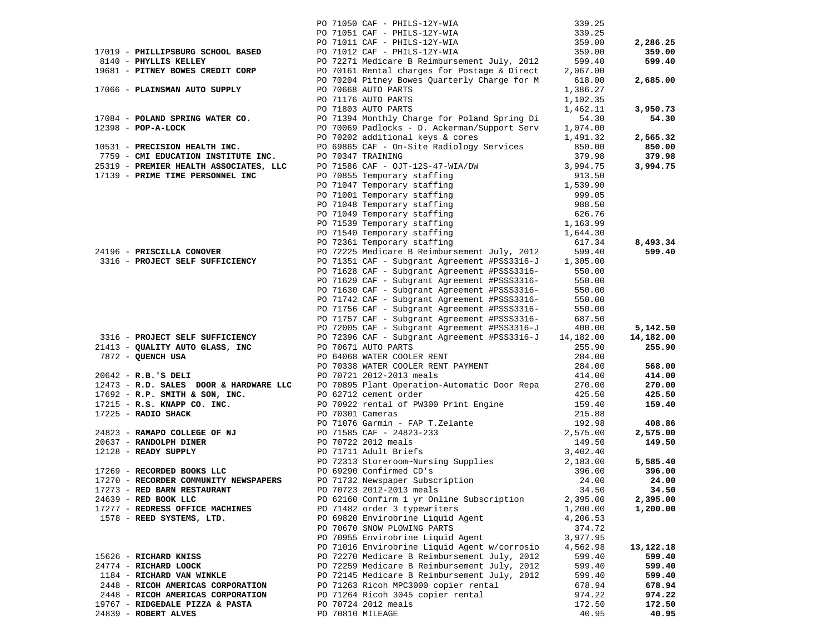|                                                                               | PO 71050 CAF - PHILS-12Y-WIA                                                                                                                                                                                                                     | 339.25             |           |
|-------------------------------------------------------------------------------|--------------------------------------------------------------------------------------------------------------------------------------------------------------------------------------------------------------------------------------------------|--------------------|-----------|
|                                                                               | PO 71051 CAF - PHILS-12Y-WIA<br>PO 71019 - <b>PHILLIPSBURG SCHOOL BASED</b><br>PO 71011 CAF - PHILS-12Y-WIA<br>PO 71012 CAF - PHILS-12Y-WIA<br>PO 72271 Medicare B Reimbursement July, 2012<br>PO 72271 Medicare B Reimbursement July, 2012<br>  |                    |           |
|                                                                               |                                                                                                                                                                                                                                                  |                    | 2,286.25  |
|                                                                               |                                                                                                                                                                                                                                                  |                    | 359.00    |
|                                                                               |                                                                                                                                                                                                                                                  |                    | 599.40    |
|                                                                               | 19681 - PITNEY BOWES CREDIT CORP PO 70161 Rental charges for Postage & Direct 2,067.00                                                                                                                                                           |                    |           |
|                                                                               | PO 70204 Pitney Bowes Quarterly Charge for M                                                                                                                                                                                                     | 618.00             | 2,685.00  |
| 17066 - PLAINSMAN AUTO SUPPLY PO 70668 AUTO PARTS                             |                                                                                                                                                                                                                                                  | 1,386.27           |           |
|                                                                               | PO 71176 AUTO PARTS                                                                                                                                                                                                                              | 1,102.35           |           |
|                                                                               | PO 71803 AUTO PARTS                                                                                                                                                                                                                              | 1,462.11           | 3,950.73  |
|                                                                               | 17084 - POLAND SPRING WATER CO.<br>12398 - POP-A-LOCK 12398 - POP-A-LOCK 12398 - POP-A-LOCK 12398 - POP-A-LOCK                                                                                                                                   | 54.30              | 54.30     |
|                                                                               |                                                                                                                                                                                                                                                  | 1,074.00           |           |
|                                                                               | PO 70202 additional keys & cores                                                                                                                                                                                                                 | 1,491.32           | 2,565.32  |
| 10531 - PRECISION HEALTH INC.                                                 | PO 69865 CAF - On-Site Radiology Services                                                                                                                                                                                                        | 850.00             | 850.00    |
|                                                                               | PO 70347 TRAINING                                                                                                                                                                                                                                | 379.98             | 379.98    |
| 7759 - CMI EDUCATION INSTITUTE INC.<br>25319 - PREMIER HEALTH ASSOCIATES, LLC | PO 71586 CAF - OJT-12S-47-WIA/DW 3,994.75                                                                                                                                                                                                        |                    | 3,994.75  |
| 17139 - PRIME TIME PERSONNEL INC                                              | 3,994.75<br>PO 70855 Temporary staffing<br>PO 71047 Temporary staffing<br>PO 71047 Temporary staffing<br>PO 71048 Temporary staffing<br>PO 71049 Temporary staffing<br>PO 71539 Temporary staffing<br>PO 71540 Temporary staffing<br>PO 72361    |                    |           |
|                                                                               |                                                                                                                                                                                                                                                  |                    |           |
|                                                                               |                                                                                                                                                                                                                                                  |                    |           |
|                                                                               |                                                                                                                                                                                                                                                  |                    |           |
|                                                                               |                                                                                                                                                                                                                                                  |                    |           |
|                                                                               |                                                                                                                                                                                                                                                  |                    |           |
|                                                                               |                                                                                                                                                                                                                                                  |                    |           |
|                                                                               |                                                                                                                                                                                                                                                  |                    | 8,493.34  |
| 24196 - PRISCILLA CONOVER                                                     | PO 72225 Medicare B Reimbursement July, 2012 599.40<br>PO 71351 CAF - Subgrant Agreement #PSS3316-J 1,305.00                                                                                                                                     |                    | 599.40    |
| 3316 - PROJECT SELF SUFFICIENCY                                               |                                                                                                                                                                                                                                                  |                    |           |
|                                                                               | PO 71628 CAF - Subgrant Agreement #PSSS3316-                                                                                                                                                                                                     | 550.00             |           |
|                                                                               | PO 71629 CAF - Subgrant Agreement #PSSS3316-                                                                                                                                                                                                     | 550.00             |           |
|                                                                               | PO 71630 CAF - Subgrant Agreement #PSSS3316-                                                                                                                                                                                                     | 550.00             |           |
|                                                                               | PO 71742 CAF - Subgrant Agreement #PSSS3316-                                                                                                                                                                                                     | 550.00             |           |
|                                                                               | PO 71756 CAF - Subgrant Agreement #PSSS3316-                                                                                                                                                                                                     | 550.00             |           |
|                                                                               | PO 71757 CAF - Subgrant Agreement #PSSS3316-                                                                                                                                                                                                     | 687.50             |           |
|                                                                               | PO 72005 CAF - Subgrant Agreement #PSS3316-J                                                                                                                                                                                                     | 400.00             | 5,142.50  |
| 3316 - PROJECT SELF SUFFICIENCY                                               | PO 72396 CAF - Subgrant Agreement #PSS3316-J 14,182.00                                                                                                                                                                                           |                    | 14,182.00 |
| 21413 - QUALITY AUTO GLASS, INC                                               | PO 70671 AUTO PARTS                                                                                                                                                                                                                              | 255.90             | 255.90    |
| 7872 - QUENCH USA                                                             | PO 64068 WATER COOLER RENT                                                                                                                                                                                                                       | 284.00             |           |
| 20642 - R.B.'S DELI<br>12473 - R.D. SALES POST                                | PO 0300 MATER COOLER RENT PAYMENT<br>PO 70338 WATER COOLER RED<br>PO 70721 2012-2013 meals                                                                                                                                                       | 284.00             | 568.00    |
|                                                                               |                                                                                                                                                                                                                                                  | 414.00             | 414.00    |
|                                                                               | 12473 - R.D. SALES DOOR & HARDWARE LLC PO 70895 Plant Operation-Automatic Door Repa 270.00                                                                                                                                                       |                    | 270.00    |
|                                                                               | 2004<br>20173 - R.D. SALES DOOR & HARDWARE LLC<br>17692 - R.P. SMITH & SON, INC.<br>17692 - R.P. SMITH & SON, INC.<br>17225 - RADIO SHACK<br>200512 cement order<br>20070322 cement order<br>20070322 cement order<br>200707232 2012 means<br>20 |                    | 425.50    |
|                                                                               |                                                                                                                                                                                                                                                  |                    | 159.40    |
|                                                                               |                                                                                                                                                                                                                                                  |                    |           |
|                                                                               |                                                                                                                                                                                                                                                  |                    | 408.86    |
|                                                                               |                                                                                                                                                                                                                                                  |                    | 2,575.00  |
|                                                                               |                                                                                                                                                                                                                                                  |                    | 149.50    |
|                                                                               |                                                                                                                                                                                                                                                  |                    |           |
|                                                                               |                                                                                                                                                                                                                                                  |                    | 5,585.40  |
|                                                                               |                                                                                                                                                                                                                                                  |                    | 396.00    |
|                                                                               |                                                                                                                                                                                                                                                  |                    | 24.00     |
| 17273 - RED BARN RESTAURANT                                                   | PO 70723 2012-2013 meals                                                                                                                                                                                                                         | 34.50              | 34.50     |
| 24639 - RED BOOK LLC                                                          | PO 62160 Confirm 1 yr Online Subscription                                                                                                                                                                                                        | 2,395.00           | 2,395.00  |
| 17277 - REDRESS OFFICE MACHINES                                               | PO 71482 order 3 typewriters                                                                                                                                                                                                                     | 1,200.00           | 1,200.00  |
| 1578 - REED SYSTEMS, LTD.                                                     | PO 69820 Envirobrine Liquid Agent                                                                                                                                                                                                                | 4,206.53           |           |
|                                                                               | PO 70670 SNOW PLOWING PARTS<br>PO 70955 Envirobrine Liquid Agent                                                                                                                                                                                 | 374.72<br>3,977.95 |           |
|                                                                               | PO 71016 Envirobrine Liquid Agent w/corrosio                                                                                                                                                                                                     | 4,562.98           | 13,122.18 |
| 15626 - RICHARD KNISS                                                         | PO 72270 Medicare B Reimbursement July, 2012                                                                                                                                                                                                     | 599.40             | 599.40    |
| 24774 - RICHARD LOOCK                                                         | PO 72259 Medicare B Reimbursement July, 2012                                                                                                                                                                                                     | 599.40             | 599.40    |
| 1184 - RICHARD VAN WINKLE                                                     | PO 72145 Medicare B Reimbursement July, 2012                                                                                                                                                                                                     | 599.40             | 599.40    |
| 2448 - RICOH AMERICAS CORPORATION                                             | PO 71263 Ricoh MPC3000 copier rental                                                                                                                                                                                                             | 678.94             | 678.94    |
| 2448 - RICOH AMERICAS CORPORATION                                             | PO 71264 Ricoh 3045 copier rental                                                                                                                                                                                                                | 974.22             | 974.22    |
| 19767 - RIDGEDALE PIZZA & PASTA                                               | PO 70724 2012 meals                                                                                                                                                                                                                              | 172.50             | 172.50    |
| 24839 - ROBERT ALVES                                                          | PO 70810 MILEAGE                                                                                                                                                                                                                                 | 40.95              | 40.95     |
|                                                                               |                                                                                                                                                                                                                                                  |                    |           |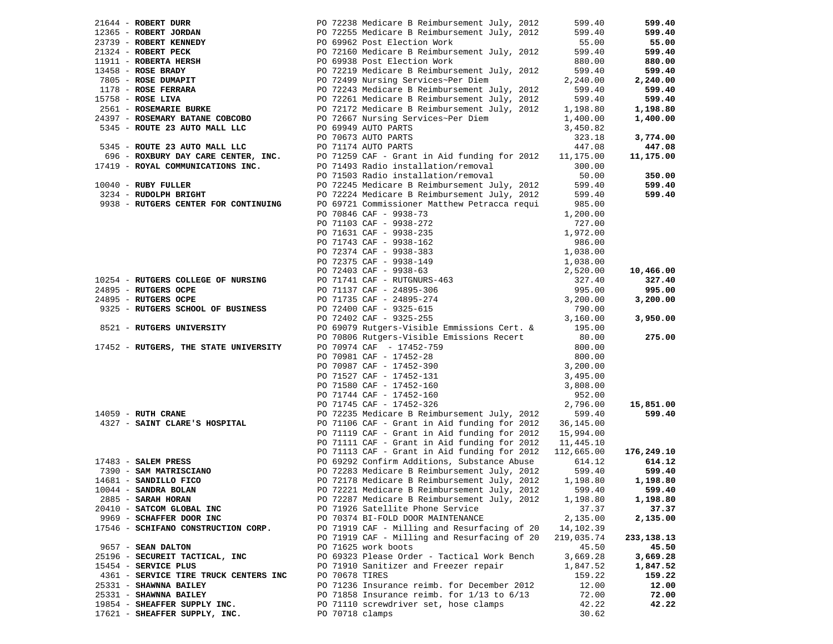| 21644 - ROBERT DURR                   |                 | PO 72238 Medicare B Reimbursement July, 2012          | 599.40     | 599.40     |
|---------------------------------------|-----------------|-------------------------------------------------------|------------|------------|
| 12365 - ROBERT JORDAN                 |                 | PO 72255 Medicare B Reimbursement July, 2012          | 599.40     | 599.40     |
| 23739 - ROBERT KENNEDY                |                 | PO 69962 Post Election Work                           | 55.00      | 55.00      |
| 21324 - ROBERT PECK                   |                 | PO 72160 Medicare B Reimbursement July, 2012          | 599.40     | 599.40     |
| 11911 - ROBERTA HERSH                 |                 | PO 69938 Post Election Work                           | 880.00     | 880.00     |
| $13458$ - ROSE BRADY                  |                 | PO 72219 Medicare B Reimbursement July, 2012          | 599.40     | 599.40     |
| 7805 - ROSE DUMAPIT                   |                 | PO 72499 Nursing Services~Per Diem                    | 2,240.00   | 2,240.00   |
| 1178 - ROSE FERRARA                   |                 | PO 72243 Medicare B Reimbursement July, 2012          | 599.40     | 599.40     |
|                                       |                 |                                                       |            |            |
| 15758 - ROSE LIVA                     |                 | PO 72261 Medicare B Reimbursement July, 2012          | 599.40     | 599.40     |
| 2561 - ROSEMARIE BURKE                |                 | PO 72172 Medicare B Reimbursement July, 2012          | 1,198.80   | 1,198.80   |
| 24397 - ROSEMARY BATANE COBCOBO       |                 | PO 72667 Nursing Services~Per Diem                    | 1,400.00   | 1,400.00   |
| 5345 - ROUTE 23 AUTO MALL LLC         |                 | PO 69949 AUTO PARTS                                   | 3,450.82   |            |
|                                       |                 | PO 70673 AUTO PARTS                                   | 323.18     | 3,774.00   |
| 5345 - ROUTE 23 AUTO MALL LLC         |                 | PO 71174 AUTO PARTS                                   | 447.08     | 447.08     |
| 696 - ROXBURY DAY CARE CENTER, INC.   |                 | PO 71259 CAF - Grant in Aid funding for 2012          | 11,175.00  | 11,175.00  |
| 17419 - ROYAL COMMUNICATIONS INC.     |                 | PO 71493 Radio installation/removal                   | 300.00     |            |
|                                       |                 | PO 71503 Radio installation/removal                   | 50.00      | 350.00     |
| $10040$ - RUBY FULLER                 |                 | PO 72245 Medicare B Reimbursement July, 2012          | 599.40     | 599.40     |
| 3234 - RUDOLPH BRIGHT                 |                 | PO 72224 Medicare B Reimbursement July, 2012          | 599.40     | 599.40     |
| 9938 - RUTGERS CENTER FOR CONTINUING  |                 | PO 69721 Commissioner Matthew Petracca requi          | 985.00     |            |
|                                       |                 | PO 70846 CAF - 9938-73                                | 1,200.00   |            |
|                                       |                 | PO 71103 CAF - 9938-272                               | 727.00     |            |
|                                       |                 | PO 71631 CAF - 9938-235                               | 1,972.00   |            |
|                                       |                 | PO 71743 CAF - 9938-162                               | 986.00     |            |
|                                       |                 | PO 72374 CAF - 9938-383                               |            |            |
|                                       |                 |                                                       | 1,038.00   |            |
|                                       |                 | PO 72375 CAF - 9938-149                               | 1,038.00   |            |
|                                       |                 | PO 72403 CAF - 9938-63<br>PO 71741 CAF - RUTGNURS-463 | 2,520.00   | 10,466.00  |
| 10254 - RUTGERS COLLEGE OF NURSING    |                 |                                                       | 327.40     | 327.40     |
| 24895 - RUTGERS OCPE                  |                 | PO 71137 CAF - 24895-306                              | 995.00     | 995.00     |
| 24895 - RUTGERS OCPE                  |                 | PO 71735 CAF - 24895-274                              | 3,200.00   | 3,200.00   |
| 9325 - RUTGERS SCHOOL OF BUSINESS     |                 | PO 72400 CAF - 9325-615                               | 790.00     |            |
|                                       |                 | PO 72402 CAF - 9325-255                               | 3,160.00   | 3,950.00   |
| 8521 - RUTGERS UNIVERSITY             |                 | PO 69079 Rutgers-Visible Emmissions Cert. &           | 195.00     |            |
|                                       |                 | PO 70806 Rutgers-Visible Emissions Recert             | 80.00      | 275.00     |
| 17452 - RUTGERS, THE STATE UNIVERSITY |                 | PO 70974 CAF - 17452-759                              | 800.00     |            |
|                                       |                 | PO 70981 CAF - 17452-28                               | 800.00     |            |
|                                       |                 | PO 70987 CAF - 17452-390                              | 3,200.00   |            |
|                                       |                 | PO 71527 CAF - 17452-131                              | 3,495.00   |            |
|                                       |                 | PO 71580 CAF - 17452-160                              | 3,808.00   |            |
|                                       |                 | PO 71744 CAF - 17452-160                              | 952.00     |            |
|                                       |                 | PO 71745 CAF - 17452-326                              | 2,796.00   | 15,851.00  |
| $14059$ - RUTH CRANE                  |                 | PO 72235 Medicare B Reimbursement July, 2012          | 599.40     | 599.40     |
| 4327 - SAINT CLARE'S HOSPITAL         |                 | PO 71106 CAF - Grant in Aid funding for 2012          | 36,145.00  |            |
|                                       |                 | PO 71119 CAF - Grant in Aid funding for 2012          | 15,994.00  |            |
|                                       |                 | PO 71111 CAF - Grant in Aid funding for 2012          | 11,445.10  |            |
|                                       |                 | PO 71113 CAF - Grant in Aid funding for 2012          | 112,665.00 | 176,249.10 |
| $17483$ - SALEM PRESS                 |                 | PO 69292 Confirm Additions, Substance Abuse           | 614.12     | 614.12     |
| 7390 - SAM MATRISCIANO                |                 | PO 72283 Medicare B Reimbursement July, 2012          | 599.40     | 599.40     |
| 14681 - SANDILLO FICO                 |                 | PO 72178 Medicare B Reimbursement July, 2012          | 1,198.80   | 1,198.80   |
| $10044$ - SANDRA BOLAN                |                 | PO 72221 Medicare B Reimbursement July, 2012          | 599.40     | 599.40     |
| 2885 - SARAH HORAN                    |                 | PO 72287 Medicare B Reimbursement July, 2012          | 1,198.80   | 1,198.80   |
| 20410 - SATCOM GLOBAL INC             |                 | PO 71926 Satellite Phone Service                      | 37.37      | 37.37      |
| 9969 - SCHAFFER DOOR INC              |                 | PO 70374 BI-FOLD DOOR MAINTENANCE                     | 2,135.00   | 2,135.00   |
| 17546 - SCHIFANO CONSTRUCTION CORP.   |                 | PO 71919 CAF - Milling and Resurfacing of 20          | 14,102.39  |            |
|                                       |                 | PO 71919 CAF - Milling and Resurfacing of 20          | 219,035.74 | 233,138.13 |
| 9657 - SEAN DALTON                    |                 | PO 71625 work boots                                   | 45.50      | 45.50      |
| 25196 - SECUREIT TACTICAL, INC        |                 | PO 69323 Please Order - Tactical Work Bench           | 3,669.28   | 3,669.28   |
| 15454 - SERVICE PLUS                  |                 | PO 71910 Sanitizer and Freezer repair                 | 1,847.52   | 1,847.52   |
| 4361 - SERVICE TIRE TRUCK CENTERS INC | PO 70678 TIRES  |                                                       | 159.22     | 159.22     |
| 25331 - SHAWNNA BAILEY                |                 | PO 71236 Insurance reimb. for December 2012           | 12.00      | 12.00      |
| 25331 - SHAWNNA BAILEY                |                 | PO 71858 Insurance reimb. for $1/13$ to $6/13$        | 72.00      | 72.00      |
| 19854 - SHEAFFER SUPPLY INC.          |                 | PO 71110 screwdriver set, hose clamps                 | 42.22      | 42.22      |
| 17621 - SHEAFFER SUPPLY, INC.         | PO 70718 clamps |                                                       | 30.62      |            |
|                                       |                 |                                                       |            |            |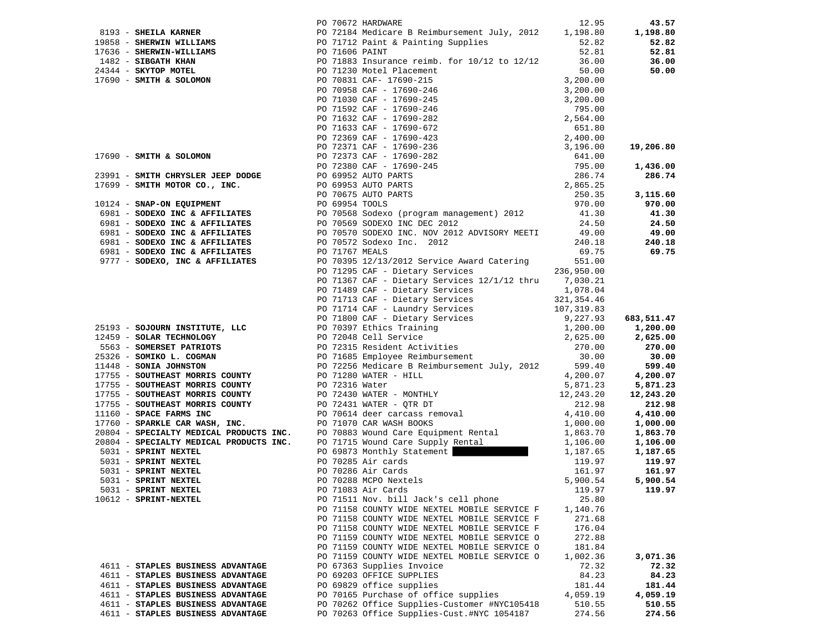|                                   |                    | PO 70672 HARDWARE                                                                                                                                                                                                                              | 12.95    | 43.57               |
|-----------------------------------|--------------------|------------------------------------------------------------------------------------------------------------------------------------------------------------------------------------------------------------------------------------------------|----------|---------------------|
|                                   |                    |                                                                                                                                                                                                                                                |          | 1,198.80            |
|                                   |                    |                                                                                                                                                                                                                                                |          | 52.82               |
|                                   |                    |                                                                                                                                                                                                                                                |          | 52.81               |
|                                   |                    |                                                                                                                                                                                                                                                |          | 36.00               |
|                                   |                    |                                                                                                                                                                                                                                                |          | 50.00               |
|                                   |                    |                                                                                                                                                                                                                                                |          |                     |
|                                   |                    |                                                                                                                                                                                                                                                |          |                     |
|                                   |                    |                                                                                                                                                                                                                                                |          |                     |
|                                   |                    |                                                                                                                                                                                                                                                |          |                     |
|                                   |                    |                                                                                                                                                                                                                                                |          |                     |
|                                   |                    |                                                                                                                                                                                                                                                |          |                     |
|                                   |                    |                                                                                                                                                                                                                                                |          |                     |
|                                   |                    |                                                                                                                                                                                                                                                |          | 19,206.80           |
|                                   |                    |                                                                                                                                                                                                                                                |          |                     |
|                                   |                    |                                                                                                                                                                                                                                                |          | 1,436.00            |
|                                   |                    | 23991 - SMITH CHRYSLER JEEP DODGE<br>17699 - SMITH MOTOR CO., INC.<br>17699 - SMITH MOTOR CO., INC.<br>17699 - SMITH MOTOR CO., INC.<br>17699 - SMITH MOTOR CO., INC.<br>17699 - SMITH MOTOR CO., INC.<br>17699 - SMITH MOTOR CO., INC.<br>    |          | 286.74              |
|                                   |                    |                                                                                                                                                                                                                                                |          |                     |
|                                   |                    |                                                                                                                                                                                                                                                |          | 3,115.60            |
|                                   |                    |                                                                                                                                                                                                                                                |          | 970.00              |
|                                   |                    |                                                                                                                                                                                                                                                |          | 41.30               |
|                                   |                    |                                                                                                                                                                                                                                                |          | 24.50               |
|                                   |                    |                                                                                                                                                                                                                                                |          |                     |
|                                   |                    |                                                                                                                                                                                                                                                |          | $49.00$<br>$240.18$ |
|                                   |                    |                                                                                                                                                                                                                                                |          | 69.75               |
|                                   |                    | 6981 - SODEXO INC & AFFILIATES<br>69.75<br>9777 - SODEXO, INC & AFFILIATES<br>9777 - SODEXO, INC & AFFILIATES<br>9777 - SODEXO, INC & AFFILIATES<br>9777 - SODEXO, INC & AFFILIATES<br>971295 CAF - Dietary Services<br>236,950.00<br>210.30.2 |          |                     |
|                                   |                    |                                                                                                                                                                                                                                                |          |                     |
|                                   |                    | PO 71367 CAF - Dietary Services 12/1/12 thru 7,030.21                                                                                                                                                                                          |          |                     |
|                                   |                    |                                                                                                                                                                                                                                                |          |                     |
|                                   |                    |                                                                                                                                                                                                                                                |          |                     |
|                                   |                    |                                                                                                                                                                                                                                                |          |                     |
|                                   |                    |                                                                                                                                                                                                                                                |          | 683,511.47          |
|                                   |                    |                                                                                                                                                                                                                                                |          | 1,200.00            |
|                                   |                    |                                                                                                                                                                                                                                                |          | 2,625.00            |
|                                   |                    |                                                                                                                                                                                                                                                |          | 270.00              |
|                                   |                    |                                                                                                                                                                                                                                                |          | 30.00               |
|                                   |                    |                                                                                                                                                                                                                                                |          | 599.40              |
|                                   |                    |                                                                                                                                                                                                                                                |          | 4,200.07            |
|                                   |                    |                                                                                                                                                                                                                                                |          | 5,871.23            |
|                                   |                    |                                                                                                                                                                                                                                                |          | 12,243.20           |
|                                   |                    |                                                                                                                                                                                                                                                |          | 212.98              |
|                                   |                    |                                                                                                                                                                                                                                                |          | 4,410.00            |
|                                   |                    |                                                                                                                                                                                                                                                |          | 1,000.00            |
|                                   |                    |                                                                                                                                                                                                                                                |          | 1,863.70            |
|                                   |                    |                                                                                                                                                                                                                                                |          | 1,106.00            |
|                                   |                    |                                                                                                                                                                                                                                                |          | 1,187.65            |
|                                   |                    |                                                                                                                                                                                                                                                |          | 119.97              |
|                                   |                    |                                                                                                                                                                                                                                                |          | 161.97              |
|                                   |                    |                                                                                                                                                                                                                                                |          | 5,900.54            |
| 5031 - SPRINT NEXTEL              | PO 71083 Air Cards |                                                                                                                                                                                                                                                | 119.97   | 119.97              |
| 10612 - SPRINT-NEXTEL             |                    | PO 71511 Nov. bill Jack's cell phone                                                                                                                                                                                                           | 25.80    |                     |
|                                   |                    | PO 71158 COUNTY WIDE NEXTEL MOBILE SERVICE F                                                                                                                                                                                                   | 1,140.76 |                     |
|                                   |                    | PO 71158 COUNTY WIDE NEXTEL MOBILE SERVICE F                                                                                                                                                                                                   | 271.68   |                     |
|                                   |                    | PO 71158 COUNTY WIDE NEXTEL MOBILE SERVICE F                                                                                                                                                                                                   | 176.04   |                     |
|                                   |                    | PO 71159 COUNTY WIDE NEXTEL MOBILE SERVICE O                                                                                                                                                                                                   | 272.88   |                     |
|                                   |                    | PO 71159 COUNTY WIDE NEXTEL MOBILE SERVICE O                                                                                                                                                                                                   | 181.84   |                     |
|                                   |                    | PO 71159 COUNTY WIDE NEXTEL MOBILE SERVICE O                                                                                                                                                                                                   | 1,002.36 | 3,071.36            |
| 4611 - STAPLES BUSINESS ADVANTAGE |                    | PO 67363 Supplies Invoice                                                                                                                                                                                                                      | 72.32    | 72.32               |
| 4611 - STAPLES BUSINESS ADVANTAGE |                    | PO 69203 OFFICE SUPPLIES                                                                                                                                                                                                                       | 84.23    | 84.23               |
| 4611 - STAPLES BUSINESS ADVANTAGE |                    | PO 69829 office supplies                                                                                                                                                                                                                       | 181.44   | 181.44              |
| 4611 - STAPLES BUSINESS ADVANTAGE |                    | PO 70165 Purchase of office supplies                                                                                                                                                                                                           | 4,059.19 | 4,059.19            |
| 4611 - STAPLES BUSINESS ADVANTAGE |                    | PO 70262 Office Supplies-Customer #NYC105418                                                                                                                                                                                                   | 510.55   | 510.55              |
| 4611 - STAPLES BUSINESS ADVANTAGE |                    | PO 70263 Office Supplies-Cust.#NYC 1054187                                                                                                                                                                                                     | 274.56   | 274.56              |
|                                   |                    |                                                                                                                                                                                                                                                |          |                     |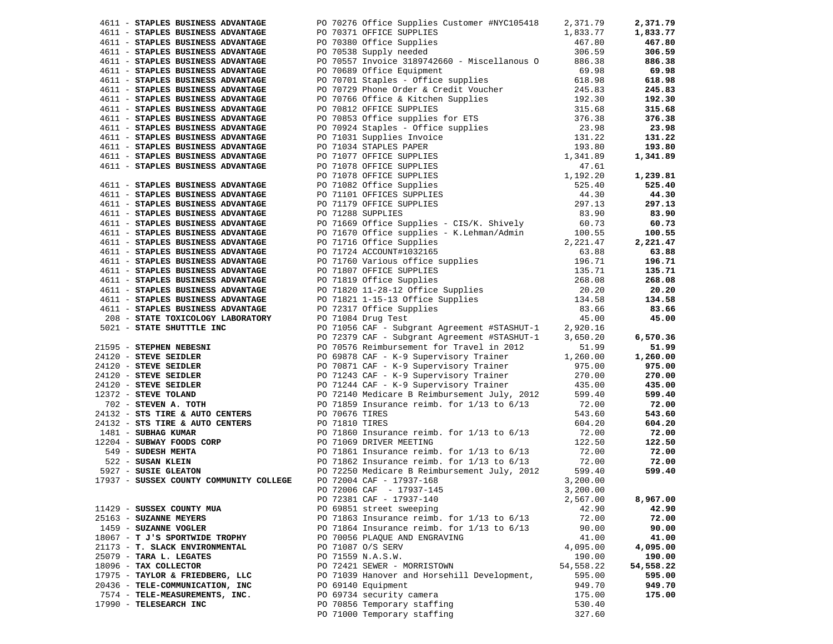| 4611 - STAPLES BUSINESS ADVANTAGE                                                                                                                                                                                                                        | PO 70276 Office Supplies Customer #NYC105418        | 2,371.79  | 2,371.79  |
|----------------------------------------------------------------------------------------------------------------------------------------------------------------------------------------------------------------------------------------------------------|-----------------------------------------------------|-----------|-----------|
| 4611 - STAPLES BUSINESS ADVANTAGE                                                                                                                                                                                                                        | PO 70371 OFFICE SUPPLIES                            | 1,833.77  | 1,833.77  |
| 4611 - STAPLES BUSINESS ADVANTAGE                                                                                                                                                                                                                        | PO 70380 Office Supplies                            | 467.80    | 467.80    |
| 4611 - STAPLES BUSINESS ADVANTAGE                                                                                                                                                                                                                        | PO 70538 Supply needed                              | 306.59    | 306.59    |
| 4611 - STAPLES BUSINESS ADVANTAGE                                                                                                                                                                                                                        | PO 70557 Invoice 3189742660 - Miscellanous 0 886.38 |           | 886.38    |
|                                                                                                                                                                                                                                                          |                                                     |           | 69.98     |
|                                                                                                                                                                                                                                                          |                                                     |           | 618.98    |
|                                                                                                                                                                                                                                                          |                                                     |           | 245.83    |
|                                                                                                                                                                                                                                                          |                                                     |           | 192.30    |
|                                                                                                                                                                                                                                                          |                                                     |           | 315.68    |
|                                                                                                                                                                                                                                                          |                                                     |           | 376.38    |
|                                                                                                                                                                                                                                                          |                                                     |           | 23.98     |
|                                                                                                                                                                                                                                                          |                                                     |           | 131.22    |
|                                                                                                                                                                                                                                                          |                                                     |           | 193.80    |
|                                                                                                                                                                                                                                                          |                                                     |           | 1,341.89  |
|                                                                                                                                                                                                                                                          |                                                     |           |           |
|                                                                                                                                                                                                                                                          |                                                     |           | 1,239.81  |
|                                                                                                                                                                                                                                                          |                                                     |           | 525.40    |
|                                                                                                                                                                                                                                                          |                                                     |           | 44.30     |
|                                                                                                                                                                                                                                                          |                                                     |           | 297.13    |
|                                                                                                                                                                                                                                                          |                                                     |           | 83.90     |
|                                                                                                                                                                                                                                                          |                                                     |           | 60.73     |
|                                                                                                                                                                                                                                                          |                                                     |           | 100.55    |
|                                                                                                                                                                                                                                                          |                                                     |           | 2,221.47  |
|                                                                                                                                                                                                                                                          |                                                     |           | 63.88     |
|                                                                                                                                                                                                                                                          |                                                     |           | 196.71    |
|                                                                                                                                                                                                                                                          |                                                     |           | 135.71    |
|                                                                                                                                                                                                                                                          |                                                     |           | 268.08    |
|                                                                                                                                                                                                                                                          |                                                     |           | 20.20     |
|                                                                                                                                                                                                                                                          |                                                     |           | 134.58    |
|                                                                                                                                                                                                                                                          |                                                     |           | 83.66     |
|                                                                                                                                                                                                                                                          |                                                     |           | 45.00     |
|                                                                                                                                                                                                                                                          |                                                     |           |           |
| 4611 <b>FTANES BOSINES ADVANTAGE 50</b> 70.33 Squark (1911) needed 1981-1881<br>1971 <b>FTANES BOSINES ADVANTAGE 50</b> 70.33 Squark (1916)<br>1971 - <b>FTANES BOSINES ADVANTAGE</b> 2012 10:33 Squark (1918)<br>1971 - <b>FTANES BOSINES ADVANTAGE</b> |                                                     |           | 6,570.36  |
|                                                                                                                                                                                                                                                          |                                                     |           | 51.99     |
|                                                                                                                                                                                                                                                          |                                                     |           | 1,260.00  |
|                                                                                                                                                                                                                                                          |                                                     |           | 975.00    |
|                                                                                                                                                                                                                                                          |                                                     |           | 270.00    |
|                                                                                                                                                                                                                                                          |                                                     |           | 435.00    |
|                                                                                                                                                                                                                                                          |                                                     |           | 599.40    |
|                                                                                                                                                                                                                                                          |                                                     |           | 72.00     |
|                                                                                                                                                                                                                                                          |                                                     |           | 543.60    |
|                                                                                                                                                                                                                                                          |                                                     |           | 604.20    |
|                                                                                                                                                                                                                                                          |                                                     |           | 72.00     |
| 24132 - STS TIRE & AUTO CENTERS<br>24132 - STS TIRE & AUTO CENTERS<br>1481 - SUBHAG KUMAR<br>2204 - SUBHAG KUMAR<br>22.50<br>22.50<br>549 - SUBSER MEHTA<br>22.50<br>549 - SUBSER MEHTA<br>22.50<br>5927 - SUSAN KLEIN<br>22.50<br>5927 - SUSER GLEATO   |                                                     |           | 122.50    |
|                                                                                                                                                                                                                                                          |                                                     |           | 72.00     |
|                                                                                                                                                                                                                                                          |                                                     |           | 72.00     |
|                                                                                                                                                                                                                                                          |                                                     |           | 599.40    |
| 17937 - SUSSEX COUNTY COMMUNITY COLLEGE                                                                                                                                                                                                                  | PO 72004 CAF - 17937-168                            | 3,200.00  |           |
|                                                                                                                                                                                                                                                          | PO 72006 CAF - 17937-145                            | 3,200.00  |           |
|                                                                                                                                                                                                                                                          | PO 72381 CAF - 17937-140                            | 2,567.00  | 8,967.00  |
| 11429 - SUSSEX COUNTY MUA                                                                                                                                                                                                                                | PO 69851 street sweeping                            | 42.90     | 42.90     |
| 25163 - SUZANNE MEYERS                                                                                                                                                                                                                                   | PO 71863 Insurance reimb. for $1/13$ to $6/13$      | 72.00     | 72.00     |
| 1459 - SUZANNE VOGLER                                                                                                                                                                                                                                    | PO 71864 Insurance reimb. for $1/13$ to $6/13$      | 90.00     | 90.00     |
| 18067 - T J'S SPORTWIDE TROPHY                                                                                                                                                                                                                           | PO 70056 PLAQUE AND ENGRAVING                       | 41.00     | 41.00     |
| 21173 - T. SLACK ENVIRONMENTAL                                                                                                                                                                                                                           | PO 71087 O/S SERV                                   | 4,095.00  | 4,095.00  |
| 25079 - TARA L. LEGATES                                                                                                                                                                                                                                  | PO 71559 N.A.S.W.                                   | 190.00    | 190.00    |
| 18096 - TAX COLLECTOR                                                                                                                                                                                                                                    | PO 72421 SEWER - MORRISTOWN                         | 54,558.22 | 54,558.22 |
| 17975 - TAYLOR & FRIEDBERG, LLC                                                                                                                                                                                                                          | PO 71039 Hanover and Horsehill Development,         | 595.00    | 595.00    |
| 20436 - TELE-COMMUNICATION, INC                                                                                                                                                                                                                          | PO 69140 Equipment                                  | 949.70    | 949.70    |
| 7574 - TELE-MEASUREMENTS, INC.                                                                                                                                                                                                                           | PO 69734 security camera                            | 175.00    | 175.00    |
| 17990 - TELESEARCH INC                                                                                                                                                                                                                                   | PO 70856 Temporary staffing                         | 530.40    |           |
|                                                                                                                                                                                                                                                          | PO 71000 Temporary staffing                         | 327.60    |           |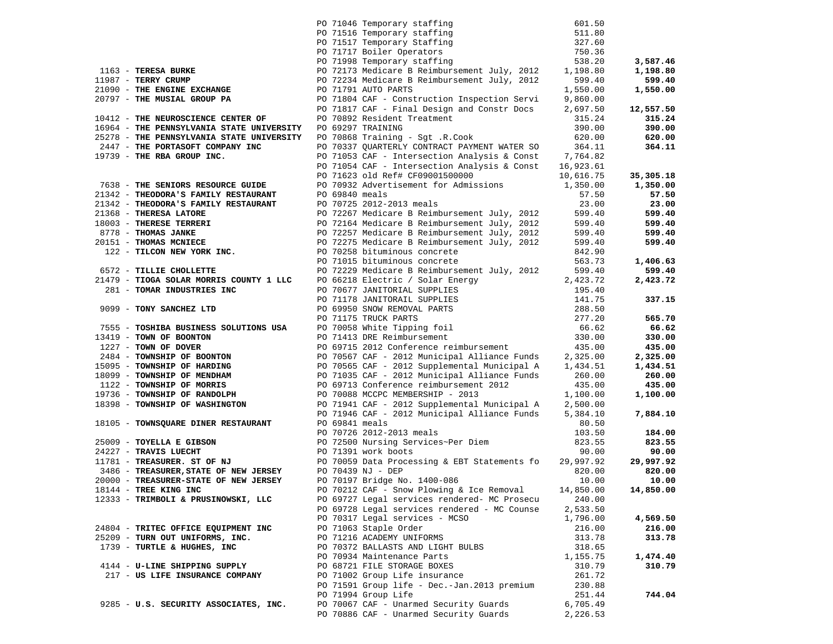|                                                                                                                                             | PO 71046 Temporary staffing<br>PO 71516 Temporary staffing<br>PO 71517 Temporary Staffing<br>PO 71717 Boiler Operators<br>PO 71998 Temporary staffing | 601.50           |           |
|---------------------------------------------------------------------------------------------------------------------------------------------|-------------------------------------------------------------------------------------------------------------------------------------------------------|------------------|-----------|
|                                                                                                                                             |                                                                                                                                                       | 511.80           |           |
|                                                                                                                                             |                                                                                                                                                       | 327.60           |           |
|                                                                                                                                             |                                                                                                                                                       | 750.36           |           |
|                                                                                                                                             |                                                                                                                                                       | 538.20           | 3,587.46  |
| 1163 - TERESA BURKE                                                                                                                         | PO 72173 Medicare B Reimbursement July, 2012                                                                                                          | 1,198.80         | 1,198.80  |
| 11987 - TERRY CRUMP                                                                                                                         | PO 72234 Medicare B Reimbursement July, 2012                                                                                                          | 599.40           | 599.40    |
| 21090 - THE ENGINE EXCHANGE                                                                                                                 | PO 71791 AUTO PARTS                                                                                                                                   | 1,550.00         | 1,550.00  |
| 20797 - THE MUSIAL GROUP PA                                                                                                                 | PO 71804 CAF - Construction Inspection Servi                                                                                                          | 9,860.00         |           |
|                                                                                                                                             | PO 71817 CAF - Final Design and Constr Docs                                                                                                           | 2,697.50         | 12,557.50 |
| 10412 - THE NEUROSCIENCE CENTER OF                                                                                                          | PO 70892 Resident Treatment                                                                                                                           | 315.24           | 315.24    |
| 16964 - THE PENNSYLVANIA STATE UNIVERSITY                                                                                                   | PO 69297 TRAINING                                                                                                                                     | 390.00           | 390.00    |
| 25278 - THE PENNSYLVANIA STATE UNIVERSITY                                                                                                   | PO 70868 Training - Sgt .R.Cook                                                                                                                       | 620.00           | 620.00    |
| 2447 - THE PORTASOFT COMPANY INC                                                                                                            | PO 70337 QUARTERLY CONTRACT PAYMENT WATER SO                                                                                                          | 364.11           | 364.11    |
| 19739 - THE RBA GROUP INC.                                                                                                                  | PO 71053 CAF - Intersection Analysis & Const 7,764.82                                                                                                 |                  |           |
|                                                                                                                                             | PO 71054 CAF - Intersection Analysis & Const                                                                                                          | 16,923.61        |           |
|                                                                                                                                             | PO 71623 old Ref# CF09001500000                                                                                                                       | 10,616.75        | 35,305.18 |
| 7638 - THE SENIORS RESUBAL JULION<br>21342 - THEODORA'S FAMILY RESTAURANT<br>CORALLY RESTAURANT                                             | PO 70932 Advertisement for Admissions                                                                                                                 | 1,350.00         | 1,350.00  |
|                                                                                                                                             | PO 69840 meals                                                                                                                                        | 57.50            | 57.50     |
|                                                                                                                                             | PO 70725 2012-2013 meals                                                                                                                              | 23.00            | 23.00     |
| 21368 - THERESA LATORE                                                                                                                      | PO 72267 Medicare B Reimbursement July, 2012                                                                                                          | 599.40           | 599.40    |
| 18003 - THERESE TERRERI                                                                                                                     | PO 72164 Medicare B Reimbursement July, 2012                                                                                                          | 599.40           | 599.40    |
|                                                                                                                                             | PO 72257 Medicare B Reimbursement July, 2012                                                                                                          | 599.40           | 599.40    |
|                                                                                                                                             | PO 72275 Medicare B Reimbursement July, 2012                                                                                                          | 599.40           | 599.40    |
| 8778 - THOMAS JANKE<br>20151 - THOMAS MCNIECE<br>122 - TILCON NEW YORK INC.                                                                 | PO 70258 bituminous concrete                                                                                                                          | 842.90           |           |
|                                                                                                                                             | PO 71015 bituminous concrete                                                                                                                          | 563.73           | 1,406.63  |
| 6572 - TILLIE CHOLLETTE                                                                                                                     | PO 72229 Medicare B Reimbursement July, 2012                                                                                                          | 599.40           | 599.40    |
| 21479 - TIOGA SOLAR MORRIS COUNTY 1 LLC                                                                                                     |                                                                                                                                                       | 2,423.72         | 2,423.72  |
| 281 - TOMAR INDUSTRIES INC                                                                                                                  | PO 66218 Electric / Solar Energy<br>PO 70677 JANITORIAL SUPPLIES<br>CO 71170 INNITORALI CUPPLIES                                                      | 195.40           |           |
|                                                                                                                                             | PO 71178 JANITORAIL SUPPLIES                                                                                                                          | 141.75           | 337.15    |
| 9099 - TONY SANCHEZ LTD                                                                                                                     |                                                                                                                                                       | 288.50           |           |
|                                                                                                                                             | PO 71178 JANITORAIL SUPPLIES<br>PO 69950 SNOW REMOVAL PARTS<br>PO 71175 TRUCK PARTS<br>PO 70058 White Tipping foil<br>PO 71413 DRE Reimbursement      | 277.20           | 565.70    |
| 7555 - TOSHIBA BUSINESS SOLUTIONS USA                                                                                                       |                                                                                                                                                       | 66.62            | 66.62     |
| 13419 - TOWN OF BOONTON                                                                                                                     |                                                                                                                                                       | 330.00           | 330.00    |
| 1227 - TOWN OF DOVER                                                                                                                        | PO 69715 2012 Conference reimbursement                                                                                                                | 435.00           | 435.00    |
| 2484 - TOWNSHIP OF BOONTON                                                                                                                  | PO 70567 CAF - 2012 Municipal Alliance Funds                                                                                                          | 2,325.00         | 2,325.00  |
| 15095 - TOWNSHIP OF HARDING                                                                                                                 | PO 70565 CAF - 2012 Supplemental Municipal A                                                                                                          | 1,434.51         | 1,434.51  |
| 18099 - TOWNSHIP OF MENDHAM                                                                                                                 | PO 71035 CAF - 2012 Municipal Alliance Funds                                                                                                          | 260.00           | 260.00    |
| 1122 - TOWNSHIP OF MORRIS                                                                                                                   | PO 69713 Conference reimbursement 2012                                                                                                                | 435.00           | 435.00    |
| 19736 - TOWNSHIP OF RANDOLPH                                                                                                                | PO 70088 MCCPC MEMBERSHIP - 2013                                                                                                                      | 1,100.00         | 1,100.00  |
| 18398 - TOWNSHIP OF WASHINGTON                                                                                                              | PO 71941 CAF - 2012 Supplemental Municipal A                                                                                                          | 2,500.00         |           |
|                                                                                                                                             | PO 71946 CAF - 2012 Municipal Alliance Funds                                                                                                          | 5,384.10         | 7,884.10  |
| 18105 - TOWNSQUARE DINER RESTAURANT                                                                                                         | PO 69841 meals                                                                                                                                        | 80.50            |           |
|                                                                                                                                             | PO 70726 2012-2013 meals                                                                                                                              | 103.50           | 184.00    |
| 25009 - TOYELLA E GIBSON                                                                                                                    | PO 72500 Nursing Services~Per Diem                                                                                                                    | 823.55           | 823.55    |
| 24227 - TRAVIS LUECHT                                                                                                                       | PO 71391 work boots                                                                                                                                   | 90.00            | 90.00     |
| 11781 - TREASURER. ST OF NJ<br>11781 - TREASURER. ST OF NJ<br>3486 - TREASURER,STATE OF NEW JERSEY<br>20000 - TREASURER-STATE OF NEW JERSEY | PO 70059 Data Processing & EBT Statements fo                                                                                                          | 29,997.92        | 29,997.92 |
|                                                                                                                                             | PO 70439 NJ - DEP                                                                                                                                     | 820.00           | 820.00    |
| 20000 - TREASURER-STATE OF NEW JERSEY                                                                                                       | PO 70197 Bridge No. 1400-086                                                                                                                          | 10.00            | 10.00     |
| 18144 - TREE KING INC                                                                                                                       | PO 70212 CAF - Snow Plowing & Ice Removal                                                                                                             | 14,850.00        | 14,850.00 |
| 12333 - TRIMBOLI & PRUSINOWSKI, LLC                                                                                                         | PO 69727 Legal services rendered- MC Prosecu                                                                                                          | 240.00           |           |
|                                                                                                                                             | PO 69728 Legal services rendered - MC Counse<br>PO 70317 Legal services - MCSO                                                                        | 2,533.50         |           |
|                                                                                                                                             |                                                                                                                                                       | 1,796.00         | 4,569.50  |
| 24804 - TRITEC OFFICE EQUIPMENT INC                                                                                                         | PO 71063 Staple Order                                                                                                                                 | 216.00           | 216.00    |
| 25209 - TURN OUT UNIFORMS, INC.                                                                                                             | PO 71216 ACADEMY UNIFORMS                                                                                                                             | 313.78           | 313.78    |
| 1739 - TURTLE & HUGHES, INC                                                                                                                 | PO 70372 BALLASTS AND LIGHT BULBS                                                                                                                     | 318.65           |           |
|                                                                                                                                             | PO 70934 Maintenance Parts                                                                                                                            | 1,155.75         | 1,474.40  |
| 4144 - U-LINE SHIPPING SUPPLY                                                                                                               | PO 68721 FILE STORAGE BOXES                                                                                                                           | 310.79           | 310.79    |
| 217 - US LIFE INSURANCE COMPANY                                                                                                             | PO 71002 Group Life insurance                                                                                                                         | 261.72           |           |
|                                                                                                                                             | PO 71591 Group life - Dec.-Jan.2013 premium<br>PO 71994 Group Life                                                                                    | 230.88<br>251.44 | 744.04    |
| 9285 - U.S. SECURITY ASSOCIATES, INC.                                                                                                       | PO 70067 CAF - Unarmed Security Guards                                                                                                                | 6,705.49         |           |
|                                                                                                                                             | PO 70886 CAF - Unarmed Security Guards                                                                                                                | 2,226.53         |           |
|                                                                                                                                             |                                                                                                                                                       |                  |           |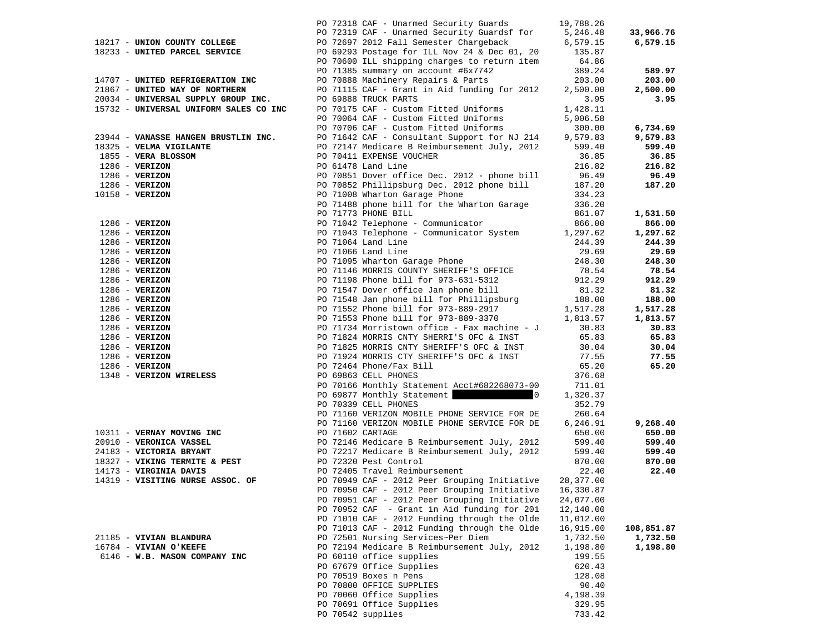|                                        |                  | PO 72318 CAF - Unarmed Security Guards                                                         | 19,788.26       |            |
|----------------------------------------|------------------|------------------------------------------------------------------------------------------------|-----------------|------------|
|                                        |                  | PO 72319 CAF - Unarmed Security Guardsf for 5,246.48                                           |                 | 33,966.76  |
| 18217 - UNION COUNTY COLLEGE           |                  | PO 72697 2012 Fall Semester Chargeback                                                         | 6,579.15        | 6,579.15   |
| 18233 - UNITED PARCEL SERVICE          |                  | PO 69293 Postage for ILL Nov 24 & Dec 01, 20 135.87                                            |                 |            |
|                                        |                  | PO 70600 ILL shipping charges to return item                                                   | 64.86           |            |
|                                        |                  | PO 71385 summary on account #6x7742                                                            | 389.24          | 589.97     |
| 14707 - UNITED REFRIGERATION INC       |                  | PO 70888 Machinery Repairs & Parts                                                             | 203.00          | 203.00     |
| 21867 - UNITED WAY OF NORTHERN         |                  | PO 71115 CAF - Grant in Aid funding for 2012                                                   | 2,500.00        | 2,500.00   |
| 20034 - UNIVERSAL SUPPLY GROUP INC.    |                  | PO 69888 TRUCK PARTS                                                                           | 3.95            | 3.95       |
| 15732 - UNIVERSAL UNIFORM SALES CO INC |                  | PO 70175 CAF - Custom Fitted Uniforms                                                          | 1,428.11        |            |
|                                        |                  | PO 70064 CAF - Custom Fitted Uniforms                                                          | 5,006.58        |            |
|                                        |                  | PO 70706 CAF - Custom Fitted Uniforms                                                          | 300.00          | 6,734.69   |
| 23944 - VANASSE HANGEN BRUSTLIN INC.   |                  | PO 71642 CAF - Consultant Support for NJ 214                                                   | 9,579.83        | 9,579.83   |
| 18325 - VELMA VIGILANTE                |                  | PO 72147 Medicare B Reimbursement July, 2012                                                   | 599.40          | 599.40     |
| 1855 - VERA BLOSSOM                    |                  | PO 70411 EXPENSE VOUCHER                                                                       | 36.85           | 36.85      |
| $1286$ - VERIZON                       |                  | PO 61478 Land Line                                                                             | 216.82          | 216.82     |
| $1286$ - VERIZON                       |                  | PO 70851 Dover office Dec. 2012 - phone bill                                                   | 96.49           | 96.49      |
| 1286 - VERIZON                         |                  | PO 70852 Phillipsburg Dec. 2012 phone bill                                                     | 187.20          | 187.20     |
| $10158 - VERIZON$                      |                  | PO 71008 Wharton Garage Phone                                                                  | 334.23          |            |
|                                        |                  | PO 71488 phone bill for the Wharton Garage                                                     | 336.20          |            |
|                                        |                  | PO 71773 PHONE BILL                                                                            | 861.07          | 1,531.50   |
| $1286 - VERIZON$                       |                  | PO 71042 Telephone - Communicator                                                              | 866.00          | 866.00     |
| $1286$ - VERIZON                       |                  | PO 71043 Telephone - Communicator System 1,297.62                                              |                 | 1,297.62   |
|                                        |                  |                                                                                                |                 | 244.39     |
| $1286 - VERIZON$                       |                  | PO 71064 Land Line                                                                             | 244.39          |            |
| $1286$ - VERIZON                       |                  | PO 71066 Land Line<br>PO 71095 Wharton Garage Phone                                            | 29.69<br>248.30 | 29.69      |
| $1286 - VERIZON$                       |                  | PO 71146 MORRIS COUNTY SHERIFF'S OFFICE                                                        |                 | 248.30     |
| $1286 - VERIZON$                       |                  |                                                                                                | 78.54<br>912.29 | 78.54      |
| $1286 - VERIZON$                       |                  | PO 71198 Phone bill for 973-631-5312                                                           |                 | 912.29     |
| $1286 - VERIZON$                       |                  | PO 71547 Dover office Jan phone bill<br>PO 71548 Jan phone bill for Phillipsburg               | 81.32           | 81.32      |
| $1286 - VERIZON$                       |                  |                                                                                                | 188.00          | 188.00     |
| $1286 - VERIZON$                       |                  | PO 71552 Phone bill for 973-889-2917 1,517.28<br>PO 71553 Phone bill for 973-889-3370 1,813.57 |                 | 1,517.28   |
| $1286$ - VERIZON                       |                  |                                                                                                |                 | 1,813.57   |
| $1286 - VERIZON$                       |                  | PO 71734 Morristown office - Fax machine - J                                                   | 30.83           | 30.83      |
| $1286 - VERIZON$                       |                  | PO 71824 MORRIS CNTY SHERRI'S OFC & INST                                                       | 65.83           | 65.83      |
| $1286 - VERIZON$                       |                  | PO 71825 MORRIS CNTY SHERIFF'S OFC & INST                                                      | 30.04           | 30.04      |
| $1286 - VERIZON$                       |                  | PO 71924 MORRIS CTY SHERIFF'S OFC & INST                                                       | 77.55           | 77.55      |
| $1286$ - VERIZON                       |                  | PO 72464 Phone/Fax Bill                                                                        | 65.20           | 65.20      |
| 1348 - VERIZON WIRELESS                |                  | PO 69863 CELL PHONES                                                                           | 376.68          |            |
|                                        |                  | PO 70166 Monthly Statement Acct#682268073-00                                                   | 711.01          |            |
|                                        |                  | PO 69877 Monthly Statement 0                                                                   | 1,320.37        |            |
|                                        |                  | PO 70339 CELL PHONES                                                                           | 352.79          |            |
|                                        |                  | PO 71160 VERIZON MOBILE PHONE SERVICE FOR DE                                                   | 260.64          |            |
|                                        |                  | PO 71160 VERIZON MOBILE PHONE SERVICE FOR DE                                                   | 6,246.91        | 9,268.40   |
| 10311 - VERNAY MOVING INC              | PO 71602 CARTAGE |                                                                                                | 650.00          | 650.00     |
| 20910 - VERONICA VASSEL                |                  | PO 72146 Medicare B Reimbursement July, 2012                                                   | 599.40          | 599.40     |
| 24183 - VICTORIA BRYANT                |                  | PO 72217 Medicare B Reimbursement July, 2012                                                   | 599.40          | 599.40     |
| 18327 - VIKING TERMITE & PEST          |                  | PO 72320 Pest Control                                                                          | 870.00          | 870.00     |
| 14173 - VIRGINIA DAVIS                 |                  | PO 72405 Travel Reimbursement                                                                  | 22.40           | 22.40      |
| 14319 - VISITING NURSE ASSOC. OF       |                  | PO 70949 CAF - 2012 Peer Grouping Initiative                                                   | 28,377.00       |            |
|                                        |                  | PO 70950 CAF - 2012 Peer Grouping Initiative 16,330.87                                         |                 |            |
|                                        |                  | PO 70951 CAF - 2012 Peer Grouping Initiative                                                   | 24,077.00       |            |
|                                        |                  | PO 70952 CAF - Grant in Aid funding for 201                                                    | 12,140.00       |            |
|                                        |                  | PO 71010 CAF - 2012 Funding through the Olde                                                   | 11,012.00       |            |
|                                        |                  | PO 71013 CAF - 2012 Funding through the Olde                                                   | 16,915.00       | 108,851.87 |
| 21185 - VIVIAN BLANDURA                |                  | PO 72501 Nursing Services~Per Diem                                                             | 1,732.50        | 1,732.50   |
| 16784 - VIVIAN O'KEEFE                 |                  | PO 72194 Medicare B Reimbursement July, 2012                                                   | 1,198.80        | 1,198.80   |
| 6146 - W.B. MASON COMPANY INC          |                  | PO 60110 office supplies                                                                       | 199.55          |            |
|                                        |                  | PO 67679 Office Supplies                                                                       | 620.43          |            |
|                                        |                  | PO 70519 Boxes n Pens                                                                          | 128.08          |            |
|                                        |                  | PO 70800 OFFICE SUPPLIES                                                                       | 90.40           |            |
|                                        |                  | PO 70060 Office Supplies                                                                       | 4,198.39        |            |
|                                        |                  | PO 70691 Office Supplies                                                                       | 329.95          |            |
|                                        |                  | PO 70542 supplies                                                                              | 733.42          |            |
|                                        |                  |                                                                                                |                 |            |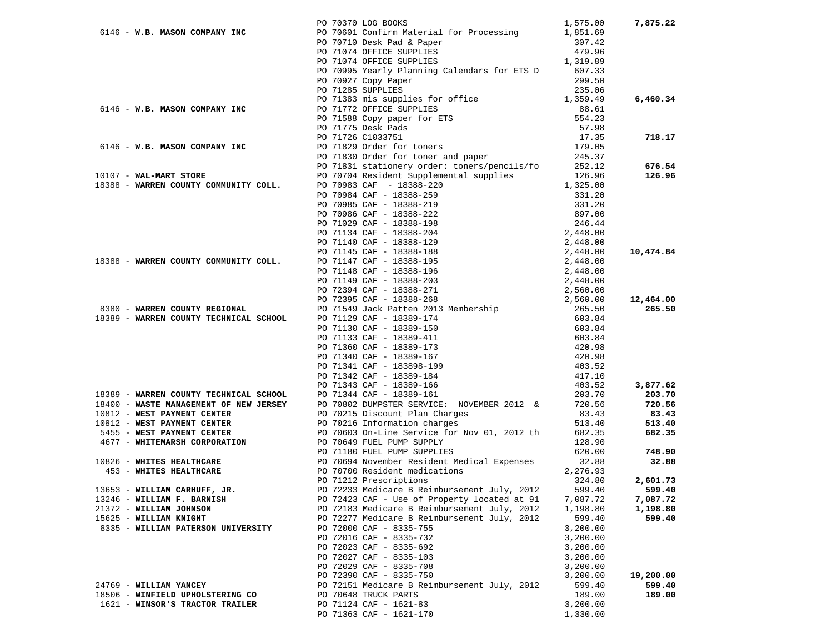|                                        | PO 70370 LOG BOOKS                                                                                                                                                                                                                              | 1,575.00             | 7,875.22  |
|----------------------------------------|-------------------------------------------------------------------------------------------------------------------------------------------------------------------------------------------------------------------------------------------------|----------------------|-----------|
|                                        | 6146 - W.B. MASON COMPANY INC PO 70601 Confirm Material for Processing 1,851.69                                                                                                                                                                 |                      |           |
|                                        | PO 70710 Desk Pad & Paper                                                                                                                                                                                                                       |                      |           |
|                                        | PO 71074 OFFICE SUPPLIES                                                                                                                                                                                                                        |                      |           |
|                                        | $307.42$<br>$479.96$<br>$1,319.89$<br>PO 71074 OFFICE SUPPLIES                                                                                                                                                                                  |                      |           |
|                                        | PO 70995 Yearly Planning Calendars for ETS D 607.33                                                                                                                                                                                             |                      |           |
|                                        | PO 70927 Copy Paper                                                                                                                                                                                                                             | 299.50               |           |
|                                        | PO 71285 SUPPLIES                                                                                                                                                                                                                               | 235.06               |           |
|                                        | PO 71383 mis supplies for office 1,359.49<br>PO 71772 OFFICE SUPPLIES 88.61<br>PO 71588 Copy paper for ETS 554.23<br>PO 71775 Dock Pods                                                                                                         |                      | 6,460.34  |
| 6146 - W.B. MASON COMPANY INC          | PO 71772 OFFICE SUPPLIES                                                                                                                                                                                                                        |                      |           |
|                                        |                                                                                                                                                                                                                                                 |                      |           |
|                                        | PO 71775 Desk Pads<br>PO 71775 Desk Pads 57.98<br>PO 71726 C1033751 17.35<br>PO 71829 Order for toners 179.05<br>PO 71830 Order for toner and paper 245.37<br>PO 71831 stationery order: toners/pencils/fo 252.12                               | 57.98                |           |
|                                        |                                                                                                                                                                                                                                                 |                      | 718.17    |
| 6146 - W.B. MASON COMPANY INC          |                                                                                                                                                                                                                                                 |                      |           |
|                                        |                                                                                                                                                                                                                                                 |                      |           |
|                                        |                                                                                                                                                                                                                                                 |                      | 676.54    |
| 10107 - WAL-MART STORE                 | PO 70704 Resident Supplemental supplies 126.96<br>PO 70983 CAF - 18388-220 1,325.00                                                                                                                                                             |                      | 126.96    |
| 18388 - WARREN COUNTY COMMUNITY COLL.  |                                                                                                                                                                                                                                                 |                      |           |
|                                        |                                                                                                                                                                                                                                                 |                      |           |
|                                        |                                                                                                                                                                                                                                                 |                      |           |
|                                        |                                                                                                                                                                                                                                                 |                      |           |
|                                        |                                                                                                                                                                                                                                                 |                      |           |
|                                        |                                                                                                                                                                                                                                                 |                      |           |
|                                        |                                                                                                                                                                                                                                                 |                      |           |
|                                        |                                                                                                                                                                                                                                                 |                      | 10,474.84 |
| 18388 - WARREN COUNTY COMMUNITY COLL.  |                                                                                                                                                                                                                                                 |                      |           |
|                                        |                                                                                                                                                                                                                                                 |                      |           |
|                                        |                                                                                                                                                                                                                                                 |                      |           |
|                                        |                                                                                                                                                                                                                                                 |                      | 12,464.00 |
| 8380 - WARREN COUNTY REGIONAL          | PO 70704 Resident Supplemental supplies<br>PO 70983 CAF - 18388-220<br>PO 70984 CAF - 18388-259<br>PO 70985 CAF - 18388-219<br>PO 70986 CAF - 18388-222<br>PO 70986 CAF - 18388-222<br>PO 71029 CAF - 18388-198<br>PO 71134 CAF - 18388-198<br> |                      | 265.50    |
| 18389 - WARREN COUNTY TECHNICAL SCHOOL | PO 71129 CAF - 18389-174<br>PO 71129 CAF - 18389-174<br>PO 71130 CAF - 18389-150<br>PO 71133 CAF - 18389-411<br>PO 71360 CAF - 18389-173<br>PO 71340 CAF - 183898-199<br>PO 71341 CAF - 183898-199<br>PO 71341 CAF - 18389-199                  | 603.84               |           |
|                                        |                                                                                                                                                                                                                                                 | 603.84               |           |
|                                        |                                                                                                                                                                                                                                                 | 603.84               |           |
|                                        |                                                                                                                                                                                                                                                 | 420.98               |           |
|                                        |                                                                                                                                                                                                                                                 | 420.98               |           |
|                                        |                                                                                                                                                                                                                                                 | 403.52               |           |
|                                        | PO 71342 CAF - 18389-184                                                                                                                                                                                                                        | 417.10               |           |
|                                        | PO 71343 CAF - 18389-166                                                                                                                                                                                                                        | 403.52               | 3,877.62  |
| 18389 - WARREN COUNTY TECHNICAL SCHOOL | PO 71344 CAF - 18389-161                                                                                                                                                                                                                        | 203.70               | 203.70    |
| 18400 - WASTE MANAGEMENT OF NEW JERSEY | PO 70802 DUMPSTER SERVICE: NOVEMBER 2012 &                                                                                                                                                                                                      | 720.56               | 720.56    |
| 10812 - WEST PAYMENT CENTER            |                                                                                                                                                                                                                                                 |                      | 83.43     |
| 10812 - WEST PAYMENT CENTER            |                                                                                                                                                                                                                                                 |                      | 513.40    |
| 5455 - WEST PAYMENT CENTER             | PO 70215 Discount Plan Charges 83.43<br>PO 70216 Information charges 513.40<br>PO 70603 On-Line Service for Nov 01, 2012 th 682.35<br>PO 70649 FUEL PUMP SUPPLY 128.90                                                                          |                      | 682.35    |
| 4677 - WHITEMARSH CORPORATION          |                                                                                                                                                                                                                                                 |                      |           |
|                                        | PO 71180 FUEL PUMP SUPPLIES 620.00<br>PO 70694 November Resident Medical Expenses 32.88<br>PO 70700 Resident medications 2,276.93                                                                                                               |                      | 748.90    |
| 10826 - WHITES HEALTHCARE              |                                                                                                                                                                                                                                                 |                      | 32.88     |
| 453 - WHITES HEALTHCARE                |                                                                                                                                                                                                                                                 |                      |           |
|                                        | PO 71212 Prescriptions                                                                                                                                                                                                                          | 324.80               | 2,601.73  |
| 13653 - WILLIAM CARHUFF, JR.           | PO 72233 Medicare B Reimbursement July, 2012                                                                                                                                                                                                    | 599.40               | 599.40    |
| 13246 - WILLIAM F. BARNISH             | PO 72423 CAF - Use of Property located at 91                                                                                                                                                                                                    | 7,087.72             | 7,087.72  |
| 21372 - WILLIAM JOHNSON                | PO 72183 Medicare B Reimbursement July, 2012                                                                                                                                                                                                    | 1,198.80             | 1,198.80  |
| 15625 - WILLIAM KNIGHT                 | PO 72277 Medicare B Reimbursement July, 2012                                                                                                                                                                                                    | 599.40               | 599.40    |
| 8335 - WILLIAM PATERSON UNIVERSITY     | PO 72000 CAF - 8335-755                                                                                                                                                                                                                         | 3,200.00             |           |
|                                        | PO 72016 CAF - 8335-732                                                                                                                                                                                                                         | 3,200.00             |           |
|                                        | PO 72023 CAF - 8335-692                                                                                                                                                                                                                         | 3,200.00             |           |
|                                        | PO 72027 CAF - 8335-103<br>PO 72029 CAF - 8335-708                                                                                                                                                                                              | 3,200.00             |           |
|                                        | PO 72390 CAF - 8335-750                                                                                                                                                                                                                         | 3,200.00<br>3,200.00 | 19,200.00 |
| 24769 - WILLIAM YANCEY                 | PO 72151 Medicare B Reimbursement July, 2012                                                                                                                                                                                                    | 599.40               | 599.40    |
| 18506 - WINFIELD UPHOLSTERING CO       | PO 70648 TRUCK PARTS                                                                                                                                                                                                                            | 189.00               | 189.00    |
| 1621 - WINSOR'S TRACTOR TRAILER        | PO 71124 CAF - 1621-83                                                                                                                                                                                                                          | 3,200.00             |           |
|                                        | PO 71363 CAF - 1621-170                                                                                                                                                                                                                         | 1,330.00             |           |
|                                        |                                                                                                                                                                                                                                                 |                      |           |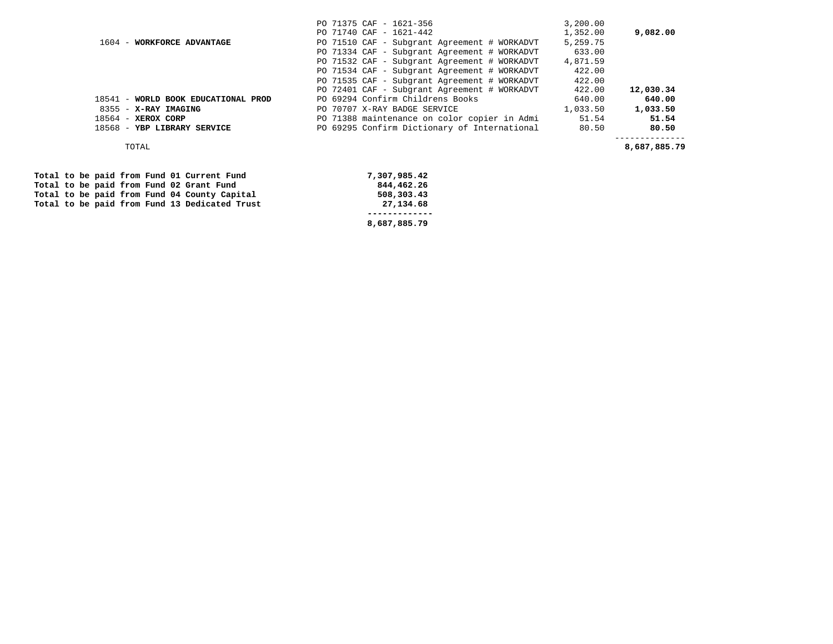| 18541 - WORLD BOOK EDUCATIONAL PROD | PO 69294 Confirm Childrens Books<br>640.00            | 640.00   |
|-------------------------------------|-------------------------------------------------------|----------|
| 8355 - X-RAY IMAGING                | 1,033.50<br>PO 70707 X-RAY BADGE SERVICE              | 1,033.50 |
| $18564$ - XEROX CORP                | PO 71388 maintenance on color copier in Admi<br>51.54 | 51.54    |
| 18568 - YBP LIBRARY SERVICE         | PO 69295 Confirm Dictionary of International<br>80.50 | 80.50    |

|  |  |  | Total to be paid from Fund 01 Current Fund    |
|--|--|--|-----------------------------------------------|
|  |  |  | Total to be paid from Fund 02 Grant Fund      |
|  |  |  | Total to be paid from Fund 04 County Capital  |
|  |  |  | Total to be paid from Fund 13 Dedicated Trust |
|  |  |  |                                               |

**7,307,985.42**  $\begin{array}{r} 0.44,462.26 \end{array}$  **Total to be paid from Fund 04 County Capital 508,303.43 Total to be paid from Fund 13 Dedicated Trust 27,134.68 ------------- 8,687,885.79**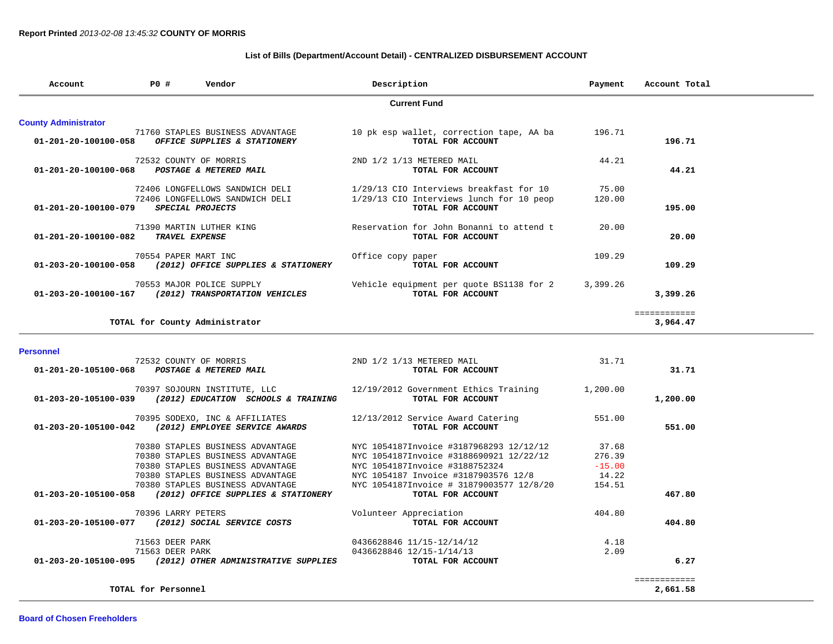## **List of Bills (Department/Account Detail) - CENTRALIZED DISBURSEMENT ACCOUNT**

| Account                                     | P0 #                               | Vendor                                                                                                                                                                                                                  | Description                                                                                                                                                                                                                   | Payment                                        | Account Total            |
|---------------------------------------------|------------------------------------|-------------------------------------------------------------------------------------------------------------------------------------------------------------------------------------------------------------------------|-------------------------------------------------------------------------------------------------------------------------------------------------------------------------------------------------------------------------------|------------------------------------------------|--------------------------|
|                                             |                                    |                                                                                                                                                                                                                         | <b>Current Fund</b>                                                                                                                                                                                                           |                                                |                          |
| <b>County Administrator</b>                 |                                    |                                                                                                                                                                                                                         |                                                                                                                                                                                                                               |                                                |                          |
| 01-201-20-100100-058                        |                                    | 71760 STAPLES BUSINESS ADVANTAGE<br>OFFICE SUPPLIES & STATIONERY                                                                                                                                                        | 10 pk esp wallet, correction tape, AA ba<br>TOTAL FOR ACCOUNT                                                                                                                                                                 | 196.71                                         | 196.71                   |
| 01-201-20-100100-068 POSTAGE & METERED MAIL |                                    | 72532 COUNTY OF MORRIS                                                                                                                                                                                                  | 2ND 1/2 1/13 METERED MAIL<br>TOTAL FOR ACCOUNT                                                                                                                                                                                | 44.21                                          | 44.21                    |
| 01-201-20-100100-079                        |                                    | 72406 LONGFELLOWS SANDWICH DELI<br>72406 LONGFELLOWS SANDWICH DELI<br>SPECIAL PROJECTS                                                                                                                                  | 1/29/13 CIO Interviews breakfast for 10<br>1/29/13 CIO Interviews lunch for 10 peop<br>TOTAL FOR ACCOUNT                                                                                                                      | 75.00<br>120.00                                | 195.00                   |
| 01-201-20-100100-082                        |                                    | 71390 MARTIN LUTHER KING<br><b>TRAVEL EXPENSE</b>                                                                                                                                                                       | Reservation for John Bonanni to attend t<br>TOTAL FOR ACCOUNT                                                                                                                                                                 | 20.00                                          | 20.00                    |
| 01-203-20-100100-058                        | 70554 PAPER MART INC               | (2012) OFFICE SUPPLIES & STATIONERY                                                                                                                                                                                     | Office copy paper<br>TOTAL FOR ACCOUNT                                                                                                                                                                                        | 109.29                                         | 109.29                   |
|                                             |                                    | 70553 MAJOR POLICE SUPPLY<br>01-203-20-100100-167 (2012) TRANSPORTATION VEHICLES                                                                                                                                        | Vehicle equipment per quote BS1138 for 2<br>TOTAL FOR ACCOUNT                                                                                                                                                                 | 3,399.26                                       | 3,399.26                 |
|                                             |                                    | TOTAL for County Administrator                                                                                                                                                                                          |                                                                                                                                                                                                                               |                                                | ============<br>3,964.47 |
| <b>Personnel</b>                            |                                    |                                                                                                                                                                                                                         |                                                                                                                                                                                                                               |                                                |                          |
| 01-201-20-105100-068                        |                                    | 72532 COUNTY OF MORRIS<br>POSTAGE & METERED MAIL                                                                                                                                                                        | 2ND 1/2 1/13 METERED MAIL<br>TOTAL FOR ACCOUNT                                                                                                                                                                                | 31.71                                          | 31.71                    |
| 01-203-20-105100-039                        |                                    | 70397 SOJOURN INSTITUTE, LLC<br>(2012) EDUCATION SCHOOLS & TRAINING                                                                                                                                                     | 12/19/2012 Government Ethics Training<br>TOTAL FOR ACCOUNT                                                                                                                                                                    | 1,200.00                                       | 1,200.00                 |
| 01-203-20-105100-042                        |                                    | 70395 SODEXO, INC & AFFILIATES<br>(2012) EMPLOYEE SERVICE AWARDS                                                                                                                                                        | 12/13/2012 Service Award Catering<br>TOTAL FOR ACCOUNT                                                                                                                                                                        | 551.00                                         | 551.00                   |
| 01-203-20-105100-058                        |                                    | 70380 STAPLES BUSINESS ADVANTAGE<br>70380 STAPLES BUSINESS ADVANTAGE<br>70380 STAPLES BUSINESS ADVANTAGE<br>70380 STAPLES BUSINESS ADVANTAGE<br>70380 STAPLES BUSINESS ADVANTAGE<br>(2012) OFFICE SUPPLIES & STATIONERY | NYC 1054187Invoice #3187968293 12/12/12<br>NYC 1054187Invoice #3188690921 12/22/12<br>NYC 1054187Invoice #3188752324<br>NYC 1054187 Invoice #3187903576 12/8<br>NYC 1054187Invoice # 31879003577 12/8/20<br>TOTAL FOR ACCOUNT | 37.68<br>276.39<br>$-15.00$<br>14.22<br>154.51 | 467.80                   |
|                                             | 70396 LARRY PETERS                 |                                                                                                                                                                                                                         | Volunteer Appreciation                                                                                                                                                                                                        | 404.80                                         |                          |
|                                             |                                    | 01-203-20-105100-077 (2012) SOCIAL SERVICE COSTS                                                                                                                                                                        | TOTAL FOR ACCOUNT                                                                                                                                                                                                             |                                                | 404.80                   |
|                                             | 71563 DEER PARK<br>71563 DEER PARK | 01-203-20-105100-095 (2012) OTHER ADMINISTRATIVE SUPPLIES                                                                                                                                                               | 0436628846 11/15-12/14/12<br>0436628846 12/15-1/14/13<br>TOTAL FOR ACCOUNT                                                                                                                                                    | 4.18<br>2.09                                   | 6.27                     |
|                                             | TOTAL for Personnel                |                                                                                                                                                                                                                         |                                                                                                                                                                                                                               |                                                | ============<br>2,661.58 |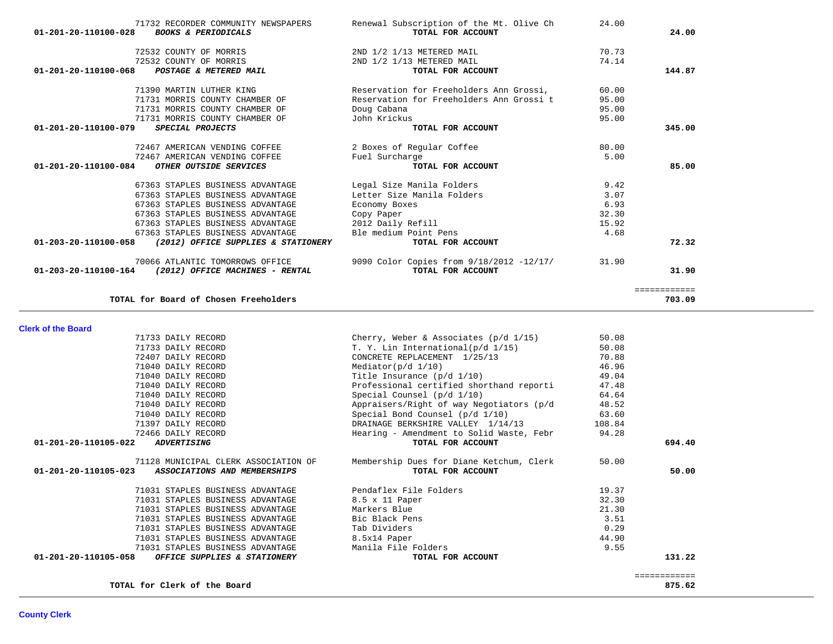| 71732 RECORDER COMMUNITY NEWSPAPERS                         | Renewal Subscription of the Mt. Olive Ch | 24.00 |              |
|-------------------------------------------------------------|------------------------------------------|-------|--------------|
| 01-201-20-110100-028<br><b>BOOKS &amp; PERIODICALS</b>      | TOTAL FOR ACCOUNT                        |       | 24.00        |
| 72532 COUNTY OF MORRIS                                      | 2ND 1/2 1/13 METERED MAIL                | 70.73 |              |
| 72532 COUNTY OF MORRIS                                      | 2ND 1/2 1/13 METERED MAIL                | 74.14 |              |
| 01-201-20-110100-068<br>POSTAGE & METERED MAIL              | TOTAL FOR ACCOUNT                        |       | 144.87       |
| 71390 MARTIN LUTHER KING                                    | Reservation for Freeholders Ann Grossi,  | 60.00 |              |
| 71731 MORRIS COUNTY CHAMBER OF                              | Reservation for Freeholders Ann Grossi t | 95.00 |              |
| 71731 MORRIS COUNTY CHAMBER OF                              | Doug Cabana                              | 95.00 |              |
| 71731 MORRIS COUNTY CHAMBER OF                              | John Krickus                             | 95.00 |              |
| 01-201-20-110100-079<br>SPECIAL PROJECTS                    | TOTAL FOR ACCOUNT                        |       | 345.00       |
| 72467 AMERICAN VENDING COFFEE                               | 2 Boxes of Regular Coffee                | 80.00 |              |
| 72467 AMERICAN VENDING COFFEE                               | Fuel Surcharge                           | 5.00  |              |
| 01-201-20-110100-084<br>OTHER OUTSIDE SERVICES              | TOTAL FOR ACCOUNT                        |       | 85.00        |
| 67363 STAPLES BUSINESS ADVANTAGE                            | Legal Size Manila Folders                | 9.42  |              |
| 67363 STAPLES BUSINESS ADVANTAGE                            | Letter Size Manila Folders               | 3.07  |              |
| 67363 STAPLES BUSINESS ADVANTAGE                            | Economy Boxes                            | 6.93  |              |
| 67363 STAPLES BUSINESS ADVANTAGE                            | Copy Paper                               | 32.30 |              |
| 67363 STAPLES BUSINESS ADVANTAGE                            | 2012 Daily Refill                        | 15.92 |              |
| 67363 STAPLES BUSINESS ADVANTAGE                            | Ble medium Point Pens                    | 4.68  |              |
| 01-203-20-110100-058<br>(2012) OFFICE SUPPLIES & STATIONERY | TOTAL FOR ACCOUNT                        |       | 72.32        |
| 70066 ATLANTIC TOMORROWS OFFICE                             | 9090 Color Copies from 9/18/2012 -12/17/ | 31.90 |              |
| 01-203-20-110100-164<br>(2012) OFFICE MACHINES - RENTAL     | TOTAL FOR ACCOUNT                        |       | 31.90        |
|                                                             |                                          |       | ============ |
| TOTAL for Board of Chosen Freeholders                       |                                          |       | 703.09       |

**Clerk of the Board** 

| 71733 DAILY RECORD                                             | Cherry, Weber & Associates ( $p/d$ 1/15) | 50.08  |              |
|----------------------------------------------------------------|------------------------------------------|--------|--------------|
| 71733 DAILY RECORD                                             | T. Y. Lin International(p/d 1/15)        | 50.08  |              |
| 72407 DAILY RECORD                                             | CONCRETE REPLACEMENT 1/25/13             | 70.88  |              |
| 71040 DAILY RECORD                                             | Mediator( $p/d$ 1/10)                    | 46.96  |              |
| 71040 DAILY RECORD                                             | Title Insurance $(p/d \ 1/10)$           | 49.04  |              |
| 71040 DAILY RECORD                                             | Professional certified shorthand reporti | 47.48  |              |
| 71040 DAILY RECORD                                             | Special Counsel $(p/d \ 1/10)$           | 64.64  |              |
| 71040 DAILY RECORD                                             | Appraisers/Right of way Negotiators (p/d | 48.52  |              |
| 71040 DAILY RECORD                                             | Special Bond Counsel (p/d 1/10)          | 63.60  |              |
| 71397 DAILY RECORD                                             | DRAINAGE BERKSHIRE VALLEY 1/14/13        | 108.84 |              |
| 72466 DAILY RECORD                                             | Hearing - Amendment to Solid Waste, Febr | 94.28  |              |
| 01-201-20-110105-022<br><i><b>ADVERTISING</b></i>              | TOTAL FOR ACCOUNT                        |        | 694.40       |
| 71128 MUNICIPAL CLERK ASSOCIATION OF                           | Membership Dues for Diane Ketchum, Clerk | 50.00  |              |
| $01 - 201 - 20 - 110105 - 023$<br>ASSOCIATIONS AND MEMBERSHIPS | TOTAL FOR ACCOUNT                        |        | 50.00        |
| 71031 STAPLES BUSINESS ADVANTAGE                               | Pendaflex File Folders                   | 19.37  |              |
| 71031 STAPLES BUSINESS ADVANTAGE                               | 8.5 x 11 Paper                           | 32.30  |              |
| 71031 STAPLES BUSINESS ADVANTAGE                               | Markers Blue                             | 21.30  |              |
| 71031 STAPLES BUSINESS ADVANTAGE                               | Bic Black Pens                           | 3.51   |              |
| 71031 STAPLES BUSINESS ADVANTAGE                               | Tab Dividers                             | 0.29   |              |
| 71031 STAPLES BUSINESS ADVANTAGE                               | 8.5x14 Paper                             | 44.90  |              |
| 71031 STAPLES BUSINESS ADVANTAGE                               | Manila File Folders                      | 9.55   |              |
| 01-201-20-110105-058<br>OFFICE SUPPLIES & STATIONERY           | TOTAL FOR ACCOUNT                        |        | 131.22       |
|                                                                |                                          |        | ============ |
| TOTAL for Clerk of the Board                                   |                                          |        | 875.62       |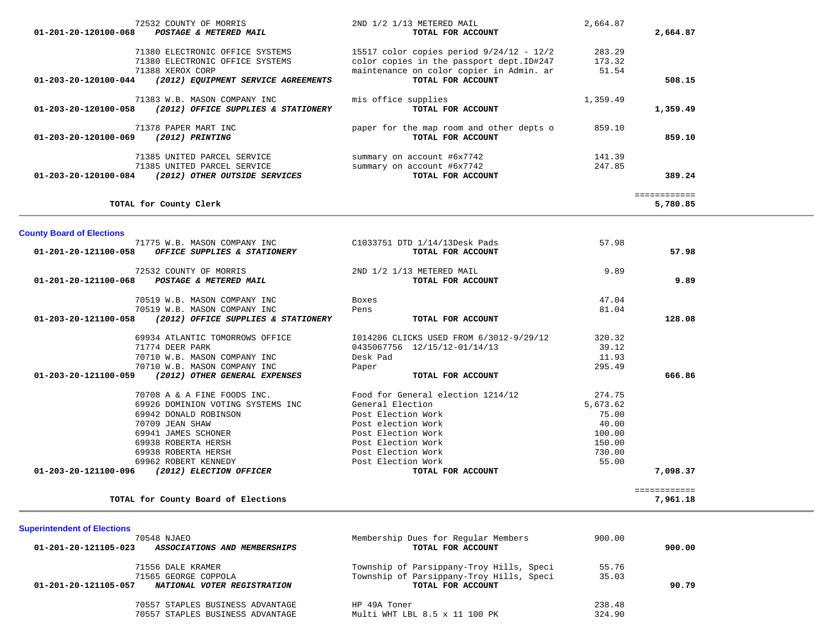| 72532 COUNTY OF MORRIS<br>POSTAGE & METERED MAIL<br>01-201-20-120100-068             | 2ND 1/2 1/13 METERED MAIL<br>TOTAL FOR ACCOUNT                                        | 2,664.87         | 2,664.87                 |  |
|--------------------------------------------------------------------------------------|---------------------------------------------------------------------------------------|------------------|--------------------------|--|
|                                                                                      |                                                                                       |                  |                          |  |
| 71380 ELECTRONIC OFFICE SYSTEMS<br>71380 ELECTRONIC OFFICE SYSTEMS                   | 15517 color copies period 9/24/12 - 12/2<br>color copies in the passport dept. ID#247 | 283.29<br>173.32 |                          |  |
| 71388 XEROX CORP                                                                     | maintenance on color copier in Admin. ar                                              | 51.54            |                          |  |
| 01-203-20-120100-044<br>(2012) EQUIPMENT SERVICE AGREEMENTS                          | TOTAL FOR ACCOUNT                                                                     |                  | 508.15                   |  |
| 71383 W.B. MASON COMPANY INC                                                         | mis office supplies                                                                   | 1,359.49         |                          |  |
| (2012) OFFICE SUPPLIES & STATIONERY<br>01-203-20-120100-058                          | TOTAL FOR ACCOUNT                                                                     |                  | 1,359.49                 |  |
| 71378 PAPER MART INC                                                                 | paper for the map room and other depts o                                              | 859.10           |                          |  |
| 01-203-20-120100-069<br>(2012) PRINTING                                              | TOTAL FOR ACCOUNT                                                                     |                  | 859.10                   |  |
| 71385 UNITED PARCEL SERVICE                                                          | summary on account #6x7742                                                            | 141.39           |                          |  |
| 71385 UNITED PARCEL SERVICE                                                          | summary on account #6x7742                                                            | 247.85           |                          |  |
| 01-203-20-120100-084 (2012) OTHER OUTSIDE SERVICES                                   | TOTAL FOR ACCOUNT                                                                     |                  | 389.24                   |  |
| TOTAL for County Clerk                                                               |                                                                                       |                  | ============<br>5,780.85 |  |
|                                                                                      |                                                                                       |                  |                          |  |
| <b>County Board of Elections</b>                                                     |                                                                                       |                  |                          |  |
| 71775 W.B. MASON COMPANY INC<br>01-201-20-121100-058<br>OFFICE SUPPLIES & STATIONERY | C1033751 DTD 1/14/13Desk Pads<br>TOTAL FOR ACCOUNT                                    | 57.98            | 57.98                    |  |
|                                                                                      |                                                                                       |                  |                          |  |
| 72532 COUNTY OF MORRIS                                                               | 2ND 1/2 1/13 METERED MAIL                                                             | 9.89             |                          |  |
| POSTAGE & METERED MAIL<br>01-201-20-121100-068                                       | TOTAL FOR ACCOUNT                                                                     |                  | 9.89                     |  |
| 70519 W.B. MASON COMPANY INC                                                         | Boxes                                                                                 | 47.04            |                          |  |
| 70519 W.B. MASON COMPANY INC                                                         | Pens                                                                                  | 81.04            |                          |  |
| 01-203-20-121100-058<br>(2012) OFFICE SUPPLIES & STATIONERY                          | TOTAL FOR ACCOUNT                                                                     |                  | 128.08                   |  |
| 69934 ATLANTIC TOMORROWS OFFICE                                                      | I014206 CLICKS USED FROM 6/3012-9/29/12                                               | 320.32           |                          |  |
| 71774 DEER PARK                                                                      | 0435067756 12/15/12-01/14/13                                                          | 39.12            |                          |  |
| 70710 W.B. MASON COMPANY INC                                                         | Desk Pad                                                                              | 11.93            |                          |  |
| 70710 W.B. MASON COMPANY INC                                                         | Paper                                                                                 | 295.49           |                          |  |
| 01-203-20-121100-059<br>(2012) OTHER GENERAL EXPENSES                                | TOTAL FOR ACCOUNT                                                                     |                  | 666.86                   |  |
| 70708 A & A FINE FOODS INC.                                                          | Food for General election 1214/12                                                     | 274.75           |                          |  |
| 69926 DOMINION VOTING SYSTEMS INC                                                    | General Election                                                                      | 5,673.62         |                          |  |
| 69942 DONALD ROBINSON                                                                | Post Election Work                                                                    | 75.00            |                          |  |
| 70709 JEAN SHAW                                                                      | Post election Work                                                                    | 40.00            |                          |  |
| 69941 JAMES SCHONER                                                                  | Post Election Work                                                                    | 100.00           |                          |  |
| 69938 ROBERTA HERSH                                                                  | Post Election Work                                                                    | 150.00           |                          |  |
| 69938 ROBERTA HERSH                                                                  | Post Election Work                                                                    | 730.00           |                          |  |
| 69962 ROBERT KENNEDY<br>01-203-20-121100-096<br>(2012) ELECTION OFFICER              | Post Election Work<br>TOTAL FOR ACCOUNT                                               | 55.00            | 7,098.37                 |  |
|                                                                                      |                                                                                       |                  |                          |  |
| TOTAL for County Board of Elections                                                  |                                                                                       |                  | 7,961.18                 |  |
|                                                                                      |                                                                                       |                  |                          |  |
| <b>Superintendent of Elections</b>                                                   |                                                                                       |                  |                          |  |
| 70548 NJAEO                                                                          | Membership Dues for Regular Members                                                   | 900.00           |                          |  |
| 01-201-20-121105-023<br>ASSOCIATIONS AND MEMBERSHIPS                                 | TOTAL FOR ACCOUNT                                                                     |                  | 900.00                   |  |
| 71556 DALE KRAMER                                                                    | Township of Parsippany-Troy Hills, Speci                                              | 55.76            |                          |  |
| 71565 GEORGE COPPOLA                                                                 | Township of Parsippany-Troy Hills, Speci                                              | 35.03            |                          |  |
| NATIONAL VOTER REGISTRATION<br>01-201-20-121105-057                                  | TOTAL FOR ACCOUNT                                                                     |                  | 90.79                    |  |

70557 STAPLES BUSINESS ADVANTAGE

70557 STAPLES BUSINESS ADVANTAGE

| HP 49A Toner                  |  | 238.48 |
|-------------------------------|--|--------|
| Multi WHT LBL 8.5 x 11 100 PK |  | 324.90 |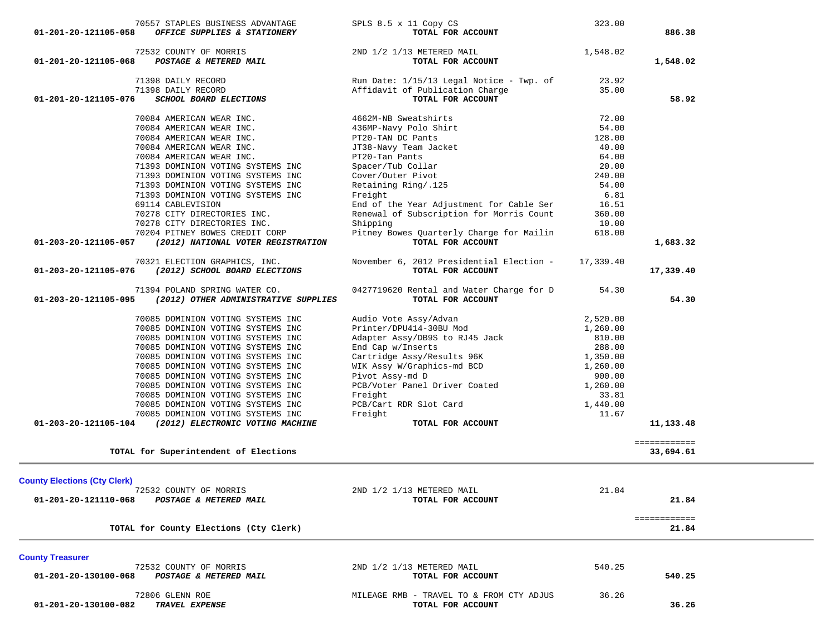|                                     | 70557 STAPLES BUSINESS ADVANTAGE       | SPLS 8.5 x 11 Copy CS                    | 323.00    |              |  |
|-------------------------------------|----------------------------------------|------------------------------------------|-----------|--------------|--|
| 01-201-20-121105-058                | OFFICE SUPPLIES & STATIONERY           | TOTAL FOR ACCOUNT                        |           | 886.38       |  |
|                                     |                                        |                                          |           |              |  |
|                                     | 72532 COUNTY OF MORRIS                 | 2ND 1/2 1/13 METERED MAIL                | 1,548.02  |              |  |
| 01-201-20-121105-068                | POSTAGE & METERED MAIL                 | TOTAL FOR ACCOUNT                        |           | 1,548.02     |  |
|                                     |                                        |                                          |           |              |  |
|                                     | 71398 DAILY RECORD                     | Run Date: 1/15/13 Legal Notice - Twp. of | 23.92     |              |  |
|                                     | 71398 DAILY RECORD                     | Affidavit of Publication Charge          | 35.00     |              |  |
| 01-201-20-121105-076                | SCHOOL BOARD ELECTIONS                 | TOTAL FOR ACCOUNT                        |           | 58.92        |  |
|                                     | 70084 AMERICAN WEAR INC.               | 4662M-NB Sweatshirts                     | 72.00     |              |  |
|                                     |                                        |                                          | 54.00     |              |  |
|                                     | 70084 AMERICAN WEAR INC.               | 436MP-Navy Polo Shirt                    |           |              |  |
|                                     | 70084 AMERICAN WEAR INC.               | PT20-TAN DC Pants                        | 128.00    |              |  |
|                                     | 70084 AMERICAN WEAR INC.               | JT38-Navy Team Jacket                    | 40.00     |              |  |
|                                     | 70084 AMERICAN WEAR INC.               | PT20-Tan Pants                           | 64.00     |              |  |
|                                     | 71393 DOMINION VOTING SYSTEMS INC      | Spacer/Tub Collar                        | 20.00     |              |  |
|                                     | 71393 DOMINION VOTING SYSTEMS INC      | Cover/Outer Pivot                        | 240.00    |              |  |
|                                     | 71393 DOMINION VOTING SYSTEMS INC      | Retaining Ring/.125                      | 54.00     |              |  |
|                                     | 71393 DOMINION VOTING SYSTEMS INC      | Freight                                  | 6.81      |              |  |
|                                     | 69114 CABLEVISION                      | End of the Year Adjustment for Cable Ser | 16.51     |              |  |
|                                     | 70278 CITY DIRECTORIES INC.            | Renewal of Subscription for Morris Count | 360.00    |              |  |
|                                     | 70278 CITY DIRECTORIES INC.            | Shipping                                 | 10.00     |              |  |
|                                     | 70204 PITNEY BOWES CREDIT CORP         | Pitney Bowes Quarterly Charge for Mailin | 618.00    |              |  |
| 01-203-20-121105-057                | (2012) NATIONAL VOTER REGISTRATION     | TOTAL FOR ACCOUNT                        |           | 1,683.32     |  |
|                                     |                                        |                                          |           |              |  |
|                                     | 70321 ELECTION GRAPHICS, INC.          | November 6, 2012 Presidential Election - | 17,339.40 |              |  |
| 01-203-20-121105-076                | (2012) SCHOOL BOARD ELECTIONS          | TOTAL FOR ACCOUNT                        |           | 17,339.40    |  |
|                                     |                                        |                                          |           |              |  |
|                                     | 71394 POLAND SPRING WATER CO.          | 0427719620 Rental and Water Charge for D | 54.30     |              |  |
| 01-203-20-121105-095                | (2012) OTHER ADMINISTRATIVE SUPPLIES   | TOTAL FOR ACCOUNT                        |           | 54.30        |  |
|                                     |                                        |                                          |           |              |  |
|                                     | 70085 DOMINION VOTING SYSTEMS INC      | Audio Vote Assy/Advan                    | 2,520.00  |              |  |
|                                     | 70085 DOMINION VOTING SYSTEMS INC      | Printer/DPU414-30BU Mod                  | 1,260.00  |              |  |
|                                     |                                        |                                          | 810.00    |              |  |
|                                     | 70085 DOMINION VOTING SYSTEMS INC      | Adapter Assy/DB9S to RJ45 Jack           |           |              |  |
|                                     | 70085 DOMINION VOTING SYSTEMS INC      | End Cap w/Inserts                        | 288.00    |              |  |
|                                     | 70085 DOMINION VOTING SYSTEMS INC      | Cartridge Assy/Results 96K               | 1,350.00  |              |  |
|                                     | 70085 DOMINION VOTING SYSTEMS INC      | WIK Assy W/Graphics-md BCD               | 1,260.00  |              |  |
|                                     | 70085 DOMINION VOTING SYSTEMS INC      | Pivot Assy-md D                          | 900.00    |              |  |
|                                     | 70085 DOMINION VOTING SYSTEMS INC      | PCB/Voter Panel Driver Coated            | 1,260.00  |              |  |
|                                     | 70085 DOMINION VOTING SYSTEMS INC      | Freight                                  | 33.81     |              |  |
|                                     | 70085 DOMINION VOTING SYSTEMS INC      | PCB/Cart RDR Slot Card                   | 1,440.00  |              |  |
|                                     | 70085 DOMINION VOTING SYSTEMS INC      | Freight                                  | 11.67     |              |  |
| 01-203-20-121105-104                | (2012) ELECTRONIC VOTING MACHINE       | TOTAL FOR ACCOUNT                        |           | 11,133.48    |  |
|                                     |                                        |                                          |           |              |  |
|                                     |                                        |                                          |           | ============ |  |
|                                     | TOTAL for Superintendent of Elections  |                                          |           | 33,694.61    |  |
|                                     |                                        |                                          |           |              |  |
|                                     |                                        |                                          |           |              |  |
| <b>County Elections (Cty Clerk)</b> |                                        |                                          |           |              |  |
|                                     | 72532 COUNTY OF MORRIS                 | 2ND 1/2 1/13 METERED MAIL                | 21.84     |              |  |
| 01-201-20-121110-068                | POSTAGE & METERED MAIL                 | TOTAL FOR ACCOUNT                        |           | 21.84        |  |
|                                     |                                        |                                          |           |              |  |
|                                     |                                        |                                          |           | ============ |  |
|                                     | TOTAL for County Elections (Cty Clerk) |                                          |           | 21.84        |  |
|                                     |                                        |                                          |           |              |  |
| <b>County Treasurer</b>             |                                        |                                          |           |              |  |
|                                     | 72532 COUNTY OF MORRIS                 | 2ND 1/2 1/13 METERED MAIL                | 540.25    |              |  |
| 01-201-20-130100-068                | <b>POSTAGE &amp; METERED MAIL</b>      | TOTAL FOR ACCOUNT                        |           | 540.25       |  |
|                                     |                                        |                                          |           |              |  |
|                                     | 72806 GLENN ROE                        | MILEAGE RMB - TRAVEL TO & FROM CTY ADJUS | 36.26     |              |  |
| 01-201-20-130100-082                | TRAVEL EXPENSE                         | TOTAL FOR ACCOUNT                        |           | 36.26        |  |
|                                     |                                        |                                          |           |              |  |
|                                     |                                        |                                          |           |              |  |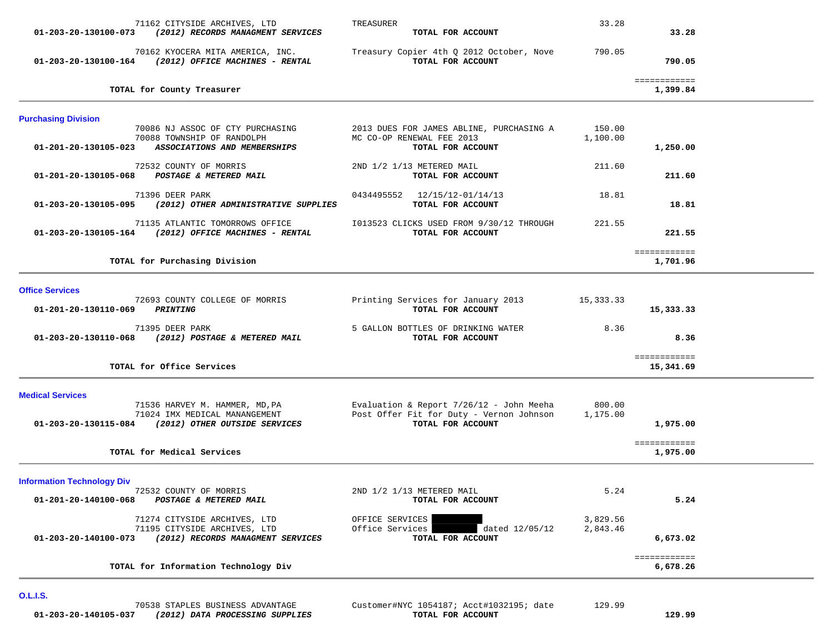| 71162 CITYSIDE ARCHIVES, LTD<br>01-203-20-130100-073 (2012) RECORDS MANAGMENT SERVICES                                    | TREASURER<br>TOTAL FOR ACCOUNT                                                                              | 33.28                | 33.28                     |  |
|---------------------------------------------------------------------------------------------------------------------------|-------------------------------------------------------------------------------------------------------------|----------------------|---------------------------|--|
| 70162 KYOCERA MITA AMERICA, INC.<br>01-203-20-130100-164 (2012) OFFICE MACHINES - RENTAL                                  | Treasury Copier 4th Q 2012 October, Nove<br>TOTAL FOR ACCOUNT                                               | 790.05               | 790.05                    |  |
| TOTAL for County Treasurer                                                                                                |                                                                                                             |                      | ============<br>1,399.84  |  |
| <b>Purchasing Division</b>                                                                                                |                                                                                                             |                      |                           |  |
| 70086 NJ ASSOC OF CTY PURCHASING<br>70088 TOWNSHIP OF RANDOLPH<br>01-201-20-130105-023 ASSOCIATIONS AND MEMBERSHIPS       | 2013 DUES FOR JAMES ABLINE, PURCHASING A<br>MC CO-OP RENEWAL FEE 2013<br>TOTAL FOR ACCOUNT                  | 150.00<br>1,100.00   | 1,250.00                  |  |
| 72532 COUNTY OF MORRIS<br>01-201-20-130105-068 POSTAGE & METERED MAIL                                                     | 2ND 1/2 1/13 METERED MAIL<br>TOTAL FOR ACCOUNT                                                              | 211.60               | 211.60                    |  |
| 71396 DEER PARK<br>(2012) OTHER ADMINISTRATIVE SUPPLIES<br>01-203-20-130105-095                                           | 0434495552 12/15/12-01/14/13<br>TOTAL FOR ACCOUNT                                                           | 18.81                | 18.81                     |  |
| 71135 ATLANTIC TOMORROWS OFFICE<br>01-203-20-130105-164 (2012) OFFICE MACHINES - RENTAL                                   | I013523 CLICKS USED FROM 9/30/12 THROUGH<br>TOTAL FOR ACCOUNT                                               | 221.55               | 221.55                    |  |
| TOTAL for Purchasing Division                                                                                             |                                                                                                             |                      | ============<br>1,701.96  |  |
| <b>Office Services</b><br>72693 COUNTY COLLEGE OF MORRIS                                                                  | Printing Services for January 2013                                                                          | 15,333.33            |                           |  |
| <b>PRINTING</b><br>01-201-20-130110-069                                                                                   | TOTAL FOR ACCOUNT                                                                                           |                      | 15,333.33                 |  |
| 71395 DEER PARK<br>(2012) POSTAGE & METERED MAIL<br>01-203-20-130110-068                                                  | 5 GALLON BOTTLES OF DRINKING WATER<br>TOTAL FOR ACCOUNT                                                     | 8.36                 | 8.36                      |  |
| TOTAL for Office Services                                                                                                 |                                                                                                             |                      | ============<br>15,341.69 |  |
| <b>Medical Services</b>                                                                                                   |                                                                                                             |                      |                           |  |
| 71536 HARVEY M. HAMMER, MD, PA<br>71024 IMX MEDICAL MANANGEMENT<br>01-203-20-130115-084 (2012) OTHER OUTSIDE SERVICES     | Evaluation & Report $7/26/12$ - John Meeha<br>Post Offer Fit for Duty - Vernon Johnson<br>TOTAL FOR ACCOUNT | 800.00<br>1,175.00   | 1,975.00                  |  |
| TOTAL for Medical Services                                                                                                |                                                                                                             |                      | ============<br>1,975.00  |  |
| <b>Information Technology Div</b>                                                                                         |                                                                                                             |                      |                           |  |
| 72532 COUNTY OF MORRIS<br>POSTAGE & METERED MAIL<br>01-201-20-140100-068                                                  | 2ND 1/2 1/13 METERED MAIL<br>TOTAL FOR ACCOUNT                                                              | 5.24                 | 5.24                      |  |
| 71274 CITYSIDE ARCHIVES, LTD<br>71195 CITYSIDE ARCHIVES, LTD<br>(2012) RECORDS MANAGMENT SERVICES<br>01-203-20-140100-073 | OFFICE SERVICES<br>Office Services<br>dated 12/05/12<br>TOTAL FOR ACCOUNT                                   | 3,829.56<br>2,843.46 | 6,673.02                  |  |
| TOTAL for Information Technology Div                                                                                      |                                                                                                             |                      | ============<br>6,678.26  |  |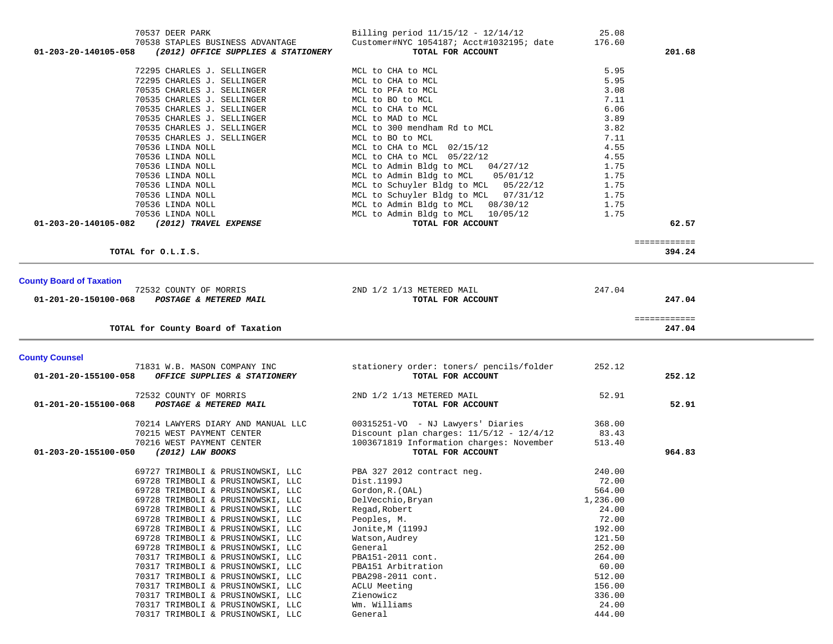|                                                                        | Customer#NYC 1054187; Acct#1032195; date                      | 176.60           |              |  |
|------------------------------------------------------------------------|---------------------------------------------------------------|------------------|--------------|--|
| (2012) OFFICE SUPPLIES & STATIONERY<br>01-203-20-140105-058            | TOTAL FOR ACCOUNT                                             |                  | 201.68       |  |
| 72295 CHARLES J. SELLINGER                                             | MCL to CHA to MCL                                             | 5.95             |              |  |
| 72295 CHARLES J. SELLINGER                                             | MCL to CHA to MCL                                             | 5.95             |              |  |
| 70535 CHARLES J. SELLINGER                                             | MCL to PFA to MCL                                             | 3.08             |              |  |
| 70535 CHARLES J. SELLINGER                                             | MCL to BO to MCL                                              | 7.11             |              |  |
| 70535 CHARLES J. SELLINGER                                             | MCL to CHA to MCL                                             | 6.06             |              |  |
| 70535 CHARLES J. SELLINGER                                             | MCL to MAD to MCL                                             | 3.89             |              |  |
| 70535 CHARLES J. SELLINGER                                             | MCL to 300 mendham Rd to MCL                                  | 3.82             |              |  |
| 70535 CHARLES J. SELLINGER                                             | MCL to BO to MCL                                              | 7.11             |              |  |
| 70536 LINDA NOLL                                                       | MCL to CHA to MCL 02/15/12                                    | 4.55             |              |  |
| 70536 LINDA NOLL                                                       | MCL to CHA to MCL 05/22/12                                    | 4.55             |              |  |
| 70536 LINDA NOLL                                                       | MCL to Admin Bldg to MCL 04/27/12                             | 1.75             |              |  |
| 70536 LINDA NOLL                                                       | MCL to Admin Bldg to MCL<br>05/01/12                          | 1.75             |              |  |
| 70536 LINDA NOLL                                                       | MCL to Schuyler Bldg to MCL 05/22/12                          | 1.75             |              |  |
| 70536 LINDA NOLL                                                       | MCL to Schuyler Bldg to MCL 07/31/12                          | 1.75             |              |  |
| 70536 LINDA NOLL                                                       | MCL to Admin Bldg to MCL 08/30/12                             | 1.75             |              |  |
| 70536 LINDA NOLL                                                       | MCL to Admin Bldg to MCL 10/05/12                             | 1.75             |              |  |
| 01-203-20-140105-082<br>(2012) TRAVEL EXPENSE                          | TOTAL FOR ACCOUNT                                             |                  | 62.57        |  |
|                                                                        |                                                               |                  | ============ |  |
| TOTAL for O.L.I.S.                                                     |                                                               |                  | 394.24       |  |
|                                                                        |                                                               |                  |              |  |
| <b>County Board of Taxation</b>                                        |                                                               |                  |              |  |
| 72532 COUNTY OF MORRIS                                                 | 2ND 1/2 1/13 METERED MAIL                                     | 247.04           |              |  |
| POSTAGE & METERED MAIL<br>01-201-20-150100-068                         | TOTAL FOR ACCOUNT                                             |                  | 247.04       |  |
|                                                                        |                                                               |                  | ============ |  |
| TOTAL for County Board of Taxation                                     |                                                               |                  | 247.04       |  |
|                                                                        |                                                               |                  |              |  |
| <b>County Counsel</b><br>71831 W.B. MASON COMPANY INC                  | stationery order: toners/ pencils/folder                      | 252.12           |              |  |
| OFFICE SUPPLIES & STATIONERY<br>01-201-20-155100-058                   | TOTAL FOR ACCOUNT                                             |                  | 252.12       |  |
|                                                                        |                                                               |                  |              |  |
|                                                                        |                                                               |                  |              |  |
| 72532 COUNTY OF MORRIS                                                 | 2ND 1/2 1/13 METERED MAIL                                     | 52.91            |              |  |
| POSTAGE & METERED MAIL<br>01-201-20-155100-068                         | TOTAL FOR ACCOUNT                                             |                  | 52.91        |  |
|                                                                        |                                                               |                  |              |  |
| 70214 LAWYERS DIARY AND MANUAL LLC                                     | 00315251-VO - NJ Lawyers' Diaries                             | 368.00           |              |  |
| 70215 WEST PAYMENT CENTER                                              | Discount plan charges: $11/5/12 - 12/4/12$                    | 83.43            |              |  |
| 70216 WEST PAYMENT CENTER<br>01-203-20-155100-050<br>(2012) LAW BOOKS  | 1003671819 Information charges: November<br>TOTAL FOR ACCOUNT | 513.40           | 964.83       |  |
|                                                                        |                                                               |                  |              |  |
| 69727 TRIMBOLI & PRUSINOWSKI, LLC                                      | PBA 327 2012 contract neg.                                    | 240.00           |              |  |
| 69728 TRIMBOLI & PRUSINOWSKI, LLC                                      | Dist.1199J                                                    | 72.00            |              |  |
| 69728 TRIMBOLI & PRUSINOWSKI, LLC                                      | Gordon, R. (OAL)                                              | 564.00           |              |  |
| 69728 TRIMBOLI & PRUSINOWSKI, LLC                                      | DelVecchio, Bryan                                             | 1,236.00         |              |  |
| 69728 TRIMBOLI & PRUSINOWSKI, LLC                                      | Regad, Robert                                                 | 24.00            |              |  |
| 69728 TRIMBOLI & PRUSINOWSKI, LLC                                      | Peoples, M.<br>Jonite, M (1199J                               | 72.00<br>192.00  |              |  |
| 69728 TRIMBOLI & PRUSINOWSKI, LLC                                      | Watson, Audrey                                                |                  |              |  |
| 69728 TRIMBOLI & PRUSINOWSKI, LLC<br>69728 TRIMBOLI & PRUSINOWSKI, LLC | General                                                       | 121.50<br>252.00 |              |  |
| 70317 TRIMBOLI & PRUSINOWSKI, LLC                                      | PBA151-2011 cont.                                             | 264.00           |              |  |
| 70317 TRIMBOLI & PRUSINOWSKI, LLC                                      | PBA151 Arbitration                                            | 60.00            |              |  |
| 70317 TRIMBOLI & PRUSINOWSKI, LLC                                      | PBA298-2011 cont.                                             | 512.00           |              |  |
| 70317 TRIMBOLI & PRUSINOWSKI, LLC                                      | ACLU Meeting                                                  | 156.00           |              |  |
| 70317 TRIMBOLI & PRUSINOWSKI, LLC                                      | Zienowicz<br>Wm. Williams                                     | 336.00           |              |  |

70317 TRIMBOLI & PRUSINOWSKI, LLC General 444.00

70537 DEER PARK Billing period 11/15/12 - 12/14/12 25.08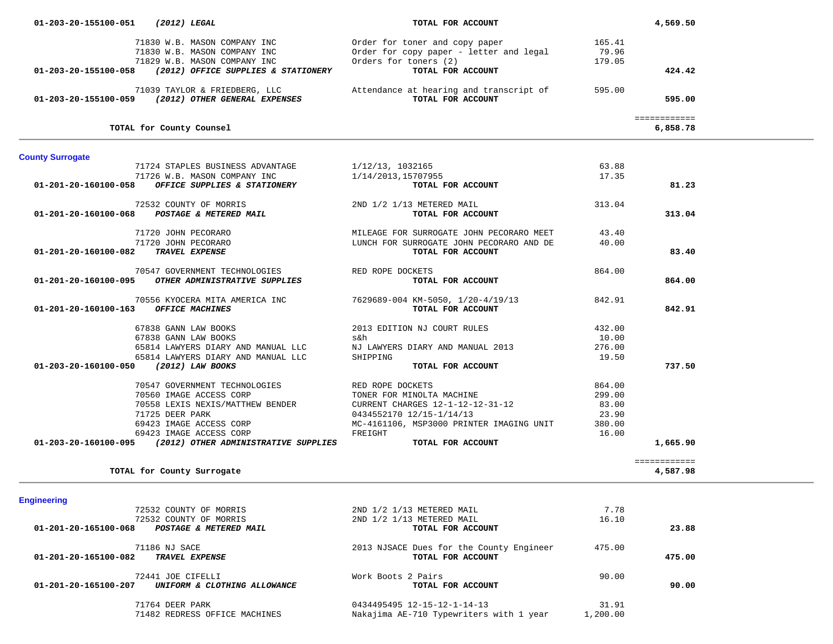| 01-203-20-155100-058                  | (2012) OFFICE SUPPLIES & STATIONERY                                                   | TOTAL FOR ACCOUNT                                                                                        |          | 424.42                   |  |
|---------------------------------------|---------------------------------------------------------------------------------------|----------------------------------------------------------------------------------------------------------|----------|--------------------------|--|
|                                       | 01-203-20-155100-059 (2012) OTHER GENERAL EXPENSES                                    | 71039 TAYLOR & FRIEDBERG, LLC <b>Attendance at hearing and transcript of</b> 595.00<br>TOTAL FOR ACCOUNT |          | 595.00                   |  |
|                                       | TOTAL for County Counsel                                                              |                                                                                                          |          | ============<br>6,858.78 |  |
| <b>County Surrogate</b>               |                                                                                       |                                                                                                          |          |                          |  |
|                                       | 71724 STAPLES BUSINESS ADVANTAGE                                                      | 1/12/13, 1032165                                                                                         | 63.88    |                          |  |
|                                       | 71726 W.B. MASON COMPANY INC                                                          | 1/14/2013,15707955                                                                                       | 17.35    |                          |  |
| 01-201-20-160100-058                  | OFFICE SUPPLIES & STATIONERY                                                          | TOTAL FOR ACCOUNT                                                                                        |          | 81.23                    |  |
|                                       | 72532 COUNTY OF MORRIS                                                                | 2ND 1/2 1/13 METERED MAIL                                                                                | 313.04   |                          |  |
|                                       | 01-201-20-160100-068 POSTAGE & METERED MAIL                                           | TOTAL FOR ACCOUNT                                                                                        |          | 313.04                   |  |
|                                       | 71720 JOHN PECORARO                                                                   |                                                                                                          | 43.40    |                          |  |
|                                       | 71720 JOHN PECORARO                                                                   | MILEAGE FOR SURROGATE JOHN PECORARO MEET<br>LUNCH FOR SURROGATE JOHN PECORARO AND DE                     | 40.00    |                          |  |
| 01-201-20-160100-082                  | <b>TRAVEL EXPENSE</b>                                                                 | TOTAL FOR ACCOUNT                                                                                        |          | 83.40                    |  |
|                                       |                                                                                       |                                                                                                          | 864.00   |                          |  |
|                                       | 70547 GOVERNMENT TECHNOLOGIES<br>01-201-20-160100-095 OTHER ADMINISTRATIVE SUPPLIES   | RED ROPE DOCKETS<br>TOTAL FOR ACCOUNT                                                                    |          | 864.00                   |  |
|                                       |                                                                                       |                                                                                                          |          |                          |  |
|                                       |                                                                                       | 70556 KYOCERA MITA AMERICA INC 7629689-004 KM-5050, 1/20-4/19/13                                         | 842.91   |                          |  |
| 01-201-20-160100-163 OFFICE MACHINES  |                                                                                       | TOTAL FOR ACCOUNT                                                                                        |          | 842.91                   |  |
|                                       | 67838 GANN LAW BOOKS                                                                  | 2013 EDITION NJ COURT RULES                                                                              | 432.00   |                          |  |
|                                       |                                                                                       | s&h                                                                                                      | 10.00    |                          |  |
|                                       | 67838 GANN LAW BOOKS<br>65814 LAWYERS DIARY AND MANUAL LLC<br>-- רביי מאון MANUAL LLC | NJ LAWYERS DIARY AND MANUAL 2013                                                                         | 276.00   |                          |  |
|                                       |                                                                                       | SHIPPING                                                                                                 | 19.50    |                          |  |
| 01-203-20-160100-050 (2012) LAW BOOKS |                                                                                       | TOTAL FOR ACCOUNT                                                                                        |          | 737.50                   |  |
|                                       | 70547 GOVERNMENT TECHNOLOGIES RED ROPE DOCKETS                                        |                                                                                                          | 864.00   |                          |  |
|                                       | 70560 IMAGE ACCESS CORP                                                               | RED ROPE DOCKETS<br>TONER FOR MINOLTA MACHINE                                                            | 299.00   |                          |  |
|                                       |                                                                                       | 70558 LEXIS NEXIS/MATTHEW BENDER CURRENT CHARGES 12-1-12-12-31-12                                        | 83.00    |                          |  |
|                                       | 71725 DEER PARK                                                                       | 0434552170 12/15-1/14/13                                                                                 | 23.90    |                          |  |
|                                       |                                                                                       | 69423 IMAGE ACCESS CORP<br>69423 IMAGE ACCESS CORP 69423 IMAGE ACCESS CORP<br>FREIGHT                    | 380.00   |                          |  |
|                                       | 01-203-20-160100-095 (2012) OTHER ADMINISTRATIVE SUPPLIES                             | TOTAL FOR ACCOUNT                                                                                        | 16.00    | 1,665.90                 |  |
|                                       |                                                                                       |                                                                                                          |          |                          |  |
|                                       | TOTAL for County Surrogate                                                            |                                                                                                          |          | ============<br>4,587.98 |  |
|                                       |                                                                                       |                                                                                                          |          |                          |  |
| <b>Engineering</b>                    |                                                                                       |                                                                                                          |          |                          |  |
|                                       | 72532 COUNTY OF MORRIS                                                                | 2ND 1/2 1/13 METERED MAIL                                                                                | 7.78     |                          |  |
|                                       | 72532 COUNTY OF MORRIS                                                                | 2ND 1/2 1/13 METERED MAIL                                                                                | 16.10    |                          |  |
|                                       | 01-201-20-165100-068 POSTAGE & METERED MAIL                                           | TOTAL FOR ACCOUNT                                                                                        |          | 23.88                    |  |
|                                       | 71186 NJ SACE                                                                         | 2013 NJSACE Dues for the County Engineer                                                                 | 475.00   |                          |  |
| 01-201-20-165100-082                  | TRAVEL EXPENSE                                                                        | TOTAL FOR ACCOUNT                                                                                        |          | 475.00                   |  |
|                                       |                                                                                       |                                                                                                          |          |                          |  |
|                                       | 72441 JOE CIFELLI                                                                     | Work Boots 2 Pairs                                                                                       | 90.00    |                          |  |
| 01-201-20-165100-207                  | UNIFORM & CLOTHING ALLOWANCE                                                          | TOTAL FOR ACCOUNT                                                                                        |          | 90.00                    |  |
|                                       | 71764 DEER PARK                                                                       | 0434495495 12-15-12-1-14-13                                                                              | 31.91    |                          |  |
|                                       | 71482 REDRESS OFFICE MACHINES                                                         | Nakajima AE-710 Typewriters with 1 year                                                                  | 1,200.00 |                          |  |
|                                       |                                                                                       |                                                                                                          |          |                          |  |
|                                       |                                                                                       |                                                                                                          |          |                          |  |
|                                       |                                                                                       |                                                                                                          |          |                          |  |

 **01-203-20-155100-051** *(2012) LEGAL* **TOTAL FOR ACCOUNT 4,569.50**

 71830 W.B. MASON COMPANY INC Order for copy paper - letter and legal 79.96 71829 W.B. MASON COMPANY INC Orders for toners (2) 179.05

71830 W.B. MASON COMPANY INC Order for toner and copy paper 165.41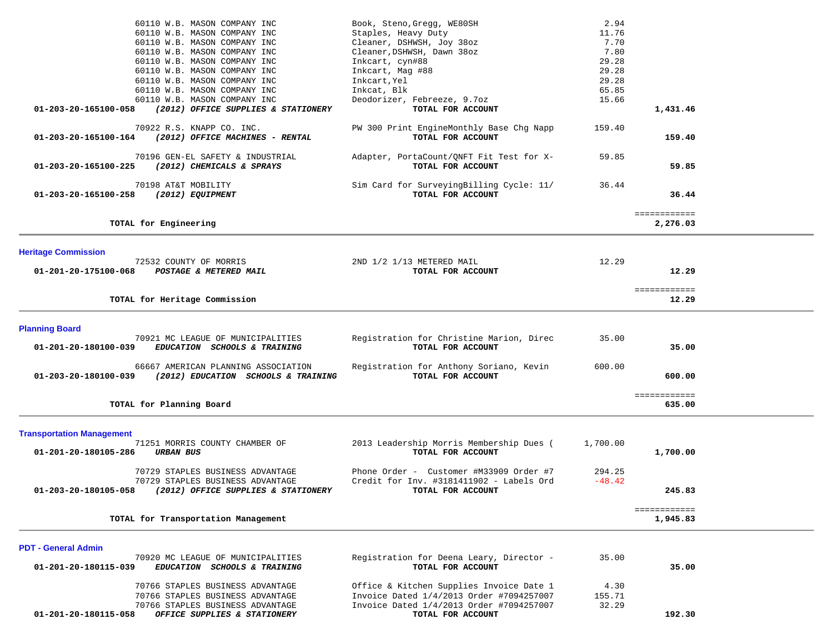| 60110 W.B. MASON COMPANY INC                                                                    | Book, Steno, Gregg, WE80SH                                    | 2.94     |              |  |
|-------------------------------------------------------------------------------------------------|---------------------------------------------------------------|----------|--------------|--|
| 60110 W.B. MASON COMPANY INC                                                                    | Staples, Heavy Duty                                           | 11.76    |              |  |
| 60110 W.B. MASON COMPANY INC                                                                    | Cleaner, DSHWSH, Joy 38oz                                     | 7.70     |              |  |
| 60110 W.B. MASON COMPANY INC                                                                    | Cleaner, DSHWSH, Dawn 38oz                                    | 7.80     |              |  |
| 60110 W.B. MASON COMPANY INC                                                                    | Inkcart, cyn#88                                               | 29.28    |              |  |
| 60110 W.B. MASON COMPANY INC                                                                    | Inkcart, Mag #88                                              | 29.28    |              |  |
| 60110 W.B. MASON COMPANY INC                                                                    | Inkcart, Yel                                                  | 29.28    |              |  |
| 60110 W.B. MASON COMPANY INC                                                                    | Inkcat, Blk                                                   | 65.85    |              |  |
| 60110 W.B. MASON COMPANY INC                                                                    | Deodorizer, Febreeze, 9.7oz                                   | 15.66    |              |  |
| 01-203-20-165100-058<br>(2012) OFFICE SUPPLIES & STATIONERY                                     | TOTAL FOR ACCOUNT                                             |          | 1,431.46     |  |
| 70922 R.S. KNAPP CO. INC.                                                                       | PW 300 Print EngineMonthly Base Chg Napp                      | 159.40   |              |  |
| (2012) OFFICE MACHINES - RENTAL<br>01-203-20-165100-164                                         | TOTAL FOR ACCOUNT                                             |          | 159.40       |  |
|                                                                                                 |                                                               |          |              |  |
| 70196 GEN-EL SAFETY & INDUSTRIAL                                                                | Adapter, PortaCount/QNFT Fit Test for X-                      | 59.85    |              |  |
| 01-203-20-165100-225<br>(2012) CHEMICALS & SPRAYS                                               | TOTAL FOR ACCOUNT                                             |          | 59.85        |  |
|                                                                                                 |                                                               |          |              |  |
| 70198 AT&T MOBILITY                                                                             | Sim Card for SurveyingBilling Cycle: 11/                      | 36.44    |              |  |
| (2012) EQUIPMENT<br>01-203-20-165100-258                                                        | TOTAL FOR ACCOUNT                                             |          | 36.44        |  |
|                                                                                                 |                                                               |          | ============ |  |
| TOTAL for Engineering                                                                           |                                                               |          | 2,276.03     |  |
|                                                                                                 |                                                               |          |              |  |
|                                                                                                 |                                                               |          |              |  |
| <b>Heritage Commission</b>                                                                      |                                                               |          |              |  |
| 72532 COUNTY OF MORRIS<br>01-201-20-175100-068<br>POSTAGE & METERED MAIL                        | 2ND 1/2 1/13 METERED MAIL<br>TOTAL FOR ACCOUNT                | 12.29    | 12.29        |  |
|                                                                                                 |                                                               |          |              |  |
|                                                                                                 |                                                               |          | ============ |  |
| TOTAL for Heritage Commission                                                                   |                                                               |          | 12.29        |  |
|                                                                                                 |                                                               |          |              |  |
|                                                                                                 |                                                               |          |              |  |
| <b>Planning Board</b><br>70921 MC LEAGUE OF MUNICIPALITIES                                      | Registration for Christine Marion, Direc                      | 35.00    |              |  |
| EDUCATION SCHOOLS & TRAINING<br>01-201-20-180100-039                                            | TOTAL FOR ACCOUNT                                             |          | 35.00        |  |
|                                                                                                 |                                                               |          |              |  |
| 66667 AMERICAN PLANNING ASSOCIATION                                                             | Registration for Anthony Soriano, Kevin                       | 600.00   |              |  |
| (2012) EDUCATION SCHOOLS & TRAINING<br>01-203-20-180100-039                                     | TOTAL FOR ACCOUNT                                             |          | 600.00       |  |
|                                                                                                 |                                                               |          |              |  |
|                                                                                                 |                                                               |          | ============ |  |
| TOTAL for Planning Board                                                                        |                                                               |          | 635.00       |  |
|                                                                                                 |                                                               |          |              |  |
| <b>Transportation Management</b>                                                                |                                                               |          |              |  |
| 71251 MORRIS COUNTY CHAMBER OF                                                                  | 2013 Leadership Morris Membership Dues (                      | 1,700.00 |              |  |
| 01-201-20-180105-286<br><b>URBAN BUS</b>                                                        | TOTAL FOR ACCOUNT                                             |          | 1,700.00     |  |
|                                                                                                 |                                                               |          |              |  |
| 70729 STAPLES BUSINESS ADVANTAGE                                                                | Phone Order - Customer #M33909 Order #7                       | 294.25   |              |  |
| 70729 STAPLES BUSINESS ADVANTAGE<br>01-203-20-180105-058<br>(2012) OFFICE SUPPLIES & STATIONERY | Credit for Inv. #3181411902 - Labels Ord<br>TOTAL FOR ACCOUNT | $-48.42$ | 245.83       |  |
|                                                                                                 |                                                               |          |              |  |
|                                                                                                 |                                                               |          | ============ |  |
| TOTAL for Transportation Management                                                             |                                                               |          | 1,945.83     |  |
|                                                                                                 |                                                               |          |              |  |
|                                                                                                 |                                                               |          |              |  |
| <b>PDT - General Admin</b><br>70920 MC LEAGUE OF MUNICIPALITIES                                 | Registration for Deena Leary, Director -                      | 35.00    |              |  |
| 01-201-20-180115-039<br>EDUCATION SCHOOLS & TRAINING                                            | TOTAL FOR ACCOUNT                                             |          | 35.00        |  |
|                                                                                                 |                                                               |          |              |  |
| 70766 STAPLES BUSINESS ADVANTAGE                                                                | Office & Kitchen Supplies Invoice Date 1                      | 4.30     |              |  |
| 70766 STAPLES BUSINESS ADVANTAGE                                                                | Invoice Dated 1/4/2013 Order #7094257007                      | 155.71   |              |  |
| 70766 STAPLES BUSINESS ADVANTAGE                                                                | Invoice Dated 1/4/2013 Order #7094257007                      | 32.29    |              |  |
|                                                                                                 |                                                               |          |              |  |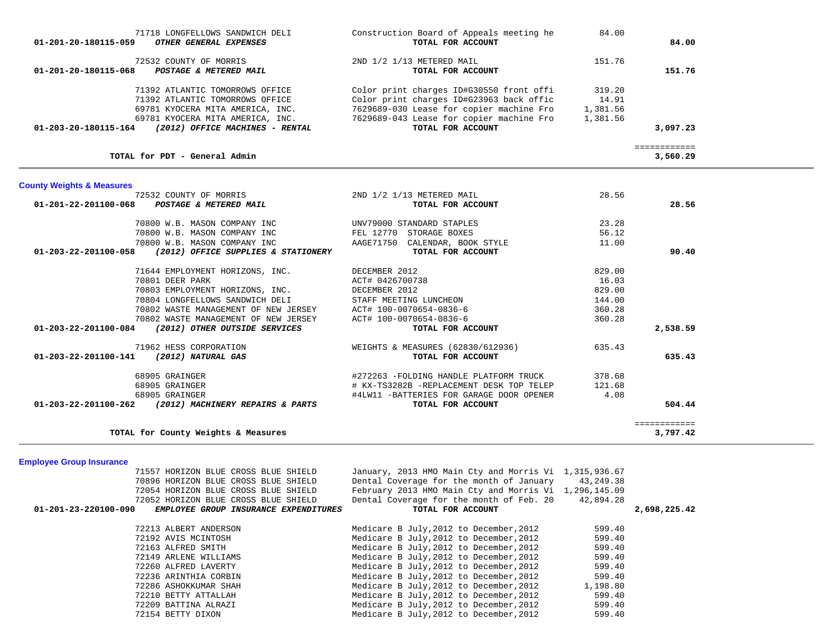| Construction Board of Appeals meeting he<br>TOTAL FOR ACCOUNT | 84.00                                                                                                                                                                                                                                                                                                    | 84.00                                                                     |                                                 |
|---------------------------------------------------------------|----------------------------------------------------------------------------------------------------------------------------------------------------------------------------------------------------------------------------------------------------------------------------------------------------------|---------------------------------------------------------------------------|-------------------------------------------------|
| 2ND 1/2 1/13 METERED MAIL<br>TOTAL FOR ACCOUNT                | 151.76                                                                                                                                                                                                                                                                                                   | 151.76                                                                    |                                                 |
| Color print charges ID#G30550 front offi                      | 319.20                                                                                                                                                                                                                                                                                                   |                                                                           |                                                 |
| Color print charges ID#G23963 back offic                      | 14.91                                                                                                                                                                                                                                                                                                    |                                                                           |                                                 |
| 7629689-030 Lease for copier machine Fro                      | 1,381.56                                                                                                                                                                                                                                                                                                 |                                                                           |                                                 |
| TOTAL FOR ACCOUNT                                             | 1,381.56                                                                                                                                                                                                                                                                                                 | 3,097.23                                                                  |                                                 |
|                                                               |                                                                                                                                                                                                                                                                                                          |                                                                           |                                                 |
|                                                               |                                                                                                                                                                                                                                                                                                          | 3,560.29                                                                  |                                                 |
|                                                               |                                                                                                                                                                                                                                                                                                          |                                                                           |                                                 |
| 2ND 1/2 1/13 METERED MAIL                                     | 28.56                                                                                                                                                                                                                                                                                                    |                                                                           |                                                 |
| TOTAL FOR ACCOUNT                                             |                                                                                                                                                                                                                                                                                                          | 28.56                                                                     |                                                 |
| UNV79000 STANDARD STAPLES                                     | 23.28                                                                                                                                                                                                                                                                                                    |                                                                           |                                                 |
|                                                               |                                                                                                                                                                                                                                                                                                          |                                                                           |                                                 |
|                                                               |                                                                                                                                                                                                                                                                                                          |                                                                           |                                                 |
|                                                               |                                                                                                                                                                                                                                                                                                          |                                                                           |                                                 |
| DECEMBER 2012                                                 | 829.00                                                                                                                                                                                                                                                                                                   |                                                                           |                                                 |
|                                                               |                                                                                                                                                                                                                                                                                                          |                                                                           |                                                 |
|                                                               |                                                                                                                                                                                                                                                                                                          |                                                                           |                                                 |
|                                                               |                                                                                                                                                                                                                                                                                                          |                                                                           |                                                 |
|                                                               |                                                                                                                                                                                                                                                                                                          |                                                                           |                                                 |
| TOTAL FOR ACCOUNT                                             |                                                                                                                                                                                                                                                                                                          | 2,538.59                                                                  |                                                 |
|                                                               |                                                                                                                                                                                                                                                                                                          |                                                                           |                                                 |
| TOTAL FOR ACCOUNT                                             |                                                                                                                                                                                                                                                                                                          | 635.43                                                                    |                                                 |
| #272263 -FOLDING HANDLE PLATFORM TRUCK                        | 378.68                                                                                                                                                                                                                                                                                                   |                                                                           |                                                 |
| # KX-TS3282B -REPLACEMENT DESK TOP TELEP                      | 121.68                                                                                                                                                                                                                                                                                                   |                                                                           |                                                 |
| #4LW11 -BATTERIES FOR GARAGE DOOR OPENER                      | 4.08                                                                                                                                                                                                                                                                                                     |                                                                           |                                                 |
|                                                               |                                                                                                                                                                                                                                                                                                          |                                                                           |                                                 |
|                                                               |                                                                                                                                                                                                                                                                                                          | 3,797.42                                                                  |                                                 |
|                                                               | 7629689-043 Lease for copier machine Fro<br>FEL 12770 STORAGE BOXES<br>AAGE71750 CALENDAR, BOOK STYLE<br>TOTAL FOR ACCOUNT<br>ACT# 0426700738<br>DECEMBER 2012<br>STAFF MEETING LUNCHEON<br>ACT# 100-0070654-0836-6<br>ACT# 100-0070654-0836-6<br>WEIGHTS & MEASURES (62830/612936)<br>TOTAL FOR ACCOUNT | 56.12<br>11.00<br>16.03<br>829.00<br>144.00<br>360.28<br>360.28<br>635.43 | ============<br>90.40<br>504.44<br>============ |

**Employee Group Insurance** 

|                      | 71557 HORIZON BLUE CROSS BLUE SHIELD  | January, 2013 HMO Main Cty and Morris Vi 1,315,936.67 |           |              |
|----------------------|---------------------------------------|-------------------------------------------------------|-----------|--------------|
|                      | 70896 HORIZON BLUE CROSS BLUE SHIELD  | Dental Coverage for the month of January              | 43,249.38 |              |
|                      | 72054 HORIZON BLUE CROSS BLUE SHIELD  | February 2013 HMO Main Cty and Morris Vi 1,296,145.09 |           |              |
|                      | 72052 HORIZON BLUE CROSS BLUE SHIELD  | Dental Coverage for the month of Feb. 20              | 42,894.28 |              |
| 01-201-23-220100-090 | EMPLOYEE GROUP INSURANCE EXPENDITURES | TOTAL FOR ACCOUNT                                     |           | 2,698,225.42 |
|                      |                                       |                                                       |           |              |
|                      | 72213 ALBERT ANDERSON                 | Medicare B July, 2012 to December, 2012               | 599.40    |              |
|                      | 72192 AVIS MCINTOSH                   | Medicare B July, 2012 to December, 2012               | 599.40    |              |
|                      | 72163 ALFRED SMITH                    | Medicare B July, 2012 to December, 2012               | 599.40    |              |
|                      | 72149 ARLENE WILLIAMS                 | Medicare B July, 2012 to December, 2012               | 599.40    |              |
|                      | 72260 ALFRED LAVERTY                  | Medicare B July, 2012 to December, 2012               | 599.40    |              |
|                      | 72236 ARINTHIA CORBIN                 | Medicare B July, 2012 to December, 2012               | 599.40    |              |
|                      | 72286 ASHOKKUMAR SHAH                 | Medicare B July, 2012 to December, 2012               | 1,198.80  |              |
|                      | 72210 BETTY ATTALLAH                  | Medicare B July, 2012 to December, 2012               | 599.40    |              |
|                      | 72209 BATTINA ALRAZI                  | Medicare B July, 2012 to December, 2012               | 599.40    |              |
|                      | 72154 BETTY DIXON                     | Medicare B July, 2012 to December, 2012               | 599.40    |              |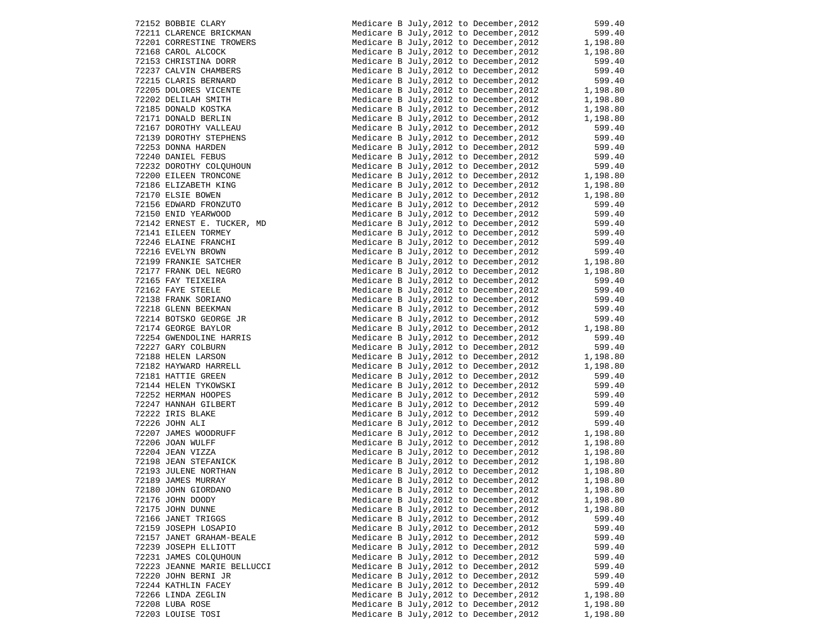| 72152 BOBBIE CLARY<br>72211 CLARENCE BRICKMAN<br>72201 CORRESTINE TROWERS                                                                                                                                                                                       | Medicare B July, 2012 to December, 2012                                                                | 599.40                                                                  |
|-----------------------------------------------------------------------------------------------------------------------------------------------------------------------------------------------------------------------------------------------------------------|--------------------------------------------------------------------------------------------------------|-------------------------------------------------------------------------|
|                                                                                                                                                                                                                                                                 | Medicare B July, 2012 to December, 2012                                                                | 599.40                                                                  |
|                                                                                                                                                                                                                                                                 | Medicare B July, 2012 to December, 2012                                                                | 1,198.80                                                                |
| 72201 CORRESTINE TROWERS<br>72168 CAROL ALCOCK<br>72153 CHRISTINA DORR<br>72237 CALVIN CHAMBERS<br>72215 CLARIS BERNARD<br>72205 DOLORES VICENTE<br>72202 DELILAH SMITH<br>72185 DONALD ROSTKA<br>72171 DONALD BERLIN<br>72167 DOROTHY VALLEAU<br>72139 DORO    | Medicare B July, 2012 to December, 2012                                                                | 1,198.80                                                                |
|                                                                                                                                                                                                                                                                 | Medicare B July, 2012 to December, 2012                                                                | 599.40                                                                  |
|                                                                                                                                                                                                                                                                 | Medicare B July, 2012 to December, 2012                                                                | 599.40                                                                  |
|                                                                                                                                                                                                                                                                 | Medicare B July, 2012 to December, 2012                                                                | 599.40                                                                  |
|                                                                                                                                                                                                                                                                 | Medicare B July, 2012 to December, 2012                                                                | 1,198.80                                                                |
|                                                                                                                                                                                                                                                                 |                                                                                                        | 1,198.80                                                                |
|                                                                                                                                                                                                                                                                 | Medicare B July, 2012 to December, 2012                                                                |                                                                         |
|                                                                                                                                                                                                                                                                 | Medicare B July, 2012 to December, 2012                                                                | 1,198.80<br>1,198.80                                                    |
|                                                                                                                                                                                                                                                                 | Medicare B July, 2012 to December, 2012                                                                |                                                                         |
|                                                                                                                                                                                                                                                                 | Medicare B July, 2012 to December, 2012                                                                | 599.40                                                                  |
|                                                                                                                                                                                                                                                                 | Medicare B July, 2012 to December, 2012                                                                | 599.40                                                                  |
|                                                                                                                                                                                                                                                                 | Medicare B July, 2012 to December, 2012                                                                | 599.40<br>599.40                                                        |
|                                                                                                                                                                                                                                                                 | Medicare B July, 2012 to December, 2012                                                                |                                                                         |
|                                                                                                                                                                                                                                                                 | Medicare B July, 2012 to December, 2012                                                                |                                                                         |
|                                                                                                                                                                                                                                                                 | Medicare B July, 2012 to December, 2012                                                                | 599.40<br>1,198.80                                                      |
|                                                                                                                                                                                                                                                                 | Medicare B July, 2012 to December, 2012 1, 198.80<br>Medicare B July, 2012 to December, 2012 1, 198.80 |                                                                         |
|                                                                                                                                                                                                                                                                 |                                                                                                        |                                                                         |
|                                                                                                                                                                                                                                                                 | Medicare B July, 2012 to December, 2012                                                                | 599.40                                                                  |
|                                                                                                                                                                                                                                                                 | Medicare B July, 2012 to December, 2012                                                                | 599.40                                                                  |
|                                                                                                                                                                                                                                                                 | Medicare B July, 2012 to December, 2012                                                                |                                                                         |
|                                                                                                                                                                                                                                                                 | Medicare B July, 2012 to December, 2012                                                                | 599.40<br>599.40                                                        |
|                                                                                                                                                                                                                                                                 | Medicare B July, 2012 to December, 2012                                                                |                                                                         |
|                                                                                                                                                                                                                                                                 | Medicare B July, 2012 to December, 2012                                                                |                                                                         |
|                                                                                                                                                                                                                                                                 | Medicare B July, 2012 to December, 2012                                                                | $\begin{array}{c} 599.40 \\ 599.40 \\ 1,198.80 \\ 1,198.80 \end{array}$ |
|                                                                                                                                                                                                                                                                 | Medicare B July, 2012 to December, 2012                                                                |                                                                         |
|                                                                                                                                                                                                                                                                 | Medicare B July, 2012 to December, 2012                                                                |                                                                         |
|                                                                                                                                                                                                                                                                 | Medicare B July, 2012 to December, 2012                                                                | 599.40<br>599.40                                                        |
|                                                                                                                                                                                                                                                                 |                                                                                                        |                                                                         |
|                                                                                                                                                                                                                                                                 | Medicare B July, 2012 to December, 2012                                                                | 599.40<br>599.40                                                        |
|                                                                                                                                                                                                                                                                 | Medicare B July, 2012 to December, 2012                                                                |                                                                         |
|                                                                                                                                                                                                                                                                 | Medicare B July, 2012 to December, 2012                                                                | 599.40<br>1,198.80                                                      |
|                                                                                                                                                                                                                                                                 | Medicare B July, 2012 to December, 2012                                                                |                                                                         |
| 72139 DOROTHY VALLEAU<br>72139 DOROTHY STEEHERS<br>72232 DOROTHY STEEHERS<br>72232 DOROTHY CLOUBON<br>72200 EILERN TRONCONE<br>72100 ELERN TRONCONE<br>72100 ELERN TRONCONE<br>72100 ELERN TRONCONE<br>72100 ELERN TRONCONE<br>72150 END YERNOOD<br>72150 EN    | Medicare B July, 2012 to December, 2012                                                                | 599.40                                                                  |
|                                                                                                                                                                                                                                                                 | Medicare B July, 2012 to December, 2012                                                                | 599.40                                                                  |
|                                                                                                                                                                                                                                                                 | Medicare B July, 2012 to December, 2012                                                                | 1,198.80<br>1,198.80                                                    |
|                                                                                                                                                                                                                                                                 | Medicare B July, 2012 to December, 2012                                                                |                                                                         |
|                                                                                                                                                                                                                                                                 | Medicare B July, 2012 to December, 2012                                                                | 599.40                                                                  |
|                                                                                                                                                                                                                                                                 | Medicare B July, 2012 to December, 2012                                                                | 599.40                                                                  |
|                                                                                                                                                                                                                                                                 | Medicare B July, 2012 to December, 2012                                                                | 599.40                                                                  |
|                                                                                                                                                                                                                                                                 | Medicare B July, 2012 to December, 2012                                                                | 599.40                                                                  |
|                                                                                                                                                                                                                                                                 | Medicare B July, 2012 to December, 2012                                                                | 599.40                                                                  |
|                                                                                                                                                                                                                                                                 | Medicare B July, 2012 to December, 2012                                                                | 599.40                                                                  |
|                                                                                                                                                                                                                                                                 | Medicare B July, 2012 to December, 2012                                                                | $599.40$<br>1,198.80                                                    |
|                                                                                                                                                                                                                                                                 | Medicare B July, 2012 to December, 2012                                                                | 1,198.80                                                                |
| 72144 HELEN TYKOWSKI<br>72252 HERMAN HOOPES<br>72222 IRIS BLAKE<br>72222 IRIS BLAKE<br>72226 JOHN ALI<br>72207 JAMES WOODRUFF<br>72206 JOAN WULFF<br>72204 JEAN VIZZA<br>72198 JEAN STEFANICK<br>72193 JULENE NORTHAN<br>72180 JAMES MURRAY<br>72180 JAMES MURR | Medicare B July, 2012 to December, 2012                                                                | 1,198.80                                                                |
|                                                                                                                                                                                                                                                                 | Medicare B July, 2012 to December, 2012                                                                | 1,198.80                                                                |
|                                                                                                                                                                                                                                                                 | Medicare B July, 2012 to December, 2012                                                                | 1,198.80                                                                |
|                                                                                                                                                                                                                                                                 | Medicare B July, 2012 to December, 2012                                                                | 1,198.80                                                                |
| 72180 JOHN GIORDANO                                                                                                                                                                                                                                             | Medicare B July, 2012 to December, 2012                                                                | 1,198.80                                                                |
| 72176 JOHN DOODY                                                                                                                                                                                                                                                | Medicare B July, 2012 to December, 2012                                                                | 1,198.80                                                                |
| 72175 JOHN DUNNE                                                                                                                                                                                                                                                | Medicare B July, 2012 to December, 2012                                                                |                                                                         |
| 72166 JANET TRIGGS                                                                                                                                                                                                                                              | Medicare B July, 2012 to December, 2012                                                                | 1,198.80                                                                |
|                                                                                                                                                                                                                                                                 |                                                                                                        | 599.40                                                                  |
| 72159 JOSEPH LOSAPIO                                                                                                                                                                                                                                            | Medicare B July, 2012 to December, 2012                                                                | 599.40                                                                  |
| 72157 JANET GRAHAM-BEALE                                                                                                                                                                                                                                        | Medicare B July, 2012 to December, 2012                                                                | 599.40                                                                  |
| 72239 JOSEPH ELLIOTT                                                                                                                                                                                                                                            | Medicare B July, 2012 to December, 2012                                                                | 599.40                                                                  |
| 72231 JAMES COLOUHOUN                                                                                                                                                                                                                                           | Medicare B July, 2012 to December, 2012                                                                | 599.40                                                                  |
| 72223 JEANNE MARIE BELLUCCI                                                                                                                                                                                                                                     | Medicare B July, 2012 to December, 2012                                                                | 599.40                                                                  |
| 72220 JOHN BERNI JR                                                                                                                                                                                                                                             | Medicare B July, 2012 to December, 2012                                                                | 599.40                                                                  |
| 72244 KATHLIN FACEY                                                                                                                                                                                                                                             | Medicare B July, 2012 to December, 2012                                                                | 599.40                                                                  |
| 72266 LINDA ZEGLIN                                                                                                                                                                                                                                              | Medicare B July, 2012 to December, 2012                                                                | 1,198.80                                                                |
| 72208 LUBA ROSE                                                                                                                                                                                                                                                 | Medicare B July, 2012 to December, 2012                                                                | 1,198.80                                                                |
| 72203 LOUISE TOSI                                                                                                                                                                                                                                               | Medicare B July, 2012 to December, 2012                                                                | 1,198.80                                                                |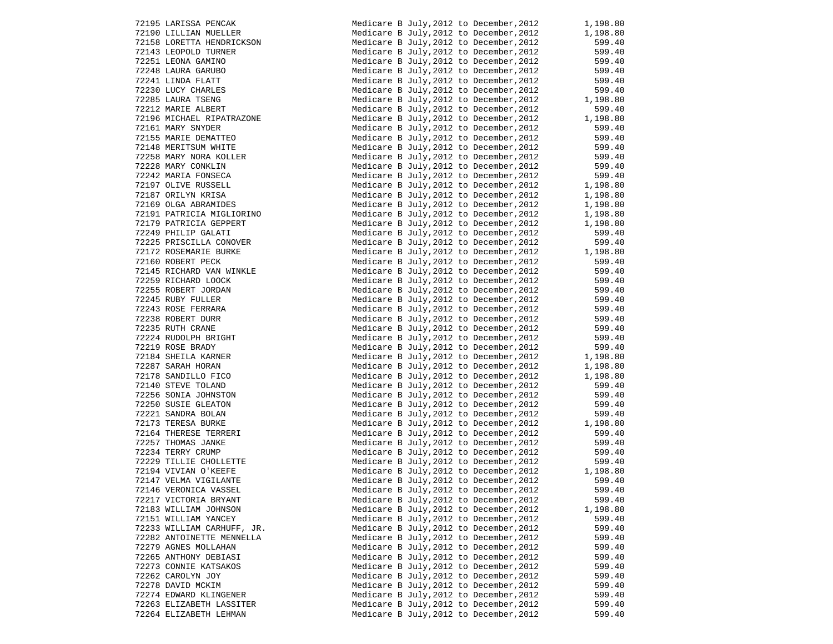| 72195 LARISSA PENCAK                                                                                                                                                                                                                                         | Medicare B July, 2012 to December, 2012 1, 198.80                                                                                                                                                                                         |          |
|--------------------------------------------------------------------------------------------------------------------------------------------------------------------------------------------------------------------------------------------------------------|-------------------------------------------------------------------------------------------------------------------------------------------------------------------------------------------------------------------------------------------|----------|
| 72190 LILLIAN MUELLER                                                                                                                                                                                                                                        | Medicare B July, 2012 to December, 2012                                                                                                                                                                                                   | 1,198.80 |
| 72158 LORETTA HENDRICKSON                                                                                                                                                                                                                                    | Medicare B July, 2012 to December, 2012                                                                                                                                                                                                   | 599.40   |
|                                                                                                                                                                                                                                                              |                                                                                                                                                                                                                                           |          |
|                                                                                                                                                                                                                                                              |                                                                                                                                                                                                                                           |          |
| 72143 LOKETIA HENDRICASON<br>72251 LEOPOLD TURNER<br>72251 LEONA GARUBO<br>72248 LAURA GARUBO<br>72241 LINDA FLATT<br>72230 LUCY CHARLES<br>72285 LAURA TSENG<br>72212 MARIE ALBERT<br>72161 MICHAEL RIPATRAZONE<br>72161 MICHAEL RIPATRAZONE                | Medicare B July, 2012 to December, 2012 599.40<br>Medicare B July, 2012 to December, 2012 599.40<br>Medicare B July, 2012 to December, 2012 599.40<br>Medicare B July, 2012 to December, 2012 599.40<br>Medicare B July, 2012 to Decem    |          |
|                                                                                                                                                                                                                                                              |                                                                                                                                                                                                                                           |          |
|                                                                                                                                                                                                                                                              | Medicare B July, 2012 to December, 2012 599.40<br>Medicare B July, 2012 to December, 2012 1, 198.80<br>Medicare B July, 2012 to December 2012                                                                                             |          |
|                                                                                                                                                                                                                                                              |                                                                                                                                                                                                                                           |          |
|                                                                                                                                                                                                                                                              |                                                                                                                                                                                                                                           |          |
|                                                                                                                                                                                                                                                              | Medicare B July, 2012 to December, 2012 1, 198.80                                                                                                                                                                                         |          |
|                                                                                                                                                                                                                                                              |                                                                                                                                                                                                                                           |          |
|                                                                                                                                                                                                                                                              | Medicare B July, 2012 to December, 2012 599.40<br>Medicare B July, 2012 to December, 2012 599.40                                                                                                                                          |          |
|                                                                                                                                                                                                                                                              |                                                                                                                                                                                                                                           |          |
|                                                                                                                                                                                                                                                              |                                                                                                                                                                                                                                           |          |
|                                                                                                                                                                                                                                                              |                                                                                                                                                                                                                                           |          |
|                                                                                                                                                                                                                                                              |                                                                                                                                                                                                                                           |          |
|                                                                                                                                                                                                                                                              |                                                                                                                                                                                                                                           |          |
| 72196 MICHAEL RIPATRAZONE<br>72161 MARY SNYDER<br>72148 MERITSUM WHITE<br>72148 MERITSUM WHITE<br>72258 MARY NORA KOLLER<br>72228 MARY CONKLIN<br>72242 MARIA FONSECA<br>72197 OLIVE RUSSELL<br>72187 ORILYN KRISA<br>72169 OLGA ABRAMIDES<br>7219 DATRICIA  |                                                                                                                                                                                                                                           |          |
|                                                                                                                                                                                                                                                              |                                                                                                                                                                                                                                           |          |
|                                                                                                                                                                                                                                                              |                                                                                                                                                                                                                                           |          |
|                                                                                                                                                                                                                                                              |                                                                                                                                                                                                                                           |          |
|                                                                                                                                                                                                                                                              |                                                                                                                                                                                                                                           |          |
|                                                                                                                                                                                                                                                              |                                                                                                                                                                                                                                           |          |
|                                                                                                                                                                                                                                                              |                                                                                                                                                                                                                                           |          |
|                                                                                                                                                                                                                                                              |                                                                                                                                                                                                                                           |          |
|                                                                                                                                                                                                                                                              |                                                                                                                                                                                                                                           |          |
|                                                                                                                                                                                                                                                              |                                                                                                                                                                                                                                           |          |
|                                                                                                                                                                                                                                                              |                                                                                                                                                                                                                                           |          |
| 72169 CDGA ABRAMIDES<br>2191 PATRICIA MIGLIORINO<br>72179 PATRICIA MIGLIORINO<br>72179 PATRICIA GEPPERT<br>72225 PRISCILLA CONOVER<br>72172 ROSEMARIE BURKE<br>72160 ROBERT PECK<br>72172 ROSEMARIE BURKE<br>72160 ROBERT PECK<br>72259 RICHARD LOOCK<br>722 | Medicare B July, 2012 to December, 2012<br>Medicare B July, 2012 to December, 2012<br>Medicare B July, 2012 to December, 2012<br>Medicare B July, 2012 to December, 2012<br>Medicare B July, 2012 to December, 2012<br>1999.40<br>Medicar |          |
|                                                                                                                                                                                                                                                              |                                                                                                                                                                                                                                           |          |
|                                                                                                                                                                                                                                                              |                                                                                                                                                                                                                                           |          |
|                                                                                                                                                                                                                                                              |                                                                                                                                                                                                                                           |          |
|                                                                                                                                                                                                                                                              |                                                                                                                                                                                                                                           |          |
|                                                                                                                                                                                                                                                              |                                                                                                                                                                                                                                           |          |
|                                                                                                                                                                                                                                                              |                                                                                                                                                                                                                                           |          |
|                                                                                                                                                                                                                                                              |                                                                                                                                                                                                                                           |          |
|                                                                                                                                                                                                                                                              | Medicare B July, 2012 to December, 2012<br>Medicare B July, 2012 to December, 2012<br>Medicare B July, 2012 to December, 2012<br>Medicare B July, 2012 to December, 2012<br>Medicare B July, 2012 to December, 2012<br>Medicare B July,   |          |
|                                                                                                                                                                                                                                                              |                                                                                                                                                                                                                                           |          |
|                                                                                                                                                                                                                                                              |                                                                                                                                                                                                                                           |          |
|                                                                                                                                                                                                                                                              |                                                                                                                                                                                                                                           |          |
|                                                                                                                                                                                                                                                              |                                                                                                                                                                                                                                           |          |
|                                                                                                                                                                                                                                                              |                                                                                                                                                                                                                                           |          |
|                                                                                                                                                                                                                                                              |                                                                                                                                                                                                                                           |          |
|                                                                                                                                                                                                                                                              |                                                                                                                                                                                                                                           |          |
|                                                                                                                                                                                                                                                              |                                                                                                                                                                                                                                           |          |
|                                                                                                                                                                                                                                                              |                                                                                                                                                                                                                                           |          |
|                                                                                                                                                                                                                                                              | Medicare B July, 2012 to December, 2012<br>Medicare B July, 2012 to December, 2012<br>Medicare B July, 2012 to December, 2012<br>Medicare B July, 2012 to December, 2012<br>Medicare B July, 2012 to December, 2012<br>Medicare B July,   |          |
|                                                                                                                                                                                                                                                              |                                                                                                                                                                                                                                           |          |
|                                                                                                                                                                                                                                                              |                                                                                                                                                                                                                                           |          |
| 72146 VERONICA VASSEL                                                                                                                                                                                                                                        |                                                                                                                                                                                                                                           |          |
| 72217 VICTORIA BRYANT                                                                                                                                                                                                                                        | Medicare B July, 2012 to December, 2012                                                                                                                                                                                                   | 599.40   |
| 72183 WILLIAM JOHNSON                                                                                                                                                                                                                                        | Medicare B July, 2012 to December, 2012                                                                                                                                                                                                   | 1,198.80 |
| 72151 WILLIAM YANCEY                                                                                                                                                                                                                                         | Medicare B July, 2012 to December, 2012                                                                                                                                                                                                   | 599.40   |
| 72233 WILLIAM CARHUFF, JR.                                                                                                                                                                                                                                   | Medicare B July, 2012 to December, 2012                                                                                                                                                                                                   | 599.40   |
| 72282 ANTOINETTE MENNELLA                                                                                                                                                                                                                                    | Medicare B July, 2012 to December, 2012                                                                                                                                                                                                   | 599.40   |
| 72279 AGNES MOLLAHAN                                                                                                                                                                                                                                         | Medicare B July, 2012 to December, 2012                                                                                                                                                                                                   | 599.40   |
| 72265 ANTHONY DEBIASI                                                                                                                                                                                                                                        | Medicare B July, 2012 to December, 2012                                                                                                                                                                                                   | 599.40   |
| 72273 CONNIE KATSAKOS                                                                                                                                                                                                                                        | Medicare B July, 2012 to December, 2012                                                                                                                                                                                                   | 599.40   |
| 72262 CAROLYN JOY                                                                                                                                                                                                                                            | Medicare B July, 2012 to December, 2012                                                                                                                                                                                                   | 599.40   |
| 72278 DAVID MCKIM                                                                                                                                                                                                                                            | Medicare B July, 2012 to December, 2012                                                                                                                                                                                                   | 599.40   |
| 72274 EDWARD KLINGENER                                                                                                                                                                                                                                       | Medicare B July, 2012 to December, 2012                                                                                                                                                                                                   | 599.40   |
| 72263 ELIZABETH LASSITER                                                                                                                                                                                                                                     | Medicare B July, 2012 to December, 2012                                                                                                                                                                                                   | 599.40   |
| 72264 ELIZABETH LEHMAN                                                                                                                                                                                                                                       | Medicare B July, 2012 to December, 2012                                                                                                                                                                                                   | 599.40   |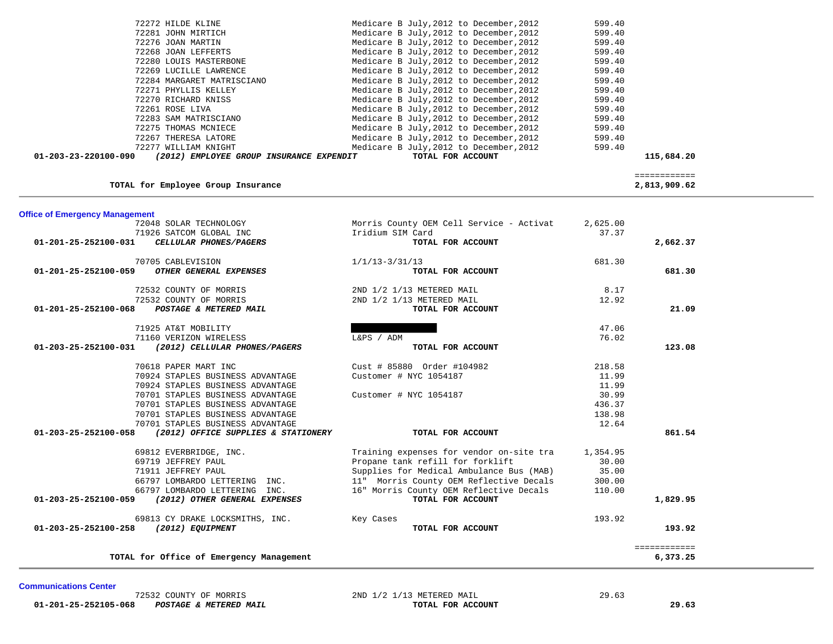**Communications Center** 

÷

 **01-201-25-252105-068** *POSTAGE & METERED MAIL* **TOTAL FOR ACCOUNT 29.63**

72532 COUNTY OF MORRIS 2ND 1/2 1/13 METERED MAIL 29.63

| TOTAL for Employee Group Insurance                                    |                                          |          | ============<br>2,813,909.62 |
|-----------------------------------------------------------------------|------------------------------------------|----------|------------------------------|
| <b>Office of Emergency Management</b>                                 |                                          |          |                              |
| 72048 SOLAR TECHNOLOGY                                                | Morris County OEM Cell Service - Activat | 2,625.00 |                              |
| 71926 SATCOM GLOBAL INC                                               | Iridium SIM Card                         | 37.37    |                              |
| CELLULAR PHONES/PAGERS<br>01-201-25-252100-031                        | TOTAL FOR ACCOUNT                        |          | 2,662.37                     |
| 70705 CABLEVISION                                                     | $1/1/13 - 3/31/13$                       | 681.30   |                              |
| OTHER GENERAL EXPENSES<br>$01 - 201 - 25 - 252100 - 059$              | TOTAL FOR ACCOUNT                        |          | 681.30                       |
| 72532 COUNTY OF MORRIS                                                | 2ND 1/2 1/13 METERED MAIL                | 8.17     |                              |
| 72532 COUNTY OF MORRIS                                                | 2ND 1/2 1/13 METERED MAIL                | 12.92    |                              |
| 01-201-25-252100-068<br>POSTAGE & METERED MAIL                        | TOTAL FOR ACCOUNT                        |          | 21.09                        |
| 71925 AT&T MOBILITY                                                   |                                          | 47.06    |                              |
| 71160 VERIZON WIRELESS                                                | L&PS / ADM                               | 76.02    |                              |
| (2012) CELLULAR PHONES/PAGERS<br>01-203-25-252100-031                 | TOTAL FOR ACCOUNT                        |          | 123.08                       |
| 70618 PAPER MART INC                                                  | Cust # 85880 Order #104982               | 218.58   |                              |
| 70924 STAPLES BUSINESS ADVANTAGE                                      | Customer # NYC 1054187                   | 11.99    |                              |
| 70924 STAPLES BUSINESS ADVANTAGE                                      |                                          | 11.99    |                              |
| 70701 STAPLES BUSINESS ADVANTAGE                                      | Customer # NYC 1054187                   | 30.99    |                              |
| 70701 STAPLES BUSINESS ADVANTAGE                                      |                                          | 436.37   |                              |
| 70701 STAPLES BUSINESS ADVANTAGE                                      |                                          | 138.98   |                              |
| 70701 STAPLES BUSINESS ADVANTAGE                                      |                                          | 12.64    |                              |
| $01 - 203 - 25 - 252100 - 058$<br>(2012) OFFICE SUPPLIES & STATIONERY | TOTAL FOR ACCOUNT                        |          | 861.54                       |
| 69812 EVERBRIDGE, INC.                                                | Training expenses for vendor on-site tra | 1,354.95 |                              |
| 69719 JEFFREY PAUL                                                    | Propane tank refill for forklift         | 30.00    |                              |
| 71911 JEFFREY PAUL                                                    | Supplies for Medical Ambulance Bus (MAB) | 35.00    |                              |
| 66797 LOMBARDO LETTERING INC.                                         | 11" Morris County OEM Reflective Decals  | 300.00   |                              |
| 66797 LOMBARDO LETTERING INC.                                         | 16" Morris County OEM Reflective Decals  | 110.00   |                              |
| 01-203-25-252100-059<br>(2012) OTHER GENERAL EXPENSES                 | TOTAL FOR ACCOUNT                        |          | 1,829.95                     |
| 69813 CY DRAKE LOCKSMITHS, INC.                                       | Key Cases                                | 193.92   |                              |
| 01-203-25-252100-258<br>(2012) EQUIPMENT                              | TOTAL FOR ACCOUNT                        |          | 193.92                       |
|                                                                       |                                          |          | ============                 |
| TOTAL for Office of Emergency Management                              |                                          |          | 6,373.25                     |

| $01 - 203 - 23 - 220100 - 090$ | (2012) EMPLOYEE GROUP INSURANCE EXPENDIT | TOTAL FOR ACCOUNT                       | 115,684.20 |
|--------------------------------|------------------------------------------|-----------------------------------------|------------|
|                                | 72277 WILLIAM KNIGHT                     | Medicare B July, 2012 to December, 2012 | 599.40     |
|                                | 72267 THERESA LATORE                     | Medicare B July, 2012 to December, 2012 | 599.40     |
|                                | 72275 THOMAS MCNIECE                     | Medicare B July, 2012 to December, 2012 | 599.40     |
|                                | 72283 SAM MATRISCIANO                    | Medicare B July, 2012 to December, 2012 | 599.40     |
|                                | 72261 ROSE LIVA                          | Medicare B July, 2012 to December, 2012 | 599.40     |
|                                | 72270 RICHARD KNISS                      | Medicare B July, 2012 to December, 2012 | 599.40     |
|                                | 72271 PHYLLIS KELLEY                     | Medicare B July, 2012 to December, 2012 | 599.40     |
|                                | 72284 MARGARET MATRISCIANO               | Medicare B July, 2012 to December, 2012 | 599.40     |
|                                | 72269 LUCILLE LAWRENCE                   | Medicare B July, 2012 to December, 2012 | 599.40     |
|                                | 72280 LOUIS MASTERBONE                   | Medicare B July, 2012 to December, 2012 | 599.40     |
|                                | 72268 JOAN LEFFERTS                      | Medicare B July, 2012 to December, 2012 | 599.40     |
|                                | 72276 JOAN MARTIN                        | Medicare B July, 2012 to December, 2012 | 599.40     |
|                                | 72281 JOHN MIRTICH                       | Medicare B July, 2012 to December, 2012 | 599.40     |
|                                | 72272 HILDE KLINE                        | Medicare B July, 2012 to December, 2012 | 599.40     |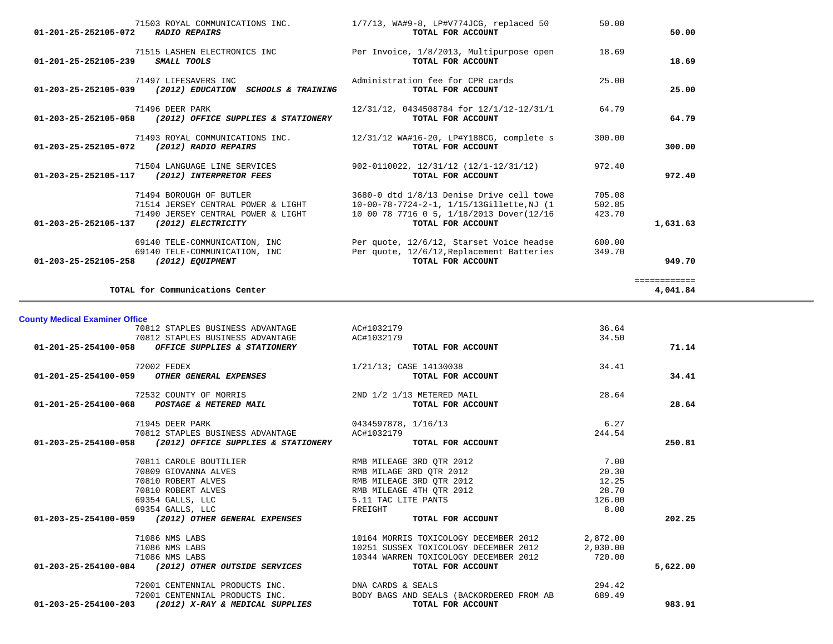| 71503 ROYAL COMMUNICATIONS INC.<br>01-201-25-252105-072<br><b>RADIO REPAIRS</b>                                                                   | 1/7/13, WA#9-8, LP#V774JCG, replaced 50<br>TOTAL FOR ACCOUNT                                                                                           | 50.00                      | 50.00                    |
|---------------------------------------------------------------------------------------------------------------------------------------------------|--------------------------------------------------------------------------------------------------------------------------------------------------------|----------------------------|--------------------------|
| 71515 LASHEN ELECTRONICS INC<br>SMALL TOOLS<br>01-201-25-252105-239                                                                               | Per Invoice, 1/8/2013, Multipurpose open<br>TOTAL FOR ACCOUNT                                                                                          | 18.69                      | 18.69                    |
| 71497 LIFESAVERS INC<br>01-203-25-252105-039 (2012) EDUCATION SCHOOLS & TRAINING                                                                  | Administration fee for CPR cards<br>TOTAL FOR ACCOUNT                                                                                                  | 25.00                      | 25.00                    |
| 71496 DEER PARK<br>01-203-25-252105-058 (2012) OFFICE SUPPLIES & STATIONERY                                                                       | 12/31/12, 0434508784 for 12/1/12-12/31/1<br>TOTAL FOR ACCOUNT                                                                                          | 64.79                      | 64.79                    |
| 71493 ROYAL COMMUNICATIONS INC.<br>01-203-25-252105-072 (2012) RADIO REPAIRS                                                                      | 12/31/12 WA#16-20, LP#Y188CG, complete s<br>TOTAL FOR ACCOUNT                                                                                          | 300.00                     | 300.00                   |
| 71504 LANGUAGE LINE SERVICES<br>01-203-25-252105-117 (2012) INTERPRETOR FEES                                                                      | 902-0110022, 12/31/12 (12/1-12/31/12)<br>TOTAL FOR ACCOUNT                                                                                             | 972.40                     | 972.40                   |
| 71494 BOROUGH OF BUTLER<br>71514 JERSEY CENTRAL POWER & LIGHT<br>71490 JERSEY CENTRAL POWER & LIGHT<br>01-203-25-252105-137<br>(2012) ELECTRICITY | 3680-0 dtd 1/8/13 Denise Drive cell towe<br>10-00-78-7724-2-1, 1/15/13Gillette, NJ (1<br>10 00 78 7716 0 5, 1/18/2013 Dover(12/16<br>TOTAL FOR ACCOUNT | 705.08<br>502.85<br>423.70 | 1,631.63                 |
| 69140 TELE-COMMUNICATION, INC<br>69140 TELE-COMMUNICATION, INC<br>(2012) EQUIPMENT<br>01-203-25-252105-258                                        | Per quote, 12/6/12, Starset Voice headse<br>Per quote, 12/6/12, Replacement Batteries<br>TOTAL FOR ACCOUNT                                             | 600.00<br>349.70           | 949.70                   |
| TOTAL for Communications Center                                                                                                                   |                                                                                                                                                        |                            | ============<br>4,041.84 |
| <b>County Medical Examiner Office</b>                                                                                                             |                                                                                                                                                        |                            |                          |
| 70812 STAPLES BUSINESS ADVANTAGE                                                                                                                  | AC#1032179                                                                                                                                             | 36.64                      |                          |
| 70812 STAPLES BUSINESS ADVANTAGE<br>OFFICE SUPPLIES & STATIONERY<br>01-201-25-254100-058                                                          | AC#1032179<br>TOTAL FOR ACCOUNT                                                                                                                        | 34.50                      | 71.14                    |
| 72002 FEDEX<br>01-201-25-254100-059<br>OTHER GENERAL EXPENSES                                                                                     | 1/21/13; CASE 14130038<br>TOTAL FOR ACCOUNT                                                                                                            | 34.41                      | 34.41                    |

 70812 STAPLES BUSINESS ADVANTAGE AC#1032179 36.64 70812 STAPLES BUSINESS ADVANTAGE AC#1032179 34.50  **01-201-25-254100-058** *OFFICE SUPPLIES & STATIONERY* **TOTAL FOR ACCOUNT 71.14** 72002 FEDEX 1/21/13; CASE 14130038 34.41  **01-201-25-254100-059** *OTHER GENERAL EXPENSES* **TOTAL FOR ACCOUNT 34.41** 72532 COUNTY OF MORRIS 2ND 1/2 1/13 METERED MAIL 28.64  **01-201-25-254100-068** *POSTAGE & METERED MAIL* **TOTAL FOR ACCOUNT 28.64**71945 DEER PARK 6.27<br>
0434597878, 1/16/13 70812 STAPLES BUSINESS ADVANTAGE AC#1032179 244.54  **01-203-25-254100-058** *(2012) OFFICE SUPPLIES & STATIONERY* **TOTAL FOR ACCOUNT 250.81** 70811 CAROLE BOUTILIER RMB MILEAGE 3RD QTR 2012 7.00 70809 GIOVANNA ALVES RMB MILAGE 3RD QTR 2012 20.30 %70810 ROBERT ALVES <br>70810 ROBERT ALVES TO RESOURCE A RMB MILEAGE 4TH QTR 2012 12.25<br>28.70 28.70 28.70 2012 RMB MILEAGE 4TH OTR 2012 28.70 69354 GALLS, LLC 5.11 TAC LITE PANTS 126.00 69354 GALLS, LLC FREIGHT 8.00  **01-203-25-254100-059** *(2012) OTHER GENERAL EXPENSES* **TOTAL FOR ACCOUNT 202.25** 71086 NMS LABS 10164 MORRIS TOXICOLOGY DECEMBER 2012 2,872.00 71086 NMS LABS 10251 SUSSEX TOXICOLOGY DECEMBER 2012 2,030.00 71086 NMS LABS 10344 WARREN TOXICOLOGY DECEMBER 2012 720.00  **01-203-25-254100-084** *(2012) OTHER OUTSIDE SERVICES* **TOTAL FOR ACCOUNT 5,622.00** 72001 CENTENNIAL PRODUCTS INC.<br>
294.42 PRODUCTS INC. RODER BADY BAGG AND GEALS 2018 CARDS 294.42 689.49 72001 CENTENNIAL PRODUCTS INC. BODY BAGS AND SEALS (BACKORDERED FROM AB  **01-203-25-254100-203** *(2012) X-RAY & MEDICAL SUPPLIES* **TOTAL FOR ACCOUNT 983.91**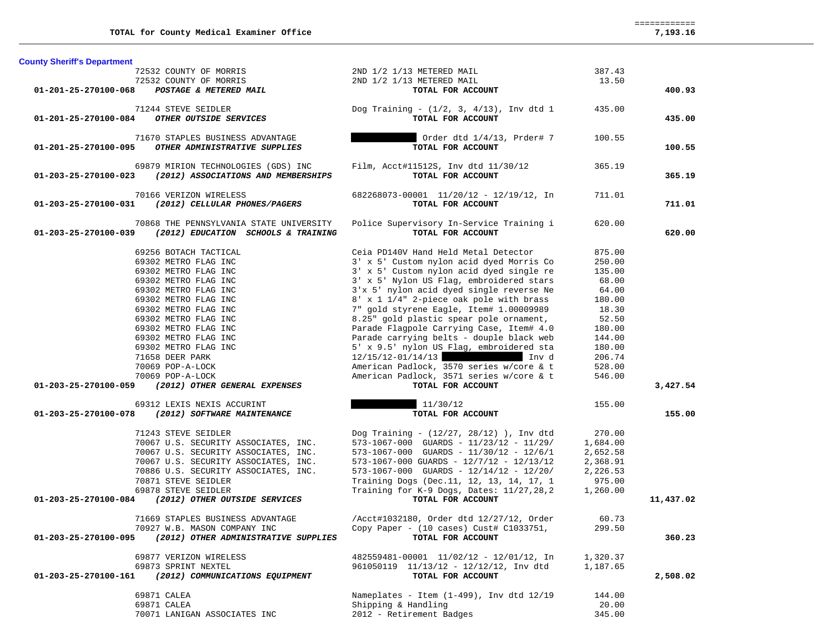| <b>County Sheriff's Department</b> |                                                                      |                                                              |                 |           |
|------------------------------------|----------------------------------------------------------------------|--------------------------------------------------------------|-----------------|-----------|
|                                    | 72532 COUNTY OF MORRIS                                               | 2ND 1/2 1/13 METERED MAIL                                    | 387.43          |           |
|                                    | 72532 COUNTY OF MORRIS                                               | 2ND 1/2 1/13 METERED MAIL                                    | 13.50           |           |
| 01-201-25-270100-068               | POSTAGE & METERED MAIL                                               | TOTAL FOR ACCOUNT                                            |                 | 400.93    |
|                                    |                                                                      |                                                              |                 |           |
|                                    | 71244 STEVE SEIDLER                                                  | Dog Training - $(1/2, 3, 4/13)$ , Inv dtd 1                  | 435.00          |           |
| 01-201-25-270100-084               | OTHER OUTSIDE SERVICES                                               | TOTAL FOR ACCOUNT                                            |                 | 435.00    |
|                                    | 71670 STAPLES BUSINESS ADVANTAGE                                     | Order dtd 1/4/13, Prder# 7                                   | 100.55          |           |
| 01-201-25-270100-095               | OTHER ADMINISTRATIVE SUPPLIES                                        | TOTAL FOR ACCOUNT                                            |                 | 100.55    |
|                                    |                                                                      |                                                              |                 |           |
|                                    | 69879 MIRION TECHNOLOGIES (GDS) INC                                  | Film, Acct#11512S, Inv dtd 11/30/12                          | 365.19          |           |
| 01-203-25-270100-023               | (2012) ASSOCIATIONS AND MEMBERSHIPS                                  | TOTAL FOR ACCOUNT                                            |                 | 365.19    |
|                                    |                                                                      |                                                              |                 |           |
|                                    | 70166 VERIZON WIRELESS                                               | 682268073-00001 11/20/12 - 12/19/12, In                      | 711.01          |           |
| 01-203-25-270100-031               | (2012) CELLULAR PHONES/PAGERS                                        | TOTAL FOR ACCOUNT                                            |                 | 711.01    |
|                                    | 70868 THE PENNSYLVANIA STATE UNIVERSITY                              | Police Supervisory In-Service Training i                     | 620.00          |           |
|                                    | 01-203-25-270100-039 (2012) EDUCATION SCHOOLS & TRAINING             | TOTAL FOR ACCOUNT                                            |                 | 620.00    |
|                                    |                                                                      |                                                              |                 |           |
|                                    | 69256 BOTACH TACTICAL                                                | Ceia PD140V Hand Held Metal Detector                         | 875.00          |           |
|                                    | 69302 METRO FLAG INC                                                 | 3' x 5' Custom nylon acid dyed Morris Co                     | 250.00          |           |
|                                    | 69302 METRO FLAG INC                                                 | 3' x 5' Custom nylon acid dyed single re                     | 135.00          |           |
|                                    | 69302 METRO FLAG INC                                                 | 3' x 5' Nylon US Flag, embroidered stars                     | 68.00           |           |
|                                    | 69302 METRO FLAG INC                                                 | 3'x 5' nylon acid dyed single reverse Ne                     | 64.00           |           |
|                                    | 69302 METRO FLAG INC                                                 | 8' x 1 1/4" 2-piece oak pole with brass                      | 180.00          |           |
|                                    | 69302 METRO FLAG INC                                                 | 7" gold styrene Eagle, Item# 1.00009989                      | 18.30           |           |
|                                    |                                                                      | 8.25" gold plastic spear pole ornament,                      |                 |           |
|                                    | 69302 METRO FLAG INC                                                 |                                                              | 52.50           |           |
|                                    | 69302 METRO FLAG INC                                                 | Parade Flagpole Carrying Case, Item# 4.0                     | 180.00          |           |
|                                    | 69302 METRO FLAG INC                                                 | Parade carrying belts - douple black web                     | 144.00          |           |
|                                    | 69302 METRO FLAG INC                                                 | 5' x 9.5' nylon US Flag, embroidered sta                     | 180.00          |           |
|                                    | 71658 DEER PARK                                                      | $12/15/12 - 01/14/13$<br>Inv d                               | 206.74          |           |
|                                    | 70069 POP-A-LOCK                                                     | American Padlock, 3570 series w/core & t                     | 528.00          |           |
|                                    | 70069 POP-A-LOCK                                                     | American Padlock, 3571 series w/core & t                     | 546.00          |           |
|                                    |                                                                      |                                                              |                 |           |
| 01-203-25-270100-059               | (2012) OTHER GENERAL EXPENSES                                        | TOTAL FOR ACCOUNT                                            |                 | 3,427.54  |
|                                    |                                                                      |                                                              |                 |           |
|                                    | 69312 LEXIS NEXIS ACCURINT                                           | 11/30/12                                                     | 155.00          |           |
| 01-203-25-270100-078               | (2012) SOFTWARE MAINTENANCE                                          | TOTAL FOR ACCOUNT                                            |                 | 155.00    |
|                                    |                                                                      |                                                              |                 |           |
|                                    | 71243 STEVE SEIDLER                                                  | Dog Training - $(12/27, 28/12)$ ), Inv dtd                   | 270.00          |           |
|                                    | 70067 U.S. SECURITY ASSOCIATES, INC.                                 | 573-1067-000 GUARDS - $11/23/12$ - $11/29/$                  | 1,684.00        |           |
|                                    | 70067 U.S. SECURITY ASSOCIATES, INC.                                 | $573 - 1067 - 000$ GUARDS - $11/30/12$ - $12/6/1$            | 2,652.58        |           |
|                                    | 70067 U.S. SECURITY ASSOCIATES, INC.                                 | 573-1067-000 GUARDS - 12/7/12 - 12/13/12                     | 2,368.91        |           |
|                                    | 70886 U.S. SECURITY ASSOCIATES, INC.                                 | $573 - 1067 - 000$ GUARDS - $12/14/12$ - $12/20/$            | 2,226.53        |           |
|                                    | 70871 STEVE SEIDLER                                                  | Training Dogs (Dec.11, 12, 13, 14, 17, 1                     | 975.00          |           |
|                                    | 69878 STEVE SEIDLER                                                  | Training for K-9 Dogs, Dates: 11/27,28,2                     | 1,260.00        |           |
| 01-203-25-270100-084               | (2012) OTHER OUTSIDE SERVICES                                        | TOTAL FOR ACCOUNT                                            |                 | 11,437.02 |
|                                    | 71669 STAPLES BUSINESS ADVANTAGE                                     | /Acct#1032180, Order dtd 12/27/12, Order                     | 60.73           |           |
|                                    |                                                                      |                                                              | 299.50          |           |
| 01-203-25-270100-095               | 70927 W.B. MASON COMPANY INC<br>(2012) OTHER ADMINISTRATIVE SUPPLIES | Copy Paper - (10 cases) Cust# C1033751,<br>TOTAL FOR ACCOUNT |                 | 360.23    |
|                                    |                                                                      |                                                              |                 |           |
|                                    | 69877 VERIZON WIRELESS                                               | 482559481-00001 11/02/12 - 12/01/12, In                      | 1,320.37        |           |
|                                    | 69873 SPRINT NEXTEL                                                  | 961050119 11/13/12 - 12/12/12, Inv dtd                       | 1,187.65        |           |
| 01-203-25-270100-161               | (2012) COMMUNICATIONS EQUIPMENT                                      | TOTAL FOR ACCOUNT                                            |                 | 2,508.02  |
|                                    |                                                                      |                                                              |                 |           |
|                                    | 69871 CALEA                                                          | Nameplates - Item $(1-499)$ , Inv dtd $12/19$                | 144.00          |           |
|                                    | 69871 CALEA<br>70071 LANIGAN ASSOCIATES INC                          | Shipping & Handling<br>2012 - Retirement Badges              | 20.00<br>345.00 |           |

 ============ 7,193.16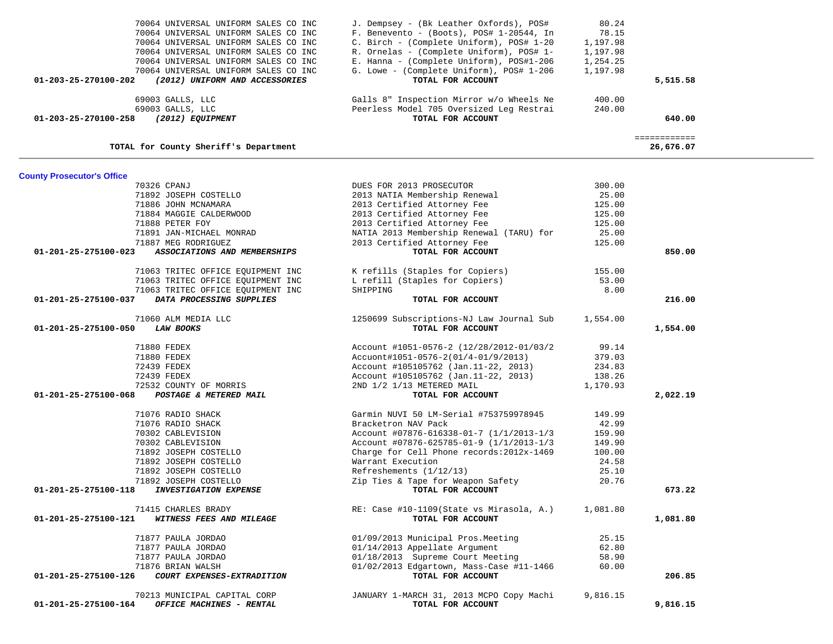| 69003 GALLS, LLC<br>69003 GALLS, LLC<br>01-203-25-270100-258<br>(2012) EQUIPMENT | Galls 8" Inspection Mirror w/o Wheels Ne<br>Peerless Model 705 Oversized Leg Restrai<br>TOTAL FOR ACCOUNT | 400.00<br>240.00 | 640.00                    |
|----------------------------------------------------------------------------------|-----------------------------------------------------------------------------------------------------------|------------------|---------------------------|
| TOTAL for County Sheriff's Department                                            |                                                                                                           |                  | ============<br>26,676.07 |
| <b>County Prosecutor's Office</b>                                                |                                                                                                           |                  |                           |
| 70326 CPANJ                                                                      | DUES FOR 2013 PROSECUTOR                                                                                  | 300.00           |                           |
| 71892 JOSEPH COSTELLO                                                            | 2013 NATIA Membership Renewal                                                                             | 25.00            |                           |
| 71886 JOHN MCNAMARA                                                              | 2013 Certified Attorney Fee                                                                               | 125.00           |                           |
| 71884 MAGGIE CALDERWOOD                                                          | 2013 Certified Attorney Fee                                                                               | 125.00           |                           |
| 71888 PETER FOY                                                                  | 2013 Certified Attorney Fee                                                                               | 125.00           |                           |
| 71891 JAN-MICHAEL MONRAD                                                         | NATIA 2013 Membership Renewal (TARU) for                                                                  | 25.00            |                           |
| 71887 MEG RODRIGUEZ                                                              | 2013 Certified Attorney Fee                                                                               | 125.00           |                           |
| ASSOCIATIONS AND MEMBERSHIPS<br>01-201-25-275100-023                             | TOTAL FOR ACCOUNT                                                                                         |                  | 850.00                    |
|                                                                                  |                                                                                                           |                  |                           |
| 71063 TRITEC OFFICE EQUIPMENT INC                                                | K refills (Staples for Copiers)                                                                           | 155.00           |                           |
| 71063 TRITEC OFFICE EQUIPMENT INC                                                | L refill (Staples for Copiers)                                                                            | 53.00            |                           |
| 71063 TRITEC OFFICE EQUIPMENT INC                                                | SHIPPING                                                                                                  | 8.00             |                           |
| DATA PROCESSING SUPPLIES<br>01-201-25-275100-037                                 | TOTAL FOR ACCOUNT                                                                                         |                  | 216.00                    |
| 71060 ALM MEDIA LLC                                                              | 1250699 Subscriptions-NJ Law Journal Sub                                                                  | 1,554.00         |                           |
| 01-201-25-275100-050<br><b>LAW BOOKS</b>                                         | TOTAL FOR ACCOUNT                                                                                         |                  | 1,554.00                  |
|                                                                                  |                                                                                                           |                  |                           |
| 71880 FEDEX                                                                      | Account #1051-0576-2 (12/28/2012-01/03/2                                                                  | 99.14            |                           |
| 71880 FEDEX                                                                      | Accuont#1051-0576-2(01/4-01/9/2013)                                                                       | 379.03           |                           |
| 72439 FEDEX                                                                      | Account #105105762 (Jan.11-22, 2013)                                                                      | 234.83           |                           |
| 72439 FEDEX                                                                      | Account #105105762 (Jan. 11-22, 2013)                                                                     | 138.26           |                           |
| 72532 COUNTY OF MORRIS                                                           | 2ND 1/2 1/13 METERED MAIL                                                                                 | 1,170.93         |                           |
| 01-201-25-275100-068<br>POSTAGE & METERED MAIL                                   | TOTAL FOR ACCOUNT                                                                                         |                  | 2,022.19                  |
| 71076 RADIO SHACK                                                                | Garmin NUVI 50 LM-Serial #753759978945                                                                    | 149.99           |                           |
| 71076 RADIO SHACK                                                                | Bracketron NAV Pack                                                                                       | 42.99            |                           |
| 70302 CABLEVISION                                                                | Account #07876-616338-01-7 (1/1/2013-1/3                                                                  | 159.90           |                           |
| 70302 CABLEVISION                                                                | Account #07876-625785-01-9 (1/1/2013-1/3)                                                                 | 149.90           |                           |
| 71892 JOSEPH COSTELLO                                                            | Charge for Cell Phone records: 2012x-1469                                                                 | 100.00           |                           |
| 71892 JOSEPH COSTELLO                                                            | Warrant Execution                                                                                         | 24.58            |                           |
| 71892 JOSEPH COSTELLO                                                            | Refreshements $(1/12/13)$                                                                                 | 25.10            |                           |
| 71892 JOSEPH COSTELLO                                                            | Zip Ties & Tape for Weapon Safety                                                                         | 20.76            |                           |
| <b>INVESTIGATION EXPENSE</b><br>01-201-25-275100-118                             | TOTAL FOR ACCOUNT                                                                                         |                  | 673.22                    |
| 71415 CHARLES BRADY                                                              | RE: Case #10-1109(State vs Mirasola, A.) 1,081.80                                                         |                  |                           |
| 01-201-25-275100-121<br>WITNESS FEES AND MILEAGE                                 | TOTAL FOR ACCOUNT                                                                                         |                  | 1,081.80                  |
|                                                                                  |                                                                                                           |                  |                           |
| 71877 PAULA JORDAO                                                               | 01/09/2013 Municipal Pros. Meeting                                                                        | 25.15            |                           |
| 71877 PAULA JORDAO                                                               | 01/14/2013 Appellate Argument                                                                             | 62.80            |                           |
| 71877 PAULA JORDAO                                                               | 01/18/2013 Supreme Court Meeting                                                                          | 58.90            |                           |
| 71876 BRIAN WALSH                                                                | 01/02/2013 Edgartown, Mass-Case #11-1466                                                                  | 60.00            |                           |
| 01-201-25-275100-126<br>COURT EXPENSES-EXTRADITION                               | TOTAL FOR ACCOUNT                                                                                         |                  | 206.85                    |
| 70213 MUNICIPAL CAPITAL CORP                                                     | JANUARY 1-MARCH 31, 2013 MCPO Copy Machi                                                                  | 9,816.15         |                           |
| OFFICE MACHINES - RENTAL<br>01-201-25-275100-164                                 | TOTAL FOR ACCOUNT                                                                                         |                  | 9,816.15                  |
|                                                                                  |                                                                                                           |                  |                           |

| 240.00   | 640.00         |
|----------|----------------|
|          |                |
|          |                |
| 400.00   |                |
|          | 5,515.58       |
| 1,197.98 |                |
| 1,254.25 |                |
| 1,197.98 |                |
| 1,197.98 |                |
|          |                |
|          |                |
|          | 80.24<br>78.15 |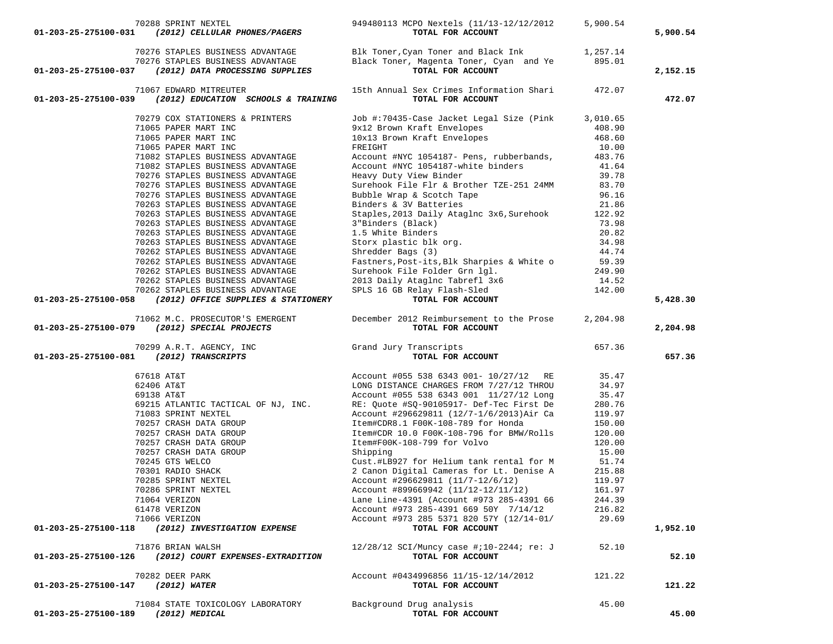|                                     | 70288 SPRINT NEXTEL<br>$01-203-25-275100-031$ (2012) CELLULAR PHONES/PAGERS                                                                                                                                       | 949480113 MCPO Nextels (11/13-12/12/2012<br>TOTAL FOR ACCOUNT                                                       | 5,900.54 | 5,900.54 |
|-------------------------------------|-------------------------------------------------------------------------------------------------------------------------------------------------------------------------------------------------------------------|---------------------------------------------------------------------------------------------------------------------|----------|----------|
|                                     | 70276 STAPLES BUSINESS ADVANTAGE<br>70276 STAPLES BUSINESS ADVANTAGE<br>01-203-25-275100-037 (2012) DATA PROCESSING SUPPLIES                                                                                      | Blk Toner, Cyan Toner and Black Ink 1,257.14<br>Black Toner, Magenta Toner, Cyan and Ye 895.01<br>TOTAL FOR ACCOUNT |          | 2,152.15 |
|                                     | 71067 EDWARD MITREUTER                                                                                                                                                                                            | 15th Annual Sex Crimes Information Shari 472.07                                                                     |          |          |
|                                     | 01-203-25-275100-039 (2012) EDUCATION SCHOOLS & TRAINING                                                                                                                                                          | TOTAL FOR ACCOUNT                                                                                                   |          | 472.07   |
|                                     | 70279 COX STATIONERS & PRINTERS                                                                                                                                                                                   | Job #:70435-Case Jacket Legal Size (Pink 3,010.65                                                                   |          |          |
|                                     | 71065 PAPER MART INC                                                                                                                                                                                              |                                                                                                                     | 408.90   |          |
|                                     | 71065 PAPER MART INC                                                                                                                                                                                              |                                                                                                                     | 468.60   |          |
|                                     | 71065 PAPER MART INC                                                                                                                                                                                              | ------- ALALL Envelopes<br>10x13 Brown Kraft Envelopes<br>FREIGHT                                                   | 10.00    |          |
|                                     | 71082 STAPLES BUSINESS ADVANTAGE                                                                                                                                                                                  | Account #NYC 1054187- Pens, rubberbands,                                                                            | 483.76   |          |
|                                     | 71082 STAPLES BUSINESS ADVANTAGE                                                                                                                                                                                  | Account #NYC 1054187-white binders<br>Heavy Duty View Binder                                                        | 41.64    |          |
|                                     | 70276 STAPLES BUSINESS ADVANTAGE                                                                                                                                                                                  | Heavy Duty View Binder                                                                                              | 39.78    |          |
|                                     | 70276 STAPLES BUSINESS ADVANTAGE                                                                                                                                                                                  | Surehook File Flr & Brother TZE-251 24MM                                                                            | 83.70    |          |
|                                     | 70276 STAPLES BUSINESS ADVANTAGE                                                                                                                                                                                  | Bubble Wrap & Scotch Tape<br>Binders & 3V Batteries                                                                 | 96.16    |          |
|                                     | 70263 STAPLES BUSINESS ADVANTAGE                                                                                                                                                                                  |                                                                                                                     | 21.86    |          |
|                                     | 70263 STAPLES BUSINESS ADVANTAGE                                                                                                                                                                                  | Staples, 2013 Daily Ataglnc 3x6, Surehook 122.92                                                                    |          |          |
|                                     | 70263 STAPLES BUSINESS ADVANTAGE                                                                                                                                                                                  | 3"Binders (Black)                                                                                                   | 73.98    |          |
|                                     | 70263 STAPLES BUSINESS ADVANTAGE                                                                                                                                                                                  | 1.5 White Binders                                                                                                   | 20.82    |          |
|                                     | 70263 STAPLES BUSINESS ADVANTAGE                                                                                                                                                                                  | 1.5 White Binders<br>Storx plastic blk org.                                                                         | 34.98    |          |
|                                     | 70262 STAPLES BUSINESS ADVANTAGE                                                                                                                                                                                  | Shredder Bags (3)                                                                                                   | 44.74    |          |
|                                     | 70262 STAPLES BUSINESS ADVANTAGE                                                                                                                                                                                  | Fastners, Post-its, Blk Sharpies & White o 59.39                                                                    |          |          |
|                                     | 70262 STAPLES BUSINESS ADVANTAGE                                                                                                                                                                                  | Surehook File Folder Grn 1gl.<br>2013 Daily Ataglnc Tabrefl 3x6<br>SPLS 16 GB Relay Flash-Sled                      | 249.90   |          |
|                                     | 70262 STAPLES BUSINESS ADVANTAGE                                                                                                                                                                                  |                                                                                                                     | 14.52    |          |
|                                     | 70262 STAPLES BUSINESS ADVANTAGE                                                                                                                                                                                  |                                                                                                                     | 142.00   |          |
|                                     | 01-203-25-275100-058 (2012) OFFICE SUPPLIES & STATIONERY                                                                                                                                                          | TOTAL FOR ACCOUNT                                                                                                   |          | 5,428.30 |
|                                     | 71062 M.C. PROSECUTOR'S EMERGENT                                                                                                                                                                                  | December 2012 Reimbursement to the Prose 2,204.98                                                                   |          |          |
|                                     | 01-203-25-275100-079 (2012) SPECIAL PROJECTS                                                                                                                                                                      | TOTAL FOR ACCOUNT                                                                                                   |          | 2,204.98 |
|                                     | 70299 A.R.T. AGENCY, INC<br>01-203-25-275100-081 (2012) TRANSCRIPTS                                                                                                                                               | Grand Jury Transcripts                                                                                              | 657.36   |          |
|                                     |                                                                                                                                                                                                                   | TOTAL FOR ACCOUNT                                                                                                   |          | 657.36   |
|                                     | 67618 AT&T                                                                                                                                                                                                        | Account #055 538 6343 001- 10/27/12 RE                                                                              | 35.47    |          |
|                                     | 62406 AT&T                                                                                                                                                                                                        | LONG DISTANCE CHARGES FROM 7/27/12 THROU                                                                            | 34.97    |          |
|                                     | 69138 AT&T                                                                                                                                                                                                        | Account #055 538 6343 001 11/27/12 Long                                                                             | 35.47    |          |
|                                     | 69215 ATLANTIC TACTICAL OF NJ, INC.                                                                                                                                                                               | RE: Quote #SQ-90105917- Def-Tec First De                                                                            | 280.76   |          |
|                                     | 71083 SPRINT NEXTEL                                                                                                                                                                                               | Account #296629811 (12/7-1/6/2013)Air Ca                                                                            | 119.97   |          |
|                                     |                                                                                                                                                                                                                   | Item#CDR8.1 F00K-108-789 for Honda                                                                                  | 150.00   |          |
|                                     | 71083 SPRINT NEXTEL<br>70257 CRASH DATA GROUP<br>70257 CRASH DATA GROUP<br>70257 CRASH DATA GROUP<br>70257 CRASH DATA GROUP<br>70245 GTS WELCO<br>70301 RADIO SHACK<br>70285 SPRINT NEXTEL<br>70286 SPRINT NEXTEL | Item#CDR 10.0 F00K-108-796 for BMW/Rolls                                                                            | 120.00   |          |
|                                     |                                                                                                                                                                                                                   | Item#F00K-108-799 for Volvo                                                                                         | 120.00   |          |
|                                     |                                                                                                                                                                                                                   | Shipping                                                                                                            | 15.00    |          |
|                                     |                                                                                                                                                                                                                   | Cust.#LB927 for Helium tank rental for M                                                                            | 51.74    |          |
|                                     |                                                                                                                                                                                                                   | 2 Canon Digital Cameras for Lt. Denise A                                                                            | 215.88   |          |
|                                     |                                                                                                                                                                                                                   | Account #296629811 (11/7-12/6/12)                                                                                   | 119.97   |          |
|                                     | 70286 SPRINT NEXTEL                                                                                                                                                                                               | Account #899669942 (11/12-12/11/12)                                                                                 | 161.97   |          |
|                                     | 71064 VERIZON                                                                                                                                                                                                     | Lane Line-4391 (Account #973 285-4391 66                                                                            | 244.39   |          |
|                                     | 61478 VERIZON                                                                                                                                                                                                     | Account #973 285-4391 669 50Y 7/14/12                                                                               | 216.82   |          |
|                                     | 71066 VERIZON                                                                                                                                                                                                     | Account #973 285 5371 820 57Y (12/14-01/                                                                            | 29.69    |          |
|                                     | 01-203-25-275100-118 (2012) INVESTIGATION EXPENSE                                                                                                                                                                 | TOTAL FOR ACCOUNT                                                                                                   |          | 1,952.10 |
|                                     | 71876 BRIAN WALSH                                                                                                                                                                                                 | $12/28/12$ SCI/Muncy case #;10-2244; re: J                                                                          | 52.10    |          |
|                                     | 01-203-25-275100-126 (2012) COURT EXPENSES-EXTRADITION                                                                                                                                                            | TOTAL FOR ACCOUNT                                                                                                   |          | 52.10    |
|                                     | 70282 DEER PARK                                                                                                                                                                                                   | Account #0434996856 11/15-12/14/2012                                                                                | 121.22   |          |
| 01-203-25-275100-147                | (2012) WATER                                                                                                                                                                                                      | TOTAL FOR ACCOUNT                                                                                                   |          | 121.22   |
|                                     | 71084 STATE TOXICOLOGY LABORATORY                                                                                                                                                                                 | Background Drug analysis                                                                                            | 45.00    |          |
| 01-203-25-275100-189 (2012) MEDICAL |                                                                                                                                                                                                                   | TOTAL FOR ACCOUNT                                                                                                   |          | 45.00    |
|                                     |                                                                                                                                                                                                                   |                                                                                                                     |          |          |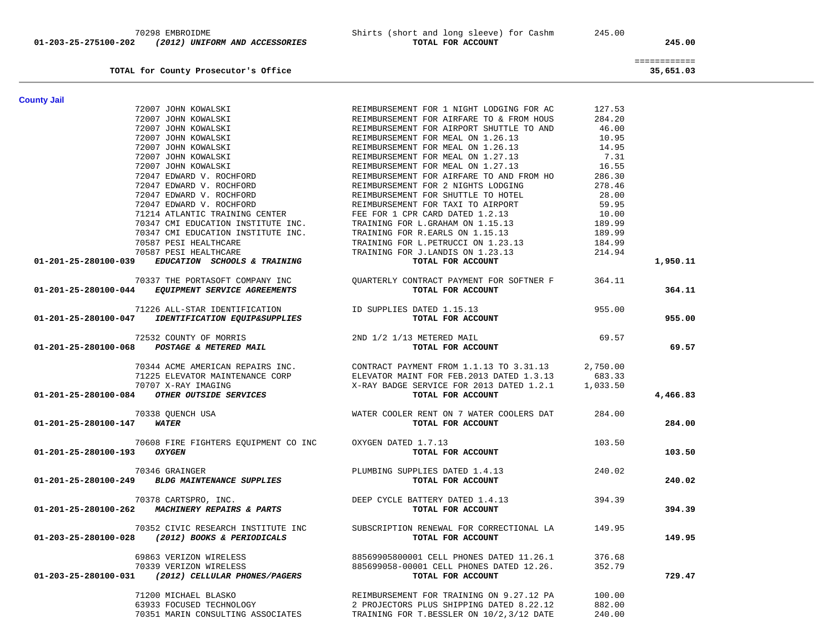|                                                              |                                                 |          | ============ |  |
|--------------------------------------------------------------|-------------------------------------------------|----------|--------------|--|
| TOTAL for County Prosecutor's Office                         |                                                 |          | 35,651.03    |  |
| <b>County Jail</b>                                           |                                                 |          |              |  |
| 72007 JOHN KOWALSKI                                          | REIMBURSEMENT FOR 1 NIGHT LODGING FOR AC        | 127.53   |              |  |
| 72007 JOHN KOWALSKI                                          | REIMBURSEMENT FOR AIRFARE TO & FROM HOUS        | 284.20   |              |  |
| 72007 JOHN KOWALSKI                                          | REIMBURSEMENT FOR AIRPORT SHUTTLE TO AND        | 46.00    |              |  |
|                                                              |                                                 |          |              |  |
| 72007 JOHN KOWALSKI                                          | REIMBURSEMENT FOR MEAL ON 1.26.13               | 10.95    |              |  |
| 72007 JOHN KOWALSKI                                          | REIMBURSEMENT FOR MEAL ON 1.26.13               | 14.95    |              |  |
| 72007 JOHN KOWALSKI                                          | REIMBURSEMENT FOR MEAL ON 1.27.13               | 7.31     |              |  |
| 72007 JOHN KOWALSKI                                          | REIMBURSEMENT FOR MEAL ON 1.27.13               | 16.55    |              |  |
| 72047 EDWARD V. ROCHFORD                                     | REIMBURSEMENT FOR AIRFARE TO AND FROM HO        | 286.30   |              |  |
| 72047 EDWARD V. ROCHFORD                                     | REIMBURSEMENT FOR 2 NIGHTS LODGING              | 278.46   |              |  |
| 72047 EDWARD V. ROCHFORD                                     | REIMBURSEMENT FOR SHUTTLE TO HOTEL              | 28.00    |              |  |
| 72047 EDWARD V. ROCHFORD                                     | REIMBURSEMENT FOR TAXI TO AIRPORT               | 59.95    |              |  |
| 71214 ATLANTIC TRAINING CENTER                               | FEE FOR 1 CPR CARD DATED 1.2.13                 | 10.00    |              |  |
| 70347 CMI EDUCATION INSTITUTE INC.                           | TRAINING FOR L.GRAHAM ON 1.15.13                | 189.99   |              |  |
| 70347 CMI EDUCATION INSTITUTE INC.                           | TRAINING FOR R.EARLS ON 1.15.13                 | 189.99   |              |  |
| 70587 PESI HEALTHCARE                                        | TRAINING FOR L.PETRUCCI ON 1.23.13              | 184.99   |              |  |
| 70587 PESI HEALTHCARE                                        | TRAINING FOR J.LANDIS ON 1.23.13                | 214.94   |              |  |
| 01-201-25-280100-039<br>EDUCATION SCHOOLS & TRAINING         | TOTAL FOR ACCOUNT                               |          | 1,950.11     |  |
| 70337 THE PORTASOFT COMPANY INC                              |                                                 | 364.11   |              |  |
|                                                              | QUARTERLY CONTRACT PAYMENT FOR SOFTNER F        |          |              |  |
| 01-201-25-280100-044 EQUIPMENT SERVICE AGREEMENTS            | TOTAL FOR ACCOUNT                               |          | 364.11       |  |
| 71226 ALL-STAR IDENTIFICATION                                | ID SUPPLIES DATED 1.15.13                       | 955.00   |              |  |
| IDENTIFICATION EQUIP&SUPPLIES<br>01-201-25-280100-047        | TOTAL FOR ACCOUNT                               |          | 955.00       |  |
| 72532 COUNTY OF MORRIS                                       | 2ND 1/2 1/13 METERED MAIL                       | 69.57    |              |  |
| 01-201-25-280100-068 POSTAGE & METERED MAIL                  | TOTAL FOR ACCOUNT                               |          | 69.57        |  |
| 70344 ACME AMERICAN REPAIRS INC.                             | CONTRACT PAYMENT FROM 1.1.13 TO 3.31.13         | 2,750.00 |              |  |
| 71225 ELEVATOR MAINTENANCE CORP                              | ELEVATOR MAINT FOR FEB. 2013 DATED 1.3.13       | 683.33   |              |  |
| 70707 X-RAY IMAGING                                          | X-RAY BADGE SERVICE FOR 2013 DATED 1.2.1        | 1,033.50 |              |  |
| OTHER OUTSIDE SERVICES<br>01-201-25-280100-084               | TOTAL FOR ACCOUNT                               |          | 4,466.83     |  |
| 70338 QUENCH USA                                             | WATER COOLER RENT ON 7 WATER COOLERS DAT        | 284.00   |              |  |
| 01-201-25-280100-147<br><b>WATER</b>                         | TOTAL FOR ACCOUNT                               |          | 284.00       |  |
| 70608 FIRE FIGHTERS EQUIPMENT CO INC                         | OXYGEN DATED 1.7.13                             | 103.50   |              |  |
| 01-201-25-280100-193<br><b>OXYGEN</b>                        | TOTAL FOR ACCOUNT                               |          | 103.50       |  |
| 70346 GRAINGER                                               | PLUMBING SUPPLIES DATED 1.4.13                  | 240.02   |              |  |
| 01-201-25-280100-249 BLDG MAINTENANCE SUPPLIES               | TOTAL FOR ACCOUNT                               |          | 240.02       |  |
| 70378 CARTSPRO, INC.                                         | DEEP CYCLE BATTERY DATED 1.4.13                 | 394.39   |              |  |
| 01-201-25-280100-262 MACHINERY REPAIRS & PARTS               | TOTAL FOR ACCOUNT                               |          | 394.39       |  |
| 70352 CIVIC RESEARCH INSTITUTE INC                           | SUBSCRIPTION RENEWAL FOR CORRECTIONAL LA 149.95 |          |              |  |
| 01-203-25-280100-028 (2012) BOOKS & PERIODICALS              | TOTAL FOR ACCOUNT                               |          | 149.95       |  |
| 69863 VERIZON WIRELESS                                       | 88569905800001 CELL PHONES DATED 11.26.1        | 376.68   |              |  |
| 70339 VERIZON WIRELESS                                       | 885699058-00001 CELL PHONES DATED 12.26.        | 352.79   |              |  |
| $01 - 203 - 25 - 280100 - 031$ (2012) CELLULAR PHONES/PAGERS | TOTAL FOR ACCOUNT                               |          | 729.47       |  |
| 71200 MICHAEL BLASKO                                         | REIMBURSEMENT FOR TRAINING ON 9.27.12 PA        | 100.00   |              |  |
| 63933 FOCUSED TECHNOLOGY                                     |                                                 |          |              |  |
|                                                              | 2 PROJECTORS PLUS SHIPPING DATED 8.22.12        | 882.00   |              |  |
| 70351 MARIN CONSULTING ASSOCIATES                            | TRAINING FOR T.BESSLER ON 10/2,3/12 DATE        | 240.00   |              |  |

 **01-203-25-275100-202** *(2012) UNIFORM AND ACCESSORIES* **TOTAL FOR ACCOUNT 245.00**

70298 EMBROIDME Shirts (short and long sleeve) for Cashm 245.00<br>12012) ON MITORM AND ACCESSORIES TOTAL FOR ACCOUNT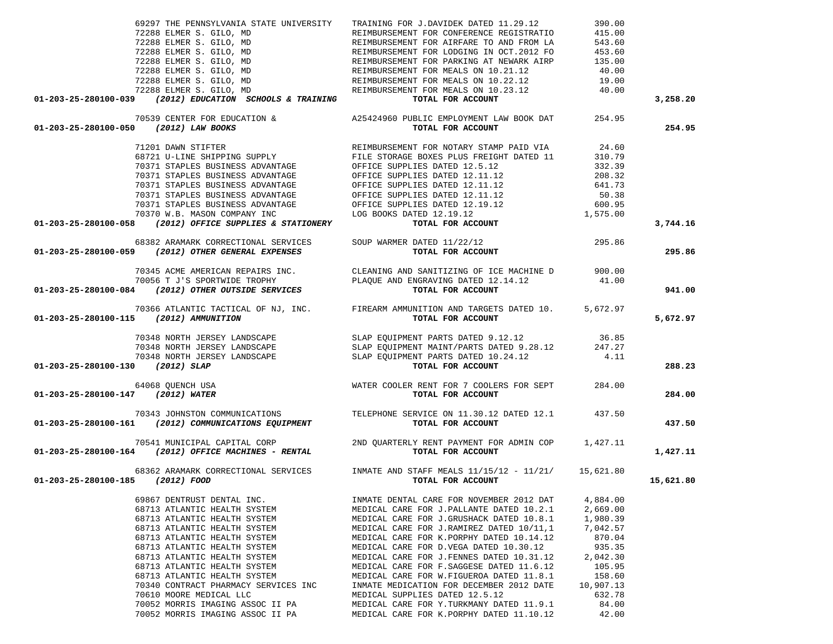|                                                                                                                                                                                                                  | 69297 THE PENNSYLVANIA STATE UNIVERSITY TRAINING FOR J.DAVIDEK DATED 11.29.12                                                                                                                                                                                                                                                                                                                                    | 390.00    |           |
|------------------------------------------------------------------------------------------------------------------------------------------------------------------------------------------------------------------|------------------------------------------------------------------------------------------------------------------------------------------------------------------------------------------------------------------------------------------------------------------------------------------------------------------------------------------------------------------------------------------------------------------|-----------|-----------|
|                                                                                                                                                                                                                  |                                                                                                                                                                                                                                                                                                                                                                                                                  |           |           |
|                                                                                                                                                                                                                  |                                                                                                                                                                                                                                                                                                                                                                                                                  |           |           |
|                                                                                                                                                                                                                  |                                                                                                                                                                                                                                                                                                                                                                                                                  |           |           |
|                                                                                                                                                                                                                  |                                                                                                                                                                                                                                                                                                                                                                                                                  |           |           |
|                                                                                                                                                                                                                  |                                                                                                                                                                                                                                                                                                                                                                                                                  |           |           |
|                                                                                                                                                                                                                  |                                                                                                                                                                                                                                                                                                                                                                                                                  |           |           |
|                                                                                                                                                                                                                  |                                                                                                                                                                                                                                                                                                                                                                                                                  |           |           |
|                                                                                                                                                                                                                  |                                                                                                                                                                                                                                                                                                                                                                                                                  |           |           |
| 01-203-25-280100-039 (2012) EDUCATION SCHOOLS & TRAINING $\,$ TOTAL FOR ACCOUNT                                                                                                                                  |                                                                                                                                                                                                                                                                                                                                                                                                                  |           | 3,258.20  |
|                                                                                                                                                                                                                  | 99297 THE PENNSYLVANIA STATE UNIVERSITY<br>72288 ELMER S. GILO, MD<br>72288 ELMER S. GILO, MD<br>72288 ELMER S. GILO, MD<br>72288 ELMER S. GILO, MD<br>72288 ELMER S. GILO, MD<br>72288 ELMER S. GILO, MD<br>72288 ELMER S. GILO, MD<br>72288                                                                                                                                                                    |           |           |
|                                                                                                                                                                                                                  | 70539 CENTER FOR EDUCATION &<br>A25424960 PUBLIC EMPLOYMENT LAW BOOK DAT 254.95                                                                                                                                                                                                                                                                                                                                  |           |           |
|                                                                                                                                                                                                                  |                                                                                                                                                                                                                                                                                                                                                                                                                  |           | 254.95    |
|                                                                                                                                                                                                                  |                                                                                                                                                                                                                                                                                                                                                                                                                  |           |           |
|                                                                                                                                                                                                                  |                                                                                                                                                                                                                                                                                                                                                                                                                  |           |           |
|                                                                                                                                                                                                                  |                                                                                                                                                                                                                                                                                                                                                                                                                  |           |           |
|                                                                                                                                                                                                                  |                                                                                                                                                                                                                                                                                                                                                                                                                  |           |           |
|                                                                                                                                                                                                                  |                                                                                                                                                                                                                                                                                                                                                                                                                  |           |           |
|                                                                                                                                                                                                                  |                                                                                                                                                                                                                                                                                                                                                                                                                  |           |           |
|                                                                                                                                                                                                                  |                                                                                                                                                                                                                                                                                                                                                                                                                  |           |           |
|                                                                                                                                                                                                                  |                                                                                                                                                                                                                                                                                                                                                                                                                  |           |           |
|                                                                                                                                                                                                                  |                                                                                                                                                                                                                                                                                                                                                                                                                  |           |           |
|                                                                                                                                                                                                                  |                                                                                                                                                                                                                                                                                                                                                                                                                  |           |           |
|                                                                                                                                                                                                                  |                                                                                                                                                                                                                                                                                                                                                                                                                  |           |           |
|                                                                                                                                                                                                                  |                                                                                                                                                                                                                                                                                                                                                                                                                  |           | 3,744.16  |
| 68382 ARAMARK CORRECTIONAL SERVICES SOUP WARMER DATED 11/22/12<br><b>01-203-25-280100-059</b> (2012) OTHER GENERAL EXPENSES TOTAL FOR ACCOUNT                                                                    |                                                                                                                                                                                                                                                                                                                                                                                                                  |           |           |
|                                                                                                                                                                                                                  |                                                                                                                                                                                                                                                                                                                                                                                                                  |           |           |
|                                                                                                                                                                                                                  |                                                                                                                                                                                                                                                                                                                                                                                                                  |           | 295.86    |
|                                                                                                                                                                                                                  |                                                                                                                                                                                                                                                                                                                                                                                                                  |           |           |
|                                                                                                                                                                                                                  |                                                                                                                                                                                                                                                                                                                                                                                                                  |           |           |
|                                                                                                                                                                                                                  |                                                                                                                                                                                                                                                                                                                                                                                                                  |           | 941.00    |
|                                                                                                                                                                                                                  |                                                                                                                                                                                                                                                                                                                                                                                                                  |           |           |
| 70345 ACME AMERICAN REPAIRS INC.<br>70056 T J'S SPORTWIDE TROPHY PLAQUE AND ENGRAVING DATED 12.14.12 70056 T J'S SPORTWIDE TROPHY<br><b>01-203-25-280100-084</b> (2012) OTHER OUTSIDE SERVICES TOTAL FOR ACCOUNT |                                                                                                                                                                                                                                                                                                                                                                                                                  |           |           |
|                                                                                                                                                                                                                  | 70366 ATLANTIC TACTICAL OF NJ, INC. FIREARM AMMUNITION AND TARGETS DATED 10. 5,672.97<br>115 (2012) AMMUNITION TOTAL FOR ACCOUNT                                                                                                                                                                                                                                                                                 |           |           |
| 01-203-25-280100-115 (2012) AMMUNITION                                                                                                                                                                           |                                                                                                                                                                                                                                                                                                                                                                                                                  |           | 5,672.97  |
|                                                                                                                                                                                                                  |                                                                                                                                                                                                                                                                                                                                                                                                                  |           |           |
|                                                                                                                                                                                                                  |                                                                                                                                                                                                                                                                                                                                                                                                                  |           |           |
|                                                                                                                                                                                                                  |                                                                                                                                                                                                                                                                                                                                                                                                                  |           |           |
|                                                                                                                                                                                                                  |                                                                                                                                                                                                                                                                                                                                                                                                                  |           |           |
|                                                                                                                                                                                                                  |                                                                                                                                                                                                                                                                                                                                                                                                                  |           |           |
| 01-203-25-280100-130 (2012) SLAP                                                                                                                                                                                 |                                                                                                                                                                                                                                                                                                                                                                                                                  |           | 288.23    |
|                                                                                                                                                                                                                  | $\begin{array}{cccc} 70348 & \text{NORTH JERSEY LANDSCAPE} & \text{SLAP EQUIPMENT PARTS DATED 9.12.12} & 36.85 \\ 70348 & \text{NORTH JERSEY LANDSCAPE} & \text{SLAP EQUIPMENT MANT/PARTS DATED 9.28.12} & 247.27 \\ 70348 & \text{NORTH JERSEY LANDSCAPE} & \text{SLAP EQUIPMENT PARTS DATED 9.28.12} & 247.27 \\ 70348 & \text{NORTH JERSEY LANDSCAPE} & \text{SLAP EQUIPMENT PARTS DATED 9.28.12} & 4.11 \\ $ |           |           |
|                                                                                                                                                                                                                  |                                                                                                                                                                                                                                                                                                                                                                                                                  |           |           |
| 01-203-25-280100-147 (2012) WATER                                                                                                                                                                                |                                                                                                                                                                                                                                                                                                                                                                                                                  |           | 284.00    |
|                                                                                                                                                                                                                  |                                                                                                                                                                                                                                                                                                                                                                                                                  |           |           |
|                                                                                                                                                                                                                  |                                                                                                                                                                                                                                                                                                                                                                                                                  |           |           |
| 70343 JOHNSTON COMMUNICATIONS TELEPHONE SERVICE ON 11.30.12 DATED 12.1 437.50<br><b>01-203-25-280100-161</b> (2012) COMMUNICATIONS EQUIPMENT TOTAL FOR ACCOUNT                                                   |                                                                                                                                                                                                                                                                                                                                                                                                                  |           | 437.50    |
|                                                                                                                                                                                                                  |                                                                                                                                                                                                                                                                                                                                                                                                                  |           |           |
| 70541 MUNICIPAL CAPITAL CORP 2ND QUARTERLY RENT PAYMENT FOR ADMIN COP 1,427.11<br><b>01-203-25-280100-164</b> (2012) OFFICE MACHINES - RENTAL TOTAL FOR ACCOUNT                                                  |                                                                                                                                                                                                                                                                                                                                                                                                                  |           |           |
|                                                                                                                                                                                                                  |                                                                                                                                                                                                                                                                                                                                                                                                                  |           | 1,427.11  |
|                                                                                                                                                                                                                  |                                                                                                                                                                                                                                                                                                                                                                                                                  |           |           |
|                                                                                                                                                                                                                  | 68362 ARAMARK CORRECTIONAL SERVICES INMATE AND STAFF MEALS 11/15/12 - 11/21/ 15,621.80                                                                                                                                                                                                                                                                                                                           |           |           |
| 01-203-25-280100-185 (2012) FOOD                                                                                                                                                                                 | TOTAL FOR ACCOUNT                                                                                                                                                                                                                                                                                                                                                                                                |           | 15,621.80 |
|                                                                                                                                                                                                                  |                                                                                                                                                                                                                                                                                                                                                                                                                  |           |           |
| 69867 DENTRUST DENTAL INC.                                                                                                                                                                                       | INMATE DENTAL CARE FOR NOVEMBER 2012 DAT                                                                                                                                                                                                                                                                                                                                                                         | 4,884.00  |           |
|                                                                                                                                                                                                                  |                                                                                                                                                                                                                                                                                                                                                                                                                  |           |           |
| 68713 ATLANTIC HEALTH SYSTEM                                                                                                                                                                                     | MEDICAL CARE FOR J. PALLANTE DATED 10.2.1                                                                                                                                                                                                                                                                                                                                                                        | 2,669.00  |           |
| 68713 ATLANTIC HEALTH SYSTEM                                                                                                                                                                                     | MEDICAL CARE FOR J.GRUSHACK DATED 10.8.1                                                                                                                                                                                                                                                                                                                                                                         | 1,980.39  |           |
| 68713 ATLANTIC HEALTH SYSTEM                                                                                                                                                                                     | MEDICAL CARE FOR J.RAMIREZ DATED 10/11,1                                                                                                                                                                                                                                                                                                                                                                         | 7,042.57  |           |
| 68713 ATLANTIC HEALTH SYSTEM                                                                                                                                                                                     | MEDICAL CARE FOR K. PORPHY DATED 10.14.12                                                                                                                                                                                                                                                                                                                                                                        | 870.04    |           |
| 68713 ATLANTIC HEALTH SYSTEM                                                                                                                                                                                     | MEDICAL CARE FOR D.VEGA DATED 10.30.12                                                                                                                                                                                                                                                                                                                                                                           | 935.35    |           |
| 68713 ATLANTIC HEALTH SYSTEM                                                                                                                                                                                     | MEDICAL CARE FOR J. FENNES DATED 10.31.12                                                                                                                                                                                                                                                                                                                                                                        | 2,042.30  |           |
| 68713 ATLANTIC HEALTH SYSTEM                                                                                                                                                                                     | MEDICAL CARE FOR F. SAGGESE DATED 11.6.12                                                                                                                                                                                                                                                                                                                                                                        | 105.95    |           |
| 68713 ATLANTIC HEALTH SYSTEM                                                                                                                                                                                     | MEDICAL CARE FOR W.FIGUEROA DATED 11.8.1                                                                                                                                                                                                                                                                                                                                                                         | 158.60    |           |
| 70340 CONTRACT PHARMACY SERVICES INC                                                                                                                                                                             | INMATE MEDICATION FOR DECEMBER 2012 DATE                                                                                                                                                                                                                                                                                                                                                                         | 10,907.13 |           |
| 70610 MOORE MEDICAL LLC                                                                                                                                                                                          | MEDICAL SUPPLIES DATED 12.5.12                                                                                                                                                                                                                                                                                                                                                                                   | 632.78    |           |
|                                                                                                                                                                                                                  |                                                                                                                                                                                                                                                                                                                                                                                                                  |           |           |
| 70052 MORRIS IMAGING ASSOC II PA                                                                                                                                                                                 | MEDICAL CARE FOR Y.TURKMANY DATED 11.9.1                                                                                                                                                                                                                                                                                                                                                                         | 84.00     |           |
| 70052 MORRIS IMAGING ASSOC II PA                                                                                                                                                                                 | MEDICAL CARE FOR K. PORPHY DATED 11.10.12                                                                                                                                                                                                                                                                                                                                                                        | 42.00     |           |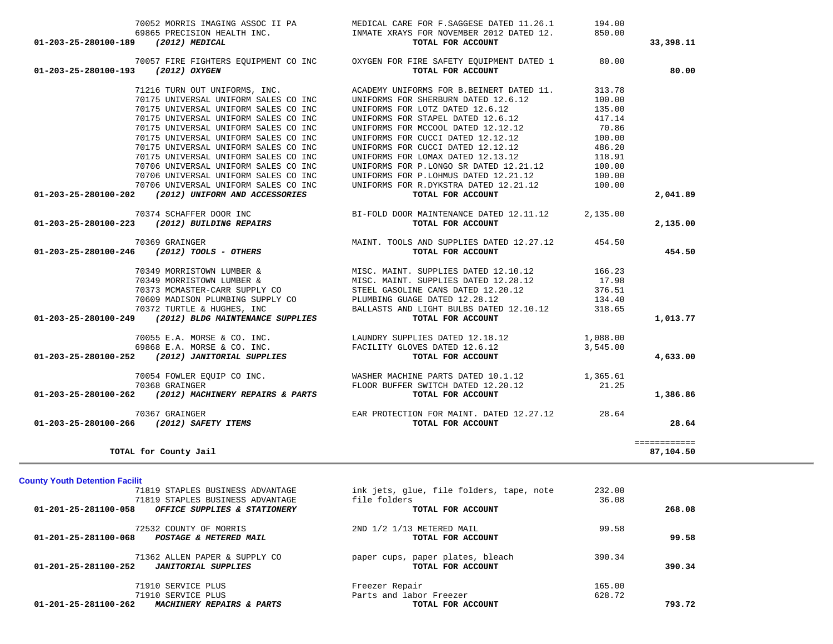|                                              | 70057 FIRE FIGHTERS EQUIPMENT CO INC                             | OXYGEN FOR FIRE SAFETY EQUIPMENT DATED 1                                                 | 80.00    |              |
|----------------------------------------------|------------------------------------------------------------------|------------------------------------------------------------------------------------------|----------|--------------|
| 01-203-25-280100-193                         | (2012) OXYGEN                                                    | TOTAL FOR ACCOUNT                                                                        |          | 80.00        |
|                                              | 71216 TURN OUT UNIFORMS, INC.                                    | ACADEMY UNIFORMS FOR B.BEINERT DATED 11.                                                 | 313.78   |              |
|                                              | 70175 UNIVERSAL UNIFORM SALES CO INC                             | UNIFORMS FOR SHERBURN DATED 12.6.12                                                      | 100.00   |              |
|                                              | 70175 UNIVERSAL UNIFORM SALES CO INC                             | UNIFORMS FOR LOTZ DATED 12.6.12                                                          | 135.00   |              |
|                                              | 70175 UNIVERSAL UNIFORM SALES CO INC                             | UNIFORMS FOR STAPEL DATED 12.6.12                                                        | 417.14   |              |
|                                              |                                                                  |                                                                                          |          |              |
|                                              | 70175 UNIVERSAL UNIFORM SALES CO INC                             | UNIFORMS FOR MCCOOL DATED 12.12.12                                                       | 70.86    |              |
|                                              | 70175 UNIVERSAL UNIFORM SALES CO INC                             | UNIFORMS FOR CUCCI DATED 12.12.12                                                        | 100.00   |              |
|                                              | 70175 UNIVERSAL UNIFORM SALES CO INC                             | UNIFORMS FOR CUCCI DATED 12.12.12                                                        | 486.20   |              |
|                                              | 70175 UNIVERSAL UNIFORM SALES CO INC                             | UNIFORMS FOR LOMAX DATED 12.13.12                                                        | 118.91   |              |
|                                              | 70706 UNIVERSAL UNIFORM SALES CO INC                             | UNIFORMS FOR P.LONGO SR DATED 12.21.12                                                   | 100.00   |              |
|                                              | 70706 UNIVERSAL UNIFORM SALES CO INC                             | UNIFORMS FOR P.LOHMUS DATED 12.21.12                                                     | 100.00   |              |
|                                              | 70706 UNIVERSAL UNIFORM SALES CO INC                             | UNIFORMS FOR R.DYKSTRA DATED 12.21.12                                                    | 100.00   |              |
|                                              | 01-203-25-280100-202 (2012) UNIFORM AND ACCESSORIES              | TOTAL FOR ACCOUNT                                                                        |          | 2,041.89     |
|                                              |                                                                  |                                                                                          |          |              |
|                                              | 70374 SCHAFFER DOOR INC                                          | BI-FOLD DOOR MAINTENANCE DATED 12.11.12                                                  | 2,135.00 |              |
|                                              | 01-203-25-280100-223 (2012) BUILDING REPAIRS                     | TOTAL FOR ACCOUNT                                                                        |          | 2,135.00     |
|                                              | 70369 GRAINGER                                                   | MAINT. TOOLS AND SUPPLIES DATED 12.27.12 454.50                                          |          |              |
| 01-203-25-280100-246                         | (2012) TOOLS - OTHERS                                            | TOTAL FOR ACCOUNT                                                                        |          | 454.50       |
|                                              |                                                                  |                                                                                          |          |              |
|                                              | 70349 MORRISTOWN LUMBER &                                        | MISC. MAINT. SUPPLIES DATED 12.10.12                                                     | 166.23   |              |
|                                              | 70349 MORRISTOWN LUMBER &                                        | MISC. MAINT. SUPPLIES DATED 12.28.12<br>CO STEEL GASOLINE CANS DATED 12.20.12            | 17.98    |              |
|                                              | 70373 MCMASTER-CARR SUPPLY CO                                    |                                                                                          | 376.51   |              |
|                                              | 70609 MADISON PLUMBING SUPPLY CO PLUMBING GUAGE DATED $12.28.12$ |                                                                                          | 134.40   |              |
|                                              | 70372 TURTLE & HUGHES, INC                                       | BALLASTS AND LIGHT BULBS DATED 12.10.12                                                  | 318.65   |              |
| 01-203-25-280100-249                         | $(2012)$ BLDG MAINTENANCE SUPPLIES                               | TOTAL FOR ACCOUNT                                                                        |          | 1,013.77     |
|                                              |                                                                  |                                                                                          |          |              |
|                                              | 70055 E.A. MORSE & CO. INC.                                      | LAUNDRY SUPPLIES DATED 12.18.12 1,088.00                                                 |          |              |
|                                              | 69868 E.A. MORSE & CO. INC.                                      | FACILITY GLOVES DATED 12.6.12                                                            | 3,545.00 |              |
| 01-203-25-280100-252                         | (2012) JANITORIAL SUPPLIES                                       | TOTAL FOR ACCOUNT                                                                        |          | 4,633.00     |
|                                              | 70054 FOWLER EQUIP CO INC.                                       | WASHER MACHINE PARTS DATED 10.1.12 1,365.61                                              |          |              |
|                                              | 70368 GRAINGER                                                   |                                                                                          | 21.25    |              |
| 01-203-25-280100-262                         |                                                                  | FLOOR BUFFER SWITCH DATED 12.20.12<br>(2012) MACHINERY REPAIRS & PARTS TOTAL FOR ACCOUNT |          | 1,386.86     |
|                                              | 70367 GRAINGER                                                   | EAR PROTECTION FOR MAINT. DATED 12.27.12 28.64                                           |          |              |
|                                              | 01-203-25-280100-266 (2012) SAFETY ITEMS                         | TOTAL FOR ACCOUNT                                                                        |          | 28.64        |
|                                              |                                                                  |                                                                                          |          |              |
|                                              |                                                                  |                                                                                          |          | ============ |
|                                              | TOTAL for County Jail                                            |                                                                                          |          | 87,104.50    |
|                                              |                                                                  |                                                                                          |          |              |
| <b>County Youth Detention Facilit</b>        | 71819 STAPLES BUSINESS ADVANTAGE                                 | ink jets, glue, file folders, tape, note                                                 | 232.00   |              |
|                                              | 71819 STAPLES BUSINESS ADVANTAGE                                 | file folders                                                                             | 36.08    |              |
|                                              |                                                                  |                                                                                          |          |              |
| 01-201-25-281100-058                         | OFFICE SUPPLIES & STATIONERY                                     | TOTAL FOR ACCOUNT                                                                        |          | 268.08       |
|                                              | 72532 COUNTY OF MORRIS                                           | 2ND 1/2 1/13 METERED MAIL                                                                | 99.58    |              |
|                                              |                                                                  | TOTAL FOR ACCOUNT                                                                        |          | 99.58        |
|                                              | 01-201-25-281100-068 POSTAGE & METERED MAIL                      |                                                                                          |          |              |
|                                              |                                                                  |                                                                                          |          |              |
|                                              | 71362 ALLEN PAPER & SUPPLY CO                                    | paper cups, paper plates, bleach                                                         | 390.34   |              |
|                                              | <b>JANITORIAL SUPPLIES</b>                                       | TOTAL FOR ACCOUNT                                                                        |          | 390.34       |
|                                              | 71910 SERVICE PLUS                                               | Freezer Repair                                                                           | 165.00   |              |
|                                              |                                                                  |                                                                                          |          |              |
| 01-201-25-281100-252<br>01-201-25-281100-262 | 71910 SERVICE PLUS<br>MACHINERY REPAIRS & PARTS                  | Parts and labor Freezer<br>TOTAL FOR ACCOUNT                                             | 628.72   | 793.72       |

70052 MORRIS IMAGING ASSOC II PA MEDICAL CARE FOR F.SAGGESE DATED 11.26.1 194.00

69865 PRECISION HEALTH INC. INMATE XRAYS FOR NOVEMBER 2012 DATED 12.  **01-203-25-280100-189** *(2012) MEDICAL* **TOTAL FOR ACCOUNT 33,398.11**

850.00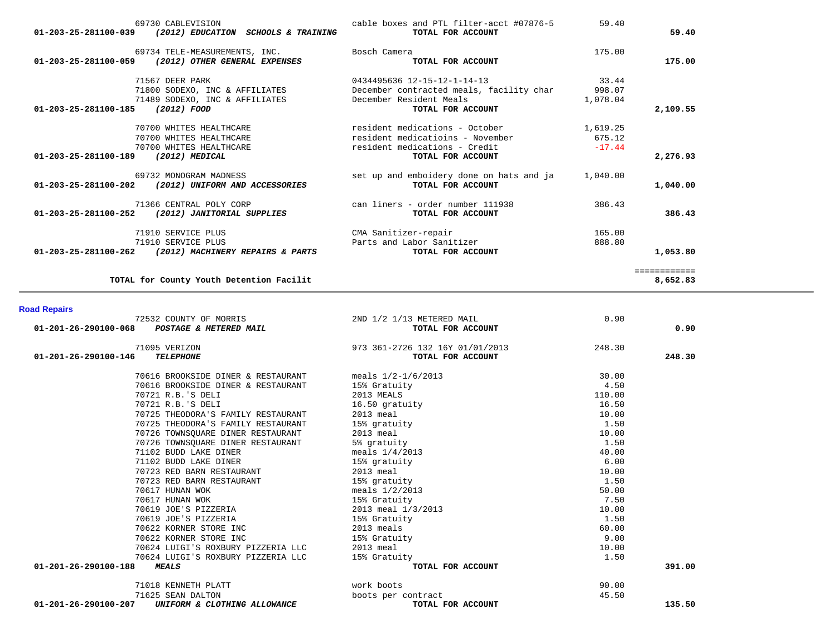| 69730 CABLEVISION<br>(2012) EDUCATION SCHOOLS & TRAINING<br>01-203-25-281100-039       | cable boxes and PTL filter-acct #07876-5<br>TOTAL FOR ACCOUNT       | 59.40              | 59.40        |
|----------------------------------------------------------------------------------------|---------------------------------------------------------------------|--------------------|--------------|
| 69734 TELE-MEASUREMENTS, INC.<br>(2012) OTHER GENERAL EXPENSES<br>01-203-25-281100-059 | Bosch Camera<br>TOTAL FOR ACCOUNT                                   | 175.00             | 175.00       |
| 71567 DEER PARK                                                                        | 0434495636 12-15-12-1-14-13                                         | 33.44              |              |
| 71800 SODEXO, INC & AFFILIATES<br>71489 SODEXO, INC & AFFILIATES                       | December contracted meals, facility char<br>December Resident Meals | 998.07<br>1,078.04 |              |
| 01-203-25-281100-185<br>(2012) FOOD                                                    | TOTAL FOR ACCOUNT                                                   |                    | 2,109.55     |
| 70700 WHITES HEALTHCARE                                                                | resident medications - October                                      | 1,619.25           |              |
| 70700 WHITES HEALTHCARE                                                                | resident medicatioins - November                                    | 675.12             |              |
| 70700 WHITES HEALTHCARE                                                                | resident medications - Credit                                       | $-17.44$           |              |
| 01-203-25-281100-189<br>(2012) MEDICAL                                                 | TOTAL FOR ACCOUNT                                                   |                    | 2,276.93     |
| 69732 MONOGRAM MADNESS<br>01-203-25-281100-202<br>(2012) UNIFORM AND ACCESSORIES       | set up and emboidery done on hats and ja<br>TOTAL FOR ACCOUNT       | 1,040.00           | 1,040.00     |
| 71366 CENTRAL POLY CORP                                                                | can liners - order number 111938                                    | 386.43             |              |
| 01-203-25-281100-252<br>(2012) JANITORIAL SUPPLIES                                     | TOTAL FOR ACCOUNT                                                   |                    | 386.43       |
| 71910 SERVICE PLUS                                                                     | CMA Sanitizer-repair                                                | 165.00             |              |
| 71910 SERVICE PLUS                                                                     | Parts and Labor Sanitizer                                           | 888.80             |              |
| $01 - 203 - 25 - 281100 - 262$<br>(2012) MACHINERY REPAIRS & PARTS                     | TOTAL FOR ACCOUNT                                                   |                    | 1,053.80     |
|                                                                                        |                                                                     |                    | ============ |
| TOTAL for County Youth Detention Facilit                                               |                                                                     |                    | 8,652.83     |

| <b>Road Repairs</b> |  |
|---------------------|--|
|---------------------|--|

| 72532 COUNTY OF MORRIS                               | 2ND 1/2 1/13 METERED MAIL       | 0.90   |        |
|------------------------------------------------------|---------------------------------|--------|--------|
| 01-201-26-290100-068<br>POSTAGE & METERED MAIL       | TOTAL FOR ACCOUNT               |        | 0.90   |
| 71095 VERIZON                                        | 973 361-2726 132 16Y 01/01/2013 | 248.30 |        |
| 01-201-26-290100-146<br><b>TELEPHONE</b>             | TOTAL FOR ACCOUNT               |        | 248.30 |
| 70616 BROOKSIDE DINER & RESTAURANT                   | meals 1/2-1/6/2013              | 30.00  |        |
| 70616 BROOKSIDE DINER & RESTAURANT                   | 15% Gratuity                    | 4.50   |        |
| 70721 R.B.'S DELI                                    | 2013 MEALS                      | 110.00 |        |
| 70721 R.B.'S DELI                                    | 16.50 gratuity                  | 16.50  |        |
| 70725 THEODORA'S FAMILY RESTAURANT                   | $2013$ meal                     | 10.00  |        |
| 70725 THEODORA'S FAMILY RESTAURANT                   | 15% gratuity                    | 1.50   |        |
| 70726 TOWNSQUARE DINER RESTAURANT                    | $2013$ meal                     | 10.00  |        |
| 70726 TOWNSQUARE DINER RESTAURANT                    | 5% gratuity                     | 1.50   |        |
| 71102 BUDD LAKE DINER                                | meals $1/4/2013$                | 40.00  |        |
| 71102 BUDD LAKE DINER                                | 15% gratuity                    | 6.00   |        |
| 70723 RED BARN RESTAURANT                            | $2013$ meal                     | 10.00  |        |
| 70723 RED BARN RESTAURANT                            | 15% gratuity                    | 1.50   |        |
| 70617 HUNAN WOK                                      | meals 1/2/2013                  | 50.00  |        |
| 70617 HUNAN WOK                                      | 15% Gratuity                    | 7.50   |        |
| 70619 JOE'S PIZZERIA                                 | 2013 meal 1/3/2013              | 10.00  |        |
| 70619 JOE'S PIZZERIA                                 | 15% Gratuity                    | 1.50   |        |
| 70622 KORNER STORE INC                               | 2013 meals                      | 60.00  |        |
| 70622 KORNER STORE INC                               | 15% Gratuity                    | 9.00   |        |
| 70624 LUIGI'S ROXBURY PIZZERIA LLC                   | 2013 meal                       | 10.00  |        |
| 70624 LUIGI'S ROXBURY PIZZERIA LLC                   | 15% Gratuity                    | 1.50   |        |
| 01-201-26-290100-188<br><b>MEALS</b>                 | TOTAL FOR ACCOUNT               |        | 391.00 |
| 71018 KENNETH PLATT                                  | work boots                      | 90.00  |        |
| 71625 SEAN DALTON                                    | boots per contract              | 45.50  |        |
| 01-201-26-290100-207<br>UNIFORM & CLOTHING ALLOWANCE | TOTAL FOR ACCOUNT               |        | 135.50 |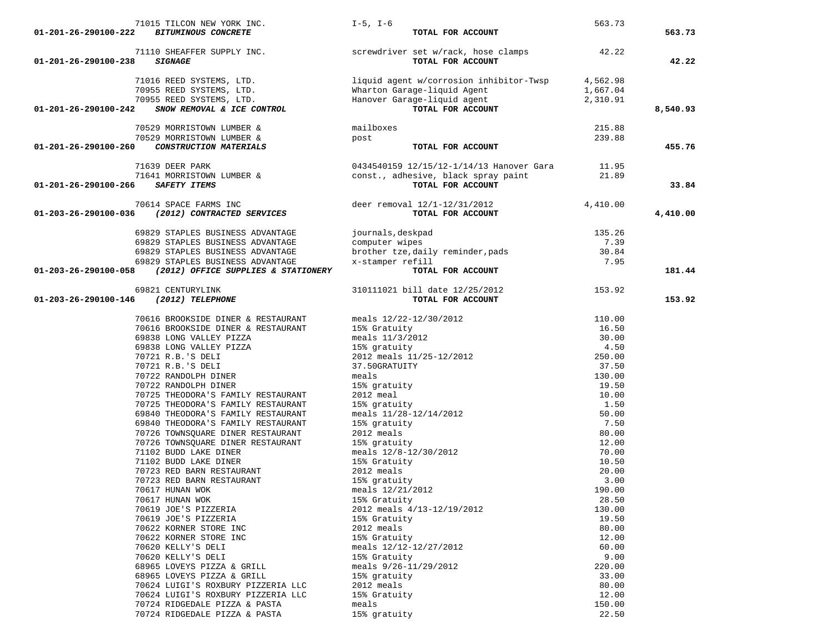| 71015 TILCON NEW YORK INC.                                  | $I-5$ , $I-6$                                                  | 563.73          |          |
|-------------------------------------------------------------|----------------------------------------------------------------|-----------------|----------|
| 01-201-26-290100-222<br><b>BITUMINOUS CONCRETE</b>          | TOTAL FOR ACCOUNT                                              |                 | 563.73   |
|                                                             |                                                                |                 |          |
|                                                             | 71110 SHEAFFER SUPPLY INC. Screwdriver set w/rack, hose clamps | 42.22           |          |
| 01-201-26-290100-238<br><b>SIGNAGE</b>                      | TOTAL FOR ACCOUNT                                              |                 | 42.22    |
|                                                             |                                                                |                 |          |
| 71016 REED SYSTEMS, LTD.                                    | liquid agent w/corrosion inhibitor-Twsp                        | 4,562.98        |          |
| 70955 REED SYSTEMS, LTD.                                    |                                                                | 1,667.04        |          |
| 70955 REED SYSTEMS, LTD.                                    | wuarton Garage-liquid Agent<br>Hanover Garage-liquid agent     | 2,310.91        |          |
| SNOW REMOVAL & ICE CONTROL<br>01-201-26-290100-242          | TOTAL FOR ACCOUNT                                              |                 | 8,540.93 |
|                                                             |                                                                |                 |          |
| 70529 MORRISTOWN LUMBER &                                   | mailboxes                                                      | 215.88          |          |
| 70529 MORRISTOWN LUMBER &                                   | post                                                           | 239.88          |          |
| 01-201-26-290100-260<br>CONSTRUCTION MATERIALS              | TOTAL FOR ACCOUNT                                              |                 | 455.76   |
|                                                             |                                                                |                 |          |
| 71639 DEER PARK                                             | 0434540159 12/15/12-1/14/13 Hanover Gara                       | 11.95           |          |
| 71641 MORRISTOWN LUMBER &                                   | const., adhesive, black spray paint                            | 21.89           |          |
| 01-201-26-290100-266<br>SAFETY ITEMS                        | TOTAL FOR ACCOUNT                                              |                 | 33.84    |
|                                                             |                                                                |                 |          |
| 70614 SPACE FARMS INC                                       | deer removal 12/1-12/31/2012                                   | 4,410.00        |          |
| 01-203-26-290100-036<br>(2012) CONTRACTED SERVICES          | TOTAL FOR ACCOUNT                                              |                 | 4,410.00 |
|                                                             |                                                                |                 |          |
| 69829 STAPLES BUSINESS ADVANTAGE                            | journals, deskpad                                              | 135.26          |          |
| 69829 STAPLES BUSINESS ADVANTAGE                            | computer wipes                                                 | 7.39            |          |
| 69829 STAPLES BUSINESS ADVANTAGE                            | brother tze, daily reminder, pads                              | 30.84           |          |
| 69829 STAPLES BUSINESS ADVANTAGE                            | x-stamper refill                                               | 7.95            |          |
| 01-203-26-290100-058<br>(2012) OFFICE SUPPLIES & STATIONERY | TOTAL FOR ACCOUNT                                              |                 | 181.44   |
|                                                             |                                                                |                 |          |
| 69821 CENTURYLINK                                           | 310111021 bill date 12/25/2012                                 | 153.92          |          |
| 01-203-26-290100-146<br>$(2012)$ TELEPHONE                  | TOTAL FOR ACCOUNT                                              |                 | 153.92   |
|                                                             |                                                                |                 |          |
| 70616 BROOKSIDE DINER & RESTAURANT                          | meals $12/22 - 12/30/2012$                                     | 110.00          |          |
| 70616 BROOKSIDE DINER & RESTAURANT                          | 15% Gratuity                                                   | 16.50           |          |
| 69838 LONG VALLEY PIZZA                                     | meals 11/3/2012                                                | 30.00           |          |
| 69838 LONG VALLEY PIZZA                                     | 15% gratuity                                                   | 4.50            |          |
| 70721 R.B.'S DELI                                           | 2012 meals 11/25-12/2012                                       | 250.00          |          |
| 70721 R.B.'S DELI                                           | 37.50GRATUITY                                                  | 37.50           |          |
| 70722 RANDOLPH DINER                                        | meals                                                          | 130.00          |          |
| 70722 RANDOLPH DINER                                        | 15% gratuity                                                   | 19.50           |          |
| 70725 THEODORA'S FAMILY RESTAURANT                          | 2012 meal                                                      | 10.00           |          |
| 70725 THEODORA'S FAMILY RESTAURANT                          | 15% gratuity                                                   | 1.50            |          |
| 69840 THEODORA'S FAMILY RESTAURANT                          | meals 11/28-12/14/2012                                         | 50.00           |          |
| 69840 THEODORA'S FAMILY RESTAURANT                          | 15% gratuity                                                   | 7.50            |          |
| 70726 TOWNSQUARE DINER RESTAURANT                           | 2012 meals                                                     | 80.00           |          |
| 70726 TOWNSQUARE DINER RESTAURANT                           | 15% gratuity                                                   | 12.00           |          |
| 71102 BUDD LAKE DINER                                       | meals $12/8 - 12/30/2012$                                      | 70.00           |          |
| 71102 BUDD LAKE DINER                                       | 15% Gratuity                                                   | 10.50           |          |
| 70723 RED BARN RESTAURANT                                   | 2012 meals                                                     | 20.00           |          |
| 70723 RED BARN RESTAURANT                                   | 15% gratuity                                                   | 3.00            |          |
| 70617 HUNAN WOK                                             | meals 12/21/2012                                               | 190.00          |          |
| 70617 HUNAN WOK                                             | 15% Gratuity                                                   | 28.50           |          |
|                                                             |                                                                |                 |          |
| 70619 JOE'S PIZZERIA                                        | 2012 meals 4/13-12/19/2012<br>15% Gratuity                     | 130.00<br>19.50 |          |
| 70619 JOE'S PIZZERIA                                        | 2012 meals                                                     |                 |          |
| 70622 KORNER STORE INC                                      |                                                                | 80.00           |          |
| 70622 KORNER STORE INC                                      | 15% Gratuity                                                   | 12.00           |          |
| 70620 KELLY'S DELI                                          | meals $12/12 - 12/27/2012$                                     | 60.00           |          |
| 70620 KELLY'S DELI                                          | 15% Gratuity                                                   | 9.00            |          |
| 68965 LOVEYS PIZZA & GRILL                                  | meals 9/26-11/29/2012                                          | 220.00          |          |
| 68965 LOVEYS PIZZA & GRILL                                  | 15% gratuity                                                   | 33.00           |          |
| 70624 LUIGI'S ROXBURY PIZZERIA LLC                          | 2012 meals                                                     | 80.00           |          |
| 70624 LUIGI'S ROXBURY PIZZERIA LLC                          | 15% Gratuity                                                   | 12.00           |          |
| 70724 RIDGEDALE PIZZA & PASTA                               | meals                                                          | 150.00          |          |
| 70724 RIDGEDALE PIZZA & PASTA                               | 15% gratuity                                                   | 22.50           |          |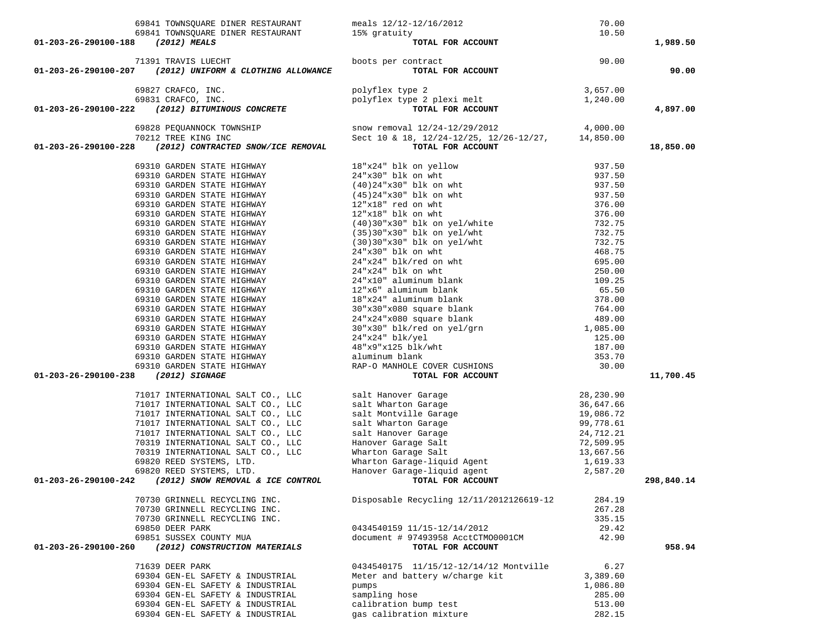|                                   | 69841 TOWNSQUARE DINER RESTAURANT                                                             |                                                                                                                                                                                                                                                       |                  |            |
|-----------------------------------|-----------------------------------------------------------------------------------------------|-------------------------------------------------------------------------------------------------------------------------------------------------------------------------------------------------------------------------------------------------------|------------------|------------|
|                                   | 69841 TOWNSQUARE DINER RESTAURANT 15% gratuity                                                |                                                                                                                                                                                                                                                       |                  |            |
| 01-203-26-290100-188 (2012) MEALS |                                                                                               | meals 12/12-12/16/2012 70.00<br>15% gratuity 10.50<br><b>TOTAL FOR ACCOUNT</b> 10.50<br>boots per contract <b>TOTAL FOR ACCOUNT</b><br>polyflex type 2<br>polyflex type 2 3,657.00<br>polyflex type 2 plexi melt 1,240.00<br><b>TOTAL FOR ACCOUNT</b> |                  | 1,989.50   |
|                                   |                                                                                               |                                                                                                                                                                                                                                                       |                  |            |
|                                   | 71391 TRAVIS LUECHT                                                                           | boots per contract                                                                                                                                                                                                                                    |                  |            |
|                                   | $01-203-26-290100-207$ (2012) UNIFORM & CLOTHING ALLOWANCE                                    |                                                                                                                                                                                                                                                       |                  | 90.00      |
|                                   |                                                                                               |                                                                                                                                                                                                                                                       |                  |            |
|                                   | 69827 CRAFCO, INC.<br>27 CRAFCO, INC.<br>31 CRAFCO, INC.<br><b>(2012) BITUMINOUS CONCRETE</b> |                                                                                                                                                                                                                                                       |                  |            |
|                                   | 69831 CRAFCO, INC.                                                                            |                                                                                                                                                                                                                                                       |                  |            |
| 01-203-26-290100-222              |                                                                                               |                                                                                                                                                                                                                                                       |                  | 4,897.00   |
|                                   |                                                                                               |                                                                                                                                                                                                                                                       |                  |            |
|                                   |                                                                                               | 69828 PEQUANNOCK TOWNSHIP Snow removal $12/24-12/29/2012$ 4,000.00<br>70212 TREE KING INC Sect 10 & 18, 12/24-12/25, 12/26-12/27, 14,850.00<br>70TAL FOR ACCOUNT                                                                                      |                  |            |
|                                   |                                                                                               |                                                                                                                                                                                                                                                       |                  |            |
| 01-203-26-290100-228              |                                                                                               |                                                                                                                                                                                                                                                       |                  | 18,850.00  |
|                                   |                                                                                               | 18 (2012) CONTRACTED SNOW/ICE REMOVAL TOTAL POR ACCOUNT (2012) CONTRACTED IN THE HIGHWAY $24 * \times 30^{\circ}$ blk on whit $937.50$ 69310 GARDEN STATE HIGHWAY (40) $24 * \times 30^{\circ}$ blk on whit $937.50$ 69310 GARDEN STATE HIGHWAY (     |                  |            |
|                                   |                                                                                               |                                                                                                                                                                                                                                                       |                  |            |
|                                   |                                                                                               |                                                                                                                                                                                                                                                       |                  |            |
|                                   |                                                                                               |                                                                                                                                                                                                                                                       |                  |            |
|                                   |                                                                                               |                                                                                                                                                                                                                                                       |                  |            |
|                                   |                                                                                               |                                                                                                                                                                                                                                                       |                  |            |
|                                   |                                                                                               |                                                                                                                                                                                                                                                       |                  |            |
|                                   |                                                                                               |                                                                                                                                                                                                                                                       |                  |            |
|                                   |                                                                                               |                                                                                                                                                                                                                                                       |                  |            |
|                                   |                                                                                               |                                                                                                                                                                                                                                                       |                  |            |
|                                   |                                                                                               |                                                                                                                                                                                                                                                       |                  |            |
|                                   |                                                                                               |                                                                                                                                                                                                                                                       |                  |            |
|                                   |                                                                                               |                                                                                                                                                                                                                                                       |                  |            |
|                                   |                                                                                               |                                                                                                                                                                                                                                                       |                  |            |
|                                   |                                                                                               |                                                                                                                                                                                                                                                       |                  |            |
|                                   |                                                                                               |                                                                                                                                                                                                                                                       |                  |            |
|                                   |                                                                                               |                                                                                                                                                                                                                                                       |                  |            |
|                                   |                                                                                               |                                                                                                                                                                                                                                                       |                  |            |
|                                   |                                                                                               |                                                                                                                                                                                                                                                       |                  |            |
|                                   |                                                                                               |                                                                                                                                                                                                                                                       |                  |            |
|                                   |                                                                                               |                                                                                                                                                                                                                                                       |                  |            |
|                                   |                                                                                               |                                                                                                                                                                                                                                                       |                  |            |
|                                   |                                                                                               |                                                                                                                                                                                                                                                       |                  |            |
| 01-203-26-290100-238              |                                                                                               |                                                                                                                                                                                                                                                       |                  | 11,700.45  |
|                                   |                                                                                               | % salt Hanover Garage<br>salt Wharton Garage<br>salt Montville Garage<br>salt Montville Garage<br>salt Wharton Garage<br>salt Hanover Garage<br>salt Hanover Garage<br>Salt Monton Garage<br>Salt 24,712.21<br>Hanover Garage Salt<br>Mharton Gara    |                  |            |
|                                   | 71017 INTERNATIONAL SALT CO., LLC                                                             |                                                                                                                                                                                                                                                       |                  |            |
|                                   | 71017 INTERNATIONAL SALT CO., LLC                                                             |                                                                                                                                                                                                                                                       |                  |            |
|                                   | 71017 INTERNATIONAL SALT CO., LLC                                                             |                                                                                                                                                                                                                                                       |                  |            |
|                                   | 71017 INTERNATIONAL SALT CO., LLC                                                             |                                                                                                                                                                                                                                                       |                  |            |
|                                   | 71017 INTERNATIONAL SALT CO., LLC                                                             |                                                                                                                                                                                                                                                       |                  |            |
|                                   | 70319 INTERNATIONAL SALT CO., LLC                                                             |                                                                                                                                                                                                                                                       |                  |            |
|                                   | 70319 INTERNATIONAL SALT CO., LLC                                                             |                                                                                                                                                                                                                                                       |                  |            |
|                                   | 69820 REED SYSTEMS, LTD.<br>69820 REED SYSTEMS, LTD.                                          |                                                                                                                                                                                                                                                       |                  |            |
|                                   | 69820 REED SYSTEMS, LTD.<br>01-203-26-290100-242 (2012) SNOW REMOVAL & ICE CONTROL            |                                                                                                                                                                                                                                                       |                  |            |
|                                   |                                                                                               |                                                                                                                                                                                                                                                       |                  | 298,840.14 |
|                                   | 70730 GRINNELL RECYCLING INC.                                                                 | Disposable Recycling 12/11/2012126619-12                                                                                                                                                                                                              | 284.19           |            |
|                                   |                                                                                               |                                                                                                                                                                                                                                                       |                  |            |
|                                   | 70730 GRINNELL RECYCLING INC.<br>70730 GRINNELL RECYCLING INC.                                |                                                                                                                                                                                                                                                       | 267.28<br>335.15 |            |
|                                   | 69850 DEER PARK                                                                               | 0434540159 11/15-12/14/2012                                                                                                                                                                                                                           | 29.42            |            |
|                                   | 69851 SUSSEX COUNTY MUA                                                                       | document # 97493958 AcctCTM00001CM                                                                                                                                                                                                                    | 42.90            |            |
| 01-203-26-290100-260              | (2012) CONSTRUCTION MATERIALS                                                                 | TOTAL FOR ACCOUNT                                                                                                                                                                                                                                     |                  | 958.94     |
|                                   |                                                                                               |                                                                                                                                                                                                                                                       |                  |            |
|                                   | 71639 DEER PARK                                                                               | 0434540175 11/15/12-12/14/12 Montville                                                                                                                                                                                                                | 6.27             |            |
|                                   | 69304 GEN-EL SAFETY & INDUSTRIAL                                                              | Meter and battery w/charge kit                                                                                                                                                                                                                        | 3,389.60         |            |
|                                   | 69304 GEN-EL SAFETY & INDUSTRIAL                                                              | pumps                                                                                                                                                                                                                                                 | 1,086.80         |            |
|                                   | 69304 GEN-EL SAFETY & INDUSTRIAL                                                              | sampling hose                                                                                                                                                                                                                                         | 285.00           |            |
|                                   | 69304 GEN-EL SAFETY & INDUSTRIAL                                                              | calibration bump test                                                                                                                                                                                                                                 | 513.00           |            |
|                                   | 69304 GEN-EL SAFETY & INDUSTRIAL                                                              | gas calibration mixture                                                                                                                                                                                                                               | 282.15           |            |
|                                   |                                                                                               |                                                                                                                                                                                                                                                       |                  |            |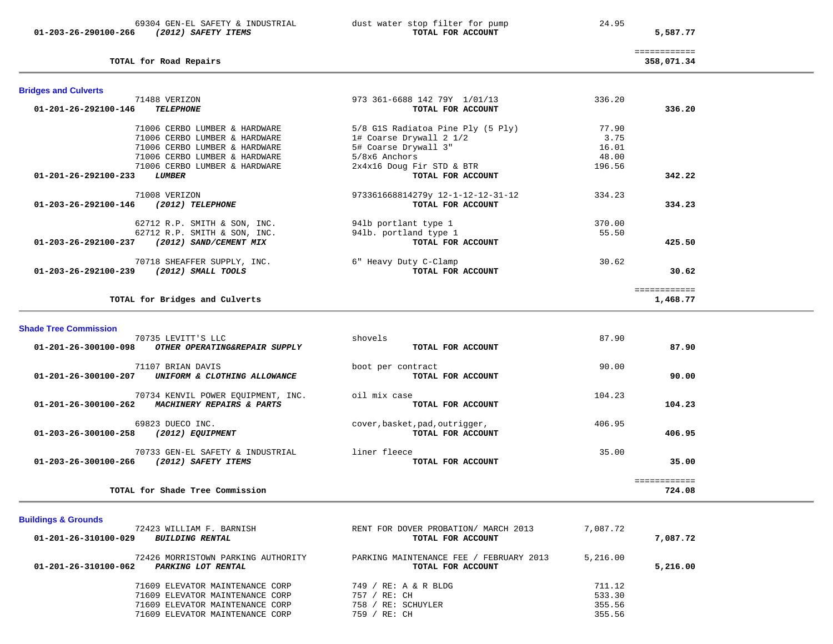69304 GEN-EL SAFETY & INDUSTRIAL dust water stop filter for pump 24.95  **01-203-26-290100-266** *(2012) SAFETY ITEMS* **TOTAL FOR ACCOUNT 5,587.77**

**TOTAL for Road Repairs 358,071.34**

 ============ 358,071.34

| <b>Bridges and Culverts</b>                              |                                   |        |              |
|----------------------------------------------------------|-----------------------------------|--------|--------------|
| 71488 VERIZON                                            | 973 361-6688 142 79Y 1/01/13      | 336.20 |              |
| 01-201-26-292100-146<br><b>TELEPHONE</b>                 | TOTAL FOR ACCOUNT                 |        | 336.20       |
| 71006 CERBO LUMBER & HARDWARE                            | 5/8 GlS Radiatoa Pine Ply (5 Ply) | 77.90  |              |
| 71006 CERBO LUMBER & HARDWARE                            | 1# Coarse Drywall 2 1/2           | 3.75   |              |
| 71006 CERBO LUMBER & HARDWARE                            | 5# Coarse Drywall 3"              | 16.01  |              |
| 71006 CERBO LUMBER & HARDWARE                            | 5/8x6 Anchors                     | 48.00  |              |
| 71006 CERBO LUMBER & HARDWARE                            | 2x4x16 Doug Fir STD & BTR         | 196.56 |              |
| $01 - 201 - 26 - 292100 - 233$<br><i><b>LUMBER</b></i>   | TOTAL FOR ACCOUNT                 |        | 342.22       |
| 71008 VERIZON                                            | 973361668814279y 12-1-12-12-31-12 | 334.23 |              |
| 01-203-26-292100-146<br>(2012) TELEPHONE                 | TOTAL FOR ACCOUNT                 |        | 334.23       |
| 62712 R.P. SMITH & SON, INC.                             | 941b portlant type 1              | 370.00 |              |
| 62712 R.P. SMITH & SON, INC.                             | 941b. portland type 1             | 55.50  |              |
| $01 - 203 - 26 - 292100 - 237$<br>(2012) SAND/CEMENT MIX | TOTAL FOR ACCOUNT                 |        | 425.50       |
| 70718 SHEAFFER SUPPLY, INC.                              | 6" Heavy Duty C-Clamp             | 30.62  |              |
| 01-203-26-292100-239<br>$(2012)$ SMALL TOOLS             | TOTAL FOR ACCOUNT                 |        | 30.62        |
|                                                          |                                   |        | ============ |
| TOTAL for Bridges and Culverts                           |                                   |        | 1,468.77     |

**Shade Tree Commission** 

| 70735 LEVITT'S LLC<br>01-201-26-300100-098<br>OTHER OPERATING&REPAIR SUPPLY             | shovels<br>TOTAL FOR ACCOUNT                        | 87.90<br>87.90         |
|-----------------------------------------------------------------------------------------|-----------------------------------------------------|------------------------|
| 71107 BRIAN DAVIS<br>01-201-26-300100-207<br>UNIFORM & CLOTHING ALLOWANCE               | boot per contract<br>TOTAL FOR ACCOUNT              | 90.00<br>90.00         |
| 70734 KENVIL POWER EOUIPMENT, INC.<br>01-201-26-300100-262<br>MACHINERY REPAIRS & PARTS | oil mix case<br>TOTAL FOR ACCOUNT                   | 104.23<br>104.23       |
| 69823 DUECO INC.<br>01-203-26-300100-258<br>(2012) EOUIPMENT                            | cover, basket, pad, outrigger,<br>TOTAL FOR ACCOUNT | 406.95<br>406.95       |
| 70733 GEN-EL SAFETY & INDUSTRIAL<br>01-203-26-300100-266<br>(2012) SAFETY ITEMS         | liner fleece<br>TOTAL FOR ACCOUNT                   | 35.00<br>35.00         |
| TOTAL for Shade Tree Commission                                                         |                                                     | ============<br>724.08 |

# **Buildings & Grounds**

| 72423 WILLIAM F. BARNISH<br>01-201-26-310100-029<br><i>BUILDING RENTAL</i>       | RENT FOR DOVER PROBATION/ MARCH 2013<br>TOTAL FOR ACCOUNT    | 7,087.72 | 7,087.72 |
|----------------------------------------------------------------------------------|--------------------------------------------------------------|----------|----------|
| 72426 MORRISTOWN PARKING AUTHORITY<br>01-201-26-310100-062<br>PARKING LOT RENTAL | PARKING MAINTENANCE FEE / FEBRUARY 2013<br>TOTAL FOR ACCOUNT | 5,216.00 | 5,216.00 |
| 71609 ELEVATOR MAINTENANCE CORP                                                  | 749 / RE: A & R BLDG                                         | 711.12   |          |
| 71609 ELEVATOR MAINTENANCE CORP                                                  | 757 / RE: CH                                                 | 533.30   |          |
| 71609 ELEVATOR MAINTENANCE CORP                                                  | 758 / RE: SCHUYLER                                           | 355.56   |          |
| 71609 ELEVATOR MAINTENANCE CORP                                                  | RE: CH<br>759                                                | 355.56   |          |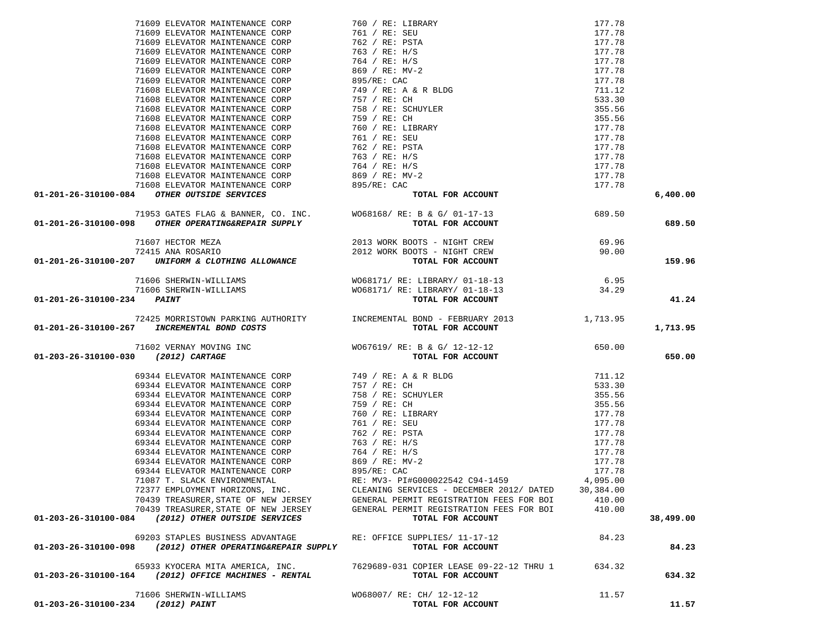| 71609 ELEVATOR MAINTENANCE CORP (760) / RE: LIBRARY 177, 78<br>71609 ELEVATOR MAINTENANCE CORP (761) / RE: SEU 177, 78<br>71609 ELEVATOR MAINTENANCE CORP (762) / RE: H/S (177, 78<br>71609 ELEVATOR MAINTENANCE CORP (762) / RE: H |                                          |           | 6,400.00  |
|-------------------------------------------------------------------------------------------------------------------------------------------------------------------------------------------------------------------------------------|------------------------------------------|-----------|-----------|
| 71953 GATES FLAG & BANNER, CO. INC. WO68168/RE: B & G/01-17-13 71954-310100-098 71953 GATES FLAG & BANNER, CO. INC. WO68168/RE: B & G/01-17-13                                                                                      |                                          |           |           |
|                                                                                                                                                                                                                                     |                                          |           | 689.50    |
|                                                                                                                                                                                                                                     |                                          |           |           |
|                                                                                                                                                                                                                                     |                                          |           |           |
|                                                                                                                                                                                                                                     |                                          |           |           |
|                                                                                                                                                                                                                                     |                                          |           | 159.96    |
|                                                                                                                                                                                                                                     |                                          |           |           |
|                                                                                                                                                                                                                                     |                                          |           |           |
|                                                                                                                                                                                                                                     |                                          |           |           |
| 01-201-26-310100-234 PAINT                                                                                                                                                                                                          |                                          |           | 41.24     |
|                                                                                                                                                                                                                                     |                                          |           |           |
|                                                                                                                                                                                                                                     |                                          |           |           |
| 01-201-26-310100-267 INCREMENTAL BOND COSTS                                                                                                                                                                                         |                                          |           | 1,713.95  |
|                                                                                                                                                                                                                                     |                                          |           |           |
|                                                                                                                                                                                                                                     |                                          |           |           |
| 01-203-26-310100-030 (2012) CARTAGE                                                                                                                                                                                                 |                                          |           | 650.00    |
|                                                                                                                                                                                                                                     |                                          |           |           |
|                                                                                                                                                                                                                                     |                                          |           |           |
|                                                                                                                                                                                                                                     |                                          |           |           |
|                                                                                                                                                                                                                                     |                                          |           |           |
|                                                                                                                                                                                                                                     |                                          |           |           |
|                                                                                                                                                                                                                                     |                                          |           |           |
|                                                                                                                                                                                                                                     |                                          |           |           |
|                                                                                                                                                                                                                                     |                                          |           |           |
|                                                                                                                                                                                                                                     |                                          |           |           |
|                                                                                                                                                                                                                                     |                                          |           |           |
|                                                                                                                                                                                                                                     |                                          |           |           |
|                                                                                                                                                                                                                                     |                                          |           |           |
|                                                                                                                                                                                                                                     |                                          |           |           |
|                                                                                                                                                                                                                                     |                                          |           |           |
| 72377 EMPLOYMENT HORIZONS, INC.                                                                                                                                                                                                     | CLEANING SERVICES - DECEMBER 2012/ DATED | 30,384.00 |           |
| 70439 TREASURER, STATE OF NEW JERSEY                                                                                                                                                                                                | GENERAL PERMIT REGISTRATION FEES FOR BOI | 410.00    |           |
| 70439 TREASURER, STATE OF NEW JERSEY                                                                                                                                                                                                | GENERAL PERMIT REGISTRATION FEES FOR BOI | 410.00    |           |
| (2012) OTHER OUTSIDE SERVICES<br>01-203-26-310100-084                                                                                                                                                                               | TOTAL FOR ACCOUNT                        |           | 38,499.00 |
|                                                                                                                                                                                                                                     |                                          |           |           |
| 69203 STAPLES BUSINESS ADVANTAGE                                                                                                                                                                                                    |                                          |           |           |
| (2012) OTHER OPERATING&REPAIR SUPPLY<br>01-203-26-310100-098                                                                                                                                                                        | RE: OFFICE SUPPLIES/ 11-17-12            | 84.23     |           |
|                                                                                                                                                                                                                                     | TOTAL FOR ACCOUNT                        |           | 84.23     |
|                                                                                                                                                                                                                                     |                                          |           |           |
| 65933 KYOCERA MITA AMERICA, INC.                                                                                                                                                                                                    | 7629689-031 COPIER LEASE 09-22-12 THRU 1 | 634.32    |           |
| 01-203-26-310100-164 (2012) OFFICE MACHINES - RENTAL                                                                                                                                                                                | TOTAL FOR ACCOUNT                        |           | 634.32    |
|                                                                                                                                                                                                                                     |                                          |           |           |
| 71606 SHERWIN-WILLIAMS                                                                                                                                                                                                              | WO68007/ RE: CH/ 12-12-12                | 11.57     |           |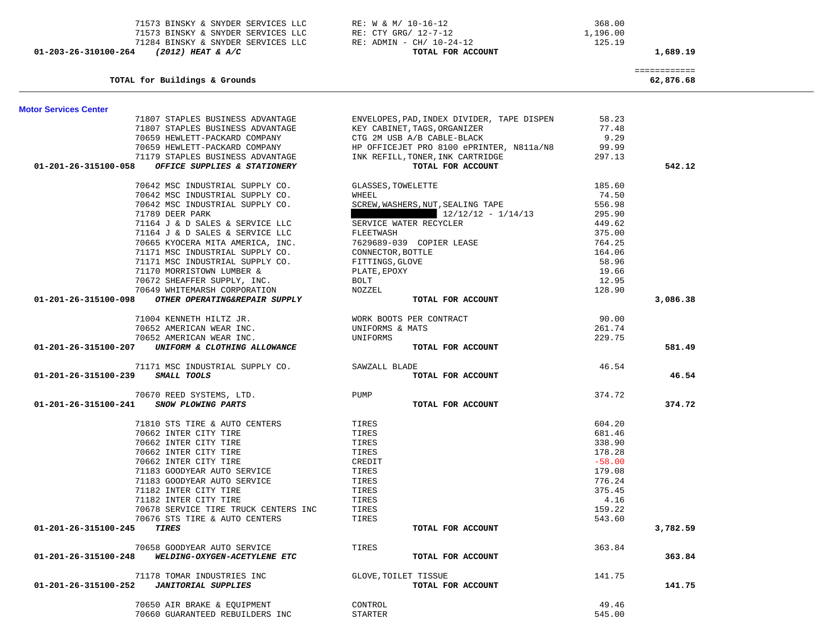| TOTAL for Buildings & Grounds                         |                      |                                            |          | ============<br>62,876.68 |
|-------------------------------------------------------|----------------------|--------------------------------------------|----------|---------------------------|
| <b>Motor Services Center</b>                          |                      |                                            |          |                           |
| 71807 STAPLES BUSINESS ADVANTAGE                      |                      | ENVELOPES, PAD, INDEX DIVIDER, TAPE DISPEN | 58.23    |                           |
| 71807 STAPLES BUSINESS ADVANTAGE                      |                      | KEY CABINET, TAGS, ORGANIZER               | 77.48    |                           |
| 70659 HEWLETT-PACKARD COMPANY                         |                      | CTG 2M USB A/B CABLE-BLACK                 | 9.29     |                           |
| 70659 HEWLETT-PACKARD COMPANY                         |                      | HP OFFICEJET PRO 8100 ePRINTER, N811a/N8   | 99.99    |                           |
| 71179 STAPLES BUSINESS ADVANTAGE                      |                      | INK REFILL, TONER, INK CARTRIDGE           | 297.13   |                           |
| 01-201-26-315100-058<br>OFFICE SUPPLIES & STATIONERY  |                      | TOTAL FOR ACCOUNT                          |          | 542.12                    |
| 70642 MSC INDUSTRIAL SUPPLY CO.                       | GLASSES, TOWELETTE   |                                            | 185.60   |                           |
| 70642 MSC INDUSTRIAL SUPPLY CO.                       | WHEEL                |                                            | 74.50    |                           |
| 70642 MSC INDUSTRIAL SUPPLY CO.                       |                      | SCREW, WASHERS, NUT, SEALING TAPE          | 556.98   |                           |
| 71789 DEER PARK                                       |                      | $12/12/12 - 1/14/13$                       | 295.90   |                           |
| 71164 J & D SALES & SERVICE LLC                       |                      | SERVICE WATER RECYCLER                     | 449.62   |                           |
| 71164 J & D SALES & SERVICE LLC                       | FLEETWASH            |                                            | 375.00   |                           |
| 70665 KYOCERA MITA AMERICA, INC.                      |                      | 7629689-039 COPIER LEASE                   | 764.25   |                           |
| 71171 MSC INDUSTRIAL SUPPLY CO.                       | CONNECTOR, BOTTLE    |                                            | 164.06   |                           |
| 71171 MSC INDUSTRIAL SUPPLY CO.                       | FITTINGS, GLOVE      |                                            | 58.96    |                           |
| 71170 MORRISTOWN LUMBER &                             | PLATE, EPOXY         |                                            | 19.66    |                           |
| 70672 SHEAFFER SUPPLY, INC.                           | <b>BOLT</b>          |                                            | 12.95    |                           |
| 70649 WHITEMARSH CORPORATION                          | NOZZEL               |                                            | 128.90   |                           |
| OTHER OPERATING&REPAIR SUPPLY<br>01-201-26-315100-098 |                      | TOTAL FOR ACCOUNT                          |          | 3,086.38                  |
| 71004 KENNETH HILTZ JR.                               |                      | WORK BOOTS PER CONTRACT                    | 90.00    |                           |
| 70652 AMERICAN WEAR INC.                              | UNIFORMS & MATS      |                                            | 261.74   |                           |
| 70652 AMERICAN WEAR INC.                              | UNIFORMS             |                                            | 229.75   |                           |
| 01-201-26-315100-207<br>UNIFORM & CLOTHING ALLOWANCE  |                      | TOTAL FOR ACCOUNT                          |          | 581.49                    |
| 71171 MSC INDUSTRIAL SUPPLY CO.                       | SAWZALL BLADE        |                                            | 46.54    |                           |
| SMALL TOOLS<br>01-201-26-315100-239                   |                      | TOTAL FOR ACCOUNT                          |          | 46.54                     |
| 70670 REED SYSTEMS, LTD.                              | PUMP                 |                                            | 374.72   |                           |
| 01-201-26-315100-241<br>SNOW PLOWING PARTS            |                      | TOTAL FOR ACCOUNT                          |          | 374.72                    |
| 71810 STS TIRE & AUTO CENTERS                         | TIRES                |                                            | 604.20   |                           |
| 70662 INTER CITY TIRE                                 | TIRES                |                                            | 681.46   |                           |
| 70662 INTER CITY TIRE                                 | TIRES                |                                            | 338.90   |                           |
| 70662 INTER CITY TIRE                                 | TIRES                |                                            | 178.28   |                           |
| 70662 INTER CITY TIRE                                 | CREDIT               |                                            | $-58.00$ |                           |
| 71183 GOODYEAR AUTO SERVICE                           | TIRES                |                                            | 179.08   |                           |
| 71183 GOODYEAR AUTO SERVICE                           | TIRES                |                                            | 776.24   |                           |
| 71182 INTER CITY TIRE                                 | TIRES                |                                            | 375.45   |                           |
| 71182 INTER CITY TIRE                                 | TIRES                |                                            | 4.16     |                           |
| 70678 SERVICE TIRE TRUCK CENTERS INC                  | TIRES                |                                            | 159.22   |                           |
| 70676 STS TIRE & AUTO CENTERS                         | TIRES                |                                            | 543.60   |                           |
| <b><i>TIRES</i></b><br>01-201-26-315100-245           |                      | TOTAL FOR ACCOUNT                          |          | 3,782.59                  |
| 70658 GOODYEAR AUTO SERVICE                           | TIRES                |                                            | 363.84   |                           |
| 01-201-26-315100-248<br>WELDING-OXYGEN-ACETYLENE ETC  |                      | TOTAL FOR ACCOUNT                          |          | 363.84                    |
| 71178 TOMAR INDUSTRIES INC                            | GLOVE, TOILET TISSUE |                                            | 141.75   |                           |
| 01-201-26-315100-252<br><b>JANITORIAL SUPPLIES</b>    |                      | TOTAL FOR ACCOUNT                          |          | 141.75                    |
| 70650 AIR BRAKE & EQUIPMENT                           | CONTROL              |                                            | 49.46    |                           |
| 70660 GUARANTEED REBUILDERS INC                       | STARTER              |                                            | 545.00   |                           |

71573 BINSKY & SNYDER SERVICES LLC RE: W & M/ 10-16-12 368.00

 **01-203-26-310100-264** *(2012) HEAT & A/C* **TOTAL FOR ACCOUNT 1,689.19**

71284 BINSKY & SNYDER SERVICES LLC RE: ADMIN - CH/ 10-24-12 125.19

71573 BINSKY & SNYDER SERVICES LLC RE: CTY GRG/ 12-7-12 1,196.00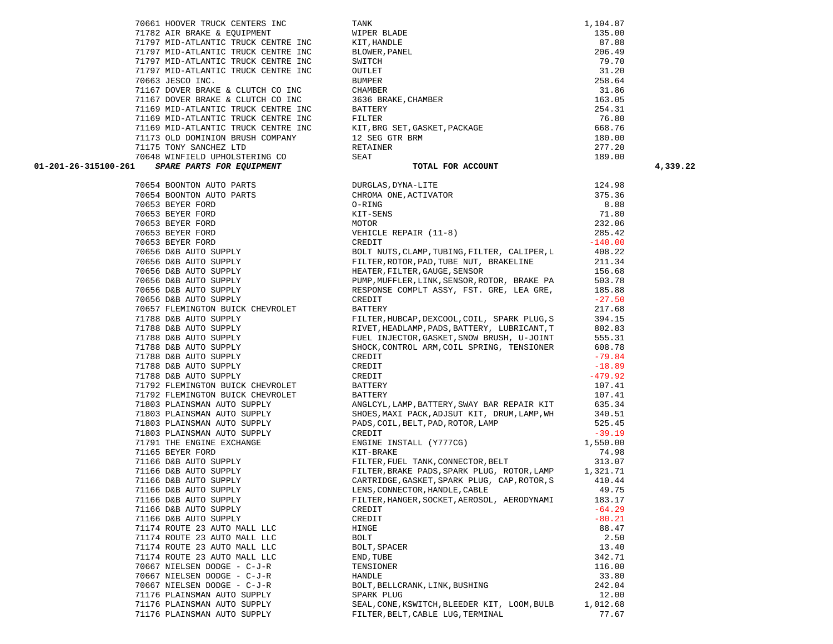71782 AIR BRAKE & EQUIPMENT WIPER BLADE 135.00 71797 MID-ATLANTIC TRUCK CENTRE INC KIT,HANDLE 87.88 71797 MID-ATLANTIC TRUCK CENTRE INC BLOWER,PANEL 206.49 71797 MID-ATLANTIC TRUCK CENTRE INC SWITCH 79.70 71797 MID-ATLANTIC TRUCK CENTRE INC OUTLET 31.20  **01-201-26-315100-261** *SPARE PARTS FOR EQUIPMENT* **TOTAL FOR ACCOUNT 4,339.22** 70653 BEYER FORD KIT-SENS 71.80 70653 BEYER FORD MOTOR 232.06 70653 BEYER FORD VEHICLE REPAIR (11-8) 285.42 70653 BEYER FORD CREDIT -140.00 70656 D&B AUTO SUPPLY BOLT NUTS,CLAMP,TUBING,FILTER, CALIPER,L 408.22 70656 D&B AUTO SUPPLY FILTER,ROTOR,PAD,TUBE NUT, BRAKELINE 211.34 71788 D&B AUTO SUPPLY SHOCK,CONTROL ARM,COIL SPRING, TENSIONER 608.78 71788 D&B AUTO SUPPLY CREDIT -79.84 71788 D&B AUTO SUPPLY CREDIT -18.89 71788 D&B AUTO SUPPLY CREDIT -479.92 71166 D&B AUTO SUPPLY LENS,CONNECTOR,HANDLE,CABLE 49.75 71166 D&B AUTO SUPPLY FILTER,HANGER,SOCKET,AEROSOL, AERODYNAMI 183.17 71166 D&B AUTO SUPPLY CREDIT -64.2971166 D&B AUTO SUPPLY CREDIT -80.21

70661 HOOVER TRUCK CENTERS INC TANK 1,104.87

|   | 71167 DOVER BRAKE & CLUTCH CO INC   | CHAMBER                                      | 31.86     |
|---|-------------------------------------|----------------------------------------------|-----------|
|   | 71167 DOVER BRAKE & CLUTCH CO INC   | 3636 BRAKE, CHAMBER                          | 163.05    |
|   | 71169 MID-ATLANTIC TRUCK CENTRE INC | BATTERY                                      | 254.31    |
|   | 71169 MID-ATLANTIC TRUCK CENTRE INC | FILTER                                       | 76.80     |
|   | 71169 MID-ATLANTIC TRUCK CENTRE INC | KIT, BRG SET, GASKET, PACKAGE                | 668.76    |
|   | 71173 OLD DOMINION BRUSH COMPANY    | 12 SEG GTR BRM                               | 180.00    |
|   | 71175 TONY SANCHEZ LTD              | RETAINER                                     | 277.20    |
|   | 70648 WINFIELD UPHOLSTERING CO      | SEAT                                         | 189.00    |
| 1 | SPARE PARTS FOR EQUIPMENT           | TOTAL FOR ACCOUNT                            |           |
|   | 70654 BOONTON AUTO PARTS            | DURGLAS, DYNA-LITE                           | 124.98    |
|   | 70654 BOONTON AUTO PARTS            | CHROMA ONE, ACTIVATOR                        | 375.36    |
|   | 70653 BEYER FORD                    | O-RING                                       | 8.88      |
|   | 70653 BEYER FORD                    | KIT-SENS                                     | 71.80     |
|   | 70653 BEYER FORD                    | MOTOR                                        | 232.06    |
|   | 70653 BEYER FORD                    | VEHICLE REPAIR (11-8)                        | 285.42    |
|   | 70653 BEYER FORD                    | CREDIT                                       | $-140.00$ |
|   | 70656 D&B AUTO SUPPLY               | BOLT NUTS, CLAMP, TUBING, FILTER, CALIPER, L | 408.22    |
|   | 70656 D&B AUTO SUPPLY               | FILTER, ROTOR, PAD, TUBE NUT, BRAKELINE      | 211.34    |
|   | 70656 D&B AUTO SUPPLY               | HEATER, FILTER, GAUGE, SENSOR                | 156.68    |
|   | 70656 D&B AUTO SUPPLY               | PUMP, MUFFLER, LINK, SENSOR, ROTOR, BRAKE PA | 503.78    |
|   | 70656 D&B AUTO SUPPLY               | RESPONSE COMPLT ASSY, FST. GRE, LEA GRE,     | 185.88    |
|   | 70656 D&B AUTO SUPPLY               | CREDIT                                       | $-27.50$  |
|   | 70657 FLEMINGTON BUICK CHEVROLET    | BATTERY                                      | 217.68    |
|   | 71788 D&B AUTO SUPPLY               | FILTER, HUBCAP, DEXCOOL, COIL, SPARK PLUG, S | 394.15    |
|   | 71788 D&B AUTO SUPPLY               | RIVET, HEADLAMP, PADS, BATTERY, LUBRICANT, T | 802.83    |
|   | 71788 D&B AUTO SUPPLY               | FUEL INJECTOR, GASKET, SNOW BRUSH, U-JOINT   | 555.31    |
|   | 71788 D&B AUTO SUPPLY               | SHOCK, CONTROL ARM, COIL SPRING, TENSIONER   | 608.78    |
|   | 71788 D&B AUTO SUPPLY               | CREDIT                                       | $-79.84$  |
|   | 71788 D&B AUTO SUPPLY               | CREDIT                                       | $-18.89$  |
|   | 71788 D&B AUTO SUPPLY               | CREDIT                                       | $-479.92$ |
|   | 71792 FLEMINGTON BUICK CHEVROLET    | BATTERY                                      | 107.41    |
|   | 71792 FLEMINGTON BUICK CHEVROLET    | BATTERY                                      | 107.41    |
|   | 71803 PLAINSMAN AUTO SUPPLY         | ANGLCYL, LAMP, BATTERY, SWAY BAR REPAIR KIT  | 635.34    |
|   | 71803 PLAINSMAN AUTO SUPPLY         | SHOES, MAXI PACK, ADJSUT KIT, DRUM, LAMP, WH | 340.51    |
|   | 71803 PLAINSMAN AUTO SUPPLY         | PADS, COIL, BELT, PAD, ROTOR, LAMP           | 525.45    |
|   | 71803 PLAINSMAN AUTO SUPPLY         | CREDIT                                       | $-39.19$  |
|   | 71791 THE ENGINE EXCHANGE           | ENGINE INSTALL (Y777CG)                      | 1,550.00  |
|   | 71165 BEYER FORD                    | KIT-BRAKE                                    | 74.98     |
|   | 71166 D&B AUTO SUPPLY               | FILTER, FUEL TANK, CONNECTOR, BELT           | 313.07    |
|   | 71166 D&B AUTO SUPPLY               | FILTER, BRAKE PADS, SPARK PLUG, ROTOR, LAMP  | 1,321.71  |
|   | 71166 D&B AUTO SUPPLY               | CARTRIDGE, GASKET, SPARK PLUG, CAP, ROTOR, S | 410.44    |
|   | 71166 D&B AUTO SUPPLY               | LENS, CONNECTOR, HANDLE, CABLE               | 49.75     |
|   | 71166 D&B AUTO SUPPLY               | FILTER, HANGER, SOCKET, AEROSOL, AERODYNAMI  | 183.17    |
|   | 71166 D&B AUTO SUPPLY               | CREDIT                                       | $-64.29$  |
|   | 71166 D&B AUTO SUPPLY               | CREDIT                                       | $-80.21$  |
|   | 71174 ROUTE 23 AUTO MALL LLC        | HINGE                                        | 88.47     |
|   | 71174 ROUTE 23 AUTO MALL LLC        | BOLT                                         | 2.50      |
|   | 71174 ROUTE 23 AUTO MALL LLC        | BOLT, SPACER                                 | 13.40     |
|   | 71174 ROUTE 23 AUTO MALL LLC        | END, TUBE                                    | 342.71    |
|   | 70667 NIELSEN DODGE - C-J-R         | TENSIONER                                    | 116.00    |
|   | 70667 NIELSEN DODGE - C-J-R         | HANDLE                                       | 33.80     |
|   | 70667 NIELSEN DODGE - C-J-R         | BOLT, BELLCRANK, LINK, BUSHING               | 242.04    |
|   | 71176 PLAINSMAN AUTO SUPPLY         | SPARK PLUG                                   | 12.00     |
|   | 71176 PLAINSMAN AUTO SUPPLY         | SEAL, CONE, KSWITCH, BLEEDER KIT, LOOM, BULB | 1,012.68  |
|   | 71176 PLAINSMAN AUTO SUPPLY         | FILTER, BELT, CABLE LUG, TERMINAL            | 77.67     |

70663 JESCO INC. BUMPER 258.64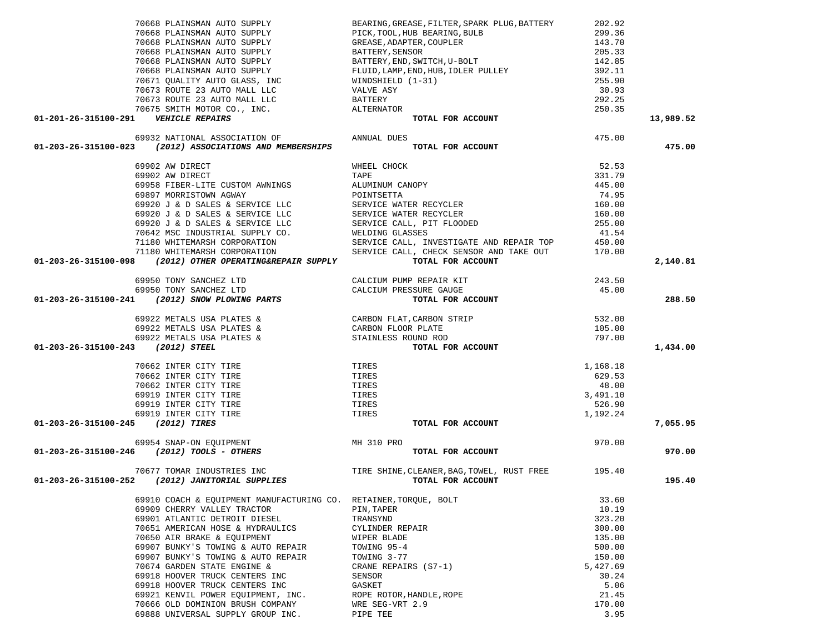| 70668 PLAINSMAN AUTO SUPPLY                                                                                                                                                             | BEARING, GREASE, FILTER, SPARK PLUG, BATTERY                                                                                                                                                                                                 | 202.92   |           |
|-----------------------------------------------------------------------------------------------------------------------------------------------------------------------------------------|----------------------------------------------------------------------------------------------------------------------------------------------------------------------------------------------------------------------------------------------|----------|-----------|
|                                                                                                                                                                                         | FICK, TOOL, HUB BEARING, BULB<br>TO668 PLAINSMAN AUTO SUPPLY<br>TO668 PLAINSMAN AUTO SUPPLY<br>TO668 PLAINSMAN AUTO SUPPLY<br>TO668 PLAINSMAN AUTO SUPPLY<br>TO668 PLAINSMAN AUTO SUPPLY<br>TO668 PLAINSMAN AUTO SUPPLY<br>TO668 PLAINSMAN A | 299.36   |           |
|                                                                                                                                                                                         |                                                                                                                                                                                                                                              | 143.70   |           |
|                                                                                                                                                                                         |                                                                                                                                                                                                                                              | 205.33   |           |
|                                                                                                                                                                                         |                                                                                                                                                                                                                                              | 142.85   |           |
|                                                                                                                                                                                         |                                                                                                                                                                                                                                              | 392.11   |           |
|                                                                                                                                                                                         |                                                                                                                                                                                                                                              | 255.90   |           |
|                                                                                                                                                                                         |                                                                                                                                                                                                                                              |          |           |
|                                                                                                                                                                                         |                                                                                                                                                                                                                                              | 30.93    |           |
|                                                                                                                                                                                         |                                                                                                                                                                                                                                              | 292.25   |           |
| TO THE 23 AUTO MALL LLC<br>TO THE 23 AUTO MALL LLC<br>TO THE 23 AUTO MALL LLC<br>TO THE MOTOR CO., INC.<br>TO THE MOTOR CO., INC.<br>METERY TO THE MOTOR CO., INC.<br>METERY ALTERNATOR |                                                                                                                                                                                                                                              | 250.35   |           |
| 01-201-26-315100-291    VEHICLE REPAIRS                                                                                                                                                 | TOTAL FOR ACCOUNT                                                                                                                                                                                                                            |          | 13,989.52 |
| 69932 NATIONAL ASSOCIATION OF <b>ANNUAL DUES</b>                                                                                                                                        |                                                                                                                                                                                                                                              | 475.00   |           |
| $01-203-26-315100-023$ (2012) ASSOCIATIONS AND MEMBERSHIPS                                                                                                                              | TOTAL FOR ACCOUNT                                                                                                                                                                                                                            |          | 475.00    |
| 69902 AW DIRECT                                                                                                                                                                         | WHEEL CHOCK                                                                                                                                                                                                                                  | 52.53    |           |
|                                                                                                                                                                                         |                                                                                                                                                                                                                                              |          |           |
|                                                                                                                                                                                         |                                                                                                                                                                                                                                              |          |           |
|                                                                                                                                                                                         |                                                                                                                                                                                                                                              |          |           |
|                                                                                                                                                                                         |                                                                                                                                                                                                                                              |          |           |
|                                                                                                                                                                                         |                                                                                                                                                                                                                                              |          |           |
|                                                                                                                                                                                         |                                                                                                                                                                                                                                              |          |           |
|                                                                                                                                                                                         |                                                                                                                                                                                                                                              |          |           |
|                                                                                                                                                                                         |                                                                                                                                                                                                                                              |          |           |
|                                                                                                                                                                                         |                                                                                                                                                                                                                                              |          |           |
|                                                                                                                                                                                         |                                                                                                                                                                                                                                              |          |           |
| 01-203-26-315100-098 (2012) OTHER OPERATING&REPAIR SUPPLY                                                                                                                               | TOTAL FOR ACCOUNT                                                                                                                                                                                                                            |          | 2,140.81  |
|                                                                                                                                                                                         | PREPAIR KIT 243.50<br>SURE GAUGE 45.00<br>TOTAL FOR ACCOUNT 45.00                                                                                                                                                                            |          |           |
|                                                                                                                                                                                         | CALCIUM PRESSURE GAUGE                                                                                                                                                                                                                       |          |           |
| 69950 TONY SANCHEZ LTD CALCIUM PUMP REPAIR KIT<br>69950 TONY SANCHEZ LTD CALCIUM PRESSURE GAUGE<br>01-203-26-315100-241 (2012) SNOW PLOWING PARTS TOTAL FOR AC                          |                                                                                                                                                                                                                                              |          | 288.50    |
|                                                                                                                                                                                         |                                                                                                                                                                                                                                              | 532.00   |           |
|                                                                                                                                                                                         |                                                                                                                                                                                                                                              | 105.00   |           |
|                                                                                                                                                                                         |                                                                                                                                                                                                                                              | 797.00   |           |
| 01-203-26-315100-243 (2012) STEEL                                                                                                                                                       | 69922 METALS USA PLATES & CARBON FLAT, CARBON STRIP<br>69922 METALS USA PLATES & CARBON FLOOR PLATE<br>69922 METALS USA PLATES & STAINLESS ROUND ROD<br><b>3</b> (2012) STEEL TOTAL FOR ACCOUNT                                              |          | 1,434.00  |
| 70662 INTER CITY TIRE                                                                                                                                                                   | TIRES                                                                                                                                                                                                                                        |          |           |
|                                                                                                                                                                                         |                                                                                                                                                                                                                                              | 1,168.18 |           |
| 70662 INTER CITY TIRE                                                                                                                                                                   | TIRES                                                                                                                                                                                                                                        | 629.53   |           |
| 70662 INTER CITY TIRE                                                                                                                                                                   | TIRES                                                                                                                                                                                                                                        | 48.00    |           |
| 69919 INTER CITY TIRE                                                                                                                                                                   | TIRES                                                                                                                                                                                                                                        | 3,491.10 |           |
| 69919 INTER CITY TIRE                                                                                                                                                                   | TIRES                                                                                                                                                                                                                                        | 526.90   |           |
| 69919 INTER CITY TIRE                                                                                                                                                                   | TIRES                                                                                                                                                                                                                                        | 1,192.24 |           |
| 01-203-26-315100-245 (2012) TIRES                                                                                                                                                       | TOTAL FOR ACCOUNT                                                                                                                                                                                                                            |          | 7,055.95  |
|                                                                                                                                                                                         |                                                                                                                                                                                                                                              | 970.00   |           |
| 69954 SNAP-ON EQUIPMENT<br>01-203-26-315100-246 (2012) TOOLS - OTHERS                                                                                                                   | TOTAL FOR ACCOUNT                                                                                                                                                                                                                            |          | 970.00    |
|                                                                                                                                                                                         | 70677 TOMAR INDUSTRIES INC TIRE SHINE, CLEANER, BAG, TOWEL, RUST FREE 195.40                                                                                                                                                                 |          |           |
| 01-203-26-315100-252 (2012) JANITORIAL SUPPLIES                                                                                                                                         | TOTAL FOR ACCOUNT                                                                                                                                                                                                                            |          | 195.40    |
| 69910 COACH & EQUIPMENT MANUFACTURING CO. RETAINER, TORQUE, BOLT                                                                                                                        |                                                                                                                                                                                                                                              | 33.60    |           |
| 69909 CHERRY VALLEY TRACTOR                                                                                                                                                             | PIN, TAPER                                                                                                                                                                                                                                   | 10.19    |           |
|                                                                                                                                                                                         |                                                                                                                                                                                                                                              |          |           |
| 69901 ATLANTIC DETROIT DIESEL                                                                                                                                                           | TRANSYND                                                                                                                                                                                                                                     | 323.20   |           |
| 70651 AMERICAN HOSE & HYDRAULICS                                                                                                                                                        | CYLINDER REPAIR                                                                                                                                                                                                                              | 300.00   |           |
| 70650 AIR BRAKE & EQUIPMENT                                                                                                                                                             | WIPER BLADE                                                                                                                                                                                                                                  | 135.00   |           |
| 69907 BUNKY'S TOWING & AUTO REPAIR                                                                                                                                                      | TOWING 95-4                                                                                                                                                                                                                                  | 500.00   |           |
| 69907 BUNKY'S TOWING & AUTO REPAIR                                                                                                                                                      | TOWING 3-77                                                                                                                                                                                                                                  | 150.00   |           |
| 70674 GARDEN STATE ENGINE &                                                                                                                                                             | CRANE REPAIRS (S7-1)                                                                                                                                                                                                                         | 5,427.69 |           |
| 69918 HOOVER TRUCK CENTERS INC                                                                                                                                                          | SENSOR                                                                                                                                                                                                                                       | 30.24    |           |
| 69918 HOOVER TRUCK CENTERS INC                                                                                                                                                          | GASKET                                                                                                                                                                                                                                       | 5.06     |           |
| 69921 KENVIL POWER EQUIPMENT, INC.                                                                                                                                                      | ROPE ROTOR, HANDLE, ROPE                                                                                                                                                                                                                     | 21.45    |           |
| 70666 OLD DOMINION BRUSH COMPANY                                                                                                                                                        | WRE SEG-VRT 2.9                                                                                                                                                                                                                              | 170.00   |           |
|                                                                                                                                                                                         |                                                                                                                                                                                                                                              |          |           |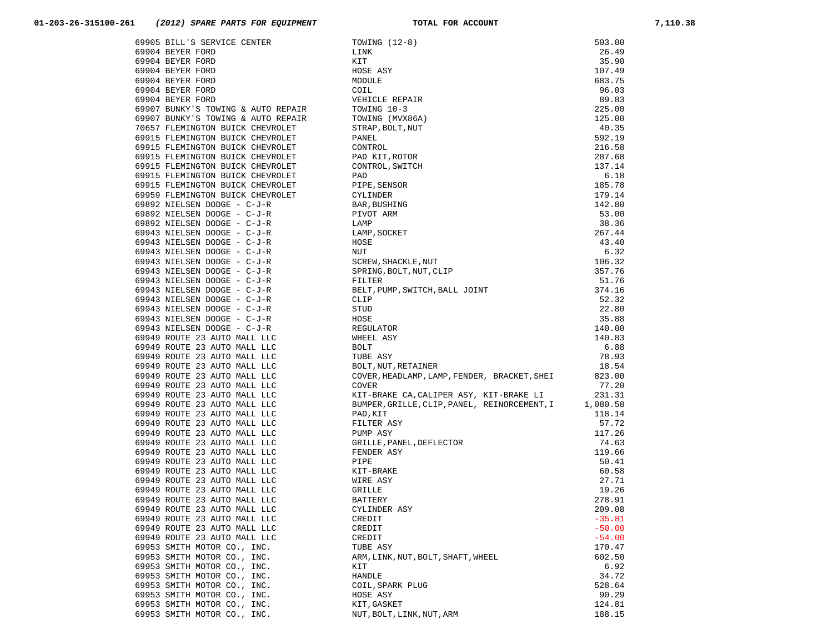| 69905 BILL'S SERVICE CENTER        |                                                                                                                                                                                                                                                                          | 503.00   |
|------------------------------------|--------------------------------------------------------------------------------------------------------------------------------------------------------------------------------------------------------------------------------------------------------------------------|----------|
| 69904 BEYER FORD                   |                                                                                                                                                                                                                                                                          | 26.49    |
| 69904 BEYER FORD                   |                                                                                                                                                                                                                                                                          | 35.90    |
| 69904 BEYER FORD                   |                                                                                                                                                                                                                                                                          | 107.49   |
| 69904 BEYER FORD                   |                                                                                                                                                                                                                                                                          | 683.75   |
| 69904 BEYER FORD                   |                                                                                                                                                                                                                                                                          | 96.03    |
| 69904 BEYER FORD                   |                                                                                                                                                                                                                                                                          | 89.83    |
| 69907 BUNKY'S TOWING & AUTO REPAIR |                                                                                                                                                                                                                                                                          | 225.00   |
| 69907 BUNKY'S TOWING & AUTO REPAIR |                                                                                                                                                                                                                                                                          | 125.00   |
| 70657 FLEMINGTON BUICK CHEVROLET   |                                                                                                                                                                                                                                                                          | 40.35    |
| 69915 FLEMINGTON BUICK CHEVROLET   |                                                                                                                                                                                                                                                                          | 592.19   |
| 69915 FLEMINGTON BUICK CHEVROLET   |                                                                                                                                                                                                                                                                          | 216.58   |
| 69915 FLEMINGTON BUICK CHEVROLET   |                                                                                                                                                                                                                                                                          | 287.68   |
| 69915 FLEMINGTON BUICK CHEVROLET   |                                                                                                                                                                                                                                                                          | 137.14   |
| 69915 FLEMINGTON BUICK CHEVROLET   |                                                                                                                                                                                                                                                                          | 6.18     |
| 69915 FLEMINGTON BUICK CHEVROLET   |                                                                                                                                                                                                                                                                          | 185.78   |
| 69959 FLEMINGTON BUICK CHEVROLET   | CYLINDER                                                                                                                                                                                                                                                                 | 179.14   |
| 69892 NIELSEN DODGE - C-J-R        |                                                                                                                                                                                                                                                                          | 142.80   |
| 69892 NIELSEN DODGE - C-J-R        | PIVOT ARM                                                                                                                                                                                                                                                                | 53.00    |
| 69892 NIELSEN DODGE - C-J-R        |                                                                                                                                                                                                                                                                          | 38.36    |
| 69943 NIELSEN DODGE - C-J-R        | LAMP, SOCKET                                                                                                                                                                                                                                                             | 267.44   |
|                                    |                                                                                                                                                                                                                                                                          | 43.40    |
| 69943 NIELSEN DODGE - C-J-R        |                                                                                                                                                                                                                                                                          | 6.32     |
| 69943 NIELSEN DODGE - C-J-R        |                                                                                                                                                                                                                                                                          |          |
| 69943 NIELSEN DODGE - C-J-R        | TOWING (12-8)<br>LINK<br>KIT<br>KIT<br>HOSE ASY<br>MODULE<br>COLL<br>VEHICLE REPAIR<br>TOWING (MVX86A)<br>TRAP, BOLT, NUT<br>PANEL<br>CONTROL, SWITCH<br>CONTROL, SWITCH<br>PAD<br>PIPE, SENSOR<br>PAD<br>PIPE, SENSOR<br>PAD<br>PIPE, SENSOR<br>PAD<br>PIPE, SENSOR<br> | 106.32   |
| 69943 NIELSEN DODGE - C-J-R        |                                                                                                                                                                                                                                                                          | 357.76   |
| 69943 NIELSEN DODGE - C-J-R        |                                                                                                                                                                                                                                                                          | 51.76    |
| 69943 NIELSEN DODGE - C-J-R        |                                                                                                                                                                                                                                                                          | 374.16   |
| 69943 NIELSEN DODGE - C-J-R        |                                                                                                                                                                                                                                                                          | 52.32    |
| 69943 NIELSEN DODGE - C-J-R        | STUD                                                                                                                                                                                                                                                                     | 22.80    |
| 69943 NIELSEN DODGE - C-J-R        | HOSE                                                                                                                                                                                                                                                                     | 35.88    |
| 69943 NIELSEN DODGE - C-J-R        | REGULATOR                                                                                                                                                                                                                                                                | 140.00   |
| 69949 ROUTE 23 AUTO MALL LLC       | WHEEL ASY                                                                                                                                                                                                                                                                | 140.83   |
| 69949 ROUTE 23 AUTO MALL LLC       | BOLT                                                                                                                                                                                                                                                                     | 6.88     |
| 69949 ROUTE 23 AUTO MALL LLC       | TUBE ASY                                                                                                                                                                                                                                                                 | 78.93    |
| 69949 ROUTE 23 AUTO MALL LLC       | BOLT, NUT, RETAINER                                                                                                                                                                                                                                                      | 18.54    |
| 69949 ROUTE 23 AUTO MALL LLC       | COVER, HEADLAMP, LAMP, FENDER, BRACKET, SHEI                                                                                                                                                                                                                             | 823.00   |
| 69949 ROUTE 23 AUTO MALL LLC       | COVER                                                                                                                                                                                                                                                                    | 77.20    |
| 69949 ROUTE 23 AUTO MALL LLC       | KIT-BRAKE CA, CALIPER ASY, KIT-BRAKE LI                                                                                                                                                                                                                                  | 231.31   |
| 69949 ROUTE 23 AUTO MALL LLC       | BUMPER, GRILLE, CLIP, PANEL, REINORCEMENT, I 1, 080.58                                                                                                                                                                                                                   |          |
| 69949 ROUTE 23 AUTO MALL LLC       | PAD, KIT                                                                                                                                                                                                                                                                 | 118.14   |
| 69949 ROUTE 23 AUTO MALL LLC       | FILTER ASY                                                                                                                                                                                                                                                               | 57.72    |
| 69949 ROUTE 23 AUTO MALL LLC       |                                                                                                                                                                                                                                                                          | 117.26   |
| 69949 ROUTE 23 AUTO MALL LLC       |                                                                                                                                                                                                                                                                          | 74.63    |
| 69949 ROUTE 23 AUTO MALL LLC       |                                                                                                                                                                                                                                                                          | 119.66   |
| 69949 ROUTE 23 AUTO MALL LLC       | FILTER ASY<br>PUMP ASY<br>GRILLE, PANEL, DEFLECTOR<br>FENDER ASY<br>FITE<br>KIT-BRAKE<br>WIRE ASY<br>GRILLE<br>BATTERY<br>CYLINDER ASY                                                                                                                                   | 50.41    |
| 69949 ROUTE 23 AUTO MALL LLC       |                                                                                                                                                                                                                                                                          | 60.58    |
| 69949 ROUTE 23 AUTO MALL LLC       |                                                                                                                                                                                                                                                                          | 27.71    |
| 69949 ROUTE 23 AUTO MALL LLC       |                                                                                                                                                                                                                                                                          | 19.26    |
| 69949 ROUTE 23 AUTO MALL LLC       |                                                                                                                                                                                                                                                                          | 278.91   |
| 69949 ROUTE 23 AUTO MALL LLC       |                                                                                                                                                                                                                                                                          | 209.08   |
| 69949 ROUTE 23 AUTO MALL LLC       | CREDIT                                                                                                                                                                                                                                                                   | $-35.81$ |
| 69949 ROUTE 23 AUTO MALL LLC       | CREDIT                                                                                                                                                                                                                                                                   | $-50.00$ |
| 69949 ROUTE 23 AUTO MALL LLC       | CREDIT                                                                                                                                                                                                                                                                   | $-54.00$ |
| 69953 SMITH MOTOR CO., INC.        | TUBE ASY                                                                                                                                                                                                                                                                 | 170.47   |
| 69953 SMITH MOTOR CO., INC.        | ARM, LINK, NUT, BOLT, SHAFT, WHEEL                                                                                                                                                                                                                                       | 602.50   |
| 69953 SMITH MOTOR CO., INC.        | KIT                                                                                                                                                                                                                                                                      | 6.92     |
| 69953 SMITH MOTOR CO., INC.        | HANDLE                                                                                                                                                                                                                                                                   | 34.72    |
| 69953 SMITH MOTOR CO., INC.        | COIL, SPARK PLUG                                                                                                                                                                                                                                                         | 528.64   |
| 69953 SMITH MOTOR CO., INC.        | HOSE ASY                                                                                                                                                                                                                                                                 | 90.29    |
| 69953 SMITH MOTOR CO., INC.        | KIT, GASKET                                                                                                                                                                                                                                                              | 124.81   |
| 69953 SMITH MOTOR CO., INC.        | NUT, BOLT, LINK, NUT, ARM                                                                                                                                                                                                                                                | 188.15   |
|                                    |                                                                                                                                                                                                                                                                          |          |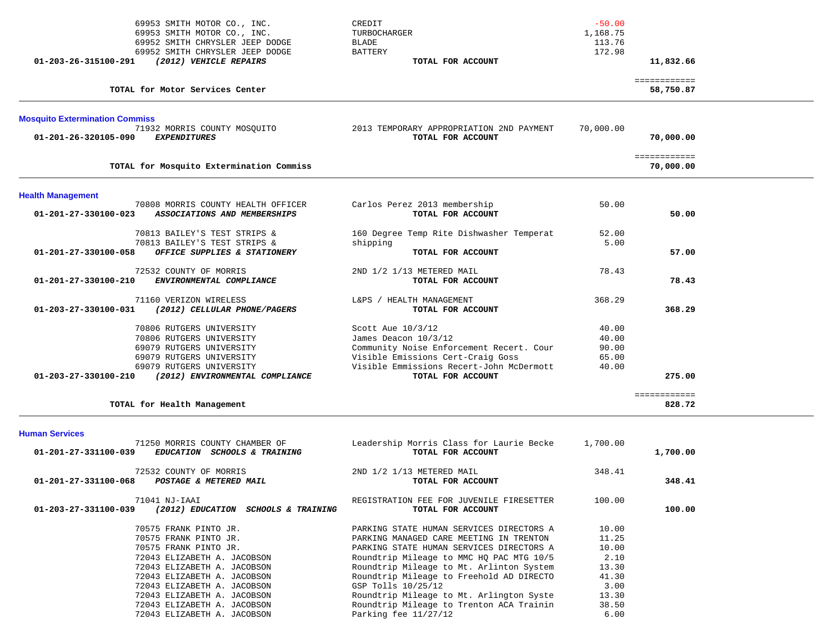| 69953 SMITH MOTOR CO., INC.<br>69953 SMITH MOTOR CO., INC.                                 | CREDIT<br>TURBOCHARGER                                           | $-50.00$<br>1,168.75 |                           |
|--------------------------------------------------------------------------------------------|------------------------------------------------------------------|----------------------|---------------------------|
| 69952 SMITH CHRYSLER JEEP DODGE                                                            | BLADE                                                            | 113.76               |                           |
| 69952 SMITH CHRYSLER JEEP DODGE<br>(2012) VEHICLE REPAIRS<br>01-203-26-315100-291          | <b>BATTERY</b><br>TOTAL FOR ACCOUNT                              | 172.98               | 11,832.66                 |
| TOTAL for Motor Services Center                                                            |                                                                  |                      | ============<br>58,750.87 |
| <b>Mosquito Extermination Commiss</b>                                                      | 2013 TEMPORARY APPROPRIATION 2ND PAYMENT                         | 70,000.00            |                           |
| 71932 MORRIS COUNTY MOSQUITO<br>01-201-26-320105-090<br><b>EXPENDITURES</b>                | TOTAL FOR ACCOUNT                                                |                      | 70,000.00                 |
| TOTAL for Mosquito Extermination Commiss                                                   |                                                                  |                      | ============<br>70,000.00 |
| <b>Health Management</b>                                                                   |                                                                  |                      |                           |
| 70808 MORRIS COUNTY HEALTH OFFICER<br>ASSOCIATIONS AND MEMBERSHIPS<br>01-201-27-330100-023 | Carlos Perez 2013 membership<br>TOTAL FOR ACCOUNT                | 50.00                | 50.00                     |
| 70813 BAILEY'S TEST STRIPS &<br>70813 BAILEY'S TEST STRIPS &                               | 160 Degree Temp Rite Dishwasher Temperat<br>shipping             | 52.00<br>5.00        |                           |
| 01-201-27-330100-058<br>OFFICE SUPPLIES & STATIONERY                                       | TOTAL FOR ACCOUNT                                                |                      | 57.00                     |
| 72532 COUNTY OF MORRIS<br>ENVIRONMENTAL COMPLIANCE<br>01-201-27-330100-210                 | 2ND 1/2 1/13 METERED MAIL<br>TOTAL FOR ACCOUNT                   | 78.43                | 78.43                     |
| 71160 VERIZON WIRELESS<br>01-203-27-330100-031<br>(2012) CELLULAR PHONE/PAGERS             | L&PS / HEALTH MANAGEMENT<br>TOTAL FOR ACCOUNT                    | 368.29               | 368.29                    |
| 70806 RUTGERS UNIVERSITY                                                                   | Scott Aue 10/3/12                                                | 40.00                |                           |
| 70806 RUTGERS UNIVERSITY<br>69079 RUTGERS UNIVERSITY                                       | James Deacon 10/3/12<br>Community Noise Enforcement Recert. Cour | 40.00<br>90.00       |                           |
| 69079 RUTGERS UNIVERSITY                                                                   | Visible Emissions Cert-Craig Goss                                | 65.00                |                           |
| 69079 RUTGERS UNIVERSITY                                                                   | Visible Emmissions Recert-John McDermott                         | 40.00                |                           |
| 01-203-27-330100-210<br>(2012) ENVIRONMENTAL COMPLIANCE                                    | TOTAL FOR ACCOUNT                                                |                      | 275.00                    |
| TOTAL for Health Management                                                                |                                                                  |                      | ============<br>828.72    |
| <b>Human Services</b><br>71250 MORRIS COUNTY CHAMBER OF                                    | Leadership Morris Class for Laurie Becke                         | 1,700.00             |                           |
| 01-201-27-331100-039<br>EDUCATION SCHOOLS & TRAINING                                       | TOTAL FOR ACCOUNT                                                |                      | 1,700.00                  |

| 1,700.00 |        | TOTAL FOR ACCOUNT                        | 01-201-27-331100-039<br><i>EDUCATION</i><br><b>SCHOOLS &amp; TRAINING</b> |
|----------|--------|------------------------------------------|---------------------------------------------------------------------------|
|          | 348.41 | 2ND 1/2 1/13 METERED MAIL                | 72532 COUNTY OF MORRIS                                                    |
| 348.41   |        | TOTAL FOR ACCOUNT                        | 01-201-27-331100-068<br>POSTAGE & METERED MAIL                            |
|          | 100.00 | REGISTRATION FEE FOR JUVENILE FIRESETTER | 71041 NJ-IAAI                                                             |
| 100.00   |        | TOTAL FOR ACCOUNT                        | 01-203-27-331100-039<br>(2012) EDUCATION SCHOOLS & TRAINING               |
|          | 10.00  | PARKING STATE HUMAN SERVICES DIRECTORS A | 70575 FRANK PINTO JR.                                                     |
|          | 11.25  | PARKING MANAGED CARE MEETING IN TRENTON  | 70575 FRANK PINTO JR.                                                     |
|          | 10.00  | PARKING STATE HUMAN SERVICES DIRECTORS A | 70575 FRANK PINTO JR.                                                     |
|          | 2.10   | Roundtrip Mileage to MMC HO PAC MTG 10/5 | 72043 ELIZABETH A. JACOBSON                                               |
|          | 13.30  | Roundtrip Mileage to Mt. Arlinton System | 72043 ELIZABETH A. JACOBSON                                               |
|          | 41.30  | Roundtrip Mileage to Freehold AD DIRECTO | 72043 ELIZABETH A. JACOBSON                                               |
|          | 3.00   | GSP Tolls 10/25/12                       | 72043 ELIZABETH A. JACOBSON                                               |
|          | 13.30  | Roundtrip Mileage to Mt. Arlington Syste | 72043 ELIZABETH A. JACOBSON                                               |
|          | 38.50  | Roundtrip Mileage to Trenton ACA Trainin | 72043 ELIZABETH A. JACOBSON                                               |
|          | 6.00   | Parking fee $11/27/12$                   | 72043 ELIZABETH A. JACOBSON                                               |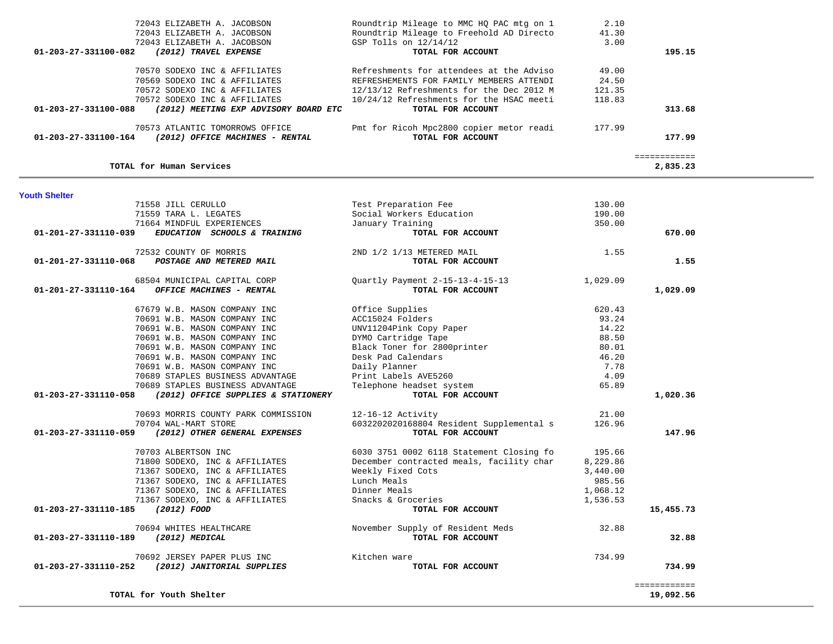| 72043 ELIZABETH A. JACOBSON<br>72043 ELIZABETH A. JACOBSON<br>72043 ELIZABETH A. JACOBSON<br>01-203-27-331100-082<br>(2012) TRAVEL EXPENSE | Roundtrip Mileage to MMC HO PAC mtg on 1<br>Roundtrip Mileage to Freehold AD Directo<br>GSP Tolls on $12/14/12$<br>TOTAL FOR ACCOUNT | 2.10<br>41.30<br>3.00 | 195.15 |
|--------------------------------------------------------------------------------------------------------------------------------------------|--------------------------------------------------------------------------------------------------------------------------------------|-----------------------|--------|
| 70570 SODEXO INC & AFFILIATES                                                                                                              | Refreshments for attendees at the Adviso                                                                                             | 49.00                 |        |
| 70569 SODEXO INC & AFFILIATES                                                                                                              | REFRESHEMENTS FOR FAMILY MEMBERS ATTENDI                                                                                             | 24.50                 |        |
| 70572 SODEXO INC & AFFILIATES                                                                                                              | $12/13/12$ Refreshments for the Dec 2012 M                                                                                           | 121.35                |        |
| 70572 SODEXO INC & AFFILIATES                                                                                                              | 10/24/12 Refreshments for the HSAC meeti                                                                                             | 118.83                |        |
| 01-203-27-331100-088<br>(2012) MEETING EXP ADVISORY BOARD ETC                                                                              | TOTAL FOR ACCOUNT                                                                                                                    |                       | 313.68 |
| 70573 ATLANTIC TOMORROWS OFFICE                                                                                                            | Pmt for Ricoh Mpc2800 copier metor readi                                                                                             | 177.99                |        |
| 01-203-27-331100-164<br>(2012) OFFICE MACHINES - RENTAL                                                                                    | TOTAL FOR ACCOUNT                                                                                                                    |                       | 177.99 |
|                                                                                                                                            |                                                                                                                                      |                       |        |

**Youth Shelte** 

**TOTAL for Human Services 2,835.23**

**TOTAL for Youth Shelter 19,092.56**

| Youth Shelter                                               |                                          |          |              |
|-------------------------------------------------------------|------------------------------------------|----------|--------------|
| 71558 JILL CERULLO                                          | Test Preparation Fee                     | 130.00   |              |
| 71559 TARA L. LEGATES                                       | Social Workers Education                 | 190.00   |              |
| 71664 MINDFUL EXPERIENCES                                   | January Training                         | 350.00   |              |
| EDUCATION SCHOOLS & TRAINING<br>01-201-27-331110-039        | TOTAL FOR ACCOUNT                        |          | 670.00       |
| 72532 COUNTY OF MORRIS                                      | 2ND 1/2 1/13 METERED MAIL                | 1.55     |              |
| 01-201-27-331110-068<br>POSTAGE AND METERED MAIL            | TOTAL FOR ACCOUNT                        |          | 1.55         |
| 68504 MUNICIPAL CAPITAL CORP                                | Quartly Payment 2-15-13-4-15-13          | 1,029.09 |              |
| 01-201-27-331110-164<br>OFFICE MACHINES - RENTAL            | TOTAL FOR ACCOUNT                        |          | 1,029.09     |
| 67679 W.B. MASON COMPANY INC                                | Office Supplies                          | 620.43   |              |
| 70691 W.B. MASON COMPANY INC                                | ACC15024 Folders                         | 93.24    |              |
| 70691 W.B. MASON COMPANY INC                                | UNV11204Pink Copy Paper                  | 14.22    |              |
| 70691 W.B. MASON COMPANY INC                                | DYMO Cartridge Tape                      | 88.50    |              |
| 70691 W.B. MASON COMPANY INC                                | Black Toner for 2800printer              | 80.01    |              |
| 70691 W.B. MASON COMPANY INC                                | Desk Pad Calendars                       | 46.20    |              |
| 70691 W.B. MASON COMPANY INC                                | Daily Planner                            | 7.78     |              |
| 70689 STAPLES BUSINESS ADVANTAGE                            | Print Labels AVE5260                     | 4.09     |              |
| 70689 STAPLES BUSINESS ADVANTAGE                            | Telephone headset system                 | 65.89    |              |
| 01-203-27-331110-058<br>(2012) OFFICE SUPPLIES & STATIONERY | TOTAL FOR ACCOUNT                        |          | 1,020.36     |
| 70693 MORRIS COUNTY PARK COMMISSION                         | 12-16-12 Activity                        | 21.00    |              |
| 70704 WAL-MART STORE                                        | 6032202020168804 Resident Supplemental s | 126.96   |              |
| 01-203-27-331110-059<br>(2012) OTHER GENERAL EXPENSES       | TOTAL FOR ACCOUNT                        |          | 147.96       |
| 70703 ALBERTSON INC                                         | 6030 3751 0002 6118 Statement Closing fo | 195.66   |              |
| 71800 SODEXO, INC & AFFILIATES                              | December contracted meals, facility char | 8,229.86 |              |
| 71367 SODEXO, INC & AFFILIATES                              | Weekly Fixed Cots                        | 3,440.00 |              |
| 71367 SODEXO, INC & AFFILIATES                              | Lunch Meals                              | 985.56   |              |
| 71367 SODEXO, INC & AFFILIATES                              | Dinner Meals                             | 1,068.12 |              |
| 71367 SODEXO, INC & AFFILIATES                              | Snacks & Groceries                       | 1,536.53 |              |
| 01-203-27-331110-185<br>(2012) FOOD                         | TOTAL FOR ACCOUNT                        |          | 15,455.73    |
| 70694 WHITES HEALTHCARE                                     | November Supply of Resident Meds         | 32.88    |              |
| (2012) MEDICAL<br>01-203-27-331110-189                      | TOTAL FOR ACCOUNT                        |          | 32.88        |
| 70692 JERSEY PAPER PLUS INC                                 | Kitchen ware                             | 734.99   |              |
| 01-203-27-331110-252<br>(2012) JANITORIAL SUPPLIES          | TOTAL FOR ACCOUNT                        |          | 734.99       |
|                                                             |                                          |          | ============ |

19,092.56

2,835.23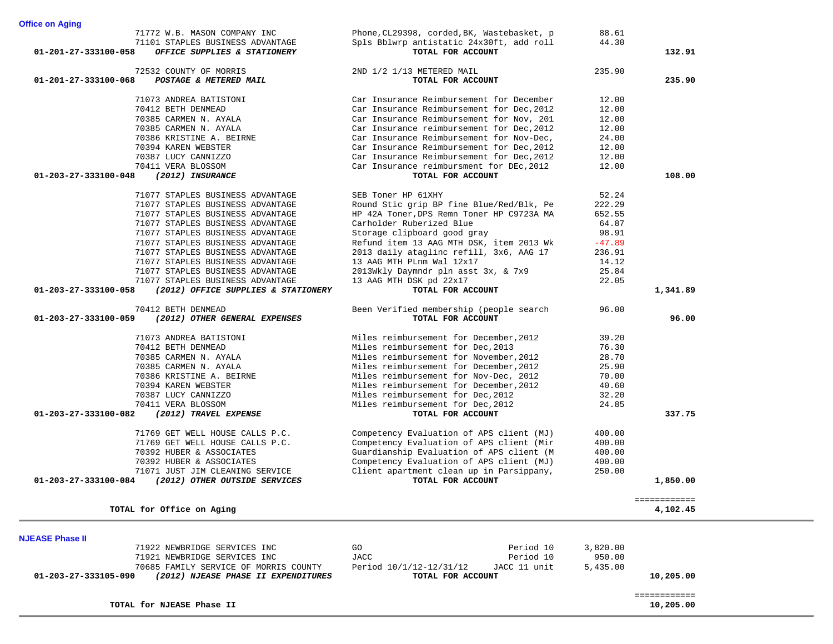|                        | 71772 W.B. MASON COMPANY INC          | Phone, CL29398, corded, BK, Wastebasket, p | 88.61    |              |  |
|------------------------|---------------------------------------|--------------------------------------------|----------|--------------|--|
|                        | 71101 STAPLES BUSINESS ADVANTAGE      | Spls Bblwrp antistatic 24x30ft, add roll   | 44.30    |              |  |
| 01-201-27-333100-058   | OFFICE SUPPLIES & STATIONERY          | TOTAL FOR ACCOUNT                          |          | 132.91       |  |
|                        |                                       |                                            |          |              |  |
|                        | 72532 COUNTY OF MORRIS                | 2ND 1/2 1/13 METERED MAIL                  | 235.90   |              |  |
| 01-201-27-333100-068   | POSTAGE & METERED MAIL                | TOTAL FOR ACCOUNT                          |          | 235.90       |  |
|                        | 71073 ANDREA BATISTONI                |                                            | 12.00    |              |  |
|                        | 70412 BETH DENMEAD                    | Car Insurance Reimbursement for December   | 12.00    |              |  |
|                        |                                       | Car Insurance Reimbursement for Dec, 2012  |          |              |  |
|                        | 70385 CARMEN N. AYALA                 | Car Insurance Reimbursement for Nov, 201   | 12.00    |              |  |
|                        | 70385 CARMEN N. AYALA                 | Car Insurance reimbursement for Dec, 2012  | 12.00    |              |  |
|                        | 70386 KRISTINE A. BEIRNE              | Car Insurance Reimbursement for Nov-Dec,   | 24.00    |              |  |
|                        | 70394 KAREN WEBSTER                   | Car Insurance Reimbursement for Dec, 2012  | 12.00    |              |  |
|                        | 70387 LUCY CANNIZZO                   | Car Insurance Reimbursement for Dec, 2012  | 12.00    |              |  |
|                        | 70411 VERA BLOSSOM                    | Car Insurance reimbursment for DEc, 2012   | 12.00    |              |  |
| 01-203-27-333100-048   | (2012) INSURANCE                      | TOTAL FOR ACCOUNT                          |          | 108.00       |  |
|                        |                                       |                                            |          |              |  |
|                        | 71077 STAPLES BUSINESS ADVANTAGE      | SEB Toner HP 61XHY                         | 52.24    |              |  |
|                        | 71077 STAPLES BUSINESS ADVANTAGE      | Round Stic grip BP fine Blue/Red/Blk, Pe   | 222.29   |              |  |
|                        | 71077 STAPLES BUSINESS ADVANTAGE      | HP 42A Toner, DPS Remn Toner HP C9723A MA  | 652.55   |              |  |
|                        | 71077 STAPLES BUSINESS ADVANTAGE      | Carholder Ruberized Blue                   | 64.87    |              |  |
|                        | 71077 STAPLES BUSINESS ADVANTAGE      | Storage clipboard good gray                | 98.91    |              |  |
|                        | 71077 STAPLES BUSINESS ADVANTAGE      | Refund item 13 AAG MTH DSK, item 2013 Wk   | $-47.89$ |              |  |
|                        | 71077 STAPLES BUSINESS ADVANTAGE      | 2013 daily ataglinc refill, 3x6, AAG 17    | 236.91   |              |  |
|                        | 71077 STAPLES BUSINESS ADVANTAGE      | 13 AAG MTH PLnm Wal 12x17                  | 14.12    |              |  |
|                        | 71077 STAPLES BUSINESS ADVANTAGE      | 2013Wkly Daymndr pln asst 3x, & 7x9        | 25.84    |              |  |
|                        | 71077 STAPLES BUSINESS ADVANTAGE      | 13 AAG MTH DSK pd 22x17                    | 22.05    |              |  |
| 01-203-27-333100-058   | (2012) OFFICE SUPPLIES & STATIONERY   | TOTAL FOR ACCOUNT                          |          | 1,341.89     |  |
|                        |                                       |                                            |          |              |  |
|                        | 70412 BETH DENMEAD                    | Been Verified membership (people search    | 96.00    |              |  |
| 01-203-27-333100-059   | (2012) OTHER GENERAL EXPENSES         | TOTAL FOR ACCOUNT                          |          | 96.00        |  |
|                        | 71073 ANDREA BATISTONI                | Miles reimbursement for December, 2012     | 39.20    |              |  |
|                        | 70412 BETH DENMEAD                    | Miles reimbursement for Dec, 2013          | 76.30    |              |  |
|                        | 70385 CARMEN N. AYALA                 | Miles reimbursement for November, 2012     | 28.70    |              |  |
|                        |                                       |                                            |          |              |  |
|                        | 70385 CARMEN N. AYALA                 | Miles reimbursement for December, 2012     | 25.90    |              |  |
|                        | 70386 KRISTINE A. BEIRNE              | Miles reimbursement for Nov-Dec, 2012      | 70.00    |              |  |
|                        | 70394 KAREN WEBSTER                   | Miles reimbursement for December, 2012     | 40.60    |              |  |
|                        | 70387 LUCY CANNIZZO                   | Miles reimbursement for Dec, 2012          | 32.20    |              |  |
|                        | 70411 VERA BLOSSOM                    | Miles reimbursement for Dec, 2012          | 24.85    |              |  |
| 01-203-27-333100-082   | (2012) TRAVEL EXPENSE                 | TOTAL FOR ACCOUNT                          |          | 337.75       |  |
|                        | 71769 GET WELL HOUSE CALLS P.C.       | Competency Evaluation of APS client (MJ)   | 400.00   |              |  |
|                        |                                       | Competency Evaluation of APS client (Mir   |          |              |  |
|                        | 71769 GET WELL HOUSE CALLS P.C.       |                                            | 400.00   |              |  |
|                        | 70392 HUBER & ASSOCIATES              | Guardianship Evaluation of APS client (M   | 400.00   |              |  |
|                        | 70392 HUBER & ASSOCIATES              | Competency Evaluation of APS client (MJ)   | 400.00   |              |  |
|                        | 71071 JUST JIM CLEANING SERVICE       | Client apartment clean up in Parsippany,   | 250.00   |              |  |
| 01-203-27-333100-084   | (2012) OTHER OUTSIDE SERVICES         | TOTAL FOR ACCOUNT                          |          | 1,850.00     |  |
|                        |                                       |                                            |          | ============ |  |
|                        | TOTAL for Office on Aging             |                                            |          | 4,102.45     |  |
|                        |                                       |                                            |          |              |  |
| <b>NJEASE Phase II</b> |                                       |                                            |          |              |  |
|                        | 71922 NEWBRIDGE SERVICES INC          | GO<br>Period 10                            | 3,820.00 |              |  |
|                        |                                       | <b>JACC</b><br>Period 10                   | 950.00   |              |  |
|                        | 71921 NEWBRIDGE SERVICES INC          |                                            |          |              |  |
|                        | 70685 FAMILY SERVICE OF MORRIS COUNTY | JACC 11 unit<br>Period $10/1/12-12/31/12$  | 5,435.00 |              |  |
| 01-203-27-333105-090   | (2012) NJEASE PHASE II EXPENDITURES   | TOTAL FOR ACCOUNT                          |          | 10,205.00    |  |
|                        |                                       |                                            |          | ============ |  |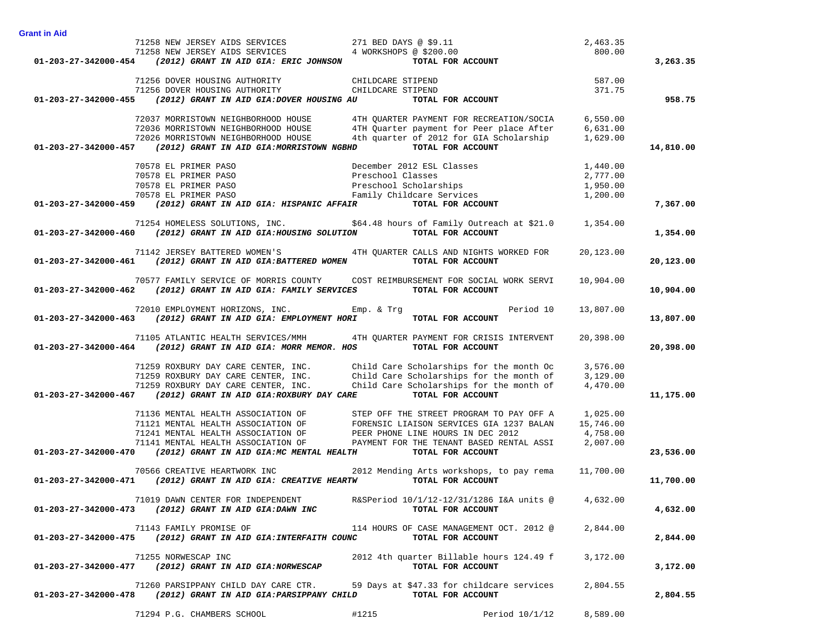|                                                        | 71258 NEW JERSEY AIDS SERVICES 271 BED DAYS @ \$9.11                                                                                                                                                                           |                                                                                                       | 2,463.35  |           |
|--------------------------------------------------------|--------------------------------------------------------------------------------------------------------------------------------------------------------------------------------------------------------------------------------|-------------------------------------------------------------------------------------------------------|-----------|-----------|
|                                                        | 71258 NEW JERSEY AIDS SERVICES 4 WORKSHOPS @ \$200.00<br>01-203-27-342000-454 (2012) GRANT IN AID GIA: ERIC JOHNSON TOTAL FOR ACCOUNT                                                                                          |                                                                                                       | 800.00    |           |
|                                                        |                                                                                                                                                                                                                                |                                                                                                       |           | 3,263.35  |
|                                                        | 71256 DOVER HOUSING AUTHORITY<br>71256 DOVER HOUSING AUTHORITY CHILDCARE STIPEND                                                                                                                                               |                                                                                                       |           |           |
|                                                        |                                                                                                                                                                                                                                |                                                                                                       |           |           |
|                                                        | 01-203-27-342000-455 (2012) GRANT IN AID GIA:DOVER HOUSING AU TOTAL FOR ACCOUNT                                                                                                                                                | $587.00$<br>371.75                                                                                    |           | 958.75    |
|                                                        | 72037 MORRISTOWN NEIGHBORHOOD HOUSE                                                                                                                                                                                            | 4TH QUARTER PAYMENT FOR RECREATION/SOCIA 6,550.00                                                     |           |           |
|                                                        | 72036 MORRISTOWN NEIGHBORHOOD HOUSE                                                                                                                                                                                            |                                                                                                       |           |           |
|                                                        | 72026 MORRISTOWN NEIGHBORHOOD HOUSE                                                                                                                                                                                            | 4TH Quarter payment for Peer place After 6,631.00<br>4th quarter of 2012 for GIA Scholarship 1,629.00 |           |           |
|                                                        | 01-203-27-342000-457 (2012) GRANT IN AID GIA:MORRISTOWN NGBHD                                                                                                                                                                  | TOTAL FOR ACCOUNT                                                                                     |           | 14,810.00 |
|                                                        |                                                                                                                                                                                                                                |                                                                                                       |           |           |
|                                                        |                                                                                                                                                                                                                                |                                                                                                       |           |           |
|                                                        |                                                                                                                                                                                                                                |                                                                                                       |           |           |
|                                                        |                                                                                                                                                                                                                                |                                                                                                       |           |           |
|                                                        | 70578 EL PRIMER PASO (10578 EL PRIMER PASO (10578 EL PRIMER PASO (10578 EL PRIMER PASO (10578 EL PRIMER PASO (10578 EL PRIMER PASO (2012) GRANT IN AID GIA: HISPANIC AFFAIR (2012) CONTRET (2012) GRANT IN AID GIA: HISPANIC A |                                                                                                       |           | 7,367.00  |
|                                                        | 71254 HOMELESS SOLUTIONS, INC. \$64.48 hours of Family Outreach at \$21.0 1,354.00                                                                                                                                             |                                                                                                       |           |           |
|                                                        | $01-203-27-342000-460$ (2012) GRANT IN AID GIA:HOUSING SOLUTION                                                                                                                                                                | TOTAL FOR ACCOUNT                                                                                     |           | 1,354.00  |
|                                                        | 71142 JERSEY BATTERED WOMEN'S THE ATH QUARTER CALLS AND NIGHTS WORKED FOR                                                                                                                                                      |                                                                                                       | 20,123.00 |           |
|                                                        | $01-203-27-342000-461$ (2012) GRANT IN AID GIA:BATTERED WOMEN                                                                                                                                                                  | TOTAL FOR ACCOUNT                                                                                     |           | 20,123.00 |
|                                                        | 70577 FAMILY SERVICE OF MORRIS COUNTY COST REIMBURSEMENT FOR SOCIAL WORK SERVI                                                                                                                                                 |                                                                                                       | 10,904.00 |           |
|                                                        | 01-203-27-342000-462 (2012) GRANT IN AID GIA: FAMILY SERVICES TOTAL FOR ACCOUNT                                                                                                                                                |                                                                                                       |           | 10,904.00 |
|                                                        | 72010 EMPLOYMENT HORIZONS, INC. Emp. & Trg                                                                                                                                                                                     | Period 10                                                                                             | 13,807.00 |           |
|                                                        | 01-203-27-342000-463 (2012) GRANT IN AID GIA: EMPLOYMENT HORI TOTAL FOR ACCOUNT                                                                                                                                                |                                                                                                       |           | 13,807.00 |
|                                                        | 71105 ATLANTIC HEALTH SERVICES/MMH 4TH QUARTER PAYMENT FOR CRISIS INTERVENT                                                                                                                                                    |                                                                                                       | 20,398.00 |           |
|                                                        | 01-203-27-342000-464 (2012) GRANT IN AID GIA: MORR MEMOR. HOS                                                                                                                                                                  | TOTAL FOR ACCOUNT                                                                                     |           | 20,398.00 |
|                                                        | 71259 ROXBURY DAY CARE CENTER, INC. Child Care Scholarships for the month Oc                                                                                                                                                   |                                                                                                       | 3,576.00  |           |
|                                                        | 71259 ROXBURY DAY CARE CENTER, INC. Child Care Scholarships for the month of 3,129.00                                                                                                                                          |                                                                                                       |           |           |
|                                                        | 71259 ROXBURY DAY CARE CENTER, INC. Child Care Scholarships for the month of                                                                                                                                                   |                                                                                                       | 4,470.00  |           |
|                                                        | 01-203-27-342000-467 (2012) GRANT IN AID GIA: ROXBURY DAY CARE                                                                                                                                                                 | TOTAL FOR ACCOUNT                                                                                     |           | 11,175.00 |
|                                                        | 71136 MENTAL HEALTH ASSOCIATION OF                                                                                                                                                                                             | STEP OFF THE STREET PROGRAM TO PAY OFF A                                                              | 1,025.00  |           |
|                                                        | 71121 MENTAL HEALTH ASSOCIATION OF                                                                                                                                                                                             | FORENSIC LIAISON SERVICES GIA 1237 BALAN                                                              | 15,746.00 |           |
|                                                        | 71241 MENTAL HEALTH ASSOCIATION OF PEER PHONE LINE HOURS IN DEC 2012                                                                                                                                                           |                                                                                                       | 4,758.00  |           |
|                                                        | 71141 MENTAL HEALTH ASSOCIATION OF PAYMENT FOR THE TENANT BASED RENTAL ASSI 2,007.00                                                                                                                                           |                                                                                                       |           |           |
|                                                        | $01-203-27-342000-470$ (2012) GRANT IN AID GIA:MC MENTAL HEALTH                                                                                                                                                                | TOTAL FOR ACCOUNT                                                                                     |           | 23,536.00 |
|                                                        | 70566 CREATIVE HEARTWORK INC 2012 Mending Arts workshops, to pay rema                                                                                                                                                          |                                                                                                       | 11,700.00 |           |
|                                                        | 01-203-27-342000-471 (2012) GRANT IN AID GIA: CREATIVE HEARTW TOTAL FOR ACCOUNT                                                                                                                                                |                                                                                                       |           | 11,700.00 |
|                                                        | 71019 DAWN CENTER FOR INDEPENDENT                                                                                                                                                                                              | R&SPeriod 10/1/12-12/31/1286 I&A units @ 4,632.00                                                     |           |           |
| 01-203-27-342000-473 (2012) GRANT IN AID GIA:DAWN INC  |                                                                                                                                                                                                                                | TOTAL FOR ACCOUNT                                                                                     |           | 4,632.00  |
|                                                        | 71143 FAMILY PROMISE OF                                                                                                                                                                                                        | 114 HOURS OF CASE MANAGEMENT OCT. 2012 @                                                              | 2,844.00  |           |
|                                                        | 01-203-27-342000-475 (2012) GRANT IN AID GIA: INTERFAITH COUNC                                                                                                                                                                 | TOTAL FOR ACCOUNT                                                                                     |           | 2,844.00  |
|                                                        | 71255 NORWESCAP INC                                                                                                                                                                                                            | 2012 4th quarter Billable hours 124.49 f                                                              | 3,172.00  |           |
| 01-203-27-342000-477 (2012) GRANT IN AID GIA:NORWESCAP |                                                                                                                                                                                                                                | TOTAL FOR ACCOUNT                                                                                     |           | 3,172.00  |
|                                                        |                                                                                                                                                                                                                                | 59 Days at \$47.33 for childcare services                                                             |           |           |
|                                                        | 71260 PARSIPPANY CHILD DAY CARE CTR.<br>01-203-27-342000-478 (2012) GRANT IN AID GIA: PARSIPPANY CHILD                                                                                                                         | TOTAL FOR ACCOUNT                                                                                     | 2,804.55  | 2,804.55  |
|                                                        |                                                                                                                                                                                                                                |                                                                                                       |           |           |

71294 P.G. CHAMBERS SCHOOL #1215 Period 10/1/12 8,589.00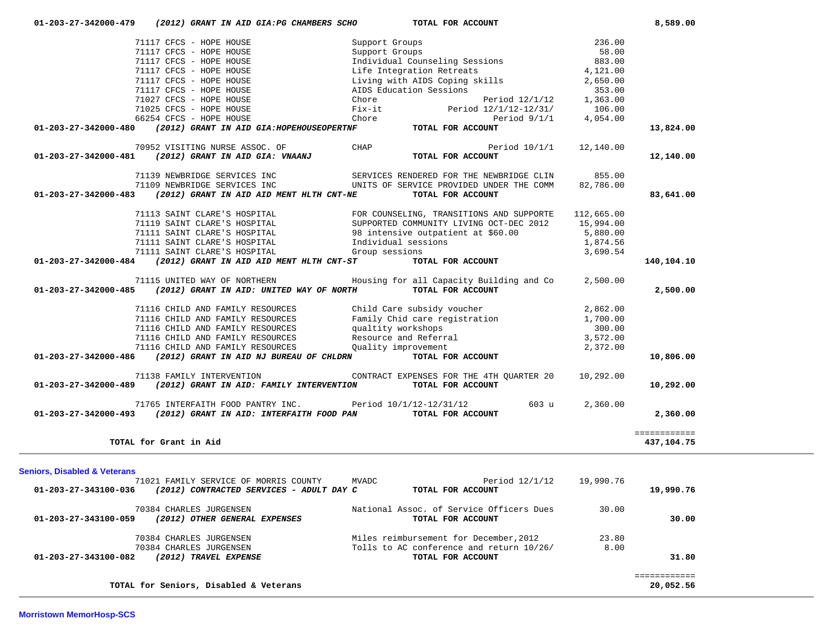|                                         | 71117 CFCS - HOPE HOUSE                                                  | Living with AIDS Coping skills                                |                       | 2,650.00           |                            |
|-----------------------------------------|--------------------------------------------------------------------------|---------------------------------------------------------------|-----------------------|--------------------|----------------------------|
|                                         | 71117 CFCS - HOPE HOUSE<br>71027 CFCS - HOPE HOUSE                       | AIDS Education Sessions<br>Chore                              | Period 12/1/12        | 353.00             |                            |
|                                         | 71025 CFCS - HOPE HOUSE                                                  | Fix-it                                                        | Period 12/1/12-12/31/ | 1,363.00<br>106.00 |                            |
|                                         | 66254 CFCS - HOPE HOUSE                                                  | Chore                                                         | Period $9/1/1$        | 4,054.00           |                            |
| 01-203-27-342000-480                    | (2012) GRANT IN AID GIA: HOPEHOUSEOPERTNF                                | TOTAL FOR ACCOUNT                                             |                       |                    | 13,824.00                  |
|                                         | 70952 VISITING NURSE ASSOC. OF                                           | CHAP                                                          | Period $10/1/1$       | 12,140.00          |                            |
| 01-203-27-342000-481                    | (2012) GRANT IN AID GIA: VNAANJ                                          | TOTAL FOR ACCOUNT                                             |                       |                    | 12,140.00                  |
|                                         | 71139 NEWBRIDGE SERVICES INC                                             | SERVICES RENDERED FOR THE NEWBRIDGE CLIN                      |                       | 855.00             |                            |
| $01 - 203 - 27 - 342000 - 483$          | 71109 NEWBRIDGE SERVICES INC<br>(2012) GRANT IN AID AID MENT HLTH CNT-NE | UNITS OF SERVICE PROVIDED UNDER THE COMM<br>TOTAL FOR ACCOUNT |                       | 82,786.00          |                            |
|                                         |                                                                          |                                                               |                       |                    | 83,641.00                  |
|                                         | 71113 SAINT CLARE'S HOSPITAL                                             | FOR COUNSELING, TRANSITIONS AND SUPPORTE                      |                       | 112,665.00         |                            |
|                                         | 71119 SAINT CLARE'S HOSPITAL                                             | SUPPORTED COMMUNITY LIVING OCT-DEC 2012                       |                       | 15,994.00          |                            |
|                                         | 71111 SAINT CLARE'S HOSPITAL                                             | 98 intensive outpatient at \$60.00                            |                       | 5,880.00           |                            |
|                                         | 71111 SAINT CLARE'S HOSPITAL                                             | Individual sessions                                           |                       | 1,874.56           |                            |
|                                         | 71111 SAINT CLARE'S HOSPITAL                                             | Group sessions                                                |                       | 3,690.54           |                            |
| 01-203-27-342000-484                    | (2012) GRANT IN AID AID MENT HLTH CNT-ST                                 | TOTAL FOR ACCOUNT                                             |                       |                    | 140,104.10                 |
|                                         | 71115 UNITED WAY OF NORTHERN                                             | Housing for all Capacity Building and Co                      |                       | 2,500.00           |                            |
| 01-203-27-342000-485                    | (2012) GRANT IN AID: UNITED WAY OF NORTH                                 | TOTAL FOR ACCOUNT                                             |                       |                    | 2,500.00                   |
|                                         | 71116 CHILD AND FAMILY RESOURCES                                         | Child Care subsidy voucher                                    |                       | 2,862.00           |                            |
|                                         | 71116 CHILD AND FAMILY RESOURCES                                         | Family Chid care registration                                 |                       | 1,700.00           |                            |
|                                         | 71116 CHILD AND FAMILY RESOURCES                                         | qualtity workshops                                            |                       | 300.00             |                            |
|                                         | 71116 CHILD AND FAMILY RESOURCES                                         | Resource and Referral                                         |                       | 3,572.00           |                            |
|                                         | 71116 CHILD AND FAMILY RESOURCES                                         | Quality improvement                                           |                       | 2,372.00           |                            |
| 01-203-27-342000-486                    | (2012) GRANT IN AID NJ BUREAU OF CHLDRN                                  | TOTAL FOR ACCOUNT                                             |                       |                    | 10,806.00                  |
|                                         | 71138 FAMILY INTERVENTION                                                | CONTRACT EXPENSES FOR THE 4TH QUARTER 20                      |                       | 10,292.00          |                            |
| 01-203-27-342000-489                    | (2012) GRANT IN AID: FAMILY INTERVENTION                                 | TOTAL FOR ACCOUNT                                             |                       |                    | 10,292.00                  |
|                                         | 71765 INTERFAITH FOOD PANTRY INC.                                        | Period $10/1/12-12/31/12$                                     | 603 u                 | 2,360.00           |                            |
| 01-203-27-342000-493                    | (2012) GRANT IN AID: INTERFAITH FOOD PAN                                 | TOTAL FOR ACCOUNT                                             |                       |                    | 2,360.00                   |
|                                         | TOTAL for Grant in Aid                                                   |                                                               |                       |                    | ============<br>437,104.75 |
|                                         |                                                                          |                                                               |                       |                    |                            |
| <b>Seniors, Disabled &amp; Veterans</b> |                                                                          |                                                               |                       |                    |                            |
|                                         | 71021 FAMILY SERVICE OF MORRIS COUNTY                                    | <b>MVADC</b>                                                  | Period $12/1/12$      | 19,990.76          |                            |
| 01-203-27-343100-036                    | (2012) CONTRACTED SERVICES - ADULT DAY C                                 | TOTAL FOR ACCOUNT                                             |                       |                    | 19,990.76                  |
|                                         | 70384 CHARLES JURGENSEN                                                  | National Assoc. of Service Officers Dues                      |                       | 30.00              |                            |
| 01-203-27-343100-059                    | (2012) OTHER GENERAL EXPENSES                                            | TOTAL FOR ACCOUNT                                             |                       |                    | 30.00                      |
|                                         | 70384 CHARLES JURGENSEN                                                  | Miles reimbursement for December, 2012                        |                       | 23.80              |                            |
|                                         | 70384 CHARLES JURGENSEN                                                  | Tolls to AC conference and return 10/26/                      |                       | 8.00               |                            |
| 01-203-27-343100-082                    | (2012) TRAVEL EXPENSE                                                    | TOTAL FOR ACCOUNT                                             |                       |                    | 31.80                      |
|                                         |                                                                          |                                                               |                       |                    | ============               |
|                                         | TOTAL for Seniors, Disabled & Veterans                                   |                                                               |                       |                    | 20,052.56                  |

 **01-203-27-342000-479** *(2012) GRANT IN AID GIA:PG CHAMBERS SCHO* **TOTAL FOR ACCOUNT 8,589.00**

71117 CFCS - HOPE HOUSE Support Groups

Politic CFCS - HOPE HOUSE COMPASS Support Groups 236.00 COMPASS 236.00<br>1991 71117 CFCS - HOPE HOUSE COMPASS Support Groups 236.00

 71117 CFCS - HOPE HOUSE Individual Counseling Sessions 883.00 71117 CFCS - HOPE HOUSE **Life Integration Retreats** 4,121.00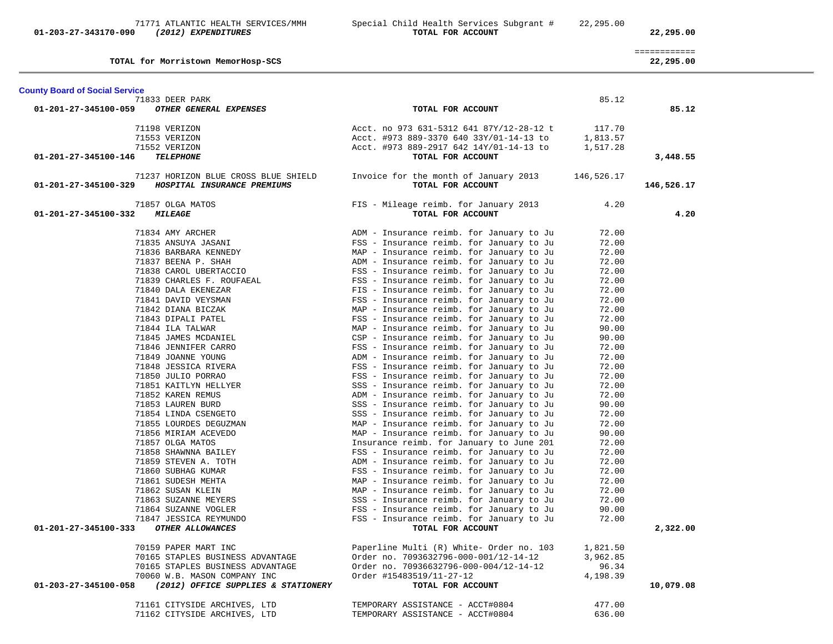|                                       | TOTAL for Morristown MemorHosp-SCS   |                                                            |            | 22,295.00  |
|---------------------------------------|--------------------------------------|------------------------------------------------------------|------------|------------|
| <b>County Board of Social Service</b> |                                      |                                                            |            |            |
|                                       | 71833 DEER PARK                      |                                                            | 85.12      |            |
| 01-201-27-345100-059                  | OTHER GENERAL EXPENSES               | TOTAL FOR ACCOUNT                                          |            | 85.12      |
| 71198 VERIZON                         |                                      | Acct. no 973 631-5312 641 87Y/12-28-12 t                   | 117.70     |            |
| 71553 VERIZON                         |                                      | Acct. #973 889-3370 640 33Y/01-14-13 to                    | 1,813.57   |            |
| 71552 VERIZON                         |                                      | Acct. #973 889-2917 642 14Y/01-14-13 to                    | 1,517.28   |            |
| 01-201-27-345100-146                  | <b>TELEPHONE</b>                     | TOTAL FOR ACCOUNT                                          |            | 3,448.55   |
|                                       | 71237 HORIZON BLUE CROSS BLUE SHIELD | Invoice for the month of January 2013                      | 146,526.17 |            |
| 01-201-27-345100-329                  | HOSPITAL INSURANCE PREMIUMS          | TOTAL FOR ACCOUNT                                          |            | 146,526.17 |
| 01-201-27-345100-332                  | 71857 OLGA MATOS<br><b>MILEAGE</b>   | FIS - Mileage reimb. for January 2013<br>TOTAL FOR ACCOUNT | 4.20       | 4.20       |
|                                       | 71834 AMY ARCHER                     | ADM - Insurance reimb. for January to Ju                   | 72.00      |            |
|                                       | 71835 ANSUYA JASANI                  | FSS - Insurance reimb. for January to Ju                   | 72.00      |            |
|                                       | 71836 BARBARA KENNEDY                | MAP - Insurance reimb. for January to Ju                   | 72.00      |            |
|                                       | 71837 BEENA P. SHAH                  | ADM - Insurance reimb. for January to Ju                   | 72.00      |            |
|                                       | 71838 CAROL UBERTACCIO               | FSS - Insurance reimb. for January to Ju                   | 72.00      |            |
|                                       | 71839 CHARLES F. ROUFAEAL            | FSS - Insurance reimb. for January to Ju                   | 72.00      |            |
|                                       | 71840 DALA EKENEZAR                  | FIS - Insurance reimb. for January to Ju                   | 72.00      |            |
|                                       | 71841 DAVID VEYSMAN                  | FSS - Insurance reimb. for January to Ju                   | 72.00      |            |
|                                       | 71842 DIANA BICZAK                   | MAP - Insurance reimb. for January to Ju                   | 72.00      |            |
|                                       | 71843 DIPALI PATEL                   | FSS - Insurance reimb. for January to Ju                   | 72.00      |            |
|                                       | 71844 ILA TALWAR                     | MAP - Insurance reimb. for January to Ju                   | 90.00      |            |
|                                       | 71845 JAMES MCDANIEL                 | CSP - Insurance reimb. for January to Ju                   | 90.00      |            |
|                                       | 71846 JENNIFER CARRO                 | FSS - Insurance reimb. for January to Ju                   | 72.00      |            |
|                                       | 71849 JOANNE YOUNG                   | ADM - Insurance reimb. for January to Ju                   | 72.00      |            |
|                                       | 71848 JESSICA RIVERA                 | FSS - Insurance reimb. for January to Ju                   | 72.00      |            |
|                                       | 71850 JULIO PORRAO                   | FSS - Insurance reimb. for January to Ju                   | 72.00      |            |
|                                       | 71851 KAITLYN HELLYER                | SSS - Insurance reimb. for January to Ju                   | 72.00      |            |
|                                       | 71852 KAREN REMUS                    | ADM - Insurance reimb. for January to Ju                   | 72.00      |            |
|                                       | 71853 LAUREN BURD                    | SSS - Insurance reimb. for January to Ju                   | 90.00      |            |
|                                       | 71854 LINDA CSENGETO                 | SSS - Insurance reimb. for January to Ju                   | 72.00      |            |
|                                       | 71855 LOURDES DEGUZMAN               | MAP - Insurance reimb. for January to Ju                   | 72.00      |            |
|                                       | 71856 MIRIAM ACEVEDO                 | MAP - Insurance reimb. for January to Ju                   | 90.00      |            |
|                                       | 71857 OLGA MATOS                     | Insurance reimb. for January to June 201                   | 72.00      |            |
|                                       | 71858 SHAWNNA BAILEY                 | FSS - Insurance reimb. for January to Ju                   | 72.00      |            |
|                                       | 71859 STEVEN A. TOTH                 | ADM - Insurance reimb. for January to Ju                   | 72.00      |            |
|                                       | 71860 SUBHAG KUMAR                   | FSS - Insurance reimb. for January to Ju                   | 72.00      |            |
|                                       | 71861 SUDESH MEHTA                   | MAP - Insurance reimb. for January to Ju                   | 72.00      |            |
|                                       | 71862 SUSAN KLEIN                    | MAP - Insurance reimb. for January to Ju                   | 72.00      |            |
|                                       | 71863 SUZANNE MEYERS                 | SSS - Insurance reimb. for January to Ju                   | 72.00      |            |
|                                       | 71864 SUZANNE VOGLER                 | FSS - Insurance reimb. for January to Ju                   | 90.00      |            |
|                                       | 71847 JESSICA REYMUNDO               | FSS - Insurance reimb. for January to Ju                   | 72.00      |            |
| 01-201-27-345100-333                  | OTHER ALLOWANCES                     | TOTAL FOR ACCOUNT                                          |            | 2,322.00   |
|                                       | 70159 PAPER MART INC                 | Paperline Multi (R) White- Order no. 103                   | 1,821.50   |            |
|                                       | 70165 STAPLES BUSINESS ADVANTAGE     | Order no. 7093632796-000-001/12-14-12                      | 3,962.85   |            |
|                                       | 70165 STAPLES BUSINESS ADVANTAGE     | Order no. 70936632796-000-004/12-14-12                     | 96.34      |            |
|                                       | 70060 W.B. MASON COMPANY INC         | Order #15483519/11-27-12                                   | 4,198.39   |            |
| 01-203-27-345100-058                  | (2012) OFFICE SUPPLIES & STATIONERY  | TOTAL FOR ACCOUNT                                          |            | 10,079.08  |
|                                       | 71161 CITYSIDE ARCHIVES, LTD         | TEMPORARY ASSISTANCE - ACCT#0804                           | 477.00     |            |
|                                       | 71162 CITYSIDE ARCHIVES, LTD         | TEMPORARY ASSISTANCE - ACCT#0804                           | 636.00     |            |

============

71771 ATLANTIC HEALTH SERVICES/MMH Special Child Health Services Subgrant # 22,295.00  **01-203-27-343170-090** *(2012) EXPENDITURES* **TOTAL FOR ACCOUNT 22,295.00**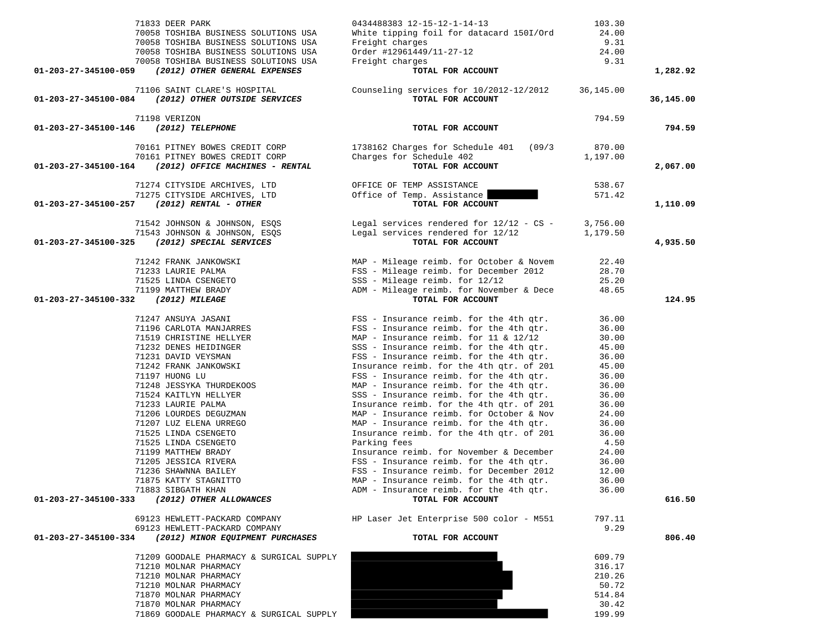| 71833 DEER PARK                                               | 0434488383 12-15-12-1-14-13                                                         | 103.30         |           |
|---------------------------------------------------------------|-------------------------------------------------------------------------------------|----------------|-----------|
| 70058 TOSHIBA BUSINESS SOLUTIONS USA                          | White tipping foil for datacard 150I/Ord                                            | 24.00          |           |
| 70058 TOSHIBA BUSINESS SOLUTIONS USA                          | Freight charges                                                                     | 9.31           |           |
| 70058 TOSHIBA BUSINESS SOLUTIONS USA                          | Order #12961449/11-27-12                                                            | 24.00          |           |
| 70058 TOSHIBA BUSINESS SOLUTIONS USA                          | Freight charges                                                                     | 9.31           |           |
| (2012) OTHER GENERAL EXPENSES<br>01-203-27-345100-059         | TOTAL FOR ACCOUNT                                                                   |                | 1,282.92  |
| 71106 SAINT CLARE'S HOSPITAL                                  | Counseling services for 10/2012-12/2012                                             | 36,145.00      |           |
| 01-203-27-345100-084 (2012) OTHER OUTSIDE SERVICES            | TOTAL FOR ACCOUNT                                                                   |                | 36,145.00 |
|                                                               |                                                                                     |                |           |
| 71198 VERIZON                                                 |                                                                                     | 794.59         |           |
| 01-203-27-345100-146 (2012) TELEPHONE                         | TOTAL FOR ACCOUNT                                                                   |                | 794.59    |
| 70161 PITNEY BOWES CREDIT CORP                                | $1738162$ Charges for Schedule $401$ (09/3                                          | 870.00         |           |
| 70161 PITNEY BOWES CREDIT CORP                                | Charges for Schedule 402                                                            | 1,197.00       |           |
| (2012) OFFICE MACHINES - RENTAL<br>01-203-27-345100-164       | TOTAL FOR ACCOUNT                                                                   |                | 2,067.00  |
|                                                               |                                                                                     |                |           |
| 71274 CITYSIDE ARCHIVES, LTD                                  | OFFICE OF TEMP ASSISTANCE                                                           | 538.67         |           |
| 71275 CITYSIDE ARCHIVES, LTD                                  | Office of Temp. Assistance                                                          | 571.42         |           |
| (2012) RENTAL - OTHER<br>01-203-27-345100-257                 | TOTAL FOR ACCOUNT                                                                   |                | 1,110.09  |
| 71542 JOHNSON & JOHNSON, ESQS                                 | Legal services rendered for $12/12 - CS - 3,756.00$                                 |                |           |
| 71543 JOHNSON & JOHNSON, ESQS                                 | Legal services rendered for 12/12                                                   | 1,179.50       |           |
| 01-203-27-345100-325 (2012) SPECIAL SERVICES                  | TOTAL FOR ACCOUNT                                                                   |                | 4,935.50  |
|                                                               |                                                                                     |                |           |
| 71242 FRANK JANKOWSKI                                         | MAP - Mileage reimb. for October & Novem                                            | 22.40          |           |
| 71233 LAURIE PALMA                                            | FSS - Mileage reimb. for December 2012                                              | 28.70          |           |
| 71525 LINDA CSENGETO                                          | SSS - Mileage reimb. for 12/12                                                      | 25.20          |           |
| 71199 MATTHEW BRADY<br>01-203-27-345100-332<br>(2012) MILEAGE | ADM - Mileage reimb. for November & Dece<br>TOTAL FOR ACCOUNT                       | 48.65          | 124.95    |
|                                                               |                                                                                     |                |           |
| 71247 ANSUYA JASANI                                           | FSS - Insurance reimb. for the 4th qtr.                                             | 36.00          |           |
| 71196 CARLOTA MANJARRES                                       | FSS - Insurance reimb. for the 4th qtr.                                             | 36.00          |           |
| 71519 CHRISTINE HELLYER                                       | MAP - Insurance reimb. for $11$ & $12/12$                                           | 30.00          |           |
| 71232 DENES HEIDINGER                                         | SSS - Insurance reimb. for the 4th qtr.                                             | 45.00          |           |
| 71231 DAVID VEYSMAN                                           | FSS - Insurance reimb. for the 4th qtr.                                             | 36.00          |           |
| 71242 FRANK JANKOWSKI                                         | Insurance reimb. for the 4th qtr. of 201                                            | 45.00          |           |
| 71197 HUONG LU                                                | FSS - Insurance reimb. for the 4th qtr.                                             | 36.00          |           |
| 71248 JESSYKA THURDEKOOS                                      | MAP - Insurance reimb. for the 4th qtr.                                             | 36.00          |           |
| 71524 KAITLYN HELLYER                                         | SSS - Insurance reimb. for the 4th qtr.                                             | 36.00          |           |
| 71233 LAURIE PALMA                                            | Insurance reimb. for the 4th qtr. of 201                                            | 36.00          |           |
| 71206 LOURDES DEGUZMAN                                        | MAP - Insurance reimb. for October & Nov                                            | 24.00          |           |
| 71207 LUZ ELENA URREGO                                        | MAP - Insurance reimb. for the 4th qtr.                                             | 36.00          |           |
| 71525 LINDA CSENGETO                                          | Insurance reimb. for the 4th qtr. of 201                                            | 36.00          |           |
| 71525 LINDA CSENGETO                                          | Parking fees                                                                        | 4.50           |           |
| 71199 MATTHEW BRADY                                           | Insurance reimb. for November & December                                            | 24.00          |           |
| 71205 JESSICA RIVERA                                          | FSS - Insurance reimb. for the 4th qtr.                                             | 36.00          |           |
| 71236 SHAWNNA BAILEY<br>71875 KATTY STAGNITTO                 | FSS - Insurance reimb. for December 2012<br>MAP - Insurance reimb. for the 4th qtr. | 12.00<br>36.00 |           |
| 71883 SIBGATH KHAN                                            | ADM - Insurance reimb. for the 4th qtr.                                             | 36.00          |           |
| (2012) OTHER ALLOWANCES<br>01-203-27-345100-333               | TOTAL FOR ACCOUNT                                                                   |                | 616.50    |
|                                                               |                                                                                     |                |           |
| 69123 HEWLETT-PACKARD COMPANY                                 | HP Laser Jet Enterprise 500 color - M551                                            | 797.11         |           |
| 69123 HEWLETT-PACKARD COMPANY                                 |                                                                                     | 9.29           | 806.40    |
| 01-203-27-345100-334<br>(2012) MINOR EQUIPMENT PURCHASES      | TOTAL FOR ACCOUNT                                                                   |                |           |
| 71209 GOODALE PHARMACY & SURGICAL SUPPLY                      |                                                                                     | 609.79         |           |
| 71210 MOLNAR PHARMACY                                         |                                                                                     | 316.17         |           |
| 71210 MOLNAR PHARMACY                                         |                                                                                     | 210.26         |           |
| 71210 MOLNAR PHARMACY                                         |                                                                                     | 50.72          |           |
| 71870 MOLNAR PHARMACY                                         |                                                                                     | 514.84         |           |
| 71870 MOLNAR PHARMACY                                         |                                                                                     | 30.42          |           |
| 71869 GOODALE PHARMACY & SURGICAL SUPPLY                      |                                                                                     | 199.99         |           |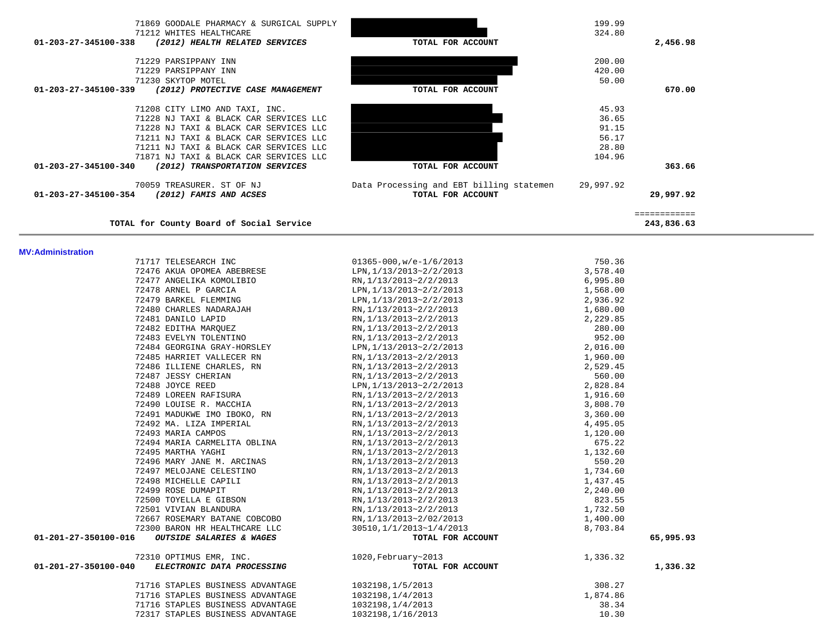| 71869 GOODALE PHARMACY & SURGICAL SUPPLY<br>71212 WHITES HEALTHCARE |                                          | 199.99<br>324.80 |              |
|---------------------------------------------------------------------|------------------------------------------|------------------|--------------|
| (2012) HEALTH RELATED SERVICES<br>01-203-27-345100-338              | TOTAL FOR ACCOUNT                        |                  | 2,456.98     |
| 71229 PARSIPPANY INN                                                |                                          | 200.00           |              |
| 71229 PARSIPPANY INN                                                |                                          | 420.00           |              |
| 71230 SKYTOP MOTEL                                                  |                                          | 50.00            |              |
| 01-203-27-345100-339<br>(2012) PROTECTIVE CASE MANAGEMENT           | TOTAL FOR ACCOUNT                        |                  | 670.00       |
| 71208 CITY LIMO AND TAXI, INC.                                      |                                          | 45.93            |              |
| 71228 NJ TAXI & BLACK CAR SERVICES LLC                              |                                          | 36.65            |              |
| 71228 NJ TAXI & BLACK CAR SERVICES LLC                              |                                          | 91.15            |              |
| 71211 NJ TAXI & BLACK CAR SERVICES LLC                              |                                          | 56.17            |              |
| 71211 NJ TAXI & BLACK CAR SERVICES LLC                              |                                          | 28.80            |              |
| 71871 NJ TAXI & BLACK CAR SERVICES LLC                              |                                          | 104.96           |              |
| 01-203-27-345100-340<br>(2012) TRANSPORTATION SERVICES              | TOTAL FOR ACCOUNT                        |                  | 363.66       |
| 70059 TREASURER. ST OF NJ                                           | Data Processing and EBT billing statemen | 29,997.92        |              |
| 01-203-27-345100-354<br>(2012) FAMIS AND ACSES                      | TOTAL FOR ACCOUNT                        |                  | 29,997.92    |
|                                                                     |                                          |                  | ============ |
| TOTAL for County Board of Social Service                            |                                          |                  | 243,836.63   |

### **MV:Administration**

| 71717 TELESEARCH INC                               | $01365 - 000$ , w/e- $1/6/2013$ | 750.36   |           |
|----------------------------------------------------|---------------------------------|----------|-----------|
| 72476 AKUA OPOMEA ABEBRESE                         | LPN, 1/13/2013~2/2/2013         | 3,578.40 |           |
| 72477 ANGELIKA KOMOLIBIO                           | RN, 1/13/2013~2/2/2013          | 6,995.80 |           |
| 72478 ARNEL P GARCIA                               | LPN, 1/13/2013~2/2/2013         | 1,568.00 |           |
| 72479 BARKEL FLEMMING                              | LPN, 1/13/2013~2/2/2013         | 2,936.92 |           |
| 72480 CHARLES NADARAJAH                            | RN, 1/13/2013~2/2/2013          | 1,680.00 |           |
| 72481 DANILO LAPID                                 | RN, 1/13/2013~2/2/2013          | 2,229.85 |           |
| 72482 EDITHA MAROUEZ                               | RN, 1/13/2013~2/2/2013          | 280.00   |           |
| 72483 EVELYN TOLENTINO                             | RN, 1/13/2013~2/2/2013          | 952.00   |           |
| 72484 GEORGINA GRAY-HORSLEY                        | LPN, 1/13/2013~2/2/2013         | 2,016.00 |           |
| 72485 HARRIET VALLECER RN                          | RN.1/13/2013~2/2/2013           | 1,960.00 |           |
| 72486 ILLIENE CHARLES, RN                          | RN, 1/13/2013~2/2/2013          | 2,529.45 |           |
| 72487 JESSY CHERIAN                                | RN, 1/13/2013~2/2/2013          | 560.00   |           |
| 72488 JOYCE REED                                   | LPN, 1/13/2013~2/2/2013         | 2,828.84 |           |
| 72489 LOREEN RAFISURA                              | RN, 1/13/2013~2/2/2013          | 1,916.60 |           |
| 72490 LOUISE R. MACCHIA                            | RN, 1/13/2013~2/2/2013          | 3,808.70 |           |
| 72491 MADUKWE IMO IBOKO, RN                        | RN, 1/13/2013~2/2/2013          | 3,360.00 |           |
| 72492 MA. LIZA IMPERIAL                            | RN, 1/13/2013~2/2/2013          | 4,495.05 |           |
| 72493 MARIA CAMPOS                                 | RN, 1/13/2013~2/2/2013          | 1,120.00 |           |
| 72494 MARIA CARMELITA OBLINA                       | RN, 1/13/2013~2/2/2013          | 675.22   |           |
| 72495 MARTHA YAGHI                                 | RN, 1/13/2013~2/2/2013          | 1,132.60 |           |
| 72496 MARY JANE M. ARCINAS                         | RN, 1/13/2013~2/2/2013          | 550.20   |           |
| 72497 MELOJANE CELESTINO                           | RN, 1/13/2013~2/2/2013          | 1,734.60 |           |
| 72498 MICHELLE CAPILI                              | RN, 1/13/2013~2/2/2013          | 1,437.45 |           |
| 72499 ROSE DUMAPIT                                 | RN, 1/13/2013~2/2/2013          | 2,240.00 |           |
| 72500 TOYELLA E GIBSON                             | RN, 1/13/2013~2/2/2013          | 823.55   |           |
| 72501 VIVIAN BLANDURA                              | RN, 1/13/2013~2/2/2013          | 1,732.50 |           |
| 72667 ROSEMARY BATANE COBCOBO                      | RN, 1/13/2013~2/02/2013         | 1,400.00 |           |
| 72300 BARON HR HEALTHCARE LLC                      | 30510, 1/1/2013~1/4/2013        | 8,703.84 |           |
| 01-201-27-350100-016<br>OUTSIDE SALARIES & WAGES   | TOTAL FOR ACCOUNT               |          | 65,995.93 |
| 72310 OPTIMUS EMR, INC.                            | 1020, February~2013             | 1,336.32 |           |
| 01-201-27-350100-040<br>ELECTRONIC DATA PROCESSING | TOTAL FOR ACCOUNT               |          | 1,336.32  |
| 71716 STAPLES BUSINESS ADVANTAGE                   | 1032198,1/5/2013                | 308.27   |           |
| 71716 STAPLES BUSINESS ADVANTAGE                   | 1032198,1/4/2013                | 1,874.86 |           |
| 71716 STAPLES BUSINESS ADVANTAGE                   | 1032198,1/4/2013                | 38.34    |           |
| 72317 STAPLES BUSINESS ADVANTAGE                   | 1032198, 1/16/2013              | 10.30    |           |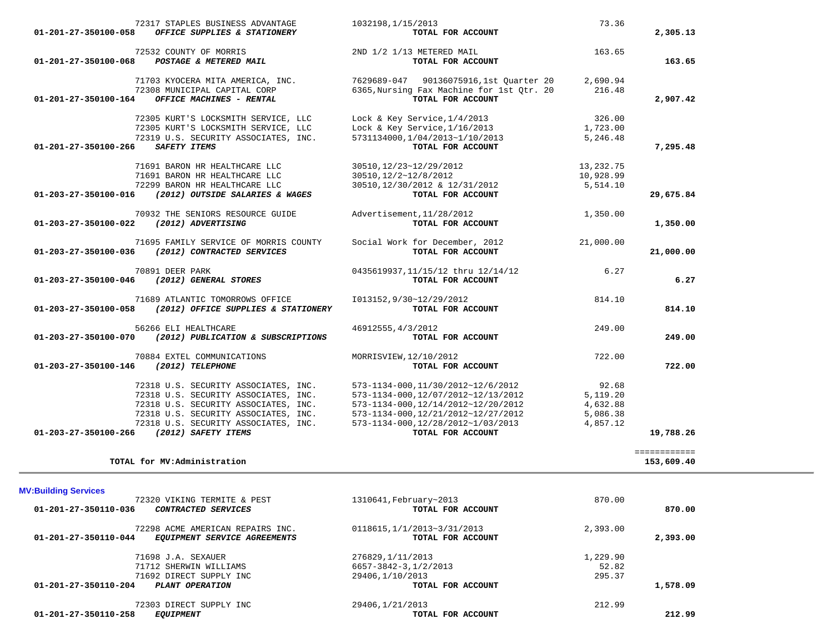| 01-201-27-350100-058                  | 72317 STAPLES BUSINESS ADVANTAGE<br>OFFICE SUPPLIES & STATIONERY                      | 1032198, 1/15/2013<br>TOTAL FOR ACCOUNT                                                                                                                                                                                  | 73.36                  | 2,305.13     |
|---------------------------------------|---------------------------------------------------------------------------------------|--------------------------------------------------------------------------------------------------------------------------------------------------------------------------------------------------------------------------|------------------------|--------------|
|                                       |                                                                                       |                                                                                                                                                                                                                          |                        |              |
|                                       |                                                                                       | 72532 COUNTY OF MORRIS 2ND $1/2$ 1/13 METERED MAIL 163.65<br>163.65 TOTAL FOR ACCOUNT                                                                                                                                    |                        | 163.65       |
|                                       |                                                                                       | 71703 KYOCERA MITA AMERICA, INC. 7629689-047 90136075916,1st Quarter 20 2,690.94<br>72308 MUNICIPAL CAPITAL CORP 6365, Nursing Fax Machine for 1st Qtr. 20 216.48<br><b>4</b> OFFICE MACHINES - RENTAL TOTAL FOR ACCOUNT |                        |              |
|                                       |                                                                                       |                                                                                                                                                                                                                          |                        |              |
|                                       | 01-201-27-350100-164 OFFICE MACHINES - RENTAL                                         | TOTAL FOR ACCOUNT                                                                                                                                                                                                        |                        | 2,907.42     |
|                                       |                                                                                       | 72305 KURT'S LOCKSMITH SERVICE, LLC<br>72305 KURT'S LOCKSMITH SERVICE, LLC Lock & Key Service, 1/16/2013 1300 1,723.00<br>72319 U.S. SECURITY ASSOCIATES, INC. 5731134000, 1/04/2013~1/10/2013 5,246.48                  |                        |              |
|                                       |                                                                                       |                                                                                                                                                                                                                          |                        |              |
| 01-201-27-350100-266 SAFETY ITEMS     |                                                                                       | TOTAL FOR ACCOUNT                                                                                                                                                                                                        |                        | 7,295.48     |
|                                       |                                                                                       |                                                                                                                                                                                                                          |                        |              |
|                                       | 71691 BARON HR HEALTHCARE LLC<br>71691 BARON HR HEALTHCARE LLC                        |                                                                                                                                                                                                                          | 13,232.75<br>10,928.99 |              |
|                                       |                                                                                       | 30510,12/23~12/29/2012<br>30510,12/2~12/8/2012<br>30510,12/30/2012 & 12/31/2012                                                                                                                                          | 5,514.10               |              |
|                                       | 72299 BARON HR HEALTHCARE LLC<br>01-203-27-350100-016 (2012) OUTSIDE SALARIES & WAGES | TOTAL FOR ACCOUNT                                                                                                                                                                                                        |                        | 29,675.84    |
|                                       | 70932 THE SENIORS RESOURCE GUIDE Advertisement, 11/28/2012                            |                                                                                                                                                                                                                          | 1,350.00               |              |
|                                       | 01-203-27-350100-022 (2012) ADVERTISING                                               | TOTAL FOR ACCOUNT                                                                                                                                                                                                        |                        | 1,350.00     |
|                                       | 71695 FAMILY SERVICE OF MORRIS COUNTY                                                 | Social Work for December, 2012                                                                                                                                                                                           | 21,000.00              |              |
|                                       | 01-203-27-350100-036 (2012) CONTRACTED SERVICES                                       | TOTAL FOR ACCOUNT                                                                                                                                                                                                        |                        | 21,000.00    |
|                                       | 70891 DEER PARK<br>01-203-27-350100-046 (2012) GENERAL STORES                         | $0435619937, 11/15/12$ thru $12/14/12$<br>TOTAL FOR ACCOUNT                                                                                                                                                              | 6.27                   |              |
|                                       |                                                                                       |                                                                                                                                                                                                                          |                        | 6.27         |
|                                       |                                                                                       | 71689 ATLANTIC TOMORROWS OFFICE $1013152,9/30 \sim 12/29/2012$                                                                                                                                                           | 814.10                 |              |
|                                       | 01-203-27-350100-058 (2012) OFFICE SUPPLIES & STATIONERY                              | TOTAL FOR ACCOUNT                                                                                                                                                                                                        |                        | 814.10       |
|                                       | 56266 ELI HEALTHCARE                                                                  | 46912555, 4/3/2012                                                                                                                                                                                                       | 249.00                 |              |
|                                       | 01-203-27-350100-070 (2012) PUBLICATION & SUBSCRIPTIONS                               | TOTAL FOR ACCOUNT                                                                                                                                                                                                        |                        | 249.00       |
|                                       | 70884 EXTEL COMMUNICATIONS                                                            | MORRISVIEW, 12/10/2012                                                                                                                                                                                                   | 722.00                 |              |
| 01-203-27-350100-146 (2012) TELEPHONE |                                                                                       | TOTAL FOR ACCOUNT                                                                                                                                                                                                        |                        | 722.00       |
|                                       |                                                                                       |                                                                                                                                                                                                                          | 92.68                  |              |
|                                       |                                                                                       |                                                                                                                                                                                                                          | 5,119.20               |              |
|                                       |                                                                                       |                                                                                                                                                                                                                          | 4,632.88               |              |
|                                       |                                                                                       |                                                                                                                                                                                                                          | 5,086.38<br>4,857.12   |              |
|                                       | 01-203-27-350100-266 (2012) SAFETY ITEMS                                              |                                                                                                                                                                                                                          |                        | 19,788.26    |
|                                       |                                                                                       |                                                                                                                                                                                                                          |                        | ============ |
|                                       |                                                                                       |                                                                                                                                                                                                                          |                        |              |

| <b>MV:Building Services</b> |  |
|-----------------------------|--|
|-----------------------------|--|

| 72320 VIKING TERMITE & PEST<br>01-201-27-350110-036<br>CONTRACTED SERVICES                         | 1310641,February~2013<br>TOTAL FOR ACCOUNT       | 870.00   | 870.00   |
|----------------------------------------------------------------------------------------------------|--------------------------------------------------|----------|----------|
| 72298 ACME AMERICAN REPAIRS INC.<br>$01 - 201 - 27 - 350110 - 044$<br>EOUIPMENT SERVICE AGREEMENTS | 0118615, 1/1/2013~3/31/2013<br>TOTAL FOR ACCOUNT | 2,393.00 | 2,393.00 |
| 71698 J.A. SEXAUER                                                                                 | 276829, 1/11/2013                                | 1,229.90 |          |
| 71712 SHERWIN WILLIAMS                                                                             | 6657-3842-3,1/2/2013                             | 52.82    |          |
| 71692 DIRECT SUPPLY INC                                                                            | 29406, 1/10/2013                                 | 295.37   |          |
| 01-201-27-350110-204<br>PLANT OPERATION                                                            | TOTAL FOR ACCOUNT                                |          | 1,578.09 |
| 72303 DIRECT SUPPLY INC                                                                            | 29406, 1/21/2013                                 | 212.99   |          |
| 01-201-27-350110-258<br><b>EOUIPMENT</b>                                                           | TOTAL FOR ACCOUNT                                |          | 212.99   |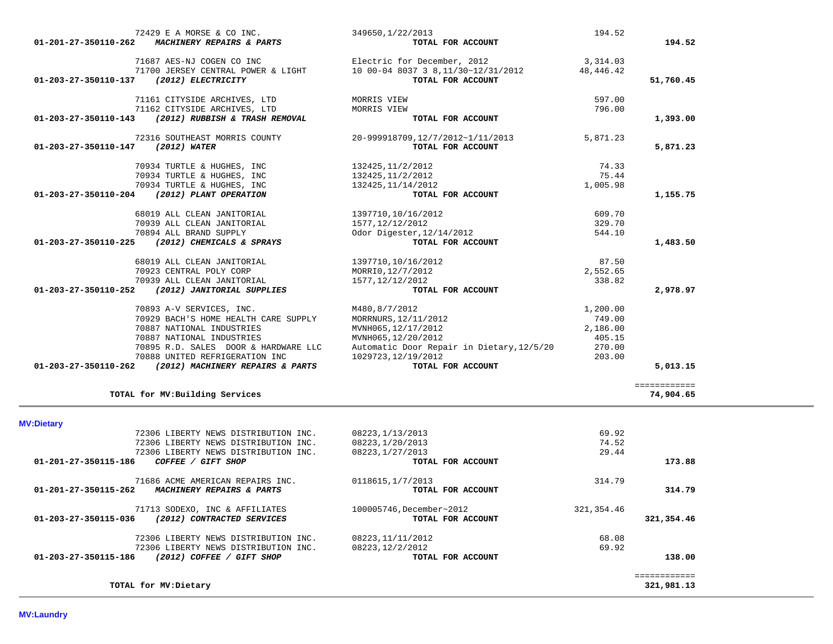| 01-203-27-350110-137<br>71161 CITYSIDE ARCHIVES, LTD<br>597.00<br>MORRIS VIEW<br>71162 CITYSIDE ARCHIVES, LTD<br>796.00<br>MORRIS VIEW<br>(2012) RUBBISH & TRASH REMOVAL<br>01-203-27-350110-143<br>TOTAL FOR ACCOUNT<br>1,393.00<br>72316 SOUTHEAST MORRIS COUNTY<br>20-999918709,12/7/2012~1/11/2013<br>5,871.23<br>(2012) WATER<br>TOTAL FOR ACCOUNT<br>01-203-27-350110-147<br>5,871.23<br>70934 TURTLE & HUGHES, INC<br>132425, 11/2/2012<br>74.33<br>70934 TURTLE & HUGHES, INC<br>75.44<br>132425, 11/2/2012<br>70934 TURTLE & HUGHES, INC<br>132425, 11/14/2012<br>1,005.98<br>(2012) PLANT OPERATION<br>01-203-27-350110-204<br>TOTAL FOR ACCOUNT<br>1,155.75<br>68019 ALL CLEAN JANITORIAL<br>1397710,10/16/2012<br>609.70<br>70939 ALL CLEAN JANITORIAL<br>329.70<br>1577, 12/12/2012<br>70894 ALL BRAND SUPPLY<br>Odor Digester, 12/14/2012<br>544.10<br>(2012) CHEMICALS & SPRAYS<br>01-203-27-350110-225<br>TOTAL FOR ACCOUNT<br>1,483.50<br>68019 ALL CLEAN JANITORIAL<br>87.50<br>1397710, 10/16/2012<br>70923 CENTRAL POLY CORP<br>MORRIO, 12/7/2012<br>2,552.65<br>70939 ALL CLEAN JANITORIAL<br>1577, 12/12/2012<br>338.82<br>01-203-27-350110-252<br>(2012) JANITORIAL SUPPLIES<br>TOTAL FOR ACCOUNT<br>2,978.97<br>70893 A-V SERVICES, INC.<br>M480,8/7/2012<br>1,200.00<br>70929 BACH'S HOME HEALTH CARE SUPPLY<br>MORRNURS, 12/11/2012<br>749.00<br>70887 NATIONAL INDUSTRIES<br>MVNH065,12/17/2012<br>2,186.00<br>70887 NATIONAL INDUSTRIES<br>MVNH065, 12/20/2012<br>405.15<br>70895 R.D. SALES DOOR & HARDWARE LLC<br>Automatic Door Repair in Dietary, 12/5/20<br>270.00<br>1029723, 12/19/2012<br>70888 UNITED REFRIGERATION INC<br>203.00<br>(2012) MACHINERY REPAIRS & PARTS<br>TOTAL FOR ACCOUNT<br>01-203-27-350110-262<br>5,013.15<br>============<br>TOTAL for MV: Building Services<br>74,904.65<br><b>MV:Dietary</b><br>69.92<br>72306 LIBERTY NEWS DISTRIBUTION INC.<br>08223, 1/13/2013<br>72306 LIBERTY NEWS DISTRIBUTION INC.<br>08223, 1/20/2013<br>74.52<br>29.44<br>72306 LIBERTY NEWS DISTRIBUTION INC.<br>08223, 1/27/2013<br>01-201-27-350115-186<br>COFFEE / GIFT SHOP<br>TOTAL FOR ACCOUNT<br>173.88<br>71686 ACME AMERICAN REPAIRS INC.<br>0118615, 1/7/2013<br>314.79<br>01-201-27-350115-262<br>MACHINERY REPAIRS & PARTS<br>TOTAL FOR ACCOUNT<br>314.79<br>71713 SODEXO, INC & AFFILIATES<br>100005746, December~2012<br>321, 354.46<br>(2012) CONTRACTED SERVICES<br>01-203-27-350115-036<br>TOTAL FOR ACCOUNT<br>321,354.46<br>68.08<br>72306 LIBERTY NEWS DISTRIBUTION INC.<br>08223, 11/11/2012<br>08223, 12/2/2012<br>69.92<br>72306 LIBERTY NEWS DISTRIBUTION INC.<br>01-203-27-350115-186 (2012) COFFEE / GIFT SHOP<br>TOTAL FOR ACCOUNT<br>138.00<br>============<br>TOTAL for MV: Dietary<br>321,981.13 | 71687 AES-NJ COGEN CO INC<br>71700 JERSEY CENTRAL POWER & LIGHT | Electric for December, 2012<br>10 00-04 8037 3 8,11/30~12/31/2012 | 3,314.03<br>48, 446. 42 |           |
|----------------------------------------------------------------------------------------------------------------------------------------------------------------------------------------------------------------------------------------------------------------------------------------------------------------------------------------------------------------------------------------------------------------------------------------------------------------------------------------------------------------------------------------------------------------------------------------------------------------------------------------------------------------------------------------------------------------------------------------------------------------------------------------------------------------------------------------------------------------------------------------------------------------------------------------------------------------------------------------------------------------------------------------------------------------------------------------------------------------------------------------------------------------------------------------------------------------------------------------------------------------------------------------------------------------------------------------------------------------------------------------------------------------------------------------------------------------------------------------------------------------------------------------------------------------------------------------------------------------------------------------------------------------------------------------------------------------------------------------------------------------------------------------------------------------------------------------------------------------------------------------------------------------------------------------------------------------------------------------------------------------------------------------------------------------------------------------------------------------------------------------------------------------------------------------------------------------------------------------------------------------------------------------------------------------------------------------------------------------------------------------------------------------------------------------------------------------------------------------------------------------------------------------------------------------------------------------------------------------------------------------------------------------------------------------------------------------------------------------------------------------------|-----------------------------------------------------------------|-------------------------------------------------------------------|-------------------------|-----------|
|                                                                                                                                                                                                                                                                                                                                                                                                                                                                                                                                                                                                                                                                                                                                                                                                                                                                                                                                                                                                                                                                                                                                                                                                                                                                                                                                                                                                                                                                                                                                                                                                                                                                                                                                                                                                                                                                                                                                                                                                                                                                                                                                                                                                                                                                                                                                                                                                                                                                                                                                                                                                                                                                                                                                                                      | (2012) ELECTRICITY                                              | TOTAL FOR ACCOUNT                                                 |                         | 51,760.45 |
|                                                                                                                                                                                                                                                                                                                                                                                                                                                                                                                                                                                                                                                                                                                                                                                                                                                                                                                                                                                                                                                                                                                                                                                                                                                                                                                                                                                                                                                                                                                                                                                                                                                                                                                                                                                                                                                                                                                                                                                                                                                                                                                                                                                                                                                                                                                                                                                                                                                                                                                                                                                                                                                                                                                                                                      |                                                                 |                                                                   |                         |           |
|                                                                                                                                                                                                                                                                                                                                                                                                                                                                                                                                                                                                                                                                                                                                                                                                                                                                                                                                                                                                                                                                                                                                                                                                                                                                                                                                                                                                                                                                                                                                                                                                                                                                                                                                                                                                                                                                                                                                                                                                                                                                                                                                                                                                                                                                                                                                                                                                                                                                                                                                                                                                                                                                                                                                                                      |                                                                 |                                                                   |                         |           |
|                                                                                                                                                                                                                                                                                                                                                                                                                                                                                                                                                                                                                                                                                                                                                                                                                                                                                                                                                                                                                                                                                                                                                                                                                                                                                                                                                                                                                                                                                                                                                                                                                                                                                                                                                                                                                                                                                                                                                                                                                                                                                                                                                                                                                                                                                                                                                                                                                                                                                                                                                                                                                                                                                                                                                                      |                                                                 |                                                                   |                         |           |
|                                                                                                                                                                                                                                                                                                                                                                                                                                                                                                                                                                                                                                                                                                                                                                                                                                                                                                                                                                                                                                                                                                                                                                                                                                                                                                                                                                                                                                                                                                                                                                                                                                                                                                                                                                                                                                                                                                                                                                                                                                                                                                                                                                                                                                                                                                                                                                                                                                                                                                                                                                                                                                                                                                                                                                      |                                                                 |                                                                   |                         |           |
|                                                                                                                                                                                                                                                                                                                                                                                                                                                                                                                                                                                                                                                                                                                                                                                                                                                                                                                                                                                                                                                                                                                                                                                                                                                                                                                                                                                                                                                                                                                                                                                                                                                                                                                                                                                                                                                                                                                                                                                                                                                                                                                                                                                                                                                                                                                                                                                                                                                                                                                                                                                                                                                                                                                                                                      |                                                                 |                                                                   |                         |           |
|                                                                                                                                                                                                                                                                                                                                                                                                                                                                                                                                                                                                                                                                                                                                                                                                                                                                                                                                                                                                                                                                                                                                                                                                                                                                                                                                                                                                                                                                                                                                                                                                                                                                                                                                                                                                                                                                                                                                                                                                                                                                                                                                                                                                                                                                                                                                                                                                                                                                                                                                                                                                                                                                                                                                                                      |                                                                 |                                                                   |                         |           |
|                                                                                                                                                                                                                                                                                                                                                                                                                                                                                                                                                                                                                                                                                                                                                                                                                                                                                                                                                                                                                                                                                                                                                                                                                                                                                                                                                                                                                                                                                                                                                                                                                                                                                                                                                                                                                                                                                                                                                                                                                                                                                                                                                                                                                                                                                                                                                                                                                                                                                                                                                                                                                                                                                                                                                                      |                                                                 |                                                                   |                         |           |
|                                                                                                                                                                                                                                                                                                                                                                                                                                                                                                                                                                                                                                                                                                                                                                                                                                                                                                                                                                                                                                                                                                                                                                                                                                                                                                                                                                                                                                                                                                                                                                                                                                                                                                                                                                                                                                                                                                                                                                                                                                                                                                                                                                                                                                                                                                                                                                                                                                                                                                                                                                                                                                                                                                                                                                      |                                                                 |                                                                   |                         |           |
|                                                                                                                                                                                                                                                                                                                                                                                                                                                                                                                                                                                                                                                                                                                                                                                                                                                                                                                                                                                                                                                                                                                                                                                                                                                                                                                                                                                                                                                                                                                                                                                                                                                                                                                                                                                                                                                                                                                                                                                                                                                                                                                                                                                                                                                                                                                                                                                                                                                                                                                                                                                                                                                                                                                                                                      |                                                                 |                                                                   |                         |           |
|                                                                                                                                                                                                                                                                                                                                                                                                                                                                                                                                                                                                                                                                                                                                                                                                                                                                                                                                                                                                                                                                                                                                                                                                                                                                                                                                                                                                                                                                                                                                                                                                                                                                                                                                                                                                                                                                                                                                                                                                                                                                                                                                                                                                                                                                                                                                                                                                                                                                                                                                                                                                                                                                                                                                                                      |                                                                 |                                                                   |                         |           |
|                                                                                                                                                                                                                                                                                                                                                                                                                                                                                                                                                                                                                                                                                                                                                                                                                                                                                                                                                                                                                                                                                                                                                                                                                                                                                                                                                                                                                                                                                                                                                                                                                                                                                                                                                                                                                                                                                                                                                                                                                                                                                                                                                                                                                                                                                                                                                                                                                                                                                                                                                                                                                                                                                                                                                                      |                                                                 |                                                                   |                         |           |
|                                                                                                                                                                                                                                                                                                                                                                                                                                                                                                                                                                                                                                                                                                                                                                                                                                                                                                                                                                                                                                                                                                                                                                                                                                                                                                                                                                                                                                                                                                                                                                                                                                                                                                                                                                                                                                                                                                                                                                                                                                                                                                                                                                                                                                                                                                                                                                                                                                                                                                                                                                                                                                                                                                                                                                      |                                                                 |                                                                   |                         |           |
|                                                                                                                                                                                                                                                                                                                                                                                                                                                                                                                                                                                                                                                                                                                                                                                                                                                                                                                                                                                                                                                                                                                                                                                                                                                                                                                                                                                                                                                                                                                                                                                                                                                                                                                                                                                                                                                                                                                                                                                                                                                                                                                                                                                                                                                                                                                                                                                                                                                                                                                                                                                                                                                                                                                                                                      |                                                                 |                                                                   |                         |           |
|                                                                                                                                                                                                                                                                                                                                                                                                                                                                                                                                                                                                                                                                                                                                                                                                                                                                                                                                                                                                                                                                                                                                                                                                                                                                                                                                                                                                                                                                                                                                                                                                                                                                                                                                                                                                                                                                                                                                                                                                                                                                                                                                                                                                                                                                                                                                                                                                                                                                                                                                                                                                                                                                                                                                                                      |                                                                 |                                                                   |                         |           |
|                                                                                                                                                                                                                                                                                                                                                                                                                                                                                                                                                                                                                                                                                                                                                                                                                                                                                                                                                                                                                                                                                                                                                                                                                                                                                                                                                                                                                                                                                                                                                                                                                                                                                                                                                                                                                                                                                                                                                                                                                                                                                                                                                                                                                                                                                                                                                                                                                                                                                                                                                                                                                                                                                                                                                                      |                                                                 |                                                                   |                         |           |
|                                                                                                                                                                                                                                                                                                                                                                                                                                                                                                                                                                                                                                                                                                                                                                                                                                                                                                                                                                                                                                                                                                                                                                                                                                                                                                                                                                                                                                                                                                                                                                                                                                                                                                                                                                                                                                                                                                                                                                                                                                                                                                                                                                                                                                                                                                                                                                                                                                                                                                                                                                                                                                                                                                                                                                      |                                                                 |                                                                   |                         |           |
|                                                                                                                                                                                                                                                                                                                                                                                                                                                                                                                                                                                                                                                                                                                                                                                                                                                                                                                                                                                                                                                                                                                                                                                                                                                                                                                                                                                                                                                                                                                                                                                                                                                                                                                                                                                                                                                                                                                                                                                                                                                                                                                                                                                                                                                                                                                                                                                                                                                                                                                                                                                                                                                                                                                                                                      |                                                                 |                                                                   |                         |           |
|                                                                                                                                                                                                                                                                                                                                                                                                                                                                                                                                                                                                                                                                                                                                                                                                                                                                                                                                                                                                                                                                                                                                                                                                                                                                                                                                                                                                                                                                                                                                                                                                                                                                                                                                                                                                                                                                                                                                                                                                                                                                                                                                                                                                                                                                                                                                                                                                                                                                                                                                                                                                                                                                                                                                                                      |                                                                 |                                                                   |                         |           |
|                                                                                                                                                                                                                                                                                                                                                                                                                                                                                                                                                                                                                                                                                                                                                                                                                                                                                                                                                                                                                                                                                                                                                                                                                                                                                                                                                                                                                                                                                                                                                                                                                                                                                                                                                                                                                                                                                                                                                                                                                                                                                                                                                                                                                                                                                                                                                                                                                                                                                                                                                                                                                                                                                                                                                                      |                                                                 |                                                                   |                         |           |
|                                                                                                                                                                                                                                                                                                                                                                                                                                                                                                                                                                                                                                                                                                                                                                                                                                                                                                                                                                                                                                                                                                                                                                                                                                                                                                                                                                                                                                                                                                                                                                                                                                                                                                                                                                                                                                                                                                                                                                                                                                                                                                                                                                                                                                                                                                                                                                                                                                                                                                                                                                                                                                                                                                                                                                      |                                                                 |                                                                   |                         |           |
|                                                                                                                                                                                                                                                                                                                                                                                                                                                                                                                                                                                                                                                                                                                                                                                                                                                                                                                                                                                                                                                                                                                                                                                                                                                                                                                                                                                                                                                                                                                                                                                                                                                                                                                                                                                                                                                                                                                                                                                                                                                                                                                                                                                                                                                                                                                                                                                                                                                                                                                                                                                                                                                                                                                                                                      |                                                                 |                                                                   |                         |           |
|                                                                                                                                                                                                                                                                                                                                                                                                                                                                                                                                                                                                                                                                                                                                                                                                                                                                                                                                                                                                                                                                                                                                                                                                                                                                                                                                                                                                                                                                                                                                                                                                                                                                                                                                                                                                                                                                                                                                                                                                                                                                                                                                                                                                                                                                                                                                                                                                                                                                                                                                                                                                                                                                                                                                                                      |                                                                 |                                                                   |                         |           |
|                                                                                                                                                                                                                                                                                                                                                                                                                                                                                                                                                                                                                                                                                                                                                                                                                                                                                                                                                                                                                                                                                                                                                                                                                                                                                                                                                                                                                                                                                                                                                                                                                                                                                                                                                                                                                                                                                                                                                                                                                                                                                                                                                                                                                                                                                                                                                                                                                                                                                                                                                                                                                                                                                                                                                                      |                                                                 |                                                                   |                         |           |
|                                                                                                                                                                                                                                                                                                                                                                                                                                                                                                                                                                                                                                                                                                                                                                                                                                                                                                                                                                                                                                                                                                                                                                                                                                                                                                                                                                                                                                                                                                                                                                                                                                                                                                                                                                                                                                                                                                                                                                                                                                                                                                                                                                                                                                                                                                                                                                                                                                                                                                                                                                                                                                                                                                                                                                      |                                                                 |                                                                   |                         |           |
|                                                                                                                                                                                                                                                                                                                                                                                                                                                                                                                                                                                                                                                                                                                                                                                                                                                                                                                                                                                                                                                                                                                                                                                                                                                                                                                                                                                                                                                                                                                                                                                                                                                                                                                                                                                                                                                                                                                                                                                                                                                                                                                                                                                                                                                                                                                                                                                                                                                                                                                                                                                                                                                                                                                                                                      |                                                                 |                                                                   |                         |           |
|                                                                                                                                                                                                                                                                                                                                                                                                                                                                                                                                                                                                                                                                                                                                                                                                                                                                                                                                                                                                                                                                                                                                                                                                                                                                                                                                                                                                                                                                                                                                                                                                                                                                                                                                                                                                                                                                                                                                                                                                                                                                                                                                                                                                                                                                                                                                                                                                                                                                                                                                                                                                                                                                                                                                                                      |                                                                 |                                                                   |                         |           |
|                                                                                                                                                                                                                                                                                                                                                                                                                                                                                                                                                                                                                                                                                                                                                                                                                                                                                                                                                                                                                                                                                                                                                                                                                                                                                                                                                                                                                                                                                                                                                                                                                                                                                                                                                                                                                                                                                                                                                                                                                                                                                                                                                                                                                                                                                                                                                                                                                                                                                                                                                                                                                                                                                                                                                                      |                                                                 |                                                                   |                         |           |
|                                                                                                                                                                                                                                                                                                                                                                                                                                                                                                                                                                                                                                                                                                                                                                                                                                                                                                                                                                                                                                                                                                                                                                                                                                                                                                                                                                                                                                                                                                                                                                                                                                                                                                                                                                                                                                                                                                                                                                                                                                                                                                                                                                                                                                                                                                                                                                                                                                                                                                                                                                                                                                                                                                                                                                      |                                                                 |                                                                   |                         |           |
|                                                                                                                                                                                                                                                                                                                                                                                                                                                                                                                                                                                                                                                                                                                                                                                                                                                                                                                                                                                                                                                                                                                                                                                                                                                                                                                                                                                                                                                                                                                                                                                                                                                                                                                                                                                                                                                                                                                                                                                                                                                                                                                                                                                                                                                                                                                                                                                                                                                                                                                                                                                                                                                                                                                                                                      |                                                                 |                                                                   |                         |           |
|                                                                                                                                                                                                                                                                                                                                                                                                                                                                                                                                                                                                                                                                                                                                                                                                                                                                                                                                                                                                                                                                                                                                                                                                                                                                                                                                                                                                                                                                                                                                                                                                                                                                                                                                                                                                                                                                                                                                                                                                                                                                                                                                                                                                                                                                                                                                                                                                                                                                                                                                                                                                                                                                                                                                                                      |                                                                 |                                                                   |                         |           |
|                                                                                                                                                                                                                                                                                                                                                                                                                                                                                                                                                                                                                                                                                                                                                                                                                                                                                                                                                                                                                                                                                                                                                                                                                                                                                                                                                                                                                                                                                                                                                                                                                                                                                                                                                                                                                                                                                                                                                                                                                                                                                                                                                                                                                                                                                                                                                                                                                                                                                                                                                                                                                                                                                                                                                                      |                                                                 |                                                                   |                         |           |
|                                                                                                                                                                                                                                                                                                                                                                                                                                                                                                                                                                                                                                                                                                                                                                                                                                                                                                                                                                                                                                                                                                                                                                                                                                                                                                                                                                                                                                                                                                                                                                                                                                                                                                                                                                                                                                                                                                                                                                                                                                                                                                                                                                                                                                                                                                                                                                                                                                                                                                                                                                                                                                                                                                                                                                      |                                                                 |                                                                   |                         |           |
|                                                                                                                                                                                                                                                                                                                                                                                                                                                                                                                                                                                                                                                                                                                                                                                                                                                                                                                                                                                                                                                                                                                                                                                                                                                                                                                                                                                                                                                                                                                                                                                                                                                                                                                                                                                                                                                                                                                                                                                                                                                                                                                                                                                                                                                                                                                                                                                                                                                                                                                                                                                                                                                                                                                                                                      |                                                                 |                                                                   |                         |           |
|                                                                                                                                                                                                                                                                                                                                                                                                                                                                                                                                                                                                                                                                                                                                                                                                                                                                                                                                                                                                                                                                                                                                                                                                                                                                                                                                                                                                                                                                                                                                                                                                                                                                                                                                                                                                                                                                                                                                                                                                                                                                                                                                                                                                                                                                                                                                                                                                                                                                                                                                                                                                                                                                                                                                                                      |                                                                 |                                                                   |                         |           |
|                                                                                                                                                                                                                                                                                                                                                                                                                                                                                                                                                                                                                                                                                                                                                                                                                                                                                                                                                                                                                                                                                                                                                                                                                                                                                                                                                                                                                                                                                                                                                                                                                                                                                                                                                                                                                                                                                                                                                                                                                                                                                                                                                                                                                                                                                                                                                                                                                                                                                                                                                                                                                                                                                                                                                                      |                                                                 |                                                                   |                         |           |
|                                                                                                                                                                                                                                                                                                                                                                                                                                                                                                                                                                                                                                                                                                                                                                                                                                                                                                                                                                                                                                                                                                                                                                                                                                                                                                                                                                                                                                                                                                                                                                                                                                                                                                                                                                                                                                                                                                                                                                                                                                                                                                                                                                                                                                                                                                                                                                                                                                                                                                                                                                                                                                                                                                                                                                      |                                                                 |                                                                   |                         |           |
|                                                                                                                                                                                                                                                                                                                                                                                                                                                                                                                                                                                                                                                                                                                                                                                                                                                                                                                                                                                                                                                                                                                                                                                                                                                                                                                                                                                                                                                                                                                                                                                                                                                                                                                                                                                                                                                                                                                                                                                                                                                                                                                                                                                                                                                                                                                                                                                                                                                                                                                                                                                                                                                                                                                                                                      |                                                                 |                                                                   |                         |           |
|                                                                                                                                                                                                                                                                                                                                                                                                                                                                                                                                                                                                                                                                                                                                                                                                                                                                                                                                                                                                                                                                                                                                                                                                                                                                                                                                                                                                                                                                                                                                                                                                                                                                                                                                                                                                                                                                                                                                                                                                                                                                                                                                                                                                                                                                                                                                                                                                                                                                                                                                                                                                                                                                                                                                                                      |                                                                 |                                                                   |                         |           |
|                                                                                                                                                                                                                                                                                                                                                                                                                                                                                                                                                                                                                                                                                                                                                                                                                                                                                                                                                                                                                                                                                                                                                                                                                                                                                                                                                                                                                                                                                                                                                                                                                                                                                                                                                                                                                                                                                                                                                                                                                                                                                                                                                                                                                                                                                                                                                                                                                                                                                                                                                                                                                                                                                                                                                                      |                                                                 |                                                                   |                         |           |
|                                                                                                                                                                                                                                                                                                                                                                                                                                                                                                                                                                                                                                                                                                                                                                                                                                                                                                                                                                                                                                                                                                                                                                                                                                                                                                                                                                                                                                                                                                                                                                                                                                                                                                                                                                                                                                                                                                                                                                                                                                                                                                                                                                                                                                                                                                                                                                                                                                                                                                                                                                                                                                                                                                                                                                      |                                                                 |                                                                   |                         |           |

72429 E A MORSE & CO INC. 349650,1/22/2013 194.52

 **01-201-27-350110-262** *MACHINERY REPAIRS & PARTS* **TOTAL FOR ACCOUNT 194.52**

194.52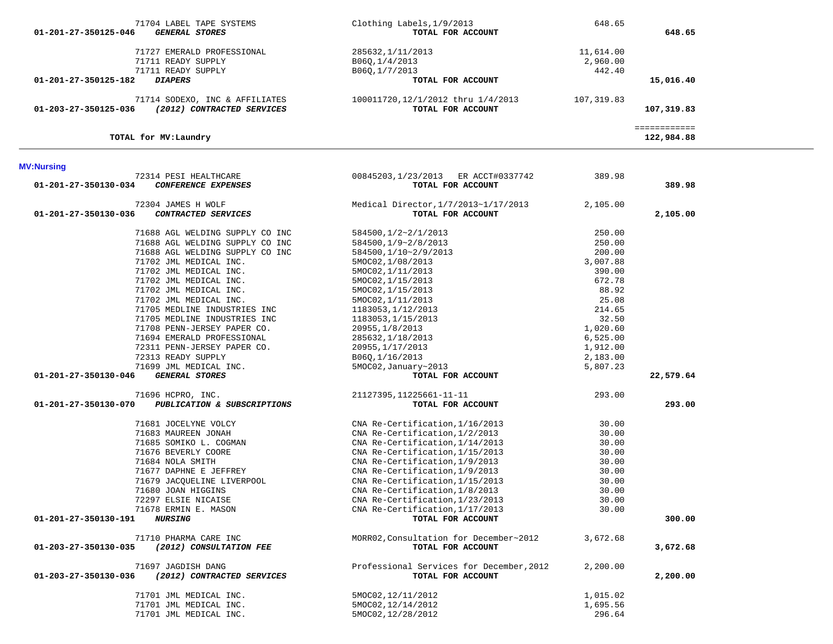| 71704 LABEL TAPE SYSTEMS<br><b>GENERAL STORES</b><br>01-201-27-350125-046                                                                                                                                                                                                                                                                                                                                                                                                                                                 | Clothing Labels, 1/9/2013<br>TOTAL FOR ACCOUNT                                                                                                                                                                                                                                                                                                                                                                                                                  | 648.65                                                                                                                                                                | 648.65                       |
|---------------------------------------------------------------------------------------------------------------------------------------------------------------------------------------------------------------------------------------------------------------------------------------------------------------------------------------------------------------------------------------------------------------------------------------------------------------------------------------------------------------------------|-----------------------------------------------------------------------------------------------------------------------------------------------------------------------------------------------------------------------------------------------------------------------------------------------------------------------------------------------------------------------------------------------------------------------------------------------------------------|-----------------------------------------------------------------------------------------------------------------------------------------------------------------------|------------------------------|
| 71727 EMERALD PROFESSIONAL<br>71711 READY SUPPLY<br>71711 READY SUPPLY                                                                                                                                                                                                                                                                                                                                                                                                                                                    | 285632, 1/11/2013<br>B06Q, 1/4/2013<br>B060,1/7/2013                                                                                                                                                                                                                                                                                                                                                                                                            | 11,614.00<br>2,960.00<br>442.40                                                                                                                                       |                              |
| <b>DIAPERS</b><br>01-201-27-350125-182                                                                                                                                                                                                                                                                                                                                                                                                                                                                                    | TOTAL FOR ACCOUNT                                                                                                                                                                                                                                                                                                                                                                                                                                               |                                                                                                                                                                       | 15,016.40                    |
| 71714 SODEXO, INC & AFFILIATES<br>(2012) CONTRACTED SERVICES<br>01-203-27-350125-036                                                                                                                                                                                                                                                                                                                                                                                                                                      | 100011720,12/1/2012 thru 1/4/2013<br>TOTAL FOR ACCOUNT                                                                                                                                                                                                                                                                                                                                                                                                          | 107,319.83                                                                                                                                                            | 107,319.83                   |
| TOTAL for MV: Laundry                                                                                                                                                                                                                                                                                                                                                                                                                                                                                                     |                                                                                                                                                                                                                                                                                                                                                                                                                                                                 |                                                                                                                                                                       | ============<br>122,984.88   |
| <b>MV:Nursing</b>                                                                                                                                                                                                                                                                                                                                                                                                                                                                                                         |                                                                                                                                                                                                                                                                                                                                                                                                                                                                 |                                                                                                                                                                       |                              |
| 72314 PESI HEALTHCARE<br>01-201-27-350130-034<br>CONFERENCE EXPENSES                                                                                                                                                                                                                                                                                                                                                                                                                                                      | 00845203,1/23/2013 ER ACCT#0337742<br>TOTAL FOR ACCOUNT                                                                                                                                                                                                                                                                                                                                                                                                         | 389.98                                                                                                                                                                | 389.98                       |
| 72304 JAMES H WOLF<br>01-201-27-350130-036<br>CONTRACTED SERVICES                                                                                                                                                                                                                                                                                                                                                                                                                                                         | Medical Director, 1/7/2013~1/17/2013<br>TOTAL FOR ACCOUNT                                                                                                                                                                                                                                                                                                                                                                                                       | 2,105.00                                                                                                                                                              | 2,105.00                     |
| 71688 AGL WELDING SUPPLY CO INC<br>71688 AGL WELDING SUPPLY CO INC<br>71688 AGL WELDING SUPPLY CO INC<br>71702 JML MEDICAL INC.<br>71702 JML MEDICAL INC.<br>71702 JML MEDICAL INC.<br>71702 JML MEDICAL INC.<br>71702 JML MEDICAL INC.<br>71705 MEDLINE INDUSTRIES INC<br>71705 MEDLINE INDUSTRIES INC<br>71708 PENN-JERSEY PAPER CO.<br>71694 EMERALD PROFESSIONAL<br>72311 PENN-JERSEY PAPER CO.<br>72313 READY SUPPLY<br>71699 JML MEDICAL INC.<br>01-201-27-350130-046<br><b>GENERAL STORES</b><br>71696 HCPRO, INC. | 584500,1/2~2/1/2013<br>584500,1/9~2/8/2013<br>584500,1/10~2/9/2013<br>5MOC02, 1/08/2013<br>5MOC02, 1/11/2013<br>5MOC02, 1/15/2013<br>5MOC02, 1/15/2013<br>5MOC02, 1/11/2013<br>1183053, 1/12/2013<br>1183053, 1/15/2013<br>20955, 1/8/2013<br>285632, 1/18/2013<br>20955, 1/17/2013<br>B06Q, 1/16/2013<br>5MOC02, January~2013<br>TOTAL FOR ACCOUNT<br>21127395, 11225661-11-11                                                                                 | 250.00<br>250.00<br>200.00<br>3,007.88<br>390.00<br>672.78<br>88.92<br>25.08<br>214.65<br>32.50<br>1,020.60<br>6,525.00<br>1,912.00<br>2,183.00<br>5,807.23<br>293.00 | 22,579.64                    |
| PUBLICATION & SUBSCRIPTIONS<br>01-201-27-350130-070<br>71681 JOCELYNE VOLCY<br>71683 MAUREEN JONAH<br>71685 SOMIKO L. COGMAN<br>71676 BEVERLY COORE<br>71684 NOLA SMITH<br>71677 DAPHNE E JEFFREY<br>71679 JACOUELINE LIVERPOOL<br>71680 JOAN HIGGINS<br>72297 ELSIE NICAISE<br>71678 ERMIN E. MASON<br><i><b>NURSING</b></i><br>01-201-27-350130-191<br>71710 PHARMA CARE INC<br>01-203-27-350130-035<br>(2012) CONSULTATION FEE                                                                                         | TOTAL FOR ACCOUNT<br>CNA Re-Certification, 1/16/2013<br>CNA Re-Certification, 1/2/2013<br>CNA Re-Certification, 1/14/2013<br>CNA Re-Certification, 1/15/2013<br>CNA Re-Certification, 1/9/2013<br>CNA Re-Certification, 1/9/2013<br>CNA Re-Certification, 1/15/2013<br>CNA Re-Certification, 1/8/2013<br>CNA Re-Certification, 1/23/2013<br>CNA Re-Certification, 1/17/2013<br>TOTAL FOR ACCOUNT<br>MORR02, Consultation for December~2012<br>TOTAL FOR ACCOUNT | 30.00<br>30.00<br>30.00<br>30.00<br>30.00<br>30.00<br>30.00<br>30.00<br>30.00<br>30.00<br>3,672.68                                                                    | 293.00<br>300.00<br>3,672.68 |
| 71697 JAGDISH DANG<br>01-203-27-350130-036<br>(2012) CONTRACTED SERVICES<br>71701 JML MEDICAL INC.                                                                                                                                                                                                                                                                                                                                                                                                                        | Professional Services for December, 2012<br>TOTAL FOR ACCOUNT<br>5MOC02, 12/11/2012                                                                                                                                                                                                                                                                                                                                                                             | 2,200.00<br>1,015.02                                                                                                                                                  | 2,200.00                     |
| 71701 JML MEDICAL INC.                                                                                                                                                                                                                                                                                                                                                                                                                                                                                                    | 5MOC02, 12/14/2012                                                                                                                                                                                                                                                                                                                                                                                                                                              | 1,695.56                                                                                                                                                              |                              |

71701 JML MEDICAL INC. 5MOC02,12/28/2012 296.64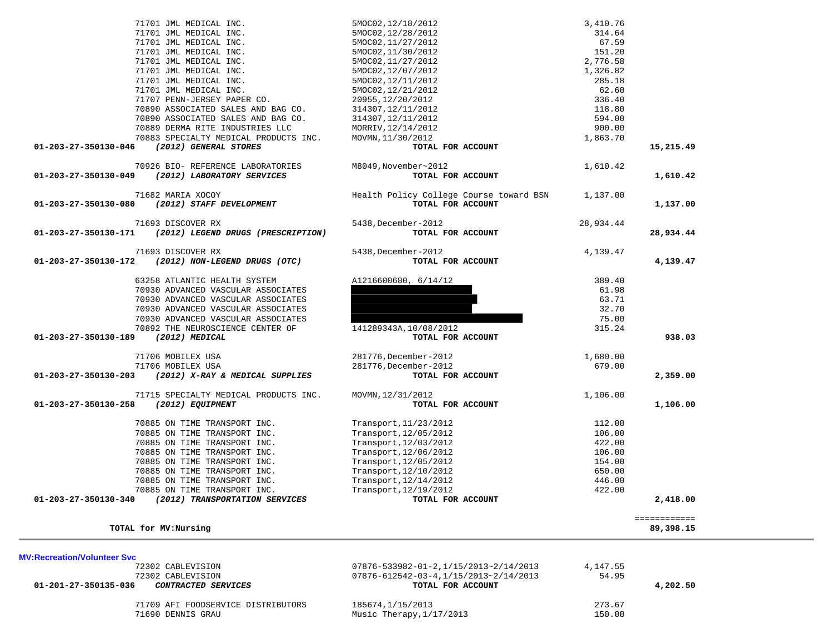| <b>MV:Recreation/Volunteer Svc</b>                 |                                                  |          |          |
|----------------------------------------------------|--------------------------------------------------|----------|----------|
| 72302 CABLEVISION                                  | $07876 - 533982 - 01 - 2, 1/15/2013 - 2/14/2013$ | 4,147.55 |          |
| 72302 CABLEVISION                                  | $07876 - 612542 - 03 - 4, 1/15/2013 - 2/14/2013$ | 54.95    |          |
| 01-201-27-350135-036<br><i>CONTRACTED SERVICES</i> | TOTAL FOR ACCOUNT                                |          | 4,202.50 |
| 71709 AFI FOODSERVICE DISTRIBUTORS                 | 185674, 1/15/2013                                | 273.67   |          |
| 71690 DENNIS GRAU                                  | Music Therapy, $1/17/2013$                       | 150.00   |          |
|                                                    |                                                  |          |          |

| 71701 JML MEDICAL INC.                                                                 | 5MOC02, 12/18/2012                      | 3,410.76  |              |
|----------------------------------------------------------------------------------------|-----------------------------------------|-----------|--------------|
| 71701 JML MEDICAL INC.                                                                 | 5MOC02, 12/28/2012                      | 314.64    |              |
| 71701 JML MEDICAL INC.                                                                 | 5MOC02, 11/27/2012                      | 67.59     |              |
| 71701 JML MEDICAL INC.                                                                 | 5MOC02, 11/30/2012                      | 151.20    |              |
| 71701 JML MEDICAL INC.                                                                 | 5MOC02, 11/27/2012                      | 2,776.58  |              |
| 71701 JML MEDICAL INC.                                                                 | 5MOC02, 12/07/2012                      | 1,326.82  |              |
| 71701 JML MEDICAL INC.                                                                 | 5MOC02, 12/11/2012                      | 285.18    |              |
| 71701 JML MEDICAL INC.                                                                 | 5MOC02, 12/21/2012                      | 62.60     |              |
| 71707 PENN-JERSEY PAPER CO.                                                            | 20955, 12/20/2012                       | 336.40    |              |
| 70890 ASSOCIATED SALES AND BAG CO.                                                     | 314307, 12/11/2012                      | 118.80    |              |
| 70890 ASSOCIATED SALES AND BAG CO.                                                     | 314307, 12/11/2012                      | 594.00    |              |
| 70889 DERMA RITE INDUSTRIES LLC                                                        | MORRIV, 12/14/2012                      | 900.00    |              |
| 70883 SPECIALTY MEDICAL PRODUCTS INC.                                                  | MOVMN, 11/30/2012                       | 1,863.70  |              |
| (2012) GENERAL STORES<br>01-203-27-350130-046                                          | TOTAL FOR ACCOUNT                       |           | 15,215.49    |
|                                                                                        |                                         |           |              |
| 70926 BIO- REFERENCE LABORATORIES                                                      | M8049, November~2012                    | 1,610.42  |              |
| (2012) LABORATORY SERVICES<br>01-203-27-350130-049                                     | TOTAL FOR ACCOUNT                       |           | 1,610.42     |
| 71682 MARIA XOCOY                                                                      | Health Policy College Course toward BSN | 1,137.00  |              |
| (2012) STAFF DEVELOPMENT<br>01-203-27-350130-080                                       | TOTAL FOR ACCOUNT                       |           | 1,137.00     |
| 71693 DISCOVER RX                                                                      | 5438, December-2012                     | 28,934.44 |              |
| 01-203-27-350130-171<br>(2012) LEGEND DRUGS (PRESCRIPTION)                             | TOTAL FOR ACCOUNT                       |           | 28,934.44    |
| 71693 DISCOVER RX                                                                      | 5438, December-2012                     | 4,139.47  |              |
| 01-203-27-350130-172<br>(2012) NON-LEGEND DRUGS (OTC)                                  | TOTAL FOR ACCOUNT                       |           | 4,139.47     |
|                                                                                        |                                         |           |              |
| 63258 ATLANTIC HEALTH SYSTEM                                                           | A1216600680, 6/14/12                    | 389.40    |              |
| 70930 ADVANCED VASCULAR ASSOCIATES                                                     |                                         | 61.98     |              |
| 70930 ADVANCED VASCULAR ASSOCIATES                                                     |                                         | 63.71     |              |
| 70930 ADVANCED VASCULAR ASSOCIATES                                                     |                                         | 32.70     |              |
| 70930 ADVANCED VASCULAR ASSOCIATES                                                     |                                         | 75.00     |              |
| 70892 THE NEUROSCIENCE CENTER OF                                                       | 141289343A, 10/08/2012                  | 315.24    |              |
| (2012) MEDICAL<br>01-203-27-350130-189                                                 | TOTAL FOR ACCOUNT                       |           | 938.03       |
| 71706 MOBILEX USA                                                                      | 281776, December-2012                   | 1,680.00  |              |
| 71706 MOBILEX USA                                                                      | 281776, December-2012                   | 679.00    |              |
| 01-203-27-350130-203<br>(2012) X-RAY & MEDICAL SUPPLIES                                | TOTAL FOR ACCOUNT                       |           | 2,359.00     |
| 71715 SPECIALTY MEDICAL PRODUCTS INC.                                                  | MOVMN, 12/31/2012                       | 1,106.00  |              |
| 01-203-27-350130-258<br>(2012) EQUIPMENT                                               | TOTAL FOR ACCOUNT                       |           | 1,106.00     |
| 70885 ON TIME TRANSPORT INC.                                                           | Transport, 11/23/2012                   | 112.00    |              |
| 70885 ON TIME TRANSPORT INC.                                                           | Transport, 12/05/2012                   | 106.00    |              |
| 70885 ON TIME TRANSPORT INC.                                                           | Transport, 12/03/2012                   | 422.00    |              |
| 70885 ON TIME TRANSPORT INC.                                                           | Transport, 12/06/2012                   | 106.00    |              |
| 70885 ON TIME TRANSPORT INC.                                                           | Transport, 12/05/2012                   | 154.00    |              |
| 70885 ON TIME TRANSPORT INC.                                                           |                                         | 650.00    |              |
|                                                                                        | Transport, 12/10/2012                   |           |              |
| 70885 ON TIME TRANSPORT INC.                                                           | Transport, 12/14/2012                   | 446.00    |              |
| 70885 ON TIME TRANSPORT INC.<br>01-203-27-350130-340<br>(2012) TRANSPORTATION SERVICES | Transport, 12/19/2012                   | 422.00    | 2,418.00     |
|                                                                                        | TOTAL FOR ACCOUNT                       |           |              |
|                                                                                        |                                         |           | ============ |
| TOTAL for MV: Nursing                                                                  |                                         |           | 89,398.15    |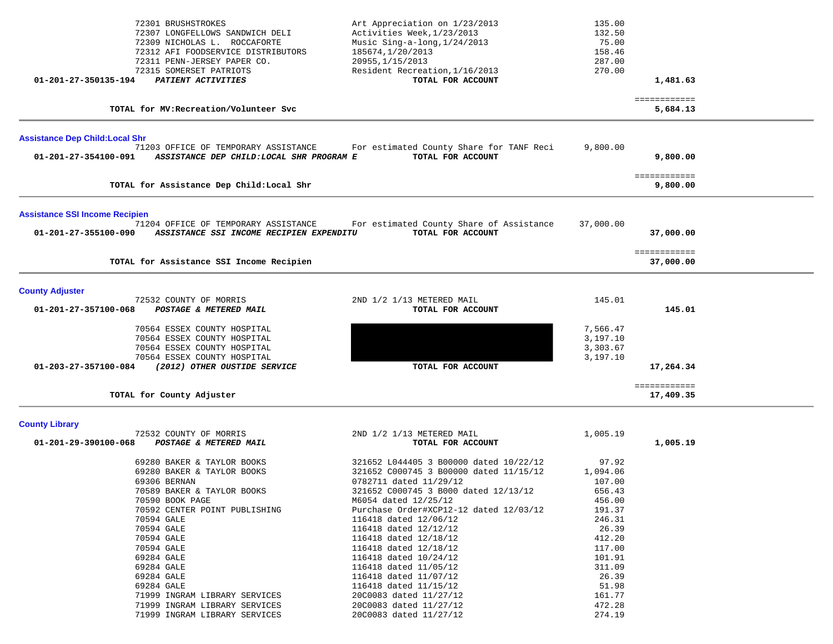| 72301 BRUSHSTROKES<br>72307 LONGFELLOWS SANDWICH DELI<br>72309 NICHOLAS L. ROCCAFORTE<br>72312 AFI FOODSERVICE DISTRIBUTORS<br>72311 PENN-JERSEY PAPER CO.<br>72315 SOMERSET PATRIOTS                                            | Art Appreciation on 1/23/2013<br>Activities Week, 1/23/2013<br>Music Sing-a-long, 1/24/2013<br>185674, 1/20/2013<br>20955, 1/15/2013<br>Resident Recreation, 1/16/2013                                                                                                                                                                                                                                                                                                                                                               | 135.00<br>132.50<br>75.00<br>158.46<br>287.00<br>270.00                                                                                                                                                                           |                                            |              |
|----------------------------------------------------------------------------------------------------------------------------------------------------------------------------------------------------------------------------------|--------------------------------------------------------------------------------------------------------------------------------------------------------------------------------------------------------------------------------------------------------------------------------------------------------------------------------------------------------------------------------------------------------------------------------------------------------------------------------------------------------------------------------------|-----------------------------------------------------------------------------------------------------------------------------------------------------------------------------------------------------------------------------------|--------------------------------------------|--------------|
| PATIENT ACTIVITIES                                                                                                                                                                                                               | TOTAL FOR ACCOUNT                                                                                                                                                                                                                                                                                                                                                                                                                                                                                                                    |                                                                                                                                                                                                                                   | 1,481.63                                   |              |
|                                                                                                                                                                                                                                  |                                                                                                                                                                                                                                                                                                                                                                                                                                                                                                                                      |                                                                                                                                                                                                                                   | 5,684.13                                   |              |
|                                                                                                                                                                                                                                  |                                                                                                                                                                                                                                                                                                                                                                                                                                                                                                                                      |                                                                                                                                                                                                                                   |                                            |              |
|                                                                                                                                                                                                                                  | TOTAL FOR ACCOUNT                                                                                                                                                                                                                                                                                                                                                                                                                                                                                                                    |                                                                                                                                                                                                                                   | 9,800.00                                   |              |
|                                                                                                                                                                                                                                  |                                                                                                                                                                                                                                                                                                                                                                                                                                                                                                                                      |                                                                                                                                                                                                                                   | ============<br>9,800.00                   |              |
|                                                                                                                                                                                                                                  |                                                                                                                                                                                                                                                                                                                                                                                                                                                                                                                                      |                                                                                                                                                                                                                                   |                                            |              |
| 71204 OFFICE OF TEMPORARY ASSISTANCE                                                                                                                                                                                             | For estimated County Share of Assistance<br>TOTAL FOR ACCOUNT                                                                                                                                                                                                                                                                                                                                                                                                                                                                        | 37,000.00                                                                                                                                                                                                                         | 37,000.00                                  |              |
|                                                                                                                                                                                                                                  |                                                                                                                                                                                                                                                                                                                                                                                                                                                                                                                                      |                                                                                                                                                                                                                                   | ============<br>37,000.00                  |              |
|                                                                                                                                                                                                                                  |                                                                                                                                                                                                                                                                                                                                                                                                                                                                                                                                      |                                                                                                                                                                                                                                   |                                            |              |
| POSTAGE & METERED MAIL                                                                                                                                                                                                           | TOTAL FOR ACCOUNT                                                                                                                                                                                                                                                                                                                                                                                                                                                                                                                    |                                                                                                                                                                                                                                   | 145.01                                     |              |
| 70564 ESSEX COUNTY HOSPITAL<br>70564 ESSEX COUNTY HOSPITAL<br>70564 ESSEX COUNTY HOSPITAL                                                                                                                                        |                                                                                                                                                                                                                                                                                                                                                                                                                                                                                                                                      | 7,566.47<br>3,197.10<br>3,303.67                                                                                                                                                                                                  |                                            |              |
| (2012) OTHER OUSTIDE SERVICE                                                                                                                                                                                                     | TOTAL FOR ACCOUNT                                                                                                                                                                                                                                                                                                                                                                                                                                                                                                                    |                                                                                                                                                                                                                                   | 17,264.34                                  |              |
|                                                                                                                                                                                                                                  |                                                                                                                                                                                                                                                                                                                                                                                                                                                                                                                                      |                                                                                                                                                                                                                                   | ============<br>17,409.35                  |              |
|                                                                                                                                                                                                                                  |                                                                                                                                                                                                                                                                                                                                                                                                                                                                                                                                      |                                                                                                                                                                                                                                   |                                            |              |
| POSTAGE & METERED MAIL                                                                                                                                                                                                           | TOTAL FOR ACCOUNT                                                                                                                                                                                                                                                                                                                                                                                                                                                                                                                    |                                                                                                                                                                                                                                   | 1,005.19                                   |              |
| 69280 BAKER & TAYLOR BOOKS<br>69280 BAKER & TAYLOR BOOKS<br>69306 BERNAN<br>70589 BAKER & TAYLOR BOOKS<br>70590 BOOK PAGE<br>70592 CENTER POINT PUBLISHING<br>70594 GALE<br>70594 GALE<br>70594 GALE<br>70594 GALE<br>69284 GALE | 321652 L044405 3 B00000 dated 10/22/12<br>321652 C000745 3 B00000 dated 11/15/12<br>0782711 dated 11/29/12<br>321652 C000745 3 B000 dated 12/13/12<br>M6054 dated 12/25/12<br>Purchase Order#XCP12-12 dated 12/03/12<br>116418 dated 12/06/12<br>116418 dated 12/12/12<br>116418 dated 12/18/12<br>116418 dated 12/18/12<br>116418 dated 10/24/12                                                                                                                                                                                    | 97.92<br>1,094.06<br>107.00<br>656.43<br>456.00<br>191.37<br>246.31<br>26.39<br>412.20<br>117.00<br>101.91<br>311.09                                                                                                              |                                            |              |
|                                                                                                                                                                                                                                  | 01-201-27-350135-194<br>TOTAL for MV: Recreation/Volunteer Svc<br><b>Assistance Dep Child: Local Shr</b><br>71203 OFFICE OF TEMPORARY ASSISTANCE<br>01-201-27-354100-091<br>TOTAL for Assistance Dep Child: Local Shr<br><b>Assistance SSI Income Recipien</b><br>$01 - 201 - 27 - 355100 - 090$<br>TOTAL for Assistance SSI Income Recipien<br>72532 COUNTY OF MORRIS<br>01-201-27-357100-068<br>70564 ESSEX COUNTY HOSPITAL<br>01-203-27-357100-084<br>TOTAL for County Adjuster<br>72532 COUNTY OF MORRIS<br>01-201-29-390100-068 | For estimated County Share for TANF Reci<br>ASSISTANCE DEP CHILD:LOCAL SHR PROGRAM E<br>ASSISTANCE SSI INCOME RECIPIEN EXPENDITU<br>2ND 1/2 1/13 METERED MAIL<br>2ND 1/2 1/13 METERED MAIL<br>69284 GALE<br>116418 dated 11/05/12 | 9,800.00<br>145.01<br>3,197.10<br>1,005.19 | ============ |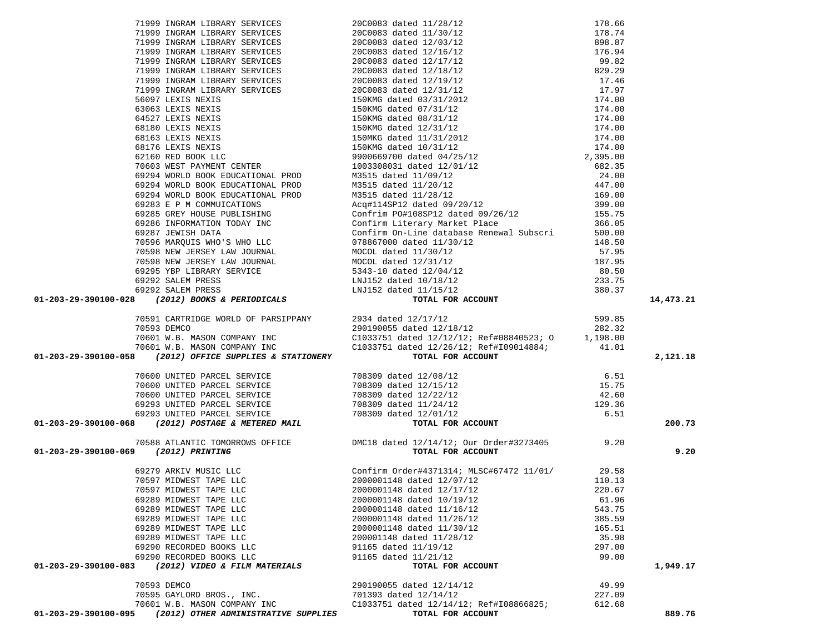| 01-203-29-390100-095                 | (2012) OTHER ADMINISTRATIVE SUPPLIES               | TOTAL FOR ACCOUNT                                                                                                                                                                                                                              |                 | 889.76    |
|--------------------------------------|----------------------------------------------------|------------------------------------------------------------------------------------------------------------------------------------------------------------------------------------------------------------------------------------------------|-----------------|-----------|
|                                      | 70601 W.B. MASON COMPANY INC                       | C1033751 dated 12/14/12; Ref#I08866825;                                                                                                                                                                                                        | 612.68          |           |
|                                      | 70595 GAYLORD BROS., INC.                          | 701393 dated 12/14/12                                                                                                                                                                                                                          | 227.09          |           |
|                                      | 70593 DEMCO                                        | 290190055 dated 12/14/12                                                                                                                                                                                                                       | 49.99           |           |
|                                      |                                                    |                                                                                                                                                                                                                                                |                 |           |
| 01-203-29-390100-083                 | (2012) VIDEO & FILM MATERIALS                      | TOTAL FOR ACCOUNT                                                                                                                                                                                                                              |                 | 1,949.17  |
|                                      | 69290 RECORDED BOOKS LLC                           | 91165 dated 11/21/12                                                                                                                                                                                                                           | 99.00           |           |
|                                      | 69289 MIDWEST TAPE LLC<br>69290 RECORDED BOOKS LLC | 200001148 dated 11/28/12<br>91165 dated 11/19/12                                                                                                                                                                                               | 35.98<br>297.00 |           |
|                                      | 69289 MIDWEST TAPE LLC                             | 2000001148 dated 11/30/12                                                                                                                                                                                                                      | 165.51          |           |
|                                      | 69289 MIDWEST TAPE LLC                             | 2000001148 dated 11/26/12                                                                                                                                                                                                                      | 385.59          |           |
|                                      | 69289 MIDWEST TAPE LLC                             | 2000001148 dated 11/16/12                                                                                                                                                                                                                      | 543.75          |           |
|                                      | 69289 MIDWEST TAPE LLC                             | 2000001148 dated 10/19/12                                                                                                                                                                                                                      | 61.96           |           |
|                                      | 70597 MIDWEST TAPE LLC                             | 2000001148 dated 12/17/12                                                                                                                                                                                                                      | 220.67          |           |
|                                      |                                                    |                                                                                                                                                                                                                                                |                 |           |
|                                      |                                                    | 69279 ARKIV MUSIC LLC                           Confirm Order#4371314; MLSC#67472 11/01/         29.58<br>70597 MIDWEST TAPE LLC                         2000001148 dated 12/07/12                                                             |                 |           |
|                                      |                                                    |                                                                                                                                                                                                                                                |                 |           |
| 01-203-29-390100-069 (2012) PRINTING |                                                    | TOTAL FOR ACCOUNT                                                                                                                                                                                                                              |                 | 9.20      |
|                                      |                                                    | 70588 ATLANTIC TOMORROWS OFFICE DMC18 dated 12/14/12; Our Order#3273405 9.20                                                                                                                                                                   |                 |           |
|                                      |                                                    | 70600 UNITED PARCEL SERVICE<br>70600 UNITED PARCEL SERVICE<br>70600 UNITED PARCEL SERVICE<br>70600 UNITED PARCEL SERVICE<br>70600 UNITED PARCEL SERVICE<br>708309 dated 12/22/12<br>708309 dated 12/22/12<br>708309 dated 12/24/12<br>708309 d |                 | 200.73    |
|                                      |                                                    |                                                                                                                                                                                                                                                |                 |           |
|                                      |                                                    |                                                                                                                                                                                                                                                |                 |           |
|                                      |                                                    |                                                                                                                                                                                                                                                |                 |           |
|                                      |                                                    |                                                                                                                                                                                                                                                |                 |           |
|                                      |                                                    |                                                                                                                                                                                                                                                |                 |           |
|                                      |                                                    |                                                                                                                                                                                                                                                |                 |           |
|                                      |                                                    |                                                                                                                                                                                                                                                |                 | 2,121.18  |
|                                      |                                                    |                                                                                                                                                                                                                                                |                 |           |
|                                      |                                                    |                                                                                                                                                                                                                                                |                 |           |
|                                      |                                                    |                                                                                                                                                                                                                                                |                 |           |
|                                      |                                                    |                                                                                                                                                                                                                                                |                 |           |
|                                      |                                                    | 71499 IMMAN LIBRARY SERVICES<br>2000313 Autosi 11320-12<br>21299 IMMAN LIBRARY SERVICES<br>21299 IMMAN LIBRARY SERVICES<br>21299 IMMAN LIBRARY SERVICES<br>21299 IMMAN LIBRARY SERVICES<br>21299 IMMAN LIBRARY SERVICES<br>21209 IMMAN LIBR    |                 |           |
|                                      |                                                    |                                                                                                                                                                                                                                                |                 | 14,473.21 |
|                                      |                                                    |                                                                                                                                                                                                                                                |                 |           |
|                                      |                                                    |                                                                                                                                                                                                                                                |                 |           |
|                                      |                                                    |                                                                                                                                                                                                                                                |                 |           |
|                                      |                                                    |                                                                                                                                                                                                                                                |                 |           |
|                                      |                                                    |                                                                                                                                                                                                                                                |                 |           |
|                                      |                                                    |                                                                                                                                                                                                                                                |                 |           |
|                                      |                                                    |                                                                                                                                                                                                                                                |                 |           |
|                                      |                                                    |                                                                                                                                                                                                                                                |                 |           |
|                                      |                                                    |                                                                                                                                                                                                                                                |                 |           |
|                                      |                                                    |                                                                                                                                                                                                                                                |                 |           |
|                                      |                                                    |                                                                                                                                                                                                                                                |                 |           |
|                                      |                                                    |                                                                                                                                                                                                                                                |                 |           |
|                                      |                                                    |                                                                                                                                                                                                                                                |                 |           |
|                                      |                                                    |                                                                                                                                                                                                                                                |                 |           |
|                                      |                                                    |                                                                                                                                                                                                                                                |                 |           |
|                                      |                                                    |                                                                                                                                                                                                                                                |                 |           |
|                                      |                                                    |                                                                                                                                                                                                                                                |                 |           |
|                                      |                                                    |                                                                                                                                                                                                                                                |                 |           |
|                                      |                                                    |                                                                                                                                                                                                                                                |                 |           |
|                                      |                                                    |                                                                                                                                                                                                                                                |                 |           |
|                                      |                                                    |                                                                                                                                                                                                                                                |                 |           |
|                                      |                                                    |                                                                                                                                                                                                                                                |                 |           |
|                                      |                                                    |                                                                                                                                                                                                                                                |                 |           |
|                                      |                                                    |                                                                                                                                                                                                                                                |                 |           |
|                                      |                                                    |                                                                                                                                                                                                                                                |                 |           |
|                                      |                                                    |                                                                                                                                                                                                                                                |                 |           |
|                                      |                                                    |                                                                                                                                                                                                                                                |                 |           |
|                                      |                                                    |                                                                                                                                                                                                                                                |                 |           |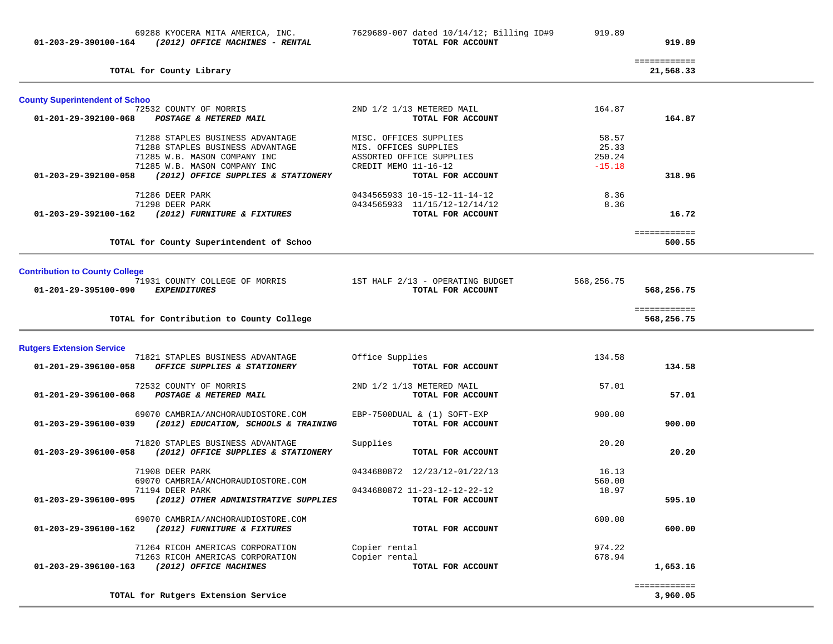|                                                                      |                                  |            | ============           |
|----------------------------------------------------------------------|----------------------------------|------------|------------------------|
| TOTAL for County Library                                             |                                  |            | 21,568.33              |
| <b>County Superintendent of Schoo</b>                                |                                  |            |                        |
| 72532 COUNTY OF MORRIS                                               | 2ND 1/2 1/13 METERED MAIL        | 164.87     |                        |
| 01-201-29-392100-068<br>POSTAGE & METERED MAIL                       | TOTAL FOR ACCOUNT                |            | 164.87                 |
| 71288 STAPLES BUSINESS ADVANTAGE                                     | MISC. OFFICES SUPPLIES           | 58.57      |                        |
| 71288 STAPLES BUSINESS ADVANTAGE                                     | MIS. OFFICES SUPPLIES            | 25.33      |                        |
| 71285 W.B. MASON COMPANY INC                                         | ASSORTED OFFICE SUPPLIES         | 250.24     |                        |
| 71285 W.B. MASON COMPANY INC                                         | CREDIT MEMO 11-16-12             | $-15.18$   |                        |
| (2012) OFFICE SUPPLIES & STATIONERY<br>01-203-29-392100-058          | TOTAL FOR ACCOUNT                |            | 318.96                 |
| 71286 DEER PARK                                                      | 0434565933 10-15-12-11-14-12     | 8.36       |                        |
| 71298 DEER PARK                                                      | 0434565933 11/15/12-12/14/12     | 8.36       |                        |
| 01-203-29-392100-162<br>(2012) FURNITURE & FIXTURES                  | TOTAL FOR ACCOUNT                |            | 16.72                  |
|                                                                      |                                  |            |                        |
| TOTAL for County Superintendent of Schoo                             |                                  |            | ============<br>500.55 |
|                                                                      |                                  |            |                        |
| <b>Contribution to County College</b>                                |                                  |            |                        |
| 71931 COUNTY COLLEGE OF MORRIS                                       | 1ST HALF 2/13 - OPERATING BUDGET | 568,256.75 |                        |
| 01-201-29-395100-090<br>EXPENDITURES                                 | TOTAL FOR ACCOUNT                |            | 568,256.75             |
|                                                                      |                                  |            | ============           |
| TOTAL for Contribution to County College                             |                                  |            | 568,256.75             |
|                                                                      |                                  |            |                        |
| <b>Rutgers Extension Service</b><br>71821 STAPLES BUSINESS ADVANTAGE |                                  | 134.58     |                        |
|                                                                      | Office Supplies                  |            |                        |
| 01-201-29-396100-058<br>OFFICE SUPPLIES & STATIONERY                 | TOTAL FOR ACCOUNT                |            | 134.58                 |
| 72532 COUNTY OF MORRIS                                               | 2ND 1/2 1/13 METERED MAIL        | 57.01      |                        |
| POSTAGE & METERED MAIL<br>01-201-29-396100-068                       | TOTAL FOR ACCOUNT                |            | 57.01                  |
| 69070 CAMBRIA/ANCHORAUDIOSTORE.COM                                   | EBP-7500DUAL & (1) SOFT-EXP      | 900.00     |                        |
| 01-203-29-396100-039<br>(2012) EDUCATION, SCHOOLS & TRAINING         | TOTAL FOR ACCOUNT                |            | 900.00                 |
|                                                                      |                                  |            |                        |
| 71820 STAPLES BUSINESS ADVANTAGE                                     | Supplies                         | 20.20      |                        |
| (2012) OFFICE SUPPLIES & STATIONERY<br>01-203-29-396100-058          | TOTAL FOR ACCOUNT                |            | 20.20                  |
| 71908 DEER PARK                                                      | 0434680872 12/23/12-01/22/13     | 16.13      |                        |
| 69070 CAMBRIA/ANCHORAUDIOSTORE.COM                                   |                                  | 560.00     |                        |
| 71194 DEER PARK                                                      | 0434680872 11-23-12-12-22-12     | 18.97      |                        |
| 01-203-29-396100-095<br>(2012) OTHER ADMINISTRATIVE SUPPLIES         | TOTAL FOR ACCOUNT                |            | 595.10                 |
|                                                                      |                                  |            |                        |
| 69070 CAMBRIA/ANCHORAUDIOSTORE.COM                                   |                                  | 600.00     |                        |
| (2012) FURNITURE & FIXTURES<br>01-203-29-396100-162                  | TOTAL FOR ACCOUNT                |            | 600.00                 |
| 71264 RICOH AMERICAS CORPORATION                                     | Copier rental                    | 974.22     |                        |
| 71263 RICOH AMERICAS CORPORATION                                     | Copier rental                    | 678.94     |                        |
| 01-203-29-396100-163 (2012) OFFICE MACHINES                          | TOTAL FOR ACCOUNT                |            | 1,653.16               |
|                                                                      |                                  |            | ============           |
| TOTAL for Rutgers Extension Service                                  |                                  |            | 3,960.05               |
|                                                                      |                                  |            |                        |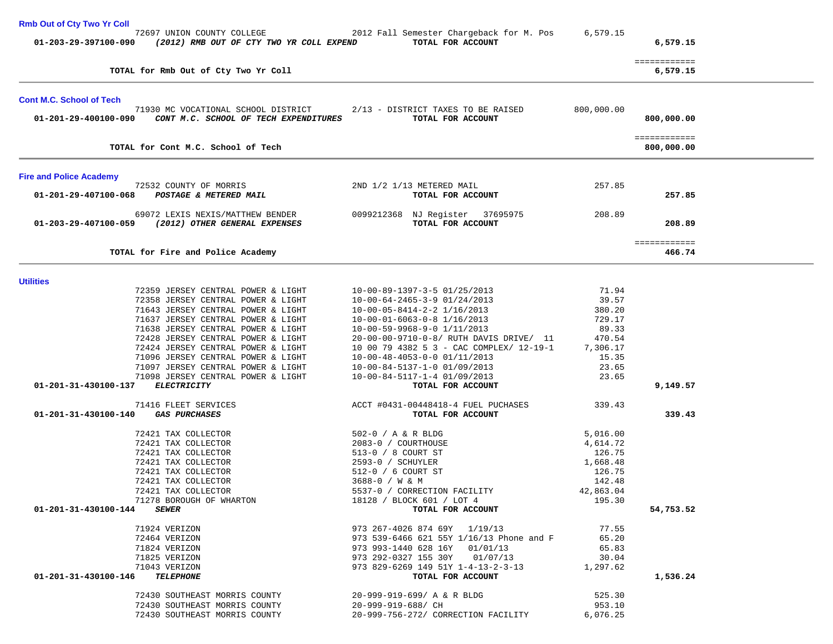| <b>Rmb Out of Cty Two Yr Coll</b> |                                                                              |                     |                                                                  |                   |                            |  |
|-----------------------------------|------------------------------------------------------------------------------|---------------------|------------------------------------------------------------------|-------------------|----------------------------|--|
| 01-203-29-397100-090              | 72697 UNION COUNTY COLLEGE<br>(2012) RMB OUT OF CTY TWO YR COLL EXPEND       |                     | 2012 Fall Semester Chargeback for M. Pos<br>TOTAL FOR ACCOUNT    | 6,579.15          | 6,579.15                   |  |
|                                   | TOTAL for Rmb Out of Cty Two Yr Coll                                         |                     |                                                                  |                   | ============<br>6,579.15   |  |
| <b>Cont M.C. School of Tech</b>   |                                                                              |                     |                                                                  |                   |                            |  |
| 01-201-29-400100-090              | 71930 MC VOCATIONAL SCHOOL DISTRICT<br>CONT M.C. SCHOOL OF TECH EXPENDITURES |                     | 2/13 - DISTRICT TAXES TO BE RAISED<br>TOTAL FOR ACCOUNT          | 800,000.00        | 800,000.00                 |  |
|                                   | TOTAL for Cont M.C. School of Tech                                           |                     |                                                                  |                   | ============<br>800,000.00 |  |
| <b>Fire and Police Academy</b>    |                                                                              |                     |                                                                  |                   |                            |  |
| 01-201-29-407100-068              | 72532 COUNTY OF MORRIS<br>POSTAGE & METERED MAIL                             |                     | 2ND 1/2 1/13 METERED MAIL<br>TOTAL FOR ACCOUNT                   | 257.85            | 257.85                     |  |
| 01-203-29-407100-059              | 69072 LEXIS NEXIS/MATTHEW BENDER<br>(2012) OTHER GENERAL EXPENSES            |                     | 0099212368 NJ Register 37695975<br>TOTAL FOR ACCOUNT             | 208.89            | 208.89                     |  |
|                                   |                                                                              |                     |                                                                  |                   | ============<br>466.74     |  |
|                                   | TOTAL for Fire and Police Academy                                            |                     |                                                                  |                   |                            |  |
| <b>Utilities</b>                  |                                                                              |                     |                                                                  |                   |                            |  |
|                                   | 72359 JERSEY CENTRAL POWER & LIGHT                                           |                     | 10-00-89-1397-3-5 01/25/2013                                     | 71.94             |                            |  |
|                                   | 72358 JERSEY CENTRAL POWER & LIGHT                                           |                     | $10-00-64-2465-3-9$ $01/24/2013$                                 | 39.57             |                            |  |
|                                   | 71643 JERSEY CENTRAL POWER & LIGHT                                           |                     | $10-00-05-8414-2-2$ $1/16/2013$                                  | 380.20            |                            |  |
|                                   | 71637 JERSEY CENTRAL POWER & LIGHT                                           |                     | $10-00-01-6063-0-8$ $1/16/2013$                                  | 729.17            |                            |  |
|                                   | 71638 JERSEY CENTRAL POWER & LIGHT                                           |                     | $10-00-59-9968-9-0$ $1/11/2013$                                  | 89.33             |                            |  |
|                                   | 72428 JERSEY CENTRAL POWER & LIGHT                                           |                     | 20-00-00-9710-0-8/ RUTH DAVIS DRIVE/ 11                          | 470.54            |                            |  |
|                                   | 72424 JERSEY CENTRAL POWER & LIGHT<br>71096 JERSEY CENTRAL POWER & LIGHT     |                     | 10 00 79 4382 5 3 - CAC COMPLEX/ 12-19-1                         | 7,306.17<br>15.35 |                            |  |
|                                   | 71097 JERSEY CENTRAL POWER & LIGHT                                           |                     | $10-00-48-4053-0-0$ $01/11/2013$<br>10-00-84-5137-1-0 01/09/2013 | 23.65             |                            |  |
|                                   | 71098 JERSEY CENTRAL POWER & LIGHT                                           |                     | 10-00-84-5117-1-4 01/09/2013                                     | 23.65             |                            |  |
| 01-201-31-430100-137              | <b>ELECTRICITY</b>                                                           |                     | TOTAL FOR ACCOUNT                                                |                   | 9,149.57                   |  |
|                                   |                                                                              |                     |                                                                  |                   |                            |  |
|                                   | 71416 FLEET SERVICES                                                         |                     | ACCT #0431-00448418-4 FUEL PUCHASES                              | 339.43            |                            |  |
| 01-201-31-430100-140              | <i><b>GAS PURCHASES</b></i>                                                  |                     | TOTAL FOR ACCOUNT                                                |                   | 339.43                     |  |
|                                   | 72421 TAX COLLECTOR                                                          | 502-0 / A & R BLDG  |                                                                  | 5,016.00          |                            |  |
|                                   | 72421 TAX COLLECTOR                                                          | 2083-0 / COURTHOUSE |                                                                  | 4,614.72          |                            |  |
|                                   | 72421 TAX COLLECTOR                                                          | 513-0 / 8 COURT ST  |                                                                  | 126.75            |                            |  |
|                                   | 72421 TAX COLLECTOR                                                          | 2593-0 / SCHUYLER   |                                                                  | 1,668.48          |                            |  |
|                                   | 72421 TAX COLLECTOR                                                          | 512-0 / 6 COURT ST  |                                                                  | 126.75            |                            |  |
|                                   | 72421 TAX COLLECTOR                                                          | 3688-0 / W & M      |                                                                  | 142.48            |                            |  |
|                                   | 72421 TAX COLLECTOR                                                          |                     | 5537-0 / CORRECTION FACILITY                                     | 42,863.04         |                            |  |
|                                   | 71278 BOROUGH OF WHARTON                                                     |                     | 18128 / BLOCK 601 / LOT 4                                        | 195.30            |                            |  |
| 01-201-31-430100-144 SEWER        |                                                                              |                     | TOTAL FOR ACCOUNT                                                |                   | 54,753.52                  |  |
|                                   | 71924 VERIZON                                                                |                     | 973 267-4026 874 69Y 1/19/13                                     | 77.55             |                            |  |
|                                   | 72464 VERIZON                                                                |                     | 973 539-6466 621 55Y 1/16/13 Phone and F                         | 65.20             |                            |  |
|                                   | 71824 VERIZON                                                                |                     | 973 993-1440 628 16Y 01/01/13                                    | 65.83             |                            |  |
|                                   | 71825 VERIZON                                                                |                     | 973 292-0327 155 30Y 01/07/13                                    | 30.04             |                            |  |
|                                   | 71043 VERIZON                                                                |                     | 973 829-6269 149 51Y 1-4-13-2-3-13                               | 1,297.62          |                            |  |
| 01-201-31-430100-146              | <b>TELEPHONE</b>                                                             |                     | TOTAL FOR ACCOUNT                                                |                   | 1,536.24                   |  |
|                                   | 72430 SOUTHEAST MORRIS COUNTY                                                |                     | 20-999-919-699/ A & R BLDG                                       | 525.30            |                            |  |
|                                   | 72430 SOUTHEAST MORRIS COUNTY                                                | 20-999-919-688/ CH  |                                                                  | 953.10            |                            |  |
|                                   | 72430 SOUTHEAST MORRIS COUNTY                                                |                     | 20-999-756-272/ CORRECTION FACILITY                              | 6,076.25          |                            |  |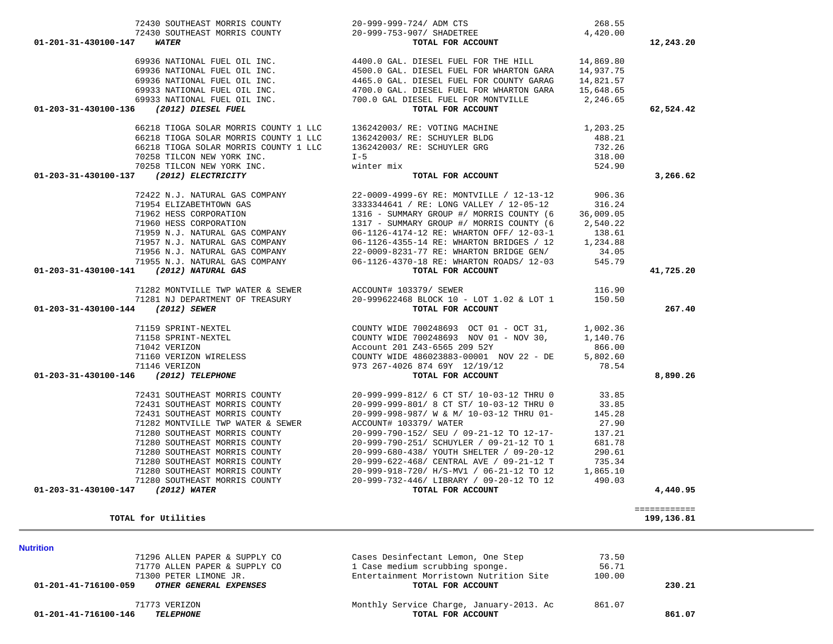| 69933 NATIONAL FUEL OIL INC.<br>69933 NATIONAL FUEL OIL INC.<br>01-203-31-430100-136 (2012) DIESEL FUEL | 4700.0 GAL. DIESEL FUEL FOR WHARTON GARA<br>700.0 GAL DIESEL FUEL FOR MONTVILLE 2,246.65 | 15,648.65 |                            |
|---------------------------------------------------------------------------------------------------------|------------------------------------------------------------------------------------------|-----------|----------------------------|
|                                                                                                         |                                                                                          |           |                            |
|                                                                                                         | TOTAL FOR ACCOUNT                                                                        |           | 62,524.42                  |
| 66218 TIOGA SOLAR MORRIS COUNTY 1 LLC                                                                   | 136242003/ RE: VOTING MACHINE                                                            | 1,203.25  |                            |
| 66218 TIOGA SOLAR MORRIS COUNTY 1 LLC                                                                   | 136242003/ RE: SCHUYLER BLDG                                                             | 488.21    |                            |
| 66218 TIOGA SOLAR MORRIS COUNTY 1 LLC                                                                   | 136242003/ RE: SCHUYLER GRG                                                              | 732.26    |                            |
| 70258 TILCON NEW YORK INC.                                                                              | $I - 5$                                                                                  | 318.00    |                            |
| 70258 TILCON NEW YORK INC.                                                                              | winter mix                                                                               | 524.90    |                            |
| 01-203-31-430100-137 (2012) ELECTRICITY                                                                 | TOTAL FOR ACCOUNT                                                                        |           | 3,266.62                   |
| 72422 N.J. NATURAL GAS COMPANY                                                                          | 22-0009-4999-6Y RE: MONTVILLE / 12-13-12                                                 | 906.36    |                            |
| 71954 ELIZABETHTOWN GAS                                                                                 | 3333344641 / RE: LONG VALLEY / 12-05-12                                                  | 316.24    |                            |
| 71962 HESS CORPORATION                                                                                  | 1316 - SUMMARY GROUP #/ MORRIS COUNTY (6                                                 | 36,009.05 |                            |
| 71960 HESS CORPORATION                                                                                  |                                                                                          |           |                            |
|                                                                                                         | 1317 - SUMMARY GROUP #/ MORRIS COUNTY (6                                                 | 2,540.22  |                            |
| 71959 N.J. NATURAL GAS COMPANY                                                                          | 06-1126-4174-12 RE: WHARTON OFF/ 12-03-1                                                 | 138.61    |                            |
| 71957 N.J. NATURAL GAS COMPANY                                                                          | 06-1126-4355-14 RE: WHARTON BRIDGES / 12                                                 | 1,234.88  |                            |
| 71956 N.J. NATURAL GAS COMPANY                                                                          | 22-0009-8231-77 RE: WHARTON BRIDGE GEN/                                                  | 34.05     |                            |
| 71955 N.J. NATURAL GAS COMPANY                                                                          | 06-1126-4370-18 RE: WHARTON ROADS/ 12-03                                                 | 545.79    |                            |
| 01-203-31-430100-141 (2012) NATURAL GAS                                                                 | TOTAL FOR ACCOUNT                                                                        |           | 41,725.20                  |
| 71282 MONTVILLE TWP WATER & SEWER                                                                       | ACCOUNT# 103379/ SEWER                                                                   | 116.90    |                            |
| 71281 NJ DEPARTMENT OF TREASURY                                                                         | 20-999622468 BLOCK 10 - LOT 1.02 & LOT 1                                                 | 150.50    |                            |
| 01-203-31-430100-144 (2012) SEWER                                                                       | TOTAL FOR ACCOUNT                                                                        |           | 267.40                     |
| 71159 SPRINT-NEXTEL                                                                                     | COUNTY WIDE 700248693 OCT 01 - OCT 31, 1,002.36                                          |           |                            |
| 71158 SPRINT-NEXTEL                                                                                     | COUNTY WIDE 700248693 NOV 01 - NOV 30,                                                   | 1,140.76  |                            |
|                                                                                                         |                                                                                          |           |                            |
| 71042 VERIZON                                                                                           | Account 201 Z43-6565 209 52Y<br>COUNTY WIDE 486023883-00001 NOV 22 - DE                  | 866.00    |                            |
| 71160 VERIZON WIRELESS                                                                                  |                                                                                          | 5,802.60  |                            |
| 71146 VERIZON<br>01-203-31-430100-146 (2012) TELEPHONE                                                  | 973 267-4026 874 69Y 12/19/12<br>TOTAL FOR ACCOUNT                                       | 78.54     | 8,890.26                   |
|                                                                                                         |                                                                                          |           |                            |
| 72431 SOUTHEAST MORRIS COUNTY                                                                           | 20-999-999-812/ 6 CT ST/ 10-03-12 THRU 0                                                 | 33.85     |                            |
| 72431 SOUTHEAST MORRIS COUNTY                                                                           | 20-999-999-801/ 8 CT ST/ 10-03-12 THRU 0                                                 | 33.85     |                            |
| 72431 SOUTHEAST MORRIS COUNTY                                                                           | 20-999-998-987/ W & M/ 10-03-12 THRU 01-                                                 | 145.28    |                            |
| 71282 MONTVILLE TWP WATER & SEWER                                                                       | ACCOUNT# 103379/ WATER                                                                   | 27.90     |                            |
| 71280 SOUTHEAST MORRIS COUNTY                                                                           | 20-999-790-152/ SEU / 09-21-12 TO 12-17-                                                 | 137.21    |                            |
| 71280 SOUTHEAST MORRIS COUNTY                                                                           | 20-999-790-251/ SCHUYLER / 09-21-12 TO 1                                                 | 681.78    |                            |
| 71280 SOUTHEAST MORRIS COUNTY                                                                           | 20-999-680-438/ YOUTH SHELTER / 09-20-12                                                 | 290.61    |                            |
| 71280 SOUTHEAST MORRIS COUNTY                                                                           | 20-999-622-468/ CENTRAL AVE / 09-21-12 T                                                 | 735.34    |                            |
| 71280 SOUTHEAST MORRIS COUNTY                                                                           | 20-999-918-720/ H/S-MV1 / 06-21-12 TO 12                                                 | 1,865.10  |                            |
| 71280 SOUTHEAST MORRIS COUNTY                                                                           | 20-999-732-446/ LIBRARY / 09-20-12 TO 12                                                 | 490.03    |                            |
| 01-203-31-430100-147 (2012) WATER                                                                       | TOTAL FOR ACCOUNT                                                                        |           | 4,440.95                   |
|                                                                                                         |                                                                                          |           |                            |
| TOTAL for Utilities                                                                                     |                                                                                          |           | ============<br>199,136.81 |
|                                                                                                         |                                                                                          |           |                            |
|                                                                                                         |                                                                                          |           |                            |
| <b>Nutrition</b><br>71296 ALLEN PAPER & SUPPLY CO                                                       | Cases Desinfectant Lemon, One Step                                                       | 73.50     |                            |
| 71770 ALLEN PAPER & SUPPLY CO                                                                           | 1 Case medium scrubbing sponge.                                                          | 56.71     |                            |
| 71300 PETER LIMONE JR.                                                                                  | Entertainment Morristown Nutrition Site                                                  | 100.00    |                            |
| OTHER GENERAL EXPENSES<br>01-201-41-716100-059                                                          | TOTAL FOR ACCOUNT                                                                        |           | 230.21                     |
|                                                                                                         |                                                                                          |           |                            |
| 71773 VERIZON<br><b>TELEPHONE</b><br>01-201-41-716100-146                                               | Monthly Service Charge, January-2013. Ac<br>TOTAL FOR ACCOUNT                            | 861.07    | 861.07                     |
|                                                                                                         |                                                                                          |           |                            |
|                                                                                                         |                                                                                          |           |                            |

 72430 SOUTHEAST MORRIS COUNTY 20-999-999-724/ ADM CTS 268.55 72430 SOUTHEAST MORRIS COUNTY 20-999-753-907/ SHADETREE 4,420.00  **01-201-31-430100-147** *WATER* **TOTAL FOR ACCOUNT 12,243.20**

69936 NATIONAL FUEL OIL INC. 4400.0 GAL. DIESEL FUEL FOR THE HILL 14,869.80

69936 NATIONAL FUEL OIL INC. 4500.0 GAL. DIESEL FUEL FOR WHARTON GARA 14,937.75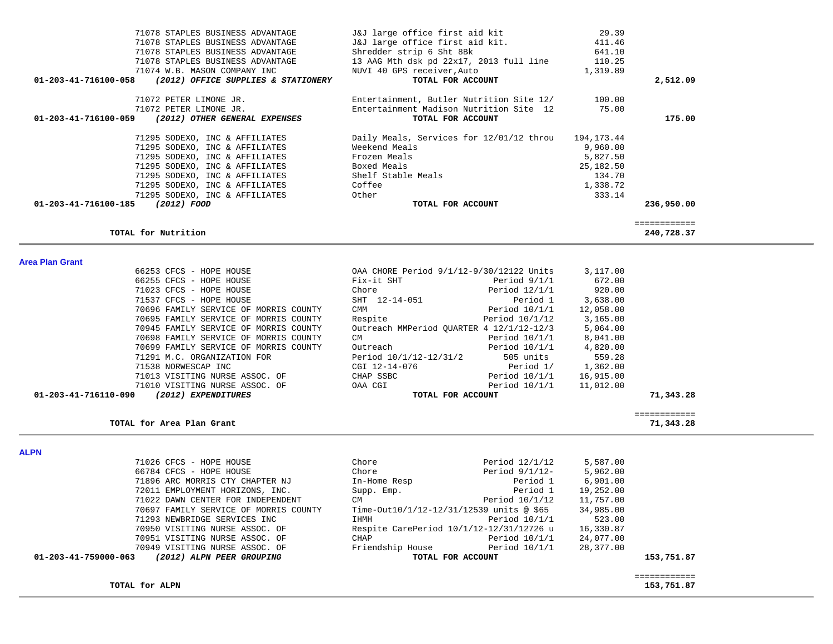| 71078 STAPLES BUSINESS ADVANTAGE                         | J&J large office first aid kit                      | 29.39     |          |
|----------------------------------------------------------|-----------------------------------------------------|-----------|----------|
| 71078 STAPLES BUSINESS ADVANTAGE                         | J&J large office first aid kit.                     | 411.46    |          |
| 71078 STAPLES BUSINESS ADVANTAGE                         | Shredder strip 6 Sht 8Bk                            | 641.10    |          |
| 71078 STAPLES BUSINESS ADVANTAGE                         | 13 AAG Mth dsk pd 22x17, 2013 full line 110.25      |           |          |
| 71074 W.B. MASON COMPANY INC                             | NUVI 40 GPS receiver, Auto                          | 1,319.89  |          |
| 01-203-41-716100-058 (2012) OFFICE SUPPLIES & STATIONERY | TOTAL FOR ACCOUNT                                   |           | 2,512.09 |
| 71072 PETER LIMONE JR.                                   | Entertainment, Butler Nutrition Site 12/            | 100.00    |          |
| 71072 PETER LIMONE JR.                                   | Entertainment Madison Nutrition Site 12             | 75.00     |          |
| 01-203-41-716100-059<br>(2012) OTHER GENERAL EXPENSES    | TOTAL FOR ACCOUNT                                   |           | 175.00   |
| 71295 SODEXO, INC & AFFILIATES                           | Daily Meals, Services for 12/01/12 throu 194,173.44 |           |          |
| 71295 SODEXO, INC & AFFILIATES                           | Weekend Meals                                       | 9,960.00  |          |
| 71295 SODEXO, INC & AFFILIATES                           | Frozen Meals                                        | 5,827.50  |          |
| 71295 SODEXO, INC & AFFILIATES                           | Boxed Meals                                         | 25,182.50 |          |
| 71295 SODEXO, INC & AFFILIATES                           | Shelf Stable Meals                                  | 134.70    |          |
| 71295 SODEXO, INC & AFFILIATES                           | Coffee                                              | 1,338.72  |          |
| 71295 SODEXO, INC & AFFILIATES                           | Other                                               | 333.14    |          |
|                                                          |                                                     |           |          |

## **TOTAL for Nutrition 240,728.37**

| <b>Area Plan Grant</b> |                                       |                                          |                 |           |           |
|------------------------|---------------------------------------|------------------------------------------|-----------------|-----------|-----------|
|                        | 66253 CFCS - HOPE HOUSE               | OAA CHORE Period 9/1/12-9/30/12122 Units |                 | 3,117.00  |           |
|                        | 66255 CFCS - HOPE HOUSE               | Fix-it SHT                               | Period $9/1/1$  | 672.00    |           |
|                        | 71023 CFCS - HOPE HOUSE               | Chore                                    | Period $12/1/1$ | 920.00    |           |
|                        | 71537 CFCS - HOPE HOUSE               | SHT 12-14-051                            | Period 1        | 3,638.00  |           |
|                        | 70696 FAMILY SERVICE OF MORRIS COUNTY | CMM                                      | Period 10/1/1   | 12,058.00 |           |
|                        | 70695 FAMILY SERVICE OF MORRIS COUNTY | Respite                                  | Period 10/1/12  | 3,165.00  |           |
|                        | 70945 FAMILY SERVICE OF MORRIS COUNTY | Outreach MMPeriod OUARTER 4 12/1/12-12/3 |                 | 5,064.00  |           |
|                        | 70698 FAMILY SERVICE OF MORRIS COUNTY | <b>CM</b>                                | Period $10/1/1$ | 8,041.00  |           |
|                        | 70699 FAMILY SERVICE OF MORRIS COUNTY | Outreach                                 | Period 10/1/1   | 4,820.00  |           |
|                        | 71291 M.C. ORGANIZATION FOR           | Period 10/1/12-12/31/2                   | 505 units       | 559.28    |           |
|                        | 71538 NORWESCAP INC                   | CGI 12-14-076                            | Period 1/       | 1,362.00  |           |
|                        | 71013 VISITING NURSE ASSOC. OF        | CHAP SSBC                                | Period 10/1/1   | 16,915.00 |           |
|                        | 71010 VISITING NURSE ASSOC. OF        | OAA CGI                                  | Period 10/1/1   | 11,012.00 |           |
| 01-203-41-716110-090   | (2012) EXPENDITURES                   | TOTAL FOR ACCOUNT                        |                 |           | 71,343.28 |
|                        |                                       |                                          |                 |           |           |
|                        |                                       |                                          |                 |           |           |

============

|                      | TOTAL for Area Plan Grant      |           |                   |           | 71,343.28 |
|----------------------|--------------------------------|-----------|-------------------|-----------|-----------|
|                      |                                |           |                   |           |           |
| 01-203-41-716110-090 | (2012) EXPENDITURES            |           | TOTAL FOR ACCOUNT |           | 71,343.28 |
|                      | 71010 VISITING NURSE ASSOC. OF | OAA CGI   | Period $10/1/1$   | 11,012.00 |           |
|                      | TINIS VISITING NUKSE ASSUC. UP | UMAF SSBU | RAITON TAITY      | 10,313.00 |           |

**ALPN** 

| 71026 CFCS - HOPE HOUSE                           | Chore            | Period $12/1/12$                         | 5,587.00  |            |
|---------------------------------------------------|------------------|------------------------------------------|-----------|------------|
| 66784 CFCS - HOPE HOUSE                           | Chore            | Period 9/1/12-                           | 5,962.00  |            |
| 71896 ARC MORRIS CTY CHAPTER NJ                   | In-Home Resp     | Period 1                                 | 6,901.00  |            |
| 72011 EMPLOYMENT HORIZONS, INC.                   | Supp. Emp.       | Period 1                                 | 19,252.00 |            |
| 71022 DAWN CENTER FOR INDEPENDENT                 | CM.              | Period 10/1/12                           | 11,757.00 |            |
| 70697 FAMILY SERVICE OF MORRIS COUNTY             |                  | Time-Out10/1/12-12/31/12539 units @ \$65 | 34,985.00 |            |
| 71293 NEWBRIDGE SERVICES INC                      | IHMH             | Period 10/1/1                            | 523.00    |            |
| 70950 VISITING NURSE ASSOC. OF                    |                  | Respite CarePeriod 10/1/12-12/31/12726 u | 16,330.87 |            |
| 70951 VISITING NURSE ASSOC. OF                    | CHAP             | Period $10/1/1$                          | 24,077.00 |            |
| 70949 VISITING NURSE ASSOC. OF                    | Friendship House | Period 10/1/1                            | 28,377.00 |            |
| (2012) ALPN PEER GROUPING<br>01-203-41-759000-063 |                  | TOTAL FOR ACCOUNT                        |           | 153,751.87 |
|                                                   |                  |                                          |           |            |
|                                                   |                  |                                          |           |            |

## TOTAL for ALPN

153,751.87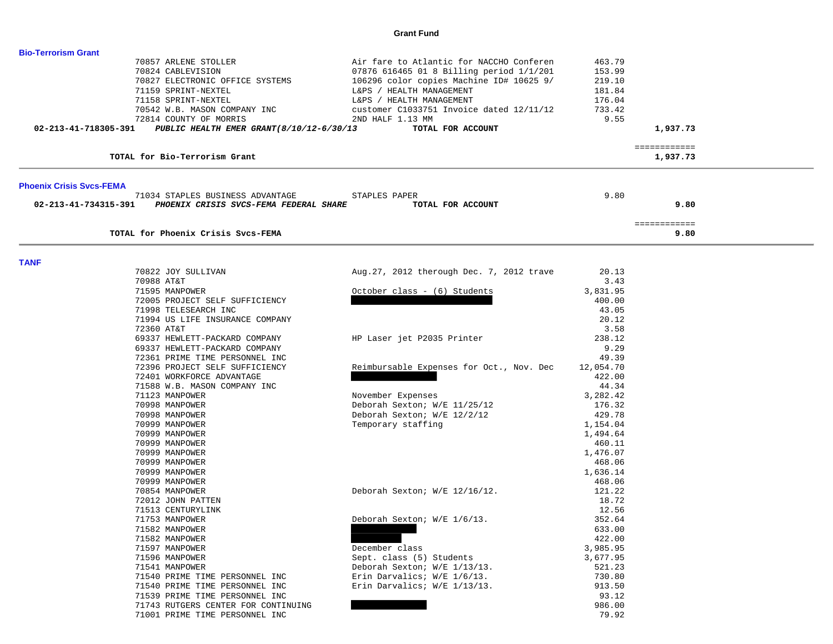### **Grant Fund**

| <b>Bio-Terrorism Grant</b>      |                                                                 |                                           |                  |                          |  |
|---------------------------------|-----------------------------------------------------------------|-------------------------------------------|------------------|--------------------------|--|
|                                 | 70857 ARLENE STOLLER                                            | Air fare to Atlantic for NACCHO Conferen  | 463.79           |                          |  |
|                                 | 70824 CABLEVISION                                               | 07876 616465 01 8 Billing period 1/1/201  | 153.99           |                          |  |
|                                 | 70827 ELECTRONIC OFFICE SYSTEMS                                 | 106296 color copies Machine ID# 10625 9/  | 219.10           |                          |  |
|                                 | 71159 SPRINT-NEXTEL                                             | L&PS / HEALTH MANAGEMENT                  | 181.84           |                          |  |
|                                 | 71158 SPRINT-NEXTEL                                             | L&PS / HEALTH MANAGEMENT                  | 176.04           |                          |  |
|                                 | 70542 W.B. MASON COMPANY INC                                    | customer C1033751 Invoice dated 12/11/12  | 733.42           |                          |  |
|                                 | 72814 COUNTY OF MORRIS                                          | 2ND HALF 1.13 MM                          | 9.55             |                          |  |
| 02-213-41-718305-391            | PUBLIC HEALTH EMER GRANT (8/10/12-6/30/13                       | TOTAL FOR ACCOUNT                         |                  | 1,937.73                 |  |
|                                 | TOTAL for Bio-Terrorism Grant                                   |                                           |                  | ============<br>1,937.73 |  |
| <b>Phoenix Crisis Svcs-FEMA</b> |                                                                 |                                           |                  |                          |  |
|                                 | 71034 STAPLES BUSINESS ADVANTAGE                                | STAPLES PAPER                             | 9.80             |                          |  |
| 02-213-41-734315-391            | PHOENIX CRISIS SVCS-FEMA FEDERAL SHARE                          | TOTAL FOR ACCOUNT                         |                  | 9.80                     |  |
|                                 | TOTAL for Phoenix Crisis Svcs-FEMA                              |                                           |                  | ============<br>9.80     |  |
|                                 |                                                                 |                                           |                  |                          |  |
| <b>TANF</b>                     |                                                                 |                                           |                  |                          |  |
|                                 | 70822 JOY SULLIVAN                                              | Aug. 27, 2012 therough Dec. 7, 2012 trave | 20.13            |                          |  |
|                                 | 70988 AT&T                                                      |                                           | 3.43             |                          |  |
|                                 | 71595 MANPOWER                                                  | October class - (6) Students              | 3,831.95         |                          |  |
|                                 | 72005 PROJECT SELF SUFFICIENCY                                  |                                           | 400.00           |                          |  |
|                                 | 71998 TELESEARCH INC                                            |                                           | 43.05            |                          |  |
|                                 | 71994 US LIFE INSURANCE COMPANY                                 |                                           | 20.12            |                          |  |
|                                 | 72360 AT&T                                                      |                                           | 3.58             |                          |  |
|                                 | 69337 HEWLETT-PACKARD COMPANY                                   | HP Laser jet P2035 Printer                | 238.12           |                          |  |
|                                 | 69337 HEWLETT-PACKARD COMPANY<br>72361 PRIME TIME PERSONNEL INC |                                           | 9.29<br>49.39    |                          |  |
|                                 | 72396 PROJECT SELF SUFFICIENCY                                  | Reimbursable Expenses for Oct., Nov. Dec  | 12,054.70        |                          |  |
|                                 | 72401 WORKFORCE ADVANTAGE                                       |                                           | 422.00           |                          |  |
|                                 | 71588 W.B. MASON COMPANY INC                                    |                                           | 44.34            |                          |  |
|                                 | 71123 MANPOWER                                                  | November Expenses                         | 3,282.42         |                          |  |
|                                 | 70998 MANPOWER                                                  | Deborah Sexton; W/E 11/25/12              | 176.32           |                          |  |
|                                 | 70998 MANPOWER                                                  | Deborah Sexton; W/E 12/2/12               | 429.78           |                          |  |
|                                 | 70999 MANPOWER                                                  | Temporary staffing                        | 1,154.04         |                          |  |
|                                 | 70999 MANPOWER                                                  |                                           | 1,494.64         |                          |  |
|                                 | 70999 MANPOWER                                                  |                                           | 460.11           |                          |  |
|                                 | 70999 MANPOWER                                                  |                                           | 1,476.07         |                          |  |
|                                 | 70999 MANPOWER                                                  |                                           | 468.06           |                          |  |
|                                 | 70999 MANPOWER                                                  |                                           | 1,636.14         |                          |  |
|                                 | 70999 MANPOWER                                                  |                                           | 468.06           |                          |  |
|                                 | 70854 MANPOWER                                                  | Deborah Sexton; W/E 12/16/12.             | 121.22           |                          |  |
|                                 | 72012 JOHN PATTEN                                               |                                           | 18.72            |                          |  |
|                                 | 71513 CENTURYLINK                                               |                                           | 12.56            |                          |  |
|                                 | 71753 MANPOWER                                                  | Deborah Sexton; W/E 1/6/13.               | 352.64           |                          |  |
|                                 | 71582 MANPOWER                                                  |                                           | 633.00<br>422.00 |                          |  |
|                                 | 71582 MANPOWER<br>71597 MANPOWER                                | December class                            | 3,985.95         |                          |  |
|                                 | 71596 MANPOWER                                                  | Sept. class (5) Students                  | 3,677.95         |                          |  |
|                                 | 71541 MANPOWER                                                  | Deborah Sexton; W/E 1/13/13.              | 521.23           |                          |  |
|                                 | 71540 PRIME TIME PERSONNEL INC                                  | Erin Darvalics; W/E 1/6/13.               | 730.80           |                          |  |
|                                 | 71540 PRIME TIME PERSONNEL INC                                  | Erin Darvalics; W/E 1/13/13.              | 913.50           |                          |  |
|                                 | 71539 PRIME TIME PERSONNEL INC                                  |                                           | 93.12            |                          |  |
|                                 | 71743 RUTGERS CENTER FOR CONTINUING                             |                                           | 986.00           |                          |  |
|                                 | 71001 PRIME TIME PERSONNEL INC                                  |                                           | 79.92            |                          |  |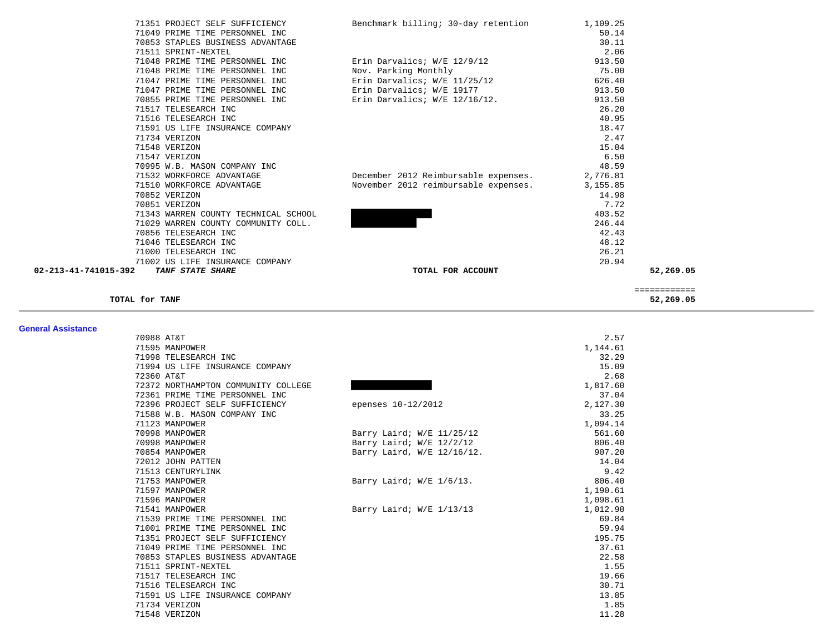|                                                         |                                      | ============ |  |
|---------------------------------------------------------|--------------------------------------|--------------|--|
| TANF STATE SHARE                                        | TOTAL FOR ACCOUNT                    | 52,269.05    |  |
| 71002 US LIFE INSURANCE COMPANY<br>02-213-41-741015-392 |                                      | 20.94        |  |
| 71000 TELESEARCH INC                                    |                                      | 26.21        |  |
| 71046 TELESEARCH INC                                    |                                      | 48.12        |  |
| 70856 TELESEARCH INC                                    |                                      | 42.43        |  |
| 71029 WARREN COUNTY COMMUNITY COLL.                     |                                      | 246.44       |  |
| 71343 WARREN COUNTY TECHNICAL SCHOOL                    |                                      | 403.52       |  |
| 70851 VERIZON                                           |                                      | 7.72         |  |
| 70852 VERIZON                                           |                                      | 14.98        |  |
| 71510 WORKFORCE ADVANTAGE                               | November 2012 reimbursable expenses. | 3,155.85     |  |
| 71532 WORKFORCE ADVANTAGE                               | December 2012 Reimbursable expenses. | 2,776.81     |  |
| 70995 W.B. MASON COMPANY INC                            |                                      | 48.59        |  |
| 71547 VERIZON                                           |                                      | 6.50         |  |
| 71548 VERIZON                                           |                                      | 15.04        |  |
| 71734 VERIZON                                           |                                      | 2.47         |  |
| 71591 US LIFE INSURANCE COMPANY                         |                                      | 18.47        |  |
| 71516 TELESEARCH INC                                    |                                      | 40.95        |  |
| 71517 TELESEARCH INC                                    |                                      | 26.20        |  |
| 70855 PRIME TIME PERSONNEL INC                          | Erin Darvalics; W/E 12/16/12.        | 913.50       |  |
| 71047 PRIME TIME PERSONNEL INC                          | Erin Darvalics; W/E 19177            | 913.50       |  |
| 71047 PRIME TIME PERSONNEL INC                          | Erin Darvalics; W/E 11/25/12         | 626.40       |  |
| 71048 PRIME TIME PERSONNEL INC                          | Nov. Parking Monthly                 | 75.00        |  |
| 71048 PRIME TIME PERSONNEL INC                          | Erin Darvalics; W/E 12/9/12          | 913.50       |  |
| 71511 SPRINT-NEXTEL                                     |                                      | 2.06         |  |
| 70853 STAPLES BUSINESS ADVANTAGE                        |                                      | 30.11        |  |
| 71049 PRIME TIME PERSONNEL INC                          |                                      | 50.14        |  |
| 71351 PROJECT SELF SUFFICIENCY                          | Benchmark billing; 30-day retention  | 1,109.25     |  |

52,269.05

**TOTAL for TANF 52,269.05**

**General Assistance** 

| סטווטומו הסטוטנמווטט |                                     |                            |          |
|----------------------|-------------------------------------|----------------------------|----------|
|                      | 70988 AT&T                          |                            | 2.57     |
|                      | 71595 MANPOWER                      |                            | 1,144.61 |
|                      | 71998 TELESEARCH INC                |                            | 32.29    |
|                      | 71994 US LIFE INSURANCE COMPANY     |                            | 15.09    |
|                      | 72360 AT&T                          |                            | 2.68     |
|                      | 72372 NORTHAMPTON COMMUNITY COLLEGE |                            | 1,817.60 |
|                      | 72361 PRIME TIME PERSONNEL INC      |                            | 37.04    |
|                      | 72396 PROJECT SELF SUFFICIENCY      | epenses 10-12/2012         | 2,127.30 |
|                      | 71588 W.B. MASON COMPANY INC        |                            | 33.25    |
|                      | 71123 MANPOWER                      |                            | 1,094.14 |
|                      | 70998 MANPOWER                      | Barry Laird; W/E 11/25/12  | 561.60   |
|                      | 70998 MANPOWER                      | Barry Laird; W/E 12/2/12   | 806.40   |
|                      | 70854 MANPOWER                      | Barry Laird, W/E 12/16/12. | 907.20   |
|                      | 72012 JOHN PATTEN                   |                            | 14.04    |
|                      | 71513 CENTURYLINK                   |                            | 9.42     |
|                      | 71753 MANPOWER                      | Barry Laird; W/E 1/6/13.   | 806.40   |
|                      | 71597 MANPOWER                      |                            | 1,190.61 |
|                      | 71596 MANPOWER                      |                            | 1,098.61 |
|                      | 71541 MANPOWER                      | Barry Laird; W/E 1/13/13   | 1,012.90 |
|                      | 71539 PRIME TIME PERSONNEL INC      |                            | 69.84    |
|                      | 71001 PRIME TIME PERSONNEL INC      |                            | 59.94    |
|                      | 71351 PROJECT SELF SUFFICIENCY      |                            | 195.75   |
|                      | 71049 PRIME TIME PERSONNEL INC      |                            | 37.61    |
|                      | 70853 STAPLES BUSINESS ADVANTAGE    |                            | 22.58    |
|                      | 71511 SPRINT-NEXTEL                 |                            | 1.55     |
|                      | 71517 TELESEARCH INC                |                            | 19.66    |
|                      | 71516 TELESEARCH INC                |                            | 30.71    |
|                      | 71591 US LIFE INSURANCE COMPANY     |                            | 13.85    |
|                      | 71734 VERIZON                       |                            | 1.85     |
|                      | 71548 VERIZON                       |                            | 11.28    |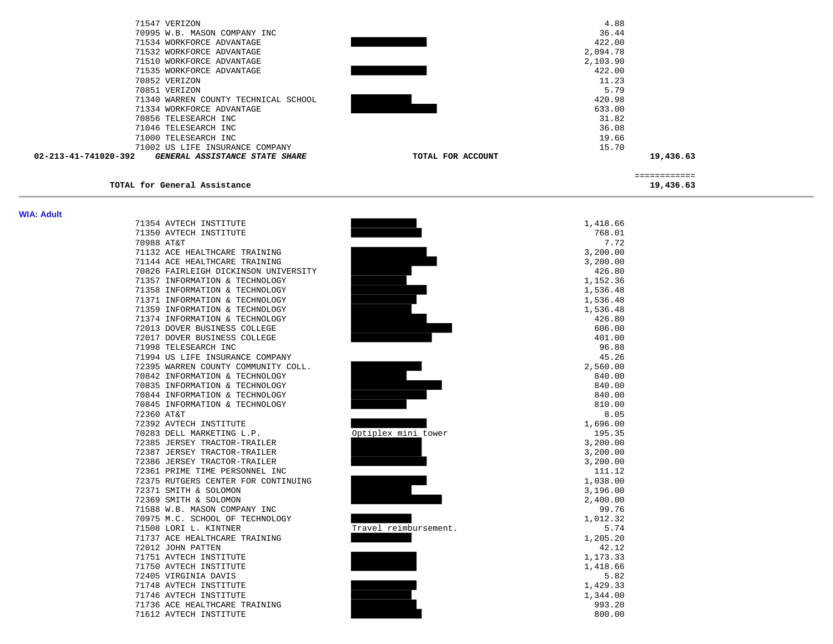| 71547 VERIZON                                          | 4.88                          |              |
|--------------------------------------------------------|-------------------------------|--------------|
| 70995 W.B. MASON COMPANY INC                           | 36.44                         |              |
| 71534 WORKFORCE ADVANTAGE                              | 422.00                        |              |
| 71532 WORKFORCE ADVANTAGE                              | 2,094.78                      |              |
| 71510 WORKFORCE ADVANTAGE                              | 2,103.90                      |              |
| 71535 WORKFORCE ADVANTAGE                              | 422.00                        |              |
| 70852 VERIZON                                          | 11.23                         |              |
| 70851 VERIZON                                          | 5.79                          |              |
| 71340 WARREN COUNTY TECHNICAL SCHOOL                   | 420.98                        |              |
| 71334 WORKFORCE ADVANTAGE                              | 633.00                        |              |
| 70856 TELESEARCH INC                                   | 31.82<br>36.08                |              |
| 71046 TELESEARCH INC<br>71000 TELESEARCH INC           | 19.66                         |              |
| 71002 US LIFE INSURANCE COMPANY                        | 15.70                         |              |
| 02-213-41-741020-392<br>GENERAL ASSISTANCE STATE SHARE | TOTAL FOR ACCOUNT             | 19,436.63    |
|                                                        |                               |              |
|                                                        |                               | ============ |
| TOTAL for General Assistance                           |                               | 19,436.63    |
|                                                        |                               |              |
| <b>WIA: Adult</b>                                      |                               |              |
| 71354 AVTECH INSTITUTE                                 | 1,418.66                      |              |
| 71350 AVTECH INSTITUTE                                 | 768.01                        |              |
| 70988 AT&T                                             | 7.72                          |              |
| 71132 ACE HEALTHCARE TRAINING                          | 3,200.00                      |              |
| 71144 ACE HEALTHCARE TRAINING                          | 3,200.00                      |              |
| 70826 FAIRLEIGH DICKINSON UNIVERSITY                   | 426.80                        |              |
| 71357 INFORMATION & TECHNOLOGY                         | 1,152.36                      |              |
| 71358 INFORMATION & TECHNOLOGY                         | 1,536.48                      |              |
| 71371 INFORMATION & TECHNOLOGY                         | 1,536.48                      |              |
| 71359 INFORMATION & TECHNOLOGY                         | 1,536.48                      |              |
| 71374 INFORMATION & TECHNOLOGY                         | 426.80                        |              |
| 72013 DOVER BUSINESS COLLEGE                           | 606.00                        |              |
| 72017 DOVER BUSINESS COLLEGE                           | 401.00                        |              |
| 71998 TELESEARCH INC                                   | 96.88                         |              |
| 71994 US LIFE INSURANCE COMPANY                        | 45.26                         |              |
| 72395 WARREN COUNTY COMMUNITY COLL.                    | 2,560.00                      |              |
| 70842 INFORMATION & TECHNOLOGY                         | 840.00                        |              |
| 70835 INFORMATION & TECHNOLOGY                         | 840.00                        |              |
| 70844 INFORMATION & TECHNOLOGY                         | 840.00                        |              |
| 70845 INFORMATION & TECHNOLOGY<br>72360 AT&T           | 810.00<br>8.05                |              |
| 72392 AVTECH INSTITUTE                                 | 1,696.00                      |              |
| 70283 DELL MARKETING L.P.                              | Optiplex mini tower<br>195.35 |              |
| 72385 JERSEY TRACTOR-TRAILER                           | 3,200.00                      |              |
| 72387 JERSEY TRACTOR-TRAILER                           | 3,200.00                      |              |
| 72386 JERSEY TRACTOR-TRAILER                           | 3,200.00                      |              |
| 72361 PRIME TIME PERSONNEL INC                         | 111.12                        |              |
| 72375 RUTGERS CENTER FOR CONTINUING                    | 1,038.00                      |              |
| 72371 SMITH & SOLOMON                                  | 3,196.00                      |              |
| 72369 SMITH & SOLOMON                                  | 2,400.00                      |              |
| 71588 W.B. MASON COMPANY INC                           | 99.76                         |              |
| 70975 M.C. SCHOOL OF TECHNOLOGY                        | 1,012.32                      |              |
| 71508 LORI L. KINTNER                                  | Travel reimbursement.<br>5.74 |              |
| 71737 ACE HEALTHCARE TRAINING                          | 1,205.20                      |              |
| 72012 JOHN PATTEN                                      | 42.12                         |              |
| 71751 AVTECH INSTITUTE                                 | 1,173.33                      |              |
| 71750 AVTECH INSTITUTE                                 | 1,418.66                      |              |
| 72405 VIRGINIA DAVIS                                   | 5.82                          |              |
| 71748 AVTECH INSTITUTE                                 | 1,429.33                      |              |
| 71746 AVTECH INSTITUTE                                 | 1,344.00                      |              |
| 71736 ACE HEALTHCARE TRAINING                          | 993.20                        |              |
| 71612 AVTECH INSTITUTE                                 | 800.00                        |              |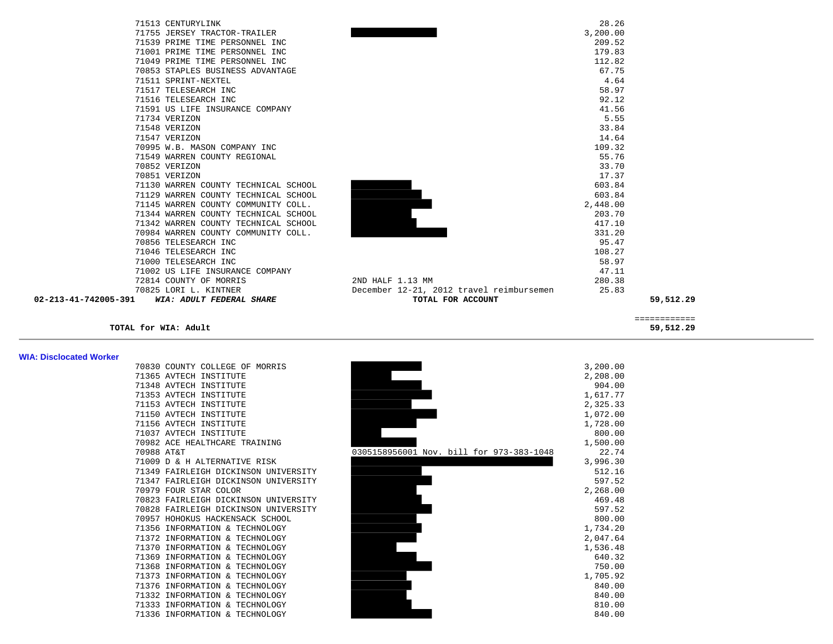| 71513 CENTURYLINK      |                                      |                                          | 28.26    |              |
|------------------------|--------------------------------------|------------------------------------------|----------|--------------|
|                        | 71755 JERSEY TRACTOR-TRAILER         |                                          | 3,200.00 |              |
|                        | 71539 PRIME TIME PERSONNEL INC       |                                          | 209.52   |              |
|                        | 71001 PRIME TIME PERSONNEL INC       |                                          | 179.83   |              |
|                        | 71049 PRIME TIME PERSONNEL INC       |                                          | 112.82   |              |
|                        | 70853 STAPLES BUSINESS ADVANTAGE     |                                          | 67.75    |              |
| 71511 SPRINT-NEXTEL    |                                      |                                          | 4.64     |              |
| 71517 TELESEARCH INC   |                                      |                                          | 58.97    |              |
| 71516 TELESEARCH INC   |                                      |                                          | 92.12    |              |
|                        | 71591 US LIFE INSURANCE COMPANY      |                                          | 41.56    |              |
| 71734 VERIZON          |                                      |                                          | 5.55     |              |
| 71548 VERIZON          |                                      |                                          | 33.84    |              |
| 71547 VERIZON          |                                      |                                          | 14.64    |              |
|                        | 70995 W.B. MASON COMPANY INC         |                                          | 109.32   |              |
|                        | 71549 WARREN COUNTY REGIONAL         |                                          | 55.76    |              |
| 70852 VERIZON          |                                      |                                          | 33.70    |              |
| 70851 VERIZON          |                                      |                                          | 17.37    |              |
|                        | 71130 WARREN COUNTY TECHNICAL SCHOOL |                                          | 603.84   |              |
|                        | 71129 WARREN COUNTY TECHNICAL SCHOOL |                                          | 603.84   |              |
|                        | 71145 WARREN COUNTY COMMUNITY COLL.  |                                          | 2,448.00 |              |
|                        | 71344 WARREN COUNTY TECHNICAL SCHOOL |                                          | 203.70   |              |
|                        | 71342 WARREN COUNTY TECHNICAL SCHOOL |                                          | 417.10   |              |
|                        | 70984 WARREN COUNTY COMMUNITY COLL.  |                                          | 331.20   |              |
| 70856 TELESEARCH INC   |                                      |                                          | 95.47    |              |
| 71046 TELESEARCH INC   |                                      |                                          | 108.27   |              |
| 71000 TELESEARCH INC   |                                      |                                          | 58.97    |              |
|                        | 71002 US LIFE INSURANCE COMPANY      |                                          | 47.11    |              |
| 72814 COUNTY OF MORRIS |                                      | 2ND HALF 1.13 MM                         | 280.38   |              |
| 70825 LORI L. KINTNER  |                                      | December 12-21, 2012 travel reimbursemen | 25.83    |              |
| 02-213-41-742005-391   | WIA: ADULT FEDERAL SHARE             | TOTAL FOR ACCOUNT                        |          | 59,512.29    |
|                        |                                      |                                          |          | ============ |
| TOTAL for WIA: Adult   |                                      |                                          |          | 59,512.29    |

| WIA: Disclocated Worker |                                      |                                          |          |
|-------------------------|--------------------------------------|------------------------------------------|----------|
|                         | 70830 COUNTY COLLEGE OF MORRIS       |                                          | 3,200.00 |
|                         | 71365 AVTECH INSTITUTE               |                                          | 2,208.00 |
|                         | 71348 AVTECH INSTITUTE               |                                          | 904.00   |
|                         | 71353 AVTECH INSTITUTE               |                                          | 1,617.77 |
|                         | 71153 AVTECH INSTITUTE               |                                          | 2,325.33 |
|                         | 71150 AVTECH INSTITUTE               |                                          | 1,072.00 |
|                         | 71156 AVTECH INSTITUTE               |                                          | 1,728.00 |
|                         | 71037 AVTECH INSTITUTE               |                                          | 800.00   |
|                         | 70982 ACE HEALTHCARE TRAINING        |                                          | 1,500.00 |
|                         | 70988 AT&T                           | 0305158956001 Nov. bill for 973-383-1048 | 22.74    |
|                         | 71009 D & H ALTERNATIVE RISK         |                                          | 3,996.30 |
|                         | 71349 FAIRLEIGH DICKINSON UNIVERSITY |                                          | 512.16   |
|                         | 71347 FAIRLEIGH DICKINSON UNIVERSITY |                                          | 597.52   |
|                         | 70979 FOUR STAR COLOR                |                                          | 2,268.00 |
|                         | 70823 FAIRLEIGH DICKINSON UNIVERSITY |                                          | 469.48   |
|                         | 70828 FAIRLEIGH DICKINSON UNIVERSITY |                                          | 597.52   |
|                         | 70957 HOHOKUS HACKENSACK SCHOOL      |                                          | 800.00   |
|                         | 71356 INFORMATION & TECHNOLOGY       |                                          | 1,734.20 |
|                         | 71372 INFORMATION & TECHNOLOGY       |                                          | 2,047.64 |
|                         | 71370 INFORMATION & TECHNOLOGY       |                                          | 1,536.48 |
|                         | 71369 INFORMATION & TECHNOLOGY       |                                          | 640.32   |
|                         | 71368 INFORMATION & TECHNOLOGY       |                                          | 750.00   |
|                         | 71373 INFORMATION & TECHNOLOGY       |                                          | 1,705.92 |
|                         | 71376 INFORMATION & TECHNOLOGY       |                                          | 840.00   |
|                         | 71332 INFORMATION & TECHNOLOGY       |                                          | 840.00   |
|                         | 71333 INFORMATION & TECHNOLOGY       |                                          | 810.00   |
|                         | 71336 INFORMATION & TECHNOLOGY       |                                          | 840.00   |
|                         |                                      |                                          |          |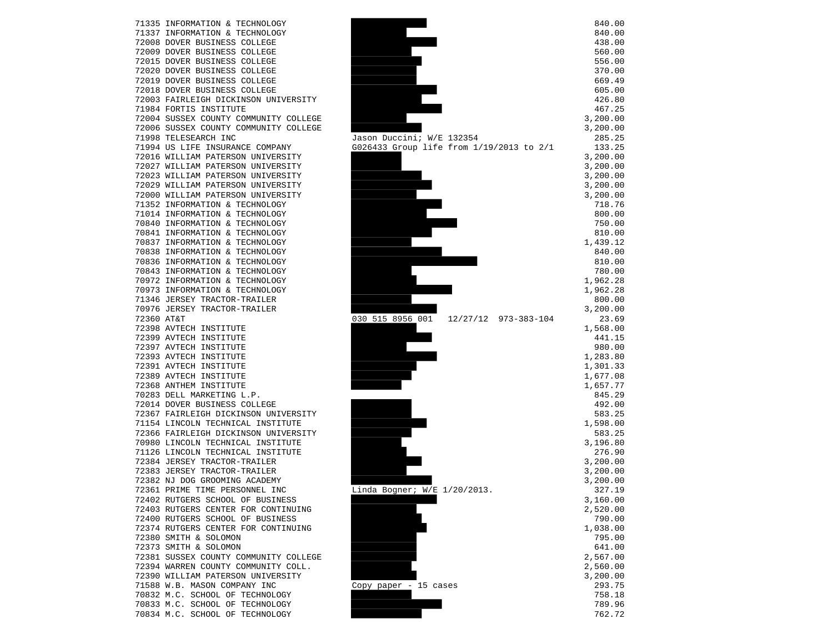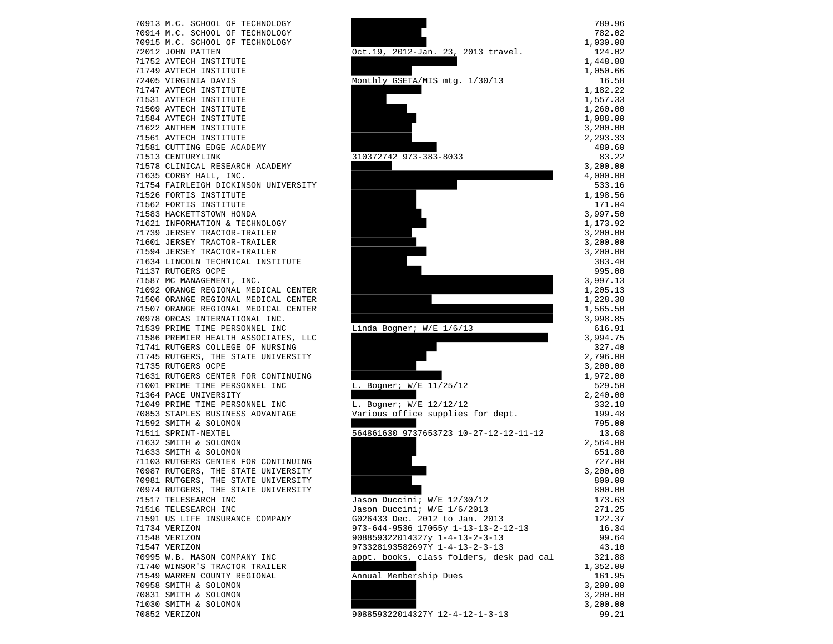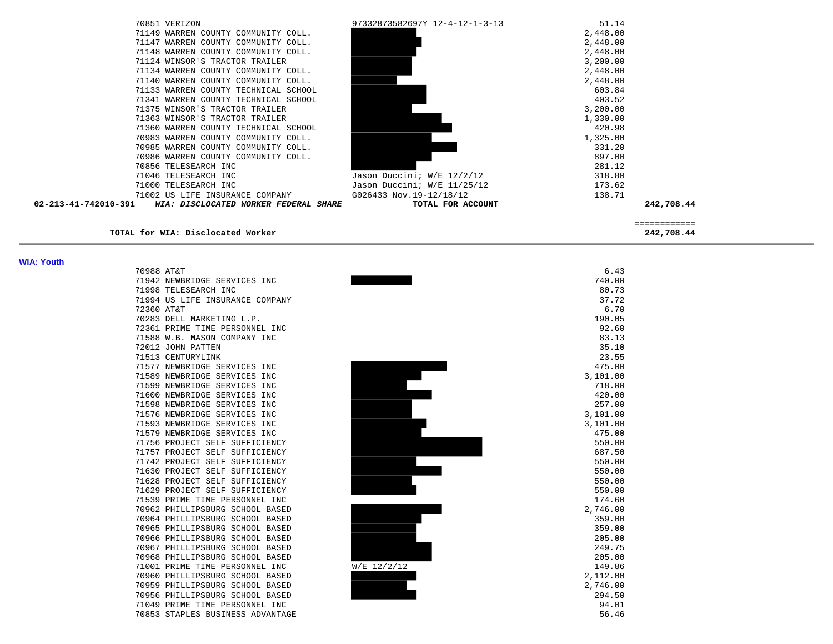| 70851 VERIZON                                                 | 97332873582697Y 12-4-12-1-3-13 | 51.14    |            |
|---------------------------------------------------------------|--------------------------------|----------|------------|
| 71149 WARREN COUNTY COMMUNITY COLL.                           |                                | 2,448.00 |            |
| 71147 WARREN COUNTY COMMUNITY COLL.                           |                                | 2,448.00 |            |
| 71148 WARREN COUNTY COMMUNITY COLL.                           |                                | 2,448.00 |            |
| 71124 WINSOR'S TRACTOR TRAILER                                |                                | 3,200.00 |            |
| 71134 WARREN COUNTY COMMUNITY COLL.                           |                                | 2,448.00 |            |
| 71140 WARREN COUNTY COMMUNITY COLL.                           |                                | 2,448.00 |            |
| 71133 WARREN COUNTY TECHNICAL SCHOOL                          |                                | 603.84   |            |
| 71341 WARREN COUNTY TECHNICAL SCHOOL                          |                                | 403.52   |            |
| 71375 WINSOR'S TRACTOR TRAILER                                |                                | 3,200.00 |            |
| 71363 WINSOR'S TRACTOR TRAILER                                |                                | 1,330.00 |            |
| 71360 WARREN COUNTY TECHNICAL SCHOOL                          |                                | 420.98   |            |
| 70983 WARREN COUNTY COMMUNITY COLL.                           |                                | 1,325.00 |            |
| 70985 WARREN COUNTY COMMUNITY COLL.                           |                                | 331.20   |            |
| 70986 WARREN COUNTY COMMUNITY COLL.                           |                                | 897.00   |            |
| 70856 TELESEARCH INC                                          |                                | 281.12   |            |
| 71046 TELESEARCH INC                                          | Jason Duccini; W/E 12/2/12     | 318.80   |            |
| 71000 TELESEARCH INC                                          | Jason Duccini; W/E 11/25/12    | 173.62   |            |
| 71002 US LIFE INSURANCE COMPANY                               | G026433 Nov.19-12/18/12        | 138.71   |            |
| 02-213-41-742010-391<br>WIA: DISCLOCATED WORKER FEDERAL SHARE | TOTAL FOR ACCOUNT              |          | 242,708.44 |
|                                                               |                                |          |            |
| TOTAL for WIA: Disclocated Worker                             |                                |          | 242,708.44 |

## **WIA: Youth**

| 70988 | AT&T                                       |
|-------|--------------------------------------------|
| 71942 | NEWBRIDGE SERVICES<br><b>INC</b>           |
| 71998 | TELESEARCH INC                             |
| 71994 | LIFE INSURANCE COMPANY<br>US               |
| 72360 | AT&T                                       |
| 70283 | DELL MARKETING L.P.                        |
| 72361 | PERSONNEL<br>PRIME TIME<br>INC             |
| 71588 | W.B. MASON COMPANY INC                     |
| 72012 | JOHN<br>PATTEN                             |
| 71513 | CENTURYLINK                                |
| 71577 | NEWBRIDGE SERVICES<br><b>INC</b>           |
| 71589 | <b>INC</b><br>NEWBRIDGE<br>SERVICES        |
| 71599 | <b>SERVICES</b><br><b>INC</b><br>NEWBRIDGE |
| 71600 | NEWBRIDGE<br><b>SERVICES</b><br><b>INC</b> |
| 71598 | NEWBRIDGE<br>SERVICES<br>INC               |
| 71576 | SERVICES<br>INC<br>NEWBRIDGE               |
| 71593 | NEWBRIDGE<br>SERVICES<br><b>INC</b>        |
| 71579 | NEWBRIDGE<br>SERVICES<br>INC               |
| 71756 | PROJECT SELF<br>SUFFICIENCY                |
| 71757 | PROJECT SELF SUFFICIENCY                   |
| 71742 | PROJECT SELF SUFFICIENCY                   |
| 71630 | PROJECT SELF SUFFICIENCY                   |
| 71628 | PROJECT SELF<br>SUFFICIENCY                |
| 71629 | SUFFICIENCY<br>PROJECT<br>SELF             |
| 71539 | PRIME TIME<br>PERSONNEL<br><b>INC</b>      |
| 70962 | PHILLIPSBURG<br>SCHOOL BASED               |
| 70964 | PHILLIPSBURG<br>SCHOOL BASED               |
| 70965 | PHILLIPSBURG<br>SCHOOL BASED               |
| 70966 | PHILLIPSBURG<br>SCHOOL BASED               |
| 70967 | PHILLIPSBURG<br><b>SCHOOL BASED</b>        |
| 70968 | PHILLIPSBURG<br>SCHOOL<br><b>BASED</b>     |
| 71001 | PRIME TIME PERSONNEL<br><b>INC</b>         |
| 70960 | PHILLIPSBURG SCHOOL<br><b>BASED</b>        |
| 70959 | PHILLIPSBURG SCHOOL<br>BASED               |
| 70956 | PHILLIPSBURG<br>SCHOOL<br><b>BASED</b>     |
| 71049 | PRIME TIME PERSONNEL INC                   |
| 70853 | STAPLES BUSINESS ADVANTAGE                 |

| . |                                                 |          |
|---|-------------------------------------------------|----------|
|   | 70988 AT&T                                      | 6.43     |
|   | 71942 NEWBRIDGE SERVICES INC                    | 740.00   |
|   | 71998 TELESEARCH INC                            | 80.73    |
|   | 71994 US LIFE INSURANCE COMPANY                 | 37.72    |
|   | 72360 AT&T                                      | 6.70     |
|   | 70283 DELL MARKETING L.P.                       | 190.05   |
|   | 72361 PRIME TIME PERSONNEL INC                  | 92.60    |
|   | 71588 W.B. MASON COMPANY INC                    | 83.13    |
|   | 72012 JOHN PATTEN                               | 35.10    |
|   | 71513 CENTURYLINK                               | 23.55    |
|   | 71577 NEWBRIDGE SERVICES INC                    | 475.00   |
|   | 71589 NEWBRIDGE SERVICES INC                    | 3,101.00 |
|   | 71599 NEWBRIDGE SERVICES INC                    | 718.00   |
|   | 71600 NEWBRIDGE SERVICES INC                    | 420.00   |
|   | 71598 NEWBRIDGE SERVICES INC                    | 257.00   |
|   | 71576 NEWBRIDGE SERVICES INC                    | 3,101.00 |
|   | 71593 NEWBRIDGE SERVICES INC                    | 3,101.00 |
|   | 71579 NEWBRIDGE SERVICES INC                    | 475.00   |
|   | 71756 PROJECT SELF SUFFICIENCY                  | 550.00   |
|   | 71757 PROJECT SELF SUFFICIENCY                  | 687.50   |
|   | 71742 PROJECT SELF SUFFICIENCY                  | 550.00   |
|   | 71630 PROJECT SELF SUFFICIENCY                  | 550.00   |
|   | 71628 PROJECT SELF SUFFICIENCY                  | 550.00   |
|   | 71629 PROJECT SELF SUFFICIENCY                  | 550.00   |
|   | 71539 PRIME TIME PERSONNEL INC                  | 174.60   |
|   | 70962 PHILLIPSBURG SCHOOL BASED                 | 2,746.00 |
|   | 70964 PHILLIPSBURG SCHOOL BASED                 | 359.00   |
|   | 70965 PHILLIPSBURG SCHOOL BASED                 | 359.00   |
|   | 70966 PHILLIPSBURG SCHOOL BASED                 | 205.00   |
|   | 70967 PHILLIPSBURG SCHOOL BASED                 | 249.75   |
|   | 70968 PHILLIPSBURG SCHOOL BASED                 | 205.00   |
|   | 71001 PRIME TIME PERSONNEL INC<br>$W/E$ 12/2/12 | 149.86   |
|   | 70960 PHILLIPSBURG SCHOOL BASED                 | 2,112.00 |
|   | 70959 PHILLIPSBURG SCHOOL BASED                 | 2,746.00 |
|   | 70956 PHILLIPSBURG SCHOOL BASED                 | 294.50   |
|   | 71049 PRIME TIME PERSONNEL INC                  | 94.01    |
|   | 70853 STADLES BUSINESS ADVANTAGE                | 56 46    |

56.46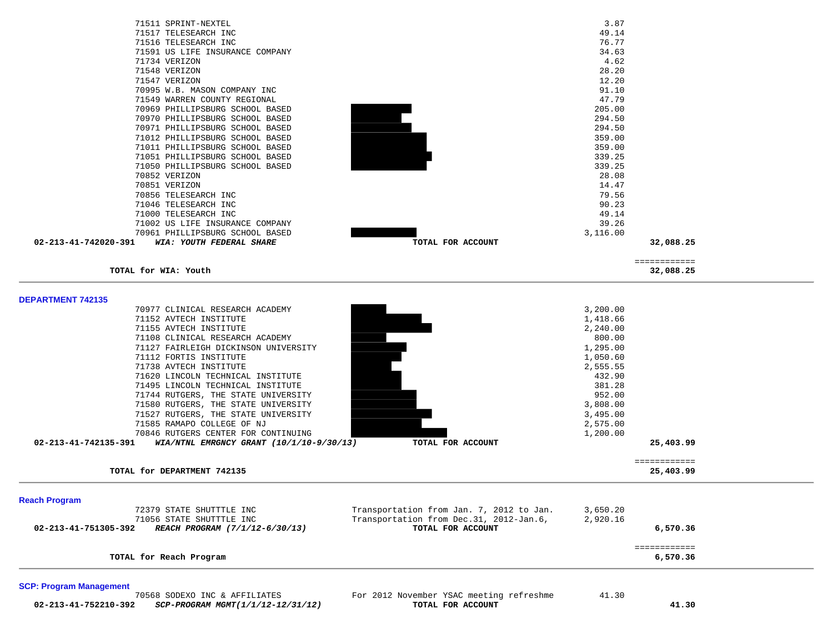| 71511 SPRINT-NEXTEL                                                                                       | 3.87                                                  |              |
|-----------------------------------------------------------------------------------------------------------|-------------------------------------------------------|--------------|
| 71517 TELESEARCH INC                                                                                      | 49.14                                                 |              |
| 71516 TELESEARCH INC                                                                                      | 76.77                                                 |              |
| 71591 US LIFE INSURANCE COMPANY                                                                           | 34.63                                                 |              |
| 71734 VERIZON                                                                                             | 4.62                                                  |              |
| 71548 VERIZON                                                                                             | 28.20                                                 |              |
| 71547 VERIZON                                                                                             | 12.20                                                 |              |
| 70995 W.B. MASON COMPANY INC                                                                              | 91.10                                                 |              |
| 71549 WARREN COUNTY REGIONAL                                                                              | 47.79                                                 |              |
| 70969 PHILLIPSBURG SCHOOL BASED                                                                           | 205.00                                                |              |
| 70970 PHILLIPSBURG SCHOOL BASED                                                                           | 294.50                                                |              |
| 70971 PHILLIPSBURG SCHOOL BASED                                                                           | 294.50                                                |              |
| 71012 PHILLIPSBURG SCHOOL BASED                                                                           | 359.00                                                |              |
| 71011 PHILLIPSBURG SCHOOL BASED                                                                           | 359.00                                                |              |
| 71051 PHILLIPSBURG SCHOOL BASED                                                                           | 339.25                                                |              |
| 71050 PHILLIPSBURG SCHOOL BASED                                                                           | 339.25                                                |              |
| 70852 VERIZON                                                                                             | 28.08                                                 |              |
| 70851 VERIZON                                                                                             | 14.47                                                 |              |
| 70856 TELESEARCH INC                                                                                      | 79.56                                                 |              |
| 71046 TELESEARCH INC                                                                                      | 90.23                                                 |              |
| 71000 TELESEARCH INC                                                                                      | 49.14                                                 |              |
| 71002 US LIFE INSURANCE COMPANY                                                                           | 39.26                                                 |              |
| 70961 PHILLIPSBURG SCHOOL BASED                                                                           | 3,116.00                                              |              |
| 02-213-41-742020-391<br>WIA: YOUTH FEDERAL SHARE                                                          | TOTAL FOR ACCOUNT                                     | 32,088.25    |
|                                                                                                           |                                                       | ============ |
| TOTAL for WIA: Youth                                                                                      |                                                       | 32,088.25    |
|                                                                                                           |                                                       |              |
|                                                                                                           |                                                       |              |
| <b>DEPARTMENT 742135</b>                                                                                  |                                                       |              |
| 70977 CLINICAL RESEARCH ACADEMY                                                                           | 3,200.00                                              |              |
| 71152 AVTECH INSTITUTE                                                                                    | 1,418.66                                              |              |
| 71155 AVTECH INSTITUTE                                                                                    | 2,240.00                                              |              |
| 71108 CLINICAL RESEARCH ACADEMY                                                                           | 800.00                                                |              |
| 71127 FAIRLEIGH DICKINSON UNIVERSITY                                                                      | 1,295.00                                              |              |
| 71112 FORTIS INSTITUTE                                                                                    | 1,050.60                                              |              |
| 71738 AVTECH INSTITUTE                                                                                    | 2,555.55                                              |              |
| 71620 LINCOLN TECHNICAL INSTITUTE                                                                         | 432.90                                                |              |
| 71495 LINCOLN TECHNICAL INSTITUTE                                                                         | 381.28                                                |              |
| 71744 RUTGERS, THE STATE UNIVERSITY                                                                       | 952.00                                                |              |
| 71580 RUTGERS, THE STATE UNIVERSITY                                                                       | 3,808.00                                              |              |
| 71527 RUTGERS, THE STATE UNIVERSITY                                                                       | 3,495.00                                              |              |
| 71585 RAMAPO COLLEGE OF NJ                                                                                | 2,575.00                                              |              |
| 70846 RUTGERS CENTER FOR CONTINUING<br>02-213-41-742135-391<br>WIA/NTNL EMRGNCY GRANT $(10/1/10-9/30/13)$ | 1,200.00                                              |              |
|                                                                                                           | TOTAL FOR ACCOUNT                                     | 25,403.99    |
|                                                                                                           |                                                       | ============ |
| TOTAL for DEPARTMENT 742135                                                                               |                                                       | 25,403.99    |
|                                                                                                           |                                                       |              |
|                                                                                                           |                                                       |              |
| <b>Reach Program</b>                                                                                      |                                                       |              |
| 72379 STATE SHUTTTLE INC                                                                                  | Transportation from Jan. 7, 2012 to Jan.<br>3,650.20  |              |
| 71056 STATE SHUTTTLE INC                                                                                  | Transportation from Dec. 31, 2012-Jan. 6,<br>2,920.16 |              |
| 02-213-41-751305-392<br>REACH PROGRAM (7/1/12-6/30/13)                                                    | TOTAL FOR ACCOUNT                                     | 6,570.36     |
|                                                                                                           |                                                       |              |
| TOTAL for Reach Program                                                                                   |                                                       | ============ |
|                                                                                                           |                                                       | 6,570.36     |

**TOTAL for Reach Program 6,570.36**

**SCP: Program Management**  70568 SODEXO INC & AFFILIATES For 2012 November YSAC meeting refreshme 41.30  **02-213-41-752210-392** *SCP-PROGRAM MGMT(1/1/12-12/31/12)* **TOTAL FOR ACCOUNT 41.30**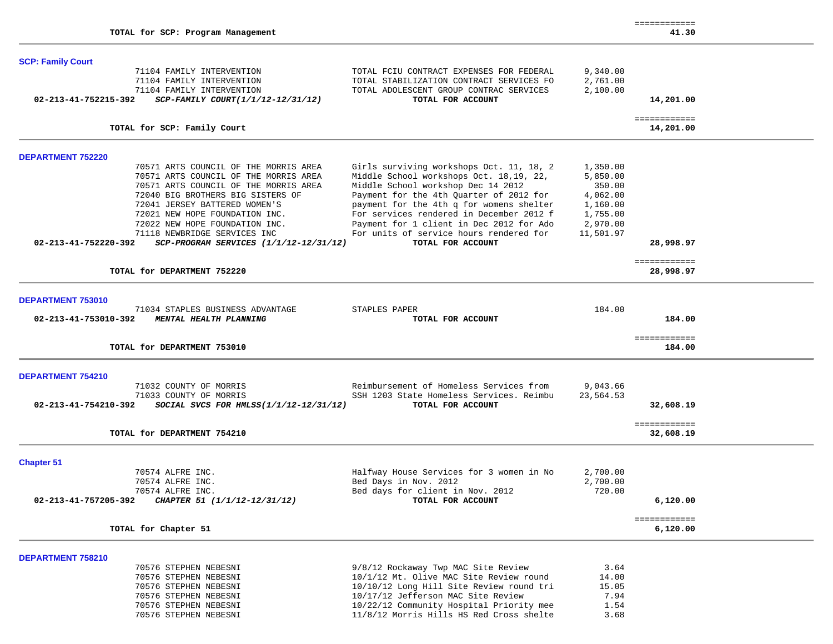## **SCP: Family Court**

| oor anniy oourt          |                                           |                                          |           |              |  |
|--------------------------|-------------------------------------------|------------------------------------------|-----------|--------------|--|
|                          | 71104 FAMILY INTERVENTION                 | TOTAL FCIU CONTRACT EXPENSES FOR FEDERAL | 9,340.00  |              |  |
|                          | 71104 FAMILY INTERVENTION                 | TOTAL STABILIZATION CONTRACT SERVICES FO | 2,761.00  |              |  |
|                          | 71104 FAMILY INTERVENTION                 | TOTAL ADOLESCENT GROUP CONTRAC SERVICES  | 2,100.00  |              |  |
| 02-213-41-752215-392     | SCP-FAMILY COURT(1/1/12-12/31/12)         | TOTAL FOR ACCOUNT                        |           | 14,201.00    |  |
|                          |                                           |                                          |           |              |  |
|                          |                                           |                                          |           | ============ |  |
|                          | TOTAL for SCP: Family Court               |                                          |           | 14,201.00    |  |
|                          |                                           |                                          |           |              |  |
| <b>DEPARTMENT 752220</b> |                                           |                                          |           |              |  |
|                          | 70571 ARTS COUNCIL OF THE MORRIS AREA     | Girls surviving workshops Oct. 11, 18, 2 | 1,350.00  |              |  |
|                          | 70571 ARTS COUNCIL OF THE MORRIS AREA     | Middle School workshops Oct. 18,19, 22,  | 5,850.00  |              |  |
|                          | 70571 ARTS COUNCIL OF THE MORRIS AREA     | Middle School workshop Dec 14 2012       | 350.00    |              |  |
|                          | 72040 BIG BROTHERS BIG SISTERS OF         | Payment for the 4th Quarter of 2012 for  | 4,062.00  |              |  |
|                          | 72041 JERSEY BATTERED WOMEN'S             | payment for the 4th q for womens shelter | 1,160.00  |              |  |
|                          | 72021 NEW HOPE FOUNDATION INC.            | For services rendered in December 2012 f | 1,755.00  |              |  |
|                          | 72022 NEW HOPE FOUNDATION INC.            | Payment for 1 client in Dec 2012 for Ado | 2,970.00  |              |  |
|                          | 71118 NEWBRIDGE SERVICES INC              | For units of service hours rendered for  | 11,501.97 |              |  |
| 02-213-41-752220-392     | SCP-PROGRAM SERVICES (1/1/12-12/31/12)    | TOTAL FOR ACCOUNT                        |           | 28,998.97    |  |
|                          |                                           |                                          |           |              |  |
|                          |                                           |                                          |           | ============ |  |
|                          | TOTAL for DEPARTMENT 752220               |                                          |           | 28,998.97    |  |
|                          |                                           |                                          |           |              |  |
| <b>DEPARTMENT 753010</b> |                                           |                                          |           |              |  |
|                          | 71034 STAPLES BUSINESS ADVANTAGE          | STAPLES PAPER                            | 184.00    |              |  |
| 02-213-41-753010-392     | MENTAL HEALTH PLANNING                    | TOTAL FOR ACCOUNT                        |           | 184.00       |  |
|                          |                                           |                                          |           | ============ |  |
|                          | TOTAL for DEPARTMENT 753010               |                                          |           | 184.00       |  |
|                          |                                           |                                          |           |              |  |
| DEPARTMENT 754210        |                                           |                                          |           |              |  |
|                          | 71032 COUNTY OF MORRIS                    | Reimbursement of Homeless Services from  | 9,043.66  |              |  |
|                          | 71033 COUNTY OF MORRIS                    | SSH 1203 State Homeless Services. Reimbu | 23,564.53 |              |  |
| 02-213-41-754210-392     | SOCIAL SVCS FOR HMLSS $(1/1/12-12/31/12)$ | TOTAL FOR ACCOUNT                        |           | 32,608.19    |  |
|                          |                                           |                                          |           | ============ |  |
|                          | TOTAL for DEPARTMENT 754210               |                                          |           | 32,608.19    |  |
|                          |                                           |                                          |           |              |  |
| <b>Chapter 51</b>        |                                           |                                          |           |              |  |
|                          | 70574 ALFRE INC.                          | Halfway House Services for 3 women in No | 2,700.00  |              |  |
|                          | 70574 ALFRE INC.                          | Bed Days in Nov. 2012                    | 2,700.00  |              |  |
|                          | 70574 ALFRE INC.                          | Bed days for client in Nov. 2012         | 720.00    |              |  |
| 02-213-41-757205-392     | CHAPTER 51 (1/1/12-12/31/12)              | TOTAL FOR ACCOUNT                        |           | 6,120.00     |  |
|                          |                                           |                                          |           | ============ |  |
|                          | TOTAL for Chapter 51                      |                                          |           | 6,120.00     |  |
|                          |                                           |                                          |           |              |  |
| DEPARTMENT 758210        |                                           |                                          |           |              |  |
|                          | 70576 STEPHEN NEBESNI                     | 9/8/12 Rockaway Twp MAC Site Review      | 3.64      |              |  |
|                          | 70576 STEPHEN NEBESNI                     | 10/1/12 Mt. Olive MAC Site Review round  | 14.00     |              |  |
|                          | 70576 STEPHEN NEBESNI                     | 10/10/12 Long Hill Site Review round tri | 15.05     |              |  |
|                          | 70576 STEPHEN NEBESNI                     | 10/17/12 Jefferson MAC Site Review       | 7.94      |              |  |
|                          | 70576 STEPHEN NEBESNI                     | 10/22/12 Community Hospital Priority mee | 1.54      |              |  |
|                          | 70576 STEPHEN NEBESNI                     | 11/8/12 Morris Hills HS Red Cross shelte | 3.68      |              |  |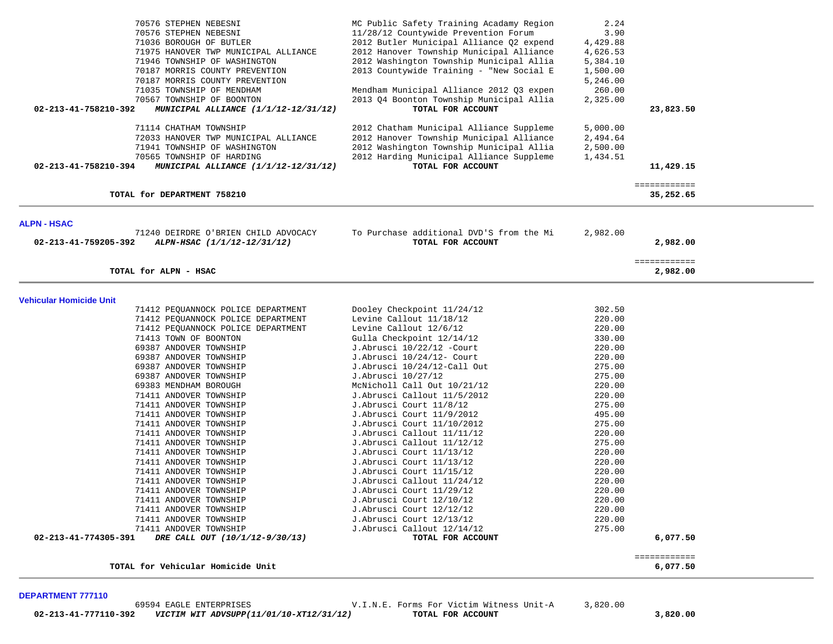| 70576 STEPHEN NEBESNI<br>70576 STEPHEN NEBESNI<br>71036 BOROUGH OF BUTLER<br>71975 HANOVER TWP MUNICIPAL ALLIANCE<br>71946 TOWNSHIP OF WASHINGTON<br>70187 MORRIS COUNTY PREVENTION<br>70187 MORRIS COUNTY PREVENTION<br>71035 TOWNSHIP OF MENDHAM<br>70567 TOWNSHIP OF BOONTON<br>02-213-41-758210-392<br><i>MUNICIPAL ALLIANCE (1/1/12-12/31/12)</i> | MC Public Safety Training Acadamy Region<br>11/28/12 Countywide Prevention Forum<br>2012 Butler Municipal Alliance Q2 expend<br>2012 Hanover Township Municipal Alliance<br>2012 Washington Township Municipal Allia<br>2013 Countywide Training - "New Social E<br>Mendham Municipal Alliance 2012 Q3 expen<br>2013 Q4 Boonton Township Municipal Allia<br>TOTAL FOR ACCOUNT | 2.24<br>3.90<br>4,429.88<br>4,626.53<br>5,384.10<br>1,500.00<br>5,246.00<br>260.00<br>2,325.00 | 23,823.50                 |  |
|--------------------------------------------------------------------------------------------------------------------------------------------------------------------------------------------------------------------------------------------------------------------------------------------------------------------------------------------------------|-------------------------------------------------------------------------------------------------------------------------------------------------------------------------------------------------------------------------------------------------------------------------------------------------------------------------------------------------------------------------------|------------------------------------------------------------------------------------------------|---------------------------|--|
| 71114 CHATHAM TOWNSHIP<br>72033 HANOVER TWP MUNICIPAL ALLIANCE<br>71941 TOWNSHIP OF WASHINGTON<br>70565 TOWNSHIP OF HARDING<br>02-213-41-758210-394<br>MUNICIPAL ALLIANCE (1/1/12-12/31/12)                                                                                                                                                            | 2012 Chatham Municipal Alliance Suppleme<br>2012 Hanover Township Municipal Alliance<br>2012 Washington Township Municipal Allia<br>2012 Harding Municipal Alliance Suppleme<br>TOTAL FOR ACCOUNT                                                                                                                                                                             | 5,000.00<br>2,494.64<br>2,500.00<br>1,434.51                                                   | 11,429.15                 |  |
| TOTAL for DEPARTMENT 758210                                                                                                                                                                                                                                                                                                                            |                                                                                                                                                                                                                                                                                                                                                                               |                                                                                                | ============<br>35,252.65 |  |
| ALPN - HSAC                                                                                                                                                                                                                                                                                                                                            |                                                                                                                                                                                                                                                                                                                                                                               |                                                                                                |                           |  |
| 71240 DEIRDRE O'BRIEN CHILD ADVOCACY<br>ALPN-HSAC (1/1/12-12/31/12)<br>02-213-41-759205-392                                                                                                                                                                                                                                                            | To Purchase additional DVD'S from the Mi<br>TOTAL FOR ACCOUNT                                                                                                                                                                                                                                                                                                                 | 2,982.00                                                                                       | 2,982.00                  |  |
| TOTAL for ALPN - HSAC                                                                                                                                                                                                                                                                                                                                  |                                                                                                                                                                                                                                                                                                                                                                               |                                                                                                | ============<br>2,982.00  |  |
| Vehicular Homicide Unit                                                                                                                                                                                                                                                                                                                                |                                                                                                                                                                                                                                                                                                                                                                               |                                                                                                |                           |  |
| 71412 PEQUANNOCK POLICE DEPARTMENT<br>71412 PEQUANNOCK POLICE DEPARTMENT<br>71412 PEQUANNOCK POLICE DEPARTMENT                                                                                                                                                                                                                                         | Dooley Checkpoint 11/24/12<br>Levine Callout 11/18/12<br>Levine Callout 12/6/12                                                                                                                                                                                                                                                                                               | 302.50<br>220.00<br>220.00                                                                     |                           |  |
| 71413 TOWN OF BOONTON<br>69387 ANDOVER TOWNSHIP                                                                                                                                                                                                                                                                                                        | Gulla Checkpoint 12/14/12<br>J.Abrusci 10/22/12 -Court                                                                                                                                                                                                                                                                                                                        | 330.00<br>220.00                                                                               |                           |  |
| 69387 ANDOVER TOWNSHIP<br>69387 ANDOVER TOWNSHIP                                                                                                                                                                                                                                                                                                       | J.Abrusci 10/24/12- Court<br>J.Abrusci 10/24/12-Call Out                                                                                                                                                                                                                                                                                                                      | 220.00<br>275.00<br>275.00                                                                     |                           |  |
| 69387 ANDOVER TOWNSHIP<br>69383 MENDHAM BOROUGH<br>71411 ANDOVER TOWNSHIP                                                                                                                                                                                                                                                                              | J.Abrusci 10/27/12<br>McNicholl Call Out 10/21/12<br>J.Abrusci Callout 11/5/2012                                                                                                                                                                                                                                                                                              | 220.00<br>220.00                                                                               |                           |  |
| 71411 ANDOVER TOWNSHIP<br>71411 ANDOVER TOWNSHIP                                                                                                                                                                                                                                                                                                       | J.Abrusci Court 11/8/12<br>J. Abrusci Court 11/9/2012                                                                                                                                                                                                                                                                                                                         | 275.00<br>495.00                                                                               |                           |  |
| 71411 ANDOVER TOWNSHIP<br>71411 ANDOVER TOWNSHIP                                                                                                                                                                                                                                                                                                       | J.Abrusci Court 11/10/2012<br>J.Abrusci Callout 11/11/12                                                                                                                                                                                                                                                                                                                      | 275.00<br>220.00                                                                               |                           |  |
| 71411 ANDOVER TOWNSHIP<br>71411 ANDOVER TOWNSHIP<br>71411 ANDOVER TOWNSHIP                                                                                                                                                                                                                                                                             | J.Abrusci Callout 11/12/12<br>J.Abrusci Court 11/13/12<br>J. Abrusci Court 11/13/12                                                                                                                                                                                                                                                                                           | 275.00<br>220.00<br>220.00                                                                     |                           |  |
| 71411 ANDOVER TOWNSHIP<br>71411 ANDOVER TOWNSHIP                                                                                                                                                                                                                                                                                                       | J.Abrusci Court 11/15/12<br>J.Abrusci Callout 11/24/12                                                                                                                                                                                                                                                                                                                        | 220.00<br>220.00                                                                               |                           |  |
| 71411 ANDOVER TOWNSHIP<br>71411 ANDOVER TOWNSHIP<br>71411 ANDOVER TOWNSHIP                                                                                                                                                                                                                                                                             | J.Abrusci Court 11/29/12<br>J.Abrusci Court 12/10/12<br>J.Abrusci Court 12/12/12                                                                                                                                                                                                                                                                                              | 220.00<br>220.00<br>220.00                                                                     |                           |  |
|                                                                                                                                                                                                                                                                                                                                                        |                                                                                                                                                                                                                                                                                                                                                                               |                                                                                                |                           |  |
| 71411 ANDOVER TOWNSHIP<br>71411 ANDOVER TOWNSHIP<br>02-213-41-774305-391<br>DRE CALL OUT (10/1/12-9/30/13)                                                                                                                                                                                                                                             | J.Abrusci Court 12/13/12<br>J.Abrusci Callout 12/14/12<br>TOTAL FOR ACCOUNT                                                                                                                                                                                                                                                                                                   | 220.00<br>275.00                                                                               | 6,077.50                  |  |

**DEPARTMENT 777110**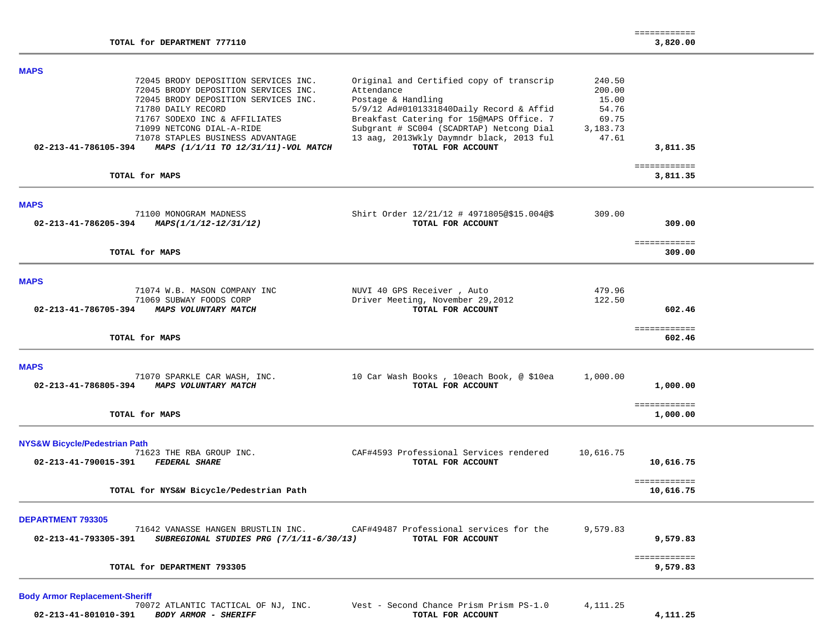| TOTAL for DEPARTMENT 777110<br>3,820.00<br><b>MAPS</b><br>72045 BRODY DEPOSITION SERVICES INC.<br>Original and Certified copy of transcrip<br>240.50<br>72045 BRODY DEPOSITION SERVICES INC.<br>Attendance<br>200.00<br>72045 BRODY DEPOSITION SERVICES INC.<br>Postage & Handling<br>15.00<br>71780 DAILY RECORD<br>5/9/12 Ad#0101331840Daily Record & Affid<br>54.76<br>71767 SODEXO INC & AFFILIATES<br>Breakfast Catering for 15@MAPS Office. 7<br>69.75<br>Subgrant # SC004 (SCADRTAP) Netcong Dial<br>71099 NETCONG DIAL-A-RIDE<br>3,183.73<br>13 aag, 2013Wkly Daymndr black, 2013 ful<br>71078 STAPLES BUSINESS ADVANTAGE<br>47.61<br>TOTAL FOR ACCOUNT<br>02-213-41-786105-394<br>MAPS (1/1/11 TO 12/31/11)-VOL MATCH<br>3,811.35<br>============<br>TOTAL for MAPS<br>3,811.35<br><b>MAPS</b><br>71100 MONOGRAM MADNESS<br>Shirt Order 12/21/12 # 4971805@\$15.004@\$<br>309.00<br>02-213-41-786205-394<br>MAPS(1/1/12-12/31/12)<br>TOTAL FOR ACCOUNT<br>309.00<br>============<br>TOTAL for MAPS<br>309.00<br><b>MAPS</b><br>71074 W.B. MASON COMPANY INC<br>NUVI 40 GPS Receiver, Auto<br>479.96<br>Driver Meeting, November 29,2012<br>122.50<br>71069 SUBWAY FOODS CORP<br>TOTAL FOR ACCOUNT<br>02-213-41-786705-394<br>MAPS VOLUNTARY MATCH<br>602.46<br>============<br>TOTAL for MAPS<br>602.46<br><b>MAPS</b><br>71070 SPARKLE CAR WASH, INC.<br>10 Car Wash Books, 10each Book, @ \$10ea<br>1,000.00<br>MAPS VOLUNTARY MATCH<br>TOTAL FOR ACCOUNT<br>02-213-41-786805-394<br>1,000.00<br>============<br>TOTAL for MAPS<br>1,000.00<br><b>NYS&amp;W Bicycle/Pedestrian Path</b> |                          |                                         |           | ============ |  |
|----------------------------------------------------------------------------------------------------------------------------------------------------------------------------------------------------------------------------------------------------------------------------------------------------------------------------------------------------------------------------------------------------------------------------------------------------------------------------------------------------------------------------------------------------------------------------------------------------------------------------------------------------------------------------------------------------------------------------------------------------------------------------------------------------------------------------------------------------------------------------------------------------------------------------------------------------------------------------------------------------------------------------------------------------------------------------------------------------------------------------------------------------------------------------------------------------------------------------------------------------------------------------------------------------------------------------------------------------------------------------------------------------------------------------------------------------------------------------------------------------------------------------------------------------------------------------------------------------|--------------------------|-----------------------------------------|-----------|--------------|--|
|                                                                                                                                                                                                                                                                                                                                                                                                                                                                                                                                                                                                                                                                                                                                                                                                                                                                                                                                                                                                                                                                                                                                                                                                                                                                                                                                                                                                                                                                                                                                                                                                    |                          |                                         |           |              |  |
|                                                                                                                                                                                                                                                                                                                                                                                                                                                                                                                                                                                                                                                                                                                                                                                                                                                                                                                                                                                                                                                                                                                                                                                                                                                                                                                                                                                                                                                                                                                                                                                                    |                          |                                         |           |              |  |
|                                                                                                                                                                                                                                                                                                                                                                                                                                                                                                                                                                                                                                                                                                                                                                                                                                                                                                                                                                                                                                                                                                                                                                                                                                                                                                                                                                                                                                                                                                                                                                                                    |                          |                                         |           |              |  |
|                                                                                                                                                                                                                                                                                                                                                                                                                                                                                                                                                                                                                                                                                                                                                                                                                                                                                                                                                                                                                                                                                                                                                                                                                                                                                                                                                                                                                                                                                                                                                                                                    |                          |                                         |           |              |  |
|                                                                                                                                                                                                                                                                                                                                                                                                                                                                                                                                                                                                                                                                                                                                                                                                                                                                                                                                                                                                                                                                                                                                                                                                                                                                                                                                                                                                                                                                                                                                                                                                    |                          |                                         |           |              |  |
|                                                                                                                                                                                                                                                                                                                                                                                                                                                                                                                                                                                                                                                                                                                                                                                                                                                                                                                                                                                                                                                                                                                                                                                                                                                                                                                                                                                                                                                                                                                                                                                                    |                          |                                         |           |              |  |
|                                                                                                                                                                                                                                                                                                                                                                                                                                                                                                                                                                                                                                                                                                                                                                                                                                                                                                                                                                                                                                                                                                                                                                                                                                                                                                                                                                                                                                                                                                                                                                                                    |                          |                                         |           |              |  |
| 02-213-41-790015-391<br><b>FEDERAL SHARE</b><br>TOTAL FOR ACCOUNT<br>10,616.75<br>============                                                                                                                                                                                                                                                                                                                                                                                                                                                                                                                                                                                                                                                                                                                                                                                                                                                                                                                                                                                                                                                                                                                                                                                                                                                                                                                                                                                                                                                                                                     | 71623 THE RBA GROUP INC. | CAF#4593 Professional Services rendered | 10,616.75 |              |  |
| TOTAL for NYS&W Bicycle/Pedestrian Path<br>10,616.75                                                                                                                                                                                                                                                                                                                                                                                                                                                                                                                                                                                                                                                                                                                                                                                                                                                                                                                                                                                                                                                                                                                                                                                                                                                                                                                                                                                                                                                                                                                                               |                          |                                         |           |              |  |
| <b>DEPARTMENT 793305</b><br>71642 VANASSE HANGEN BRUSTLIN INC.<br>CAF#49487 Professional services for the<br>9,579.83<br>02-213-41-793305-391 SUBREGIONAL STUDIES PRG (7/1/11-6/30/13)<br>TOTAL FOR ACCOUNT<br>9,579.83                                                                                                                                                                                                                                                                                                                                                                                                                                                                                                                                                                                                                                                                                                                                                                                                                                                                                                                                                                                                                                                                                                                                                                                                                                                                                                                                                                            |                          |                                         |           |              |  |
| ============<br>TOTAL for DEPARTMENT 793305<br>9,579.83                                                                                                                                                                                                                                                                                                                                                                                                                                                                                                                                                                                                                                                                                                                                                                                                                                                                                                                                                                                                                                                                                                                                                                                                                                                                                                                                                                                                                                                                                                                                            |                          |                                         |           |              |  |

**Body Armor Replacement-Sheriff** Vest - Second Chance Prism Prism PS-1.0 4,111.25<br>TOTAL FOR ACCOUNT  **02-213-41-801010-391** *BODY ARMOR - SHERIFF* **TOTAL FOR ACCOUNT 4,111.25**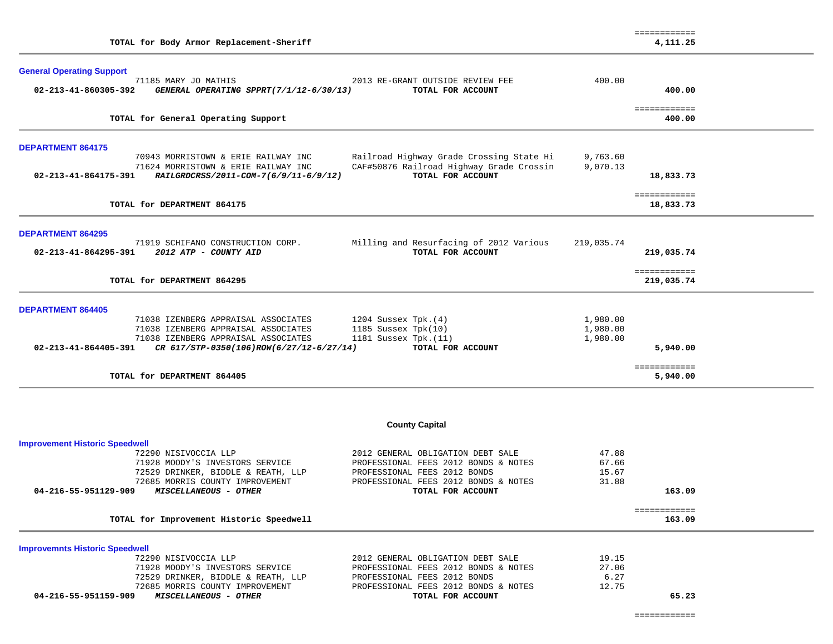| TOTAL for Body Armor Replacement-Sheriff                                                                                    |                                                                           |                      | 4,111.25                   |  |
|-----------------------------------------------------------------------------------------------------------------------------|---------------------------------------------------------------------------|----------------------|----------------------------|--|
| <b>General Operating Support</b><br>71185 MARY JO MATHIS<br>GENERAL OPERATING SPPRT(7/1/12-6/30/13)<br>02-213-41-860305-392 | 2013 RE-GRANT OUTSIDE REVIEW FEE<br>TOTAL FOR ACCOUNT                     | 400.00               | 400.00                     |  |
|                                                                                                                             |                                                                           |                      |                            |  |
| TOTAL for General Operating Support                                                                                         |                                                                           |                      | ============<br>400.00     |  |
| <b>DEPARTMENT 864175</b>                                                                                                    |                                                                           |                      |                            |  |
| 70943 MORRISTOWN & ERIE RAILWAY INC                                                                                         | Railroad Highway Grade Crossing State Hi                                  | 9,763.60             |                            |  |
| 71624 MORRISTOWN & ERIE RAILWAY INC<br>02-213-41-864175-391<br>RAILGRDCRSS/2011-COM-7(6/9/11-6/9/12)                        | CAF#50876 Railroad Highway Grade Crossin<br>TOTAL FOR ACCOUNT             | 9,070.13             | 18,833.73                  |  |
| TOTAL for DEPARTMENT 864175                                                                                                 |                                                                           |                      | ============<br>18,833.73  |  |
| <b>DEPARTMENT 864295</b>                                                                                                    |                                                                           |                      |                            |  |
| 71919 SCHIFANO CONSTRUCTION CORP.<br>02-213-41-864295-391 2012 ATP - COUNTY AID                                             | Milling and Resurfacing of 2012 Various<br>TOTAL FOR ACCOUNT              | 219,035.74           | 219,035.74                 |  |
| TOTAL for DEPARTMENT 864295                                                                                                 |                                                                           |                      | ============<br>219,035.74 |  |
| <b>DEPARTMENT 864405</b>                                                                                                    |                                                                           |                      |                            |  |
| 71038 IZENBERG APPRAISAL ASSOCIATES                                                                                         | 1204 Sussex Tpk. $(4)$                                                    | 1,980.00             |                            |  |
| 71038 IZENBERG APPRAISAL ASSOCIATES<br>71038 IZENBERG APPRAISAL ASSOCIATES                                                  | 1185 Sussex $Tpk(10)$<br>1181 Sussex Tpk. (11)                            | 1,980.00<br>1,980.00 |                            |  |
| 02-213-41-864405-391<br>CR 617/STP-0350(106)ROW(6/27/12-6/27/14)                                                            | TOTAL FOR ACCOUNT                                                         |                      | 5,940.00                   |  |
| TOTAL for DEPARTMENT 864405                                                                                                 |                                                                           |                      | ============<br>5,940.00   |  |
|                                                                                                                             |                                                                           |                      |                            |  |
|                                                                                                                             | <b>County Capital</b>                                                     |                      |                            |  |
| <b>Improvement Historic Speedwell</b>                                                                                       |                                                                           |                      |                            |  |
| 72290 NISIVOCCIA LLP<br>71928 MOODY'S INVESTORS SERVICE                                                                     | 2012 GENERAL OBLIGATION DEBT SALE<br>PROFESSIONAL FEES 2012 BONDS & NOTES | 47.88<br>67.66       |                            |  |
| 72529 DRINKER, BIDDLE & REATH, LLP                                                                                          | PROFESSIONAL FEES 2012 BONDS                                              | 15.67                |                            |  |
| 72685 MORRIS COUNTY IMPROVEMENT                                                                                             | PROFESSIONAL FEES 2012 BONDS & NOTES                                      | 31.88                |                            |  |
| 04-216-55-951129-909<br>MISCELLANEOUS - OTHER                                                                               | TOTAL FOR ACCOUNT                                                         |                      | 163.09                     |  |
| TOTAL for Improvement Historic Speedwell                                                                                    |                                                                           |                      | ============<br>163.09     |  |
| <b>Improvemnts Historic Speedwell</b>                                                                                       |                                                                           |                      |                            |  |
| 72290 NISIVOCCIA LLP                                                                                                        | 2012 GENERAL OBLIGATION DEBT SALE                                         | 19.15                |                            |  |
| 71928 MOODY'S INVESTORS SERVICE                                                                                             | PROFESSIONAL FEES 2012 BONDS & NOTES                                      | 27.06                |                            |  |
| 72529 DRINKER, BIDDLE & REATH, LLP<br>72685 MORRIS COUNTY IMPROVEMENT                                                       | PROFESSIONAL FEES 2012 BONDS<br>PROFESSIONAL FEES 2012 BONDS & NOTES      | 6.27<br>12.75        |                            |  |
| MISCELLANEOUS - OTHER<br>04-216-55-951159-909                                                                               | TOTAL FOR ACCOUNT                                                         |                      | 65.23                      |  |
|                                                                                                                             |                                                                           |                      |                            |  |

============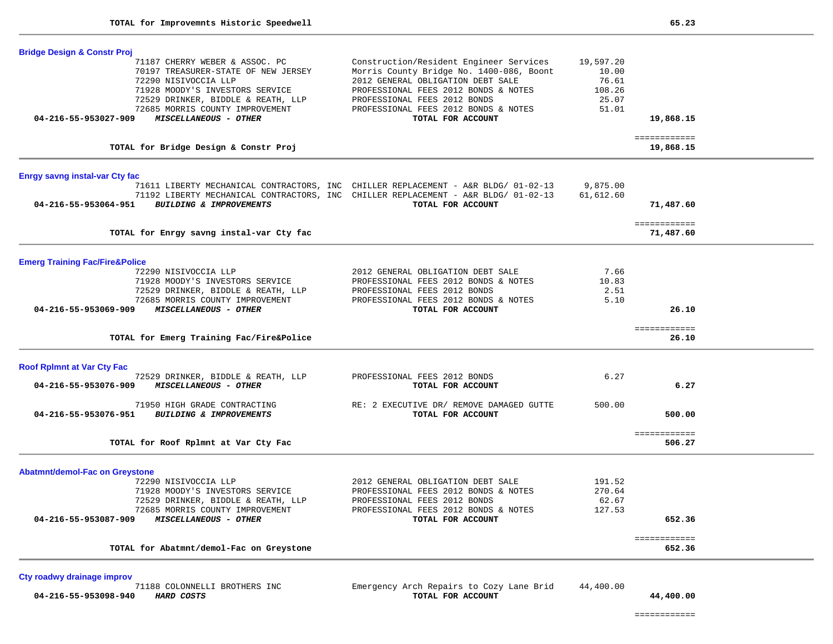| <b>Bridge Design &amp; Constr Proj</b>                                                                                                                                                                                                                     |                                                                                                                                                                                                                                                               |                                                         |                           |  |
|------------------------------------------------------------------------------------------------------------------------------------------------------------------------------------------------------------------------------------------------------------|---------------------------------------------------------------------------------------------------------------------------------------------------------------------------------------------------------------------------------------------------------------|---------------------------------------------------------|---------------------------|--|
| 71187 CHERRY WEBER & ASSOC. PC<br>70197 TREASURER-STATE OF NEW JERSEY<br>72290 NISIVOCCIA LLP<br>71928 MOODY'S INVESTORS SERVICE<br>72529 DRINKER, BIDDLE & REATH, LLP<br>72685 MORRIS COUNTY IMPROVEMENT<br>MISCELLANEOUS - OTHER<br>04-216-55-953027-909 | Construction/Resident Engineer Services<br>Morris County Bridge No. 1400-086, Boont<br>2012 GENERAL OBLIGATION DEBT SALE<br>PROFESSIONAL FEES 2012 BONDS & NOTES<br>PROFESSIONAL FEES 2012 BONDS<br>PROFESSIONAL FEES 2012 BONDS & NOTES<br>TOTAL FOR ACCOUNT | 19,597.20<br>10.00<br>76.61<br>108.26<br>25.07<br>51.01 | 19,868.15                 |  |
|                                                                                                                                                                                                                                                            |                                                                                                                                                                                                                                                               |                                                         |                           |  |
| TOTAL for Bridge Design & Constr Proj                                                                                                                                                                                                                      |                                                                                                                                                                                                                                                               |                                                         | ============<br>19,868.15 |  |
| <b>Enrgy savng instal-var Cty fac</b>                                                                                                                                                                                                                      |                                                                                                                                                                                                                                                               |                                                         |                           |  |
| BUILDING & IMPROVEMENTS<br>04-216-55-953064-951                                                                                                                                                                                                            | 71611 LIBERTY MECHANICAL CONTRACTORS, INC CHILLER REPLACEMENT - A&R BLDG/ 01-02-13<br>71192 LIBERTY MECHANICAL CONTRACTORS, INC CHILLER REPLACEMENT - A&R BLDG/ 01-02-13<br>TOTAL FOR ACCOUNT                                                                 | 9,875.00<br>61,612.60                                   | 71,487.60                 |  |
| TOTAL for Enrgy savng instal-var Cty fac                                                                                                                                                                                                                   |                                                                                                                                                                                                                                                               |                                                         | ============<br>71,487.60 |  |
| <b>Emerg Training Fac/Fire&amp;Police</b>                                                                                                                                                                                                                  |                                                                                                                                                                                                                                                               |                                                         |                           |  |
| 72290 NISIVOCCIA LLP                                                                                                                                                                                                                                       | 2012 GENERAL OBLIGATION DEBT SALE                                                                                                                                                                                                                             | 7.66                                                    |                           |  |
| 71928 MOODY'S INVESTORS SERVICE                                                                                                                                                                                                                            | PROFESSIONAL FEES 2012 BONDS & NOTES                                                                                                                                                                                                                          | 10.83                                                   |                           |  |
| 72529 DRINKER, BIDDLE & REATH, LLP                                                                                                                                                                                                                         | PROFESSIONAL FEES 2012 BONDS<br>PROFESSIONAL FEES 2012 BONDS & NOTES                                                                                                                                                                                          | 2.51<br>5.10                                            |                           |  |
| 72685 MORRIS COUNTY IMPROVEMENT<br>04-216-55-953069-909<br>MISCELLANEOUS - OTHER                                                                                                                                                                           | TOTAL FOR ACCOUNT                                                                                                                                                                                                                                             |                                                         | 26.10                     |  |
|                                                                                                                                                                                                                                                            |                                                                                                                                                                                                                                                               |                                                         |                           |  |
| TOTAL for Emerg Training Fac/Fire&Police                                                                                                                                                                                                                   |                                                                                                                                                                                                                                                               |                                                         | ============<br>26.10     |  |
| <b>Roof Rplmnt at Var Cty Fac</b>                                                                                                                                                                                                                          |                                                                                                                                                                                                                                                               |                                                         |                           |  |
| 72529 DRINKER, BIDDLE & REATH, LLP                                                                                                                                                                                                                         | PROFESSIONAL FEES 2012 BONDS                                                                                                                                                                                                                                  | 6.27                                                    |                           |  |
| MISCELLANEOUS - OTHER<br>04-216-55-953076-909                                                                                                                                                                                                              | TOTAL FOR ACCOUNT                                                                                                                                                                                                                                             |                                                         | 6.27                      |  |
| 71950 HIGH GRADE CONTRACTING<br>BUILDING & IMPROVEMENTS<br>04-216-55-953076-951                                                                                                                                                                            | RE: 2 EXECUTIVE DR/ REMOVE DAMAGED GUTTE<br>TOTAL FOR ACCOUNT                                                                                                                                                                                                 | 500.00                                                  | 500.00                    |  |
| TOTAL for Roof Rplmnt at Var Cty Fac                                                                                                                                                                                                                       |                                                                                                                                                                                                                                                               |                                                         | ============<br>506.27    |  |
| <b>Abatmnt/demol-Fac on Greystone</b>                                                                                                                                                                                                                      |                                                                                                                                                                                                                                                               |                                                         |                           |  |
| 72290 NISIVOCCIA LLP                                                                                                                                                                                                                                       | 2012 GENERAL OBLIGATION DEBT SALE                                                                                                                                                                                                                             | 191.52                                                  |                           |  |
| 71928 MOODY'S INVESTORS SERVICE                                                                                                                                                                                                                            | PROFESSIONAL FEES 2012 BONDS & NOTES                                                                                                                                                                                                                          | 270.64                                                  |                           |  |
| 72529 DRINKER, BIDDLE & REATH, LLP                                                                                                                                                                                                                         | PROFESSIONAL FEES 2012 BONDS                                                                                                                                                                                                                                  | 62.67                                                   |                           |  |
| 72685 MORRIS COUNTY IMPROVEMENT<br>04-216-55-953087-909<br><i>MISCELLANEOUS - OTHER</i>                                                                                                                                                                    | PROFESSIONAL FEES 2012 BONDS & NOTES<br>TOTAL FOR ACCOUNT                                                                                                                                                                                                     | 127.53                                                  | 652.36                    |  |
|                                                                                                                                                                                                                                                            |                                                                                                                                                                                                                                                               |                                                         |                           |  |
| TOTAL for Abatmnt/demol-Fac on Greystone                                                                                                                                                                                                                   |                                                                                                                                                                                                                                                               |                                                         | ============<br>652.36    |  |

**Cty roadwy drainage improv 04-216-55-953098-940** *HARD COSTS* **TOTAL FOR ACCOUNT 44,400.00**

Emergency Arch Repairs to Cozy Lane Brid 44,400.00

============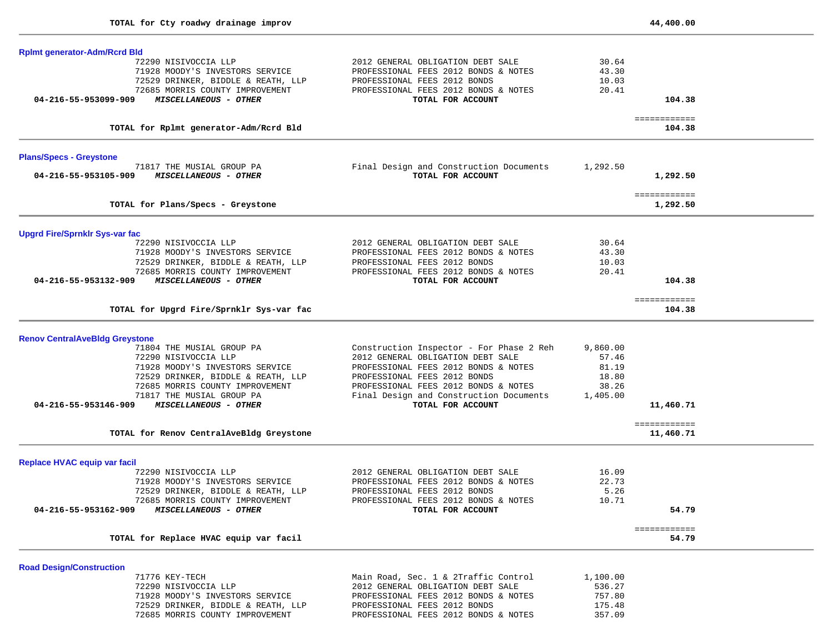| <b>Rplmt generator-Adm/Rcrd Bld</b>           |                                          |          |                        |  |
|-----------------------------------------------|------------------------------------------|----------|------------------------|--|
| 72290 NISIVOCCIA LLP                          | 2012 GENERAL OBLIGATION DEBT SALE        | 30.64    |                        |  |
| 71928 MOODY'S INVESTORS SERVICE               | PROFESSIONAL FEES 2012 BONDS & NOTES     | 43.30    |                        |  |
| 72529 DRINKER, BIDDLE & REATH, LLP            | PROFESSIONAL FEES 2012 BONDS             | 10.03    |                        |  |
| 72685 MORRIS COUNTY IMPROVEMENT               | PROFESSIONAL FEES 2012 BONDS & NOTES     | 20.41    |                        |  |
| 04-216-55-953099-909<br>MISCELLANEOUS - OTHER | TOTAL FOR ACCOUNT                        |          | 104.38                 |  |
|                                               |                                          |          |                        |  |
| TOTAL for Rplmt generator-Adm/Rcrd Bld        |                                          |          | ============<br>104.38 |  |
| <b>Plans/Specs - Greystone</b>                |                                          |          |                        |  |
| 71817 THE MUSIAL GROUP PA                     | Final Design and Construction Documents  | 1,292.50 |                        |  |
| 04-216-55-953105-909<br>MISCELLANEOUS - OTHER | TOTAL FOR ACCOUNT                        |          | 1,292.50               |  |
|                                               |                                          |          |                        |  |
|                                               |                                          |          | ============           |  |
| TOTAL for Plans/Specs - Greystone             |                                          |          | 1,292.50               |  |
| <b>Upgrd Fire/Sprnklr Sys-var fac</b>         |                                          |          |                        |  |
| 72290 NISIVOCCIA LLP                          | 2012 GENERAL OBLIGATION DEBT SALE        | 30.64    |                        |  |
| 71928 MOODY'S INVESTORS SERVICE               | PROFESSIONAL FEES 2012 BONDS & NOTES     | 43.30    |                        |  |
| 72529 DRINKER, BIDDLE & REATH, LLP            | PROFESSIONAL FEES 2012 BONDS             | 10.03    |                        |  |
| 72685 MORRIS COUNTY IMPROVEMENT               | PROFESSIONAL FEES 2012 BONDS & NOTES     | 20.41    |                        |  |
| 04-216-55-953132-909<br>MISCELLANEOUS - OTHER | TOTAL FOR ACCOUNT                        |          | 104.38                 |  |
|                                               |                                          |          | ============           |  |
| TOTAL for Upgrd Fire/Sprnklr Sys-var fac      |                                          |          | 104.38                 |  |
|                                               |                                          |          |                        |  |
| <b>Renov CentralAveBldg Greystone</b>         |                                          |          |                        |  |
| 71804 THE MUSIAL GROUP PA                     | Construction Inspector - For Phase 2 Reh | 9,860.00 |                        |  |
| 72290 NISIVOCCIA LLP                          | 2012 GENERAL OBLIGATION DEBT SALE        | 57.46    |                        |  |
| 71928 MOODY'S INVESTORS SERVICE               | PROFESSIONAL FEES 2012 BONDS & NOTES     | 81.19    |                        |  |
| 72529 DRINKER, BIDDLE & REATH, LLP            | PROFESSIONAL FEES 2012 BONDS             | 18.80    |                        |  |
| 72685 MORRIS COUNTY IMPROVEMENT               | PROFESSIONAL FEES 2012 BONDS & NOTES     | 38.26    |                        |  |
| 71817 THE MUSIAL GROUP PA                     | Final Design and Construction Documents  | 1,405.00 |                        |  |
| 04-216-55-953146-909<br>MISCELLANEOUS - OTHER | TOTAL FOR ACCOUNT                        |          | 11,460.71              |  |
|                                               |                                          |          | ============           |  |
| TOTAL for Renov CentralAveBldg Greystone      |                                          |          | 11,460.71              |  |
|                                               |                                          |          |                        |  |
| Replace HVAC equip var facil                  |                                          |          |                        |  |
| 72290 NISIVOCCIA LLP                          | 2012 GENERAL OBLIGATION DEBT SALE        | 16.09    |                        |  |
| 71928 MOODY'S INVESTORS SERVICE               | PROFESSIONAL FEES 2012 BONDS & NOTES     | 22.73    |                        |  |
| 72529 DRINKER, BIDDLE & REATH, LLP            | PROFESSIONAL FEES 2012 BONDS             | 5.26     |                        |  |
| 72685 MORRIS COUNTY IMPROVEMENT               | PROFESSIONAL FEES 2012 BONDS & NOTES     | 10.71    |                        |  |
| 04-216-55-953162-909<br>MISCELLANEOUS - OTHER | TOTAL FOR ACCOUNT                        |          | 54.79                  |  |
| TOTAL for Replace HVAC equip var facil        |                                          |          | ============<br>54.79  |  |
|                                               |                                          |          |                        |  |
| <b>Road Design/Construction</b>               |                                          |          |                        |  |
| 71776 KEY-TECH                                | Main Road, Sec. 1 & 2Traffic Control     | 1,100.00 |                        |  |
| 72290 NISIVOCCIA LLP                          | 2012 GENERAL OBLIGATION DEBT SALE        | 536.27   |                        |  |
| 71928 MOODY'S INVESTORS SERVICE               | PROFESSIONAL FEES 2012 BONDS & NOTES     | 757.80   |                        |  |
| 72529 DRINKER, BIDDLE & REATH, LLP            | PROFESSIONAL FEES 2012 BONDS             | 175.48   |                        |  |
| 72685 MORRIS COUNTY IMPROVEMENT               | PROFESSIONAL FEES 2012 BONDS & NOTES     | 357.09   |                        |  |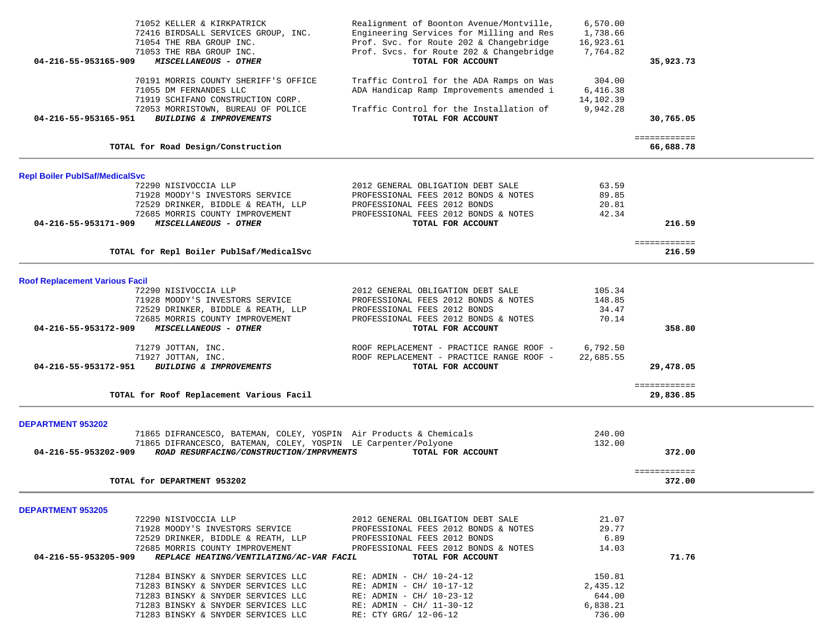|                                       | 71052 KELLER & KIRKPATRICK<br>72416 BIRDSALL SERVICES GROUP, INC.<br>71054 THE RBA GROUP INC.       | Realignment of Boonton Avenue/Montville,<br>Engineering Services for Milling and Res<br>Prof. Svc. for Route 202 & Changebridge | 6,570.00<br>1,738.66<br>16,923.61 |                           |  |
|---------------------------------------|-----------------------------------------------------------------------------------------------------|---------------------------------------------------------------------------------------------------------------------------------|-----------------------------------|---------------------------|--|
| 04-216-55-953165-909                  | 71053 THE RBA GROUP INC.<br>MISCELLANEOUS - OTHER                                                   | Prof. Svcs. for Route 202 & Changebridge<br>TOTAL FOR ACCOUNT                                                                   | 7,764.82                          | 35,923.73                 |  |
|                                       | 70191 MORRIS COUNTY SHERIFF'S OFFICE<br>71055 DM FERNANDES LLC<br>71919 SCHIFANO CONSTRUCTION CORP. | Traffic Control for the ADA Ramps on Was<br>ADA Handicap Ramp Improvements amended i                                            | 304.00<br>6,416.38<br>14,102.39   |                           |  |
| 04-216-55-953165-951                  | 72053 MORRISTOWN, BUREAU OF POLICE<br>BUILDING & IMPROVEMENTS                                       | Traffic Control for the Installation of<br>TOTAL FOR ACCOUNT                                                                    | 9,942.28                          | 30,765.05                 |  |
|                                       | TOTAL for Road Design/Construction                                                                  |                                                                                                                                 |                                   | ============<br>66,688.78 |  |
| <b>Repl Boiler PublSaf/MedicalSvc</b> |                                                                                                     |                                                                                                                                 |                                   |                           |  |
|                                       | 72290 NISIVOCCIA LLP                                                                                | 2012 GENERAL OBLIGATION DEBT SALE                                                                                               | 63.59                             |                           |  |
|                                       | 71928 MOODY'S INVESTORS SERVICE                                                                     | PROFESSIONAL FEES 2012 BONDS & NOTES                                                                                            | 89.85                             |                           |  |
|                                       | 72529 DRINKER, BIDDLE & REATH, LLP                                                                  | PROFESSIONAL FEES 2012 BONDS                                                                                                    | 20.81                             |                           |  |
|                                       | 72685 MORRIS COUNTY IMPROVEMENT                                                                     | PROFESSIONAL FEES 2012 BONDS & NOTES                                                                                            | 42.34                             |                           |  |
| 04-216-55-953171-909                  | MISCELLANEOUS - OTHER                                                                               | TOTAL FOR ACCOUNT                                                                                                               |                                   | 216.59                    |  |
|                                       |                                                                                                     |                                                                                                                                 |                                   | ============              |  |
|                                       | TOTAL for Repl Boiler PublSaf/MedicalSvc                                                            |                                                                                                                                 |                                   | 216.59                    |  |
|                                       |                                                                                                     |                                                                                                                                 |                                   |                           |  |
| <b>Roof Replacement Various Facil</b> |                                                                                                     |                                                                                                                                 |                                   |                           |  |
|                                       | 72290 NISIVOCCIA LLP                                                                                | 2012 GENERAL OBLIGATION DEBT SALE                                                                                               | 105.34                            |                           |  |
|                                       | 71928 MOODY'S INVESTORS SERVICE                                                                     | PROFESSIONAL FEES 2012 BONDS & NOTES                                                                                            | 148.85                            |                           |  |
|                                       | 72529 DRINKER, BIDDLE & REATH, LLP                                                                  | PROFESSIONAL FEES 2012 BONDS                                                                                                    | 34.47                             |                           |  |
|                                       | 72685 MORRIS COUNTY IMPROVEMENT                                                                     | PROFESSIONAL FEES 2012 BONDS & NOTES                                                                                            | 70.14                             |                           |  |
| 04-216-55-953172-909                  | MISCELLANEOUS - OTHER                                                                               | TOTAL FOR ACCOUNT                                                                                                               |                                   | 358.80                    |  |
|                                       | 71279 JOTTAN, INC.                                                                                  | ROOF REPLACEMENT - PRACTICE RANGE ROOF -                                                                                        | 6,792.50                          |                           |  |
|                                       | 71927 JOTTAN, INC.                                                                                  | ROOF REPLACEMENT - PRACTICE RANGE ROOF -                                                                                        | 22,685.55                         |                           |  |
| 04-216-55-953172-951                  | <b>BUILDING &amp; IMPROVEMENTS</b>                                                                  | TOTAL FOR ACCOUNT                                                                                                               |                                   | 29,478.05                 |  |
|                                       |                                                                                                     |                                                                                                                                 |                                   | ============              |  |
|                                       | TOTAL for Roof Replacement Various Facil                                                            |                                                                                                                                 |                                   | 29,836.85                 |  |
| <b>DEPARTMENT 953202</b>              |                                                                                                     |                                                                                                                                 |                                   |                           |  |
|                                       | 71865 DIFRANCESCO, BATEMAN, COLEY, YOSPIN Air Products & Chemicals                                  |                                                                                                                                 | 240.00                            |                           |  |
|                                       | 71865 DIFRANCESCO, BATEMAN, COLEY, YOSPIN LE Carpenter/Polyone                                      |                                                                                                                                 | 132.00                            |                           |  |
| 04-216-55-953202-909                  | ROAD RESURFACING/CONSTRUCTION/IMPRVMENTS                                                            | TOTAL FOR ACCOUNT                                                                                                               |                                   | 372.00                    |  |
|                                       |                                                                                                     |                                                                                                                                 |                                   | ============              |  |
|                                       | TOTAL for DEPARTMENT 953202                                                                         |                                                                                                                                 |                                   | 372.00                    |  |
| <b>DEPARTMENT 953205</b>              |                                                                                                     |                                                                                                                                 |                                   |                           |  |
|                                       | 72290 NISIVOCCIA LLP                                                                                | 2012 GENERAL OBLIGATION DEBT SALE                                                                                               | 21.07                             |                           |  |
|                                       | 71928 MOODY'S INVESTORS SERVICE                                                                     | PROFESSIONAL FEES 2012 BONDS & NOTES                                                                                            | 29.77                             |                           |  |
|                                       | 72529 DRINKER, BIDDLE & REATH, LLP                                                                  | PROFESSIONAL FEES 2012 BONDS                                                                                                    | 6.89                              |                           |  |
|                                       | 72685 MORRIS COUNTY IMPROVEMENT                                                                     | PROFESSIONAL FEES 2012 BONDS & NOTES                                                                                            | 14.03                             |                           |  |
| 04-216-55-953205-909                  | REPLACE HEATING/VENTILATING/AC-VAR FACIL                                                            | TOTAL FOR ACCOUNT                                                                                                               |                                   | 71.76                     |  |
|                                       | 71284 BINSKY & SNYDER SERVICES LLC                                                                  | $RE:$ ADMIN - CH/ 10-24-12                                                                                                      | 150.81                            |                           |  |
|                                       | 71283 BINSKY & SNYDER SERVICES LLC                                                                  | $RE:$ ADMIN - CH/ 10-17-12                                                                                                      | 2,435.12                          |                           |  |
|                                       | 71283 BINSKY & SNYDER SERVICES LLC                                                                  | $RE:$ ADMIN - CH/ 10-23-12                                                                                                      | 644.00                            |                           |  |
|                                       | 71283 BINSKY & SNYDER SERVICES LLC                                                                  | $RE:$ ADMIN - CH/ 11-30-12                                                                                                      | 6,838.21                          |                           |  |
|                                       | 71283 BINSKY & SNYDER SERVICES LLC                                                                  | RE: CTY GRG/ 12-06-12                                                                                                           | 736.00                            |                           |  |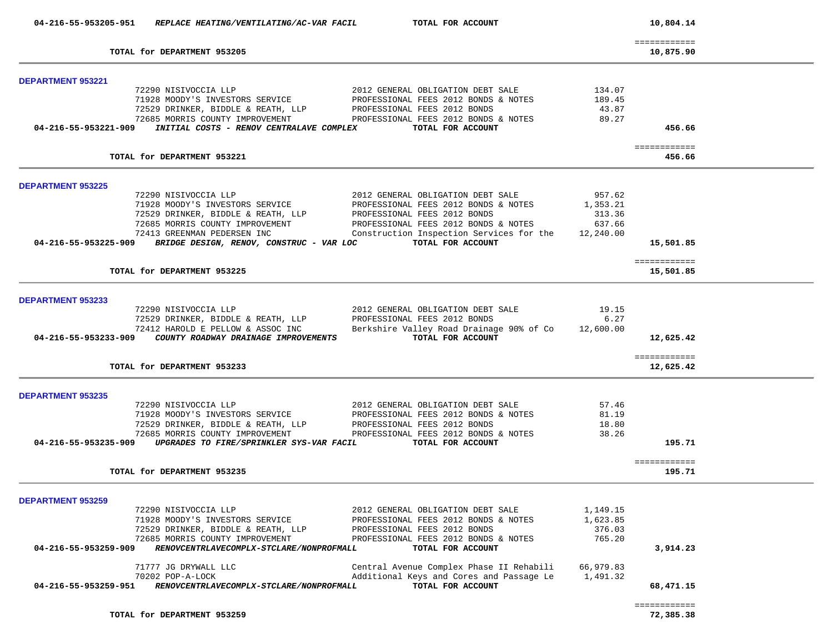|                                                  | 04-216-55-953205-951 REPLACE HEATING/VENTILATING/AC-VAR FACIL                                                                                                                                                                           | TOTAL FOR ACCOUNT                                                                                                                                                                                                  |                                                     | 10,804.14                 |
|--------------------------------------------------|-----------------------------------------------------------------------------------------------------------------------------------------------------------------------------------------------------------------------------------------|--------------------------------------------------------------------------------------------------------------------------------------------------------------------------------------------------------------------|-----------------------------------------------------|---------------------------|
|                                                  | TOTAL for DEPARTMENT 953205                                                                                                                                                                                                             |                                                                                                                                                                                                                    |                                                     | ============<br>10,875.90 |
|                                                  |                                                                                                                                                                                                                                         |                                                                                                                                                                                                                    |                                                     |                           |
| <b>DEPARTMENT 953221</b>                         | 72290 NISIVOCCIA LLP<br>71928 MOODY'S INVESTORS SERVICE<br>72529 DRINKER, BIDDLE & REATH, LLP<br>72529 DRINKER, BIDDLE & REATH, LLP<br>73605 MODDIG COUNTY IMPROVEMENT<br>04-216-55-953221-909 INITIAL COSTS - RENOV CENTRALAVE COMPLEX | 2012 GENERAL OBLIGATION DEBT SALE<br>PROFESSIONAL FEES 2012 BONDS & NOTES<br>PROFESSIONAL FEES 2012 BONDS<br>PROFESSIONAL FEES 2012 BONDS & NOTES<br>TOTAL FOR ACCOUNT                                             | 134.07<br>189.45<br>43.87<br>89.27                  | 456.66                    |
|                                                  | TOTAL for DEPARTMENT 953221                                                                                                                                                                                                             |                                                                                                                                                                                                                    |                                                     | ============<br>456.66    |
| <b>DEPARTMENT 953225</b>                         |                                                                                                                                                                                                                                         |                                                                                                                                                                                                                    |                                                     |                           |
|                                                  | 72290 NISIVOCCIA LLP<br>71928 MOODY'S INVESTORS SERVICE<br>72529 DRINKER, BIDDLE & REATH, LLP<br>72685 MORRIS COUNTY IMPROVEMENT<br>72413 GREENMAN PEDERSEN INC<br>04-216-55-953225-909 BRIDGE DESIGN, RENOV, CONSTRUC - VAR LOC        | 2012 GENERAL OBLIGATION DEBT SALE<br>PROFESSIONAL FEES 2012 BONDS & NOTES<br>PROFESSIONAL FEES 2012 BONDS<br>PROFESSIONAL FEES 2012 BONDS & NOTES<br>Construction Inspection Services for the<br>TOTAL FOR ACCOUNT | 957.62<br>1,353.21<br>313.36<br>637.66<br>12,240.00 | 15,501.85                 |
|                                                  | TOTAL for DEPARTMENT 953225                                                                                                                                                                                                             |                                                                                                                                                                                                                    |                                                     | ============<br>15,501.85 |
| DEPARTMENT 953233                                |                                                                                                                                                                                                                                         |                                                                                                                                                                                                                    |                                                     |                           |
|                                                  | 72290 NISIVOCCIA LLP<br>72529 DRINKER, BIDDLE & REATH, LLP<br>72412 HAROLD E PELLOW & ASSOC INC<br>04-216-55-953233-909 COUNTY ROADWAY DRAINAGE IMPROVEMENTS                                                                            | 2012 GENERAL OBLIGATION DEBT SALE<br>PROFESSIONAL FEES 2012 BONDS<br>Berkshire Valley Road Drainage 90% of Co<br>TOTAL FOR ACCOUNT                                                                                 | 19.15<br>6.27<br>12,600.00                          | 12,625.42                 |
|                                                  | TOTAL for DEPARTMENT 953233                                                                                                                                                                                                             |                                                                                                                                                                                                                    |                                                     | ============<br>12,625.42 |
| <b>DEPARTMENT 953235</b>                         |                                                                                                                                                                                                                                         |                                                                                                                                                                                                                    |                                                     |                           |
|                                                  | 72290 NISIVOCCIA LLP<br>71928 MOODY'S INVESIONS SANCER<br>72529 DRINKER, BIDDLE & REATH, LLP<br>04-216-55-953235-909 UPGRADES TO FIRE/SPRINKLER SYS-VAR FACIL TOTAL FOR ACCOUNT                                                         | 2012 GENERAL OBLIGATION DEBT SALE<br>PROFESSIONAL FEES 2012 BONDS & NOTES<br>PROFESSIONAL FEES 2012 BONDS<br>PROFESSIONAL FEES 2012 BONDS & NOTES                                                                  | 57.46<br>81.19<br>18.80<br>38.26                    | 195.71                    |
|                                                  | TOTAL for DEPARTMENT 953235                                                                                                                                                                                                             |                                                                                                                                                                                                                    |                                                     | ============<br>195.71    |
|                                                  |                                                                                                                                                                                                                                         |                                                                                                                                                                                                                    |                                                     |                           |
| <b>DEPARTMENT 953259</b><br>04-216-55-953259-909 | 72290 NISIVOCCIA LLP<br>71928 MOODY'S INVESTORS SERVICE<br>72529 DRINKER, BIDDLE & REATH, LLP<br>72685 MORRIS COUNTY IMPROVEMENT<br>RENOVCENTRLAVECOMPLX-STCLARE/NONPROFMALL                                                            | 2012 GENERAL OBLIGATION DEBT SALE<br>PROFESSIONAL FEES 2012 BONDS & NOTES<br>PROFESSIONAL FEES 2012 BONDS<br>PROFESSIONAL FEES 2012 BONDS & NOTES<br>TOTAL FOR ACCOUNT                                             | 1,149.15<br>1,623.85<br>376.03<br>765.20            | 3,914.23                  |
| 04-216-55-953259-951                             | 71777 JG DRYWALL LLC<br>70202 POP-A-LOCK<br>RENOVCENTRLAVECOMPLX-STCLARE/NONPROFMALL                                                                                                                                                    | Central Avenue Complex Phase II Rehabili<br>Additional Keys and Cores and Passage Le<br>TOTAL FOR ACCOUNT                                                                                                          | 66,979.83<br>1,491.32                               | 68,471.15                 |
|                                                  | TOTAL for DEPARTMENT 953259                                                                                                                                                                                                             |                                                                                                                                                                                                                    |                                                     | ============<br>72,385.38 |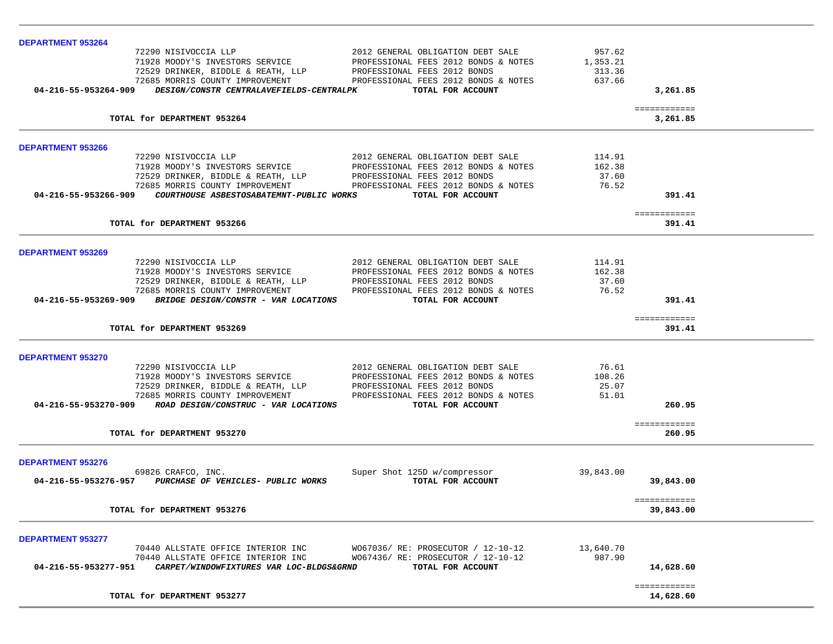| <b>DEPARTMENT 953264</b>                                                        |                                      |           |                        |  |
|---------------------------------------------------------------------------------|--------------------------------------|-----------|------------------------|--|
| 72290 NISIVOCCIA LLP<br>71928 MOODY'S INVESTORS SERVICE                         | 2012 GENERAL OBLIGATION DEBT SALE    | 957.62    |                        |  |
|                                                                                 | PROFESSIONAL FEES 2012 BONDS & NOTES | 1,353.21  |                        |  |
|                                                                                 |                                      | 313.36    |                        |  |
|                                                                                 |                                      | 637.66    |                        |  |
| DESIGN/CONSTR CENTRALAVEFIELDS-CENTRALPK<br>04-216-55-953264-909                | TOTAL FOR ACCOUNT                    |           | 3,261.85               |  |
|                                                                                 |                                      |           | ============           |  |
| TOTAL for DEPARTMENT 953264                                                     |                                      |           | 3,261.85               |  |
| <b>DEPARTMENT 953266</b>                                                        |                                      |           |                        |  |
|                                                                                 | 2012 GENERAL OBLIGATION DEBT SALE    | 114.91    |                        |  |
| 72290 NISIVOCCIA LLP<br>71928 MOODY'S INVESTORS SERVICE<br>- ALDER & REATH, LLP | PROFESSIONAL FEES 2012 BONDS & NOTES | 162.38    |                        |  |
|                                                                                 | PROFESSIONAL FEES 2012 BONDS         | 37.60     |                        |  |
| 72685 MORRIS COUNTY IMPROVEMENT                                                 | PROFESSIONAL FEES 2012 BONDS & NOTES | 76.52     |                        |  |
| 04-216-55-953266-909    COURTHOUSE ASBESTOSABATEMNT-PUBLIC WORKS                | TOTAL FOR ACCOUNT                    |           | 391.41                 |  |
|                                                                                 |                                      |           | ============           |  |
| TOTAL for DEPARTMENT 953266                                                     |                                      |           | 391.41                 |  |
|                                                                                 |                                      |           |                        |  |
| <b>DEPARTMENT 953269</b><br>72290 NISIVOCCIA LLP                                | 2012 GENERAL OBLIGATION DEBT SALE    | 114.91    |                        |  |
| 71928 MOODY'S INVESTORS SERVICE                                                 | PROFESSIONAL FEES 2012 BONDS & NOTES | 162.38    |                        |  |
| 72529 DRINKER, BIDDLE & REATH, LLP                                              | PROFESSIONAL FEES 2012 BONDS         | 37.60     |                        |  |
| 72685 MORRIS COUNTY IMPROVEMENT                                                 | PROFESSIONAL FEES 2012 BONDS & NOTES | 76.52     |                        |  |
| 04-216-55-953269-909 BRIDGE DESIGN/CONSTR - VAR LOCATIONS                       | TOTAL FOR ACCOUNT                    |           | 391.41                 |  |
|                                                                                 |                                      |           |                        |  |
| TOTAL for DEPARTMENT 953269                                                     |                                      |           | ============<br>391.41 |  |
|                                                                                 |                                      |           |                        |  |
| DEPARTMENT 953270                                                               |                                      |           |                        |  |
| 72290 NISIVOCCIA LLP                                                            | 2012 GENERAL OBLIGATION DEBT SALE    | 76.61     |                        |  |
| 71928 MOODY'S INVESTORS SERVICE                                                 | PROFESSIONAL FEES 2012 BONDS & NOTES | 108.26    |                        |  |
| 72529 DRINKER, BIDDLE & REATH, LLP<br>72685 MORRIS COUNTY IMPROVEMENT           | PROFESSIONAL FEES 2012 BONDS         | 25.07     |                        |  |
|                                                                                 | PROFESSIONAL FEES 2012 BONDS & NOTES | 51.01     |                        |  |
| 04-216-55-953270-909 ROAD DESIGN/CONSTRUC - VAR LOCATIONS                       | TOTAL FOR ACCOUNT                    |           | 260.95                 |  |
|                                                                                 |                                      |           | ============           |  |
| TOTAL for DEPARTMENT 953270                                                     |                                      |           | 260.95                 |  |
| <b>DEPARTMENT 953276</b>                                                        |                                      |           |                        |  |
| 69826 CRAFCO, INC.                                                              | Super Shot 125D w/compressor         | 39,843.00 |                        |  |
| 04-216-55-953276-957 PURCHASE OF VEHICLES- PUBLIC WORKS                         | TOTAL FOR ACCOUNT                    |           | 39,843.00              |  |
|                                                                                 |                                      |           |                        |  |
|                                                                                 |                                      |           | ============           |  |
| TOTAL for DEPARTMENT 953276                                                     |                                      |           | 39,843.00              |  |
|                                                                                 |                                      |           |                        |  |
| <b>DEPARTMENT 953277</b>                                                        |                                      |           |                        |  |
| 70440 ALLSTATE OFFICE INTERIOR INC                                              | W067036/ RE: PROSECUTOR / 12-10-12   | 13,640.70 |                        |  |
| 70440 ALLSTATE OFFICE INTERIOR INC                                              | W067436/RE: PROSECUTOR / 12-10-12    | 987.90    |                        |  |
| 04-216-55-953277-951        CARPET/WINDOWFIXTURES VAR LOC-BLDGS&GRND            | TOTAL FOR ACCOUNT                    |           | 14,628.60              |  |
|                                                                                 |                                      |           |                        |  |
|                                                                                 |                                      |           | ============           |  |
| TOTAL for DEPARTMENT 953277                                                     |                                      |           | 14,628.60              |  |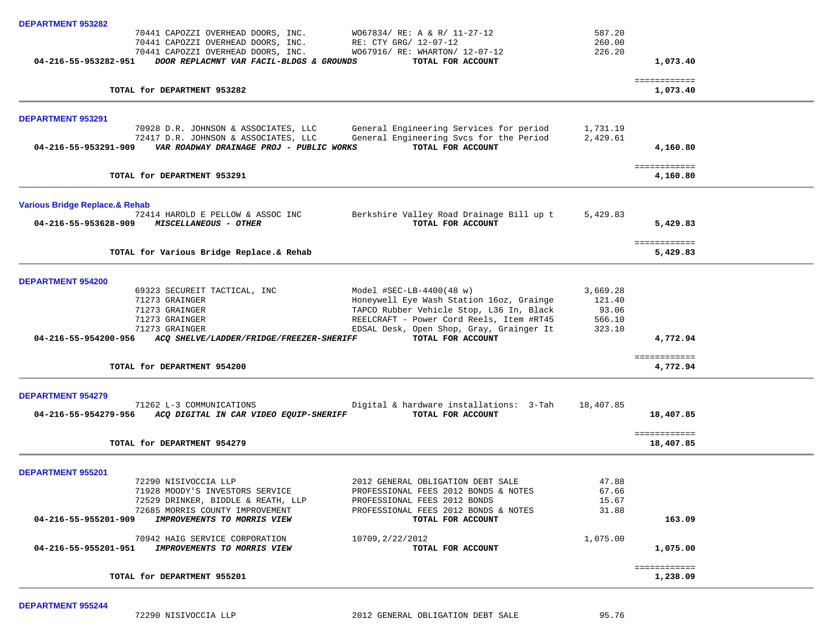| <b>DEPARTMENT 953282</b>                  |                                                                                  |                                                                                      |                  |                           |  |
|-------------------------------------------|----------------------------------------------------------------------------------|--------------------------------------------------------------------------------------|------------------|---------------------------|--|
|                                           | 70441 CAPOZZI OVERHEAD DOORS, INC.                                               | $W067834/RE: A & R/11-27-12$                                                         | 587.20           |                           |  |
|                                           | 70441 CAPOZZI OVERHEAD DOORS, INC.<br>70441 CAPOZZI OVERHEAD DOORS, INC.         | RE: CTY GRG/ 12-07-12<br>W067916/ RE: WHARTON/ 12-07-12                              | 260.00<br>226.20 |                           |  |
| 04-216-55-953282-951                      | DOOR REPLACMNT VAR FACIL-BLDGS & GROUNDS                                         | TOTAL FOR ACCOUNT                                                                    |                  | 1,073.40                  |  |
|                                           |                                                                                  |                                                                                      |                  | ============              |  |
|                                           | TOTAL for DEPARTMENT 953282                                                      |                                                                                      |                  | 1,073.40                  |  |
| <b>DEPARTMENT 953291</b>                  |                                                                                  |                                                                                      |                  |                           |  |
|                                           | 70928 D.R. JOHNSON & ASSOCIATES, LLC                                             | General Engineering Services for period                                              | 1,731.19         |                           |  |
| 04-216-55-953291-909                      | 72417 D.R. JOHNSON & ASSOCIATES, LLC<br>VAR ROADWAY DRAINAGE PROJ - PUBLIC WORKS | General Engineering Svcs for the Period<br>TOTAL FOR ACCOUNT                         | 2,429.61         | 4,160.80                  |  |
|                                           |                                                                                  |                                                                                      |                  | ============              |  |
|                                           | TOTAL for DEPARTMENT 953291                                                      |                                                                                      |                  | 4,160.80                  |  |
| <b>Various Bridge Replace.&amp; Rehab</b> |                                                                                  |                                                                                      |                  |                           |  |
|                                           | 72414 HAROLD E PELLOW & ASSOC INC                                                | Berkshire Valley Road Drainage Bill up t                                             | 5,429.83         |                           |  |
| 04-216-55-953628-909                      | <i>MISCELLANEOUS - OTHER</i>                                                     | TOTAL FOR ACCOUNT                                                                    |                  | 5,429.83                  |  |
|                                           | TOTAL for Various Bridge Replace.& Rehab                                         |                                                                                      |                  | ============<br>5,429.83  |  |
|                                           |                                                                                  |                                                                                      |                  |                           |  |
| <b>DEPARTMENT 954200</b>                  |                                                                                  |                                                                                      |                  |                           |  |
|                                           | 69323 SECUREIT TACTICAL, INC                                                     | Model $\#SEC-LB-4400(48 w)$                                                          | 3,669.28         |                           |  |
|                                           | 71273 GRAINGER<br>71273 GRAINGER                                                 | Honeywell Eye Wash Station 16oz, Grainge<br>TAPCO Rubber Vehicle Stop, L36 In, Black | 121.40<br>93.06  |                           |  |
|                                           | 71273 GRAINGER                                                                   | REELCRAFT - Power Cord Reels, Item #RT45                                             | 566.10           |                           |  |
|                                           | 71273 GRAINGER                                                                   | EDSAL Desk, Open Shop, Gray, Grainger It                                             | 323.10           |                           |  |
| 04-216-55-954200-956                      | ACQ SHELVE/LADDER/FRIDGE/FREEZER-SHERIFF                                         | TOTAL FOR ACCOUNT                                                                    |                  | 4,772.94                  |  |
|                                           | TOTAL for DEPARTMENT 954200                                                      |                                                                                      |                  | ============<br>4,772.94  |  |
|                                           |                                                                                  |                                                                                      |                  |                           |  |
| <b>DEPARTMENT 954279</b>                  |                                                                                  |                                                                                      |                  |                           |  |
| 04-216-55-954279-956                      | 71262 L-3 COMMUNICATIONS<br>ACQ DIGITAL IN CAR VIDEO EQUIP-SHERIFF               | Digital & hardware installations: 3-Tah<br>TOTAL FOR ACCOUNT                         | 18,407.85        | 18,407.85                 |  |
|                                           |                                                                                  |                                                                                      |                  |                           |  |
|                                           | TOTAL for DEPARTMENT 954279                                                      |                                                                                      |                  | ============<br>18,407.85 |  |
| <b>DEPARTMENT 955201</b>                  |                                                                                  |                                                                                      |                  |                           |  |
|                                           | 72290 NISIVOCCIA LLP                                                             | 2012 GENERAL OBLIGATION DEBT SALE                                                    | 47.88            |                           |  |
|                                           | 71928 MOODY'S INVESTORS SERVICE                                                  | PROFESSIONAL FEES 2012 BONDS & NOTES                                                 | 67.66            |                           |  |
|                                           | 72529 DRINKER, BIDDLE & REATH, LLP<br>72685 MORRIS COUNTY IMPROVEMENT            | PROFESSIONAL FEES 2012 BONDS<br>PROFESSIONAL FEES 2012 BONDS & NOTES                 | 15.67<br>31.88   |                           |  |
| 04-216-55-955201-909                      | IMPROVEMENTS TO MORRIS VIEW                                                      | TOTAL FOR ACCOUNT                                                                    |                  | 163.09                    |  |
|                                           | 70942 HAIG SERVICE CORPORATION                                                   | 10709, 2/22/2012                                                                     | 1,075.00         |                           |  |
| 04-216-55-955201-951                      | IMPROVEMENTS TO MORRIS VIEW                                                      | TOTAL FOR ACCOUNT                                                                    |                  | 1,075.00                  |  |
|                                           |                                                                                  |                                                                                      |                  | ============              |  |
|                                           | TOTAL for DEPARTMENT 955201                                                      |                                                                                      |                  | 1,238.09                  |  |

**DEPARTMENT 955244**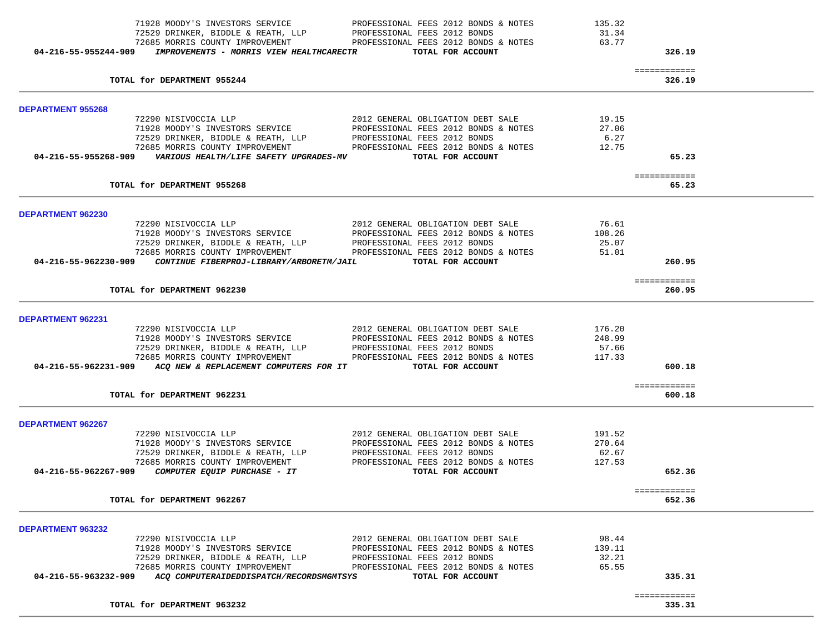| TOTAL for DEPARTMENT 963232                                                                         |                                                                                                                                                                                                                                                 |                | ============<br>335.31 |  |
|-----------------------------------------------------------------------------------------------------|-------------------------------------------------------------------------------------------------------------------------------------------------------------------------------------------------------------------------------------------------|----------------|------------------------|--|
|                                                                                                     |                                                                                                                                                                                                                                                 |                |                        |  |
| 72685 MORRIS COUNTY IMPROVEMENT<br>04-216-55-963232-909<br>ACQ COMPUTERAIDEDDISPATCH/RECORDSMGMTSYS | PROFESSIONAL FEES 2012 BONDS & NOTES<br>TOTAL FOR ACCOUNT                                                                                                                                                                                       | 65.55          | 335.31                 |  |
| 72529 DRINKER, BIDDLE & REATH, LLP                                                                  | PROFESSIONAL FEES 2012 BONDS                                                                                                                                                                                                                    | 32.21          |                        |  |
| 71928 MOODY'S INVESTORS SERVICE                                                                     | PROFESSIONAL FEES 2012 BONDS & NOTES                                                                                                                                                                                                            | 139.11         |                        |  |
| 72290 NISIVOCCIA LLP                                                                                | 2012 GENERAL OBLIGATION DEBT SALE                                                                                                                                                                                                               | 98.44          |                        |  |
| DEPARTMENT 963232                                                                                   |                                                                                                                                                                                                                                                 |                |                        |  |
|                                                                                                     |                                                                                                                                                                                                                                                 |                |                        |  |
| TOTAL for DEPARTMENT 962267                                                                         |                                                                                                                                                                                                                                                 |                | ============<br>652.36 |  |
|                                                                                                     |                                                                                                                                                                                                                                                 |                |                        |  |
| 04-216-55-962267-909<br>COMPUTER EQUIP PURCHASE - IT                                                | TOTAL FOR ACCOUNT                                                                                                                                                                                                                               |                | 652.36                 |  |
| 72685 MORRIS COUNTY IMPROVEMENT                                                                     | PROFESSIONAL FEES 2012 BONDS & NOTES                                                                                                                                                                                                            | 127.53         |                        |  |
| 72529 DRINKER, BIDDLE & REATH, LLP                                                                  | PROFESSIONAL FEES 2012 BONDS                                                                                                                                                                                                                    | 62.67          |                        |  |
| 71928 MOODY'S INVESTORS SERVICE                                                                     | PROFESSIONAL FEES 2012 BONDS & NOTES                                                                                                                                                                                                            | 270.64         |                        |  |
| DEPARTMENT 962267<br>72290 NISIVOCCIA LLP                                                           | 2012 GENERAL OBLIGATION DEBT SALE                                                                                                                                                                                                               | 191.52         |                        |  |
|                                                                                                     |                                                                                                                                                                                                                                                 |                |                        |  |
| TOTAL for DEPARTMENT 962231                                                                         |                                                                                                                                                                                                                                                 |                | 600.18                 |  |
|                                                                                                     |                                                                                                                                                                                                                                                 |                | ============           |  |
| 04-216-55-962231-909 ACQ NEW & REPLACEMENT COMPUTERS FOR IT TOTAL FOR ACCOUNT                       |                                                                                                                                                                                                                                                 |                | 600.18                 |  |
|                                                                                                     | 72685 MORRIS COUNTY IMPROVEMENT FROFESSIONAL FEES 2012 BONDS & NOTES                                                                                                                                                                            | 117.33         |                        |  |
| 72529 DRINKER, BIDDLE & REATH, LLP PROFESSIONAL FEES 2012 BONDS                                     |                                                                                                                                                                                                                                                 | 57.66          |                        |  |
| 72290 NISIVOCCIA LLP<br>71928 MOODY'S INVESTORS SERVICE                                             | PROFESSIONAL FEES 2012 BONDS & NOTES                                                                                                                                                                                                            | 248.99         |                        |  |
| <b>DEPARTMENT 962231</b>                                                                            | 2012 GENERAL OBLIGATION DEBT SALE                                                                                                                                                                                                               | 176.20         |                        |  |
|                                                                                                     |                                                                                                                                                                                                                                                 |                |                        |  |
| TOTAL for DEPARTMENT 962230                                                                         |                                                                                                                                                                                                                                                 |                | 260.95                 |  |
|                                                                                                     |                                                                                                                                                                                                                                                 |                | <b>EEEEEEEEEEE</b>     |  |
|                                                                                                     |                                                                                                                                                                                                                                                 |                |                        |  |
| 04-216-55-962230-909 CONTINUE FIBERPROJ-LIBRARY/ARBORETM/JAIL TOTAL FOR ACCOUNT                     |                                                                                                                                                                                                                                                 | 51.01          | 260.95                 |  |
|                                                                                                     |                                                                                                                                                                                                                                                 | 25.07          |                        |  |
|                                                                                                     |                                                                                                                                                                                                                                                 | 108.26         |                        |  |
|                                                                                                     | 72290 NISIVOCCIA LLP <sup>2012</sup> GENERAL OBLIGATION DEBT SALE<br>71928 MOODY'S INVESTORS SERVICE PROFESSIONAL FEES 2012 BONDS & NOTES<br>72529 DRINKER, BIDDLE & REATH, LLP PROFESSIONAL FEES 2012 BONDS<br>72685 MORRIS COUNTY IMPROVEMENT | 76.61          |                        |  |
| DEPARTMENT 962230                                                                                   |                                                                                                                                                                                                                                                 |                |                        |  |
|                                                                                                     |                                                                                                                                                                                                                                                 |                |                        |  |
| TOTAL for DEPARTMENT 955268                                                                         |                                                                                                                                                                                                                                                 |                | ============<br>65.23  |  |
|                                                                                                     |                                                                                                                                                                                                                                                 |                |                        |  |
| 04-216-55-955268-909    VARIOUS HEALTH/LIFE SAFETY UPGRADES-MV                                      | TOTAL FOR ACCOUNT                                                                                                                                                                                                                               |                | 65.23                  |  |
|                                                                                                     |                                                                                                                                                                                                                                                 | 12.75          |                        |  |
|                                                                                                     |                                                                                                                                                                                                                                                 | 6.27           |                        |  |
|                                                                                                     |                                                                                                                                                                                                                                                 | 19.15<br>27.06 |                        |  |
| <b>DEPARTMENT 955268</b>                                                                            |                                                                                                                                                                                                                                                 |                |                        |  |
|                                                                                                     |                                                                                                                                                                                                                                                 |                |                        |  |
| TOTAL for DEPARTMENT 955244                                                                         |                                                                                                                                                                                                                                                 |                | 326.19                 |  |
|                                                                                                     |                                                                                                                                                                                                                                                 |                | ============           |  |
| <b>IMPROVEMENTS - MORRIS VIEW HEALTHCARECTR</b><br>04-216-55-955244-909                             | TOTAL FOR ACCOUNT                                                                                                                                                                                                                               |                | 326.19                 |  |
| 72529 DRINKER, BIDDLE & REATH, LLP<br>72685 MORRIS COUNTY IMPROVEMENT                               | PROFESSIONAL FEES 2012 BONDS<br>PROFESSIONAL FEES 2012 BONDS & NOTES                                                                                                                                                                            | 31.34<br>63.77 |                        |  |
| 71928 MOODY'S INVESTORS SERVICE                                                                     | PROFESSIONAL FEES 2012 BONDS & NOTES                                                                                                                                                                                                            | 135.32         |                        |  |
|                                                                                                     |                                                                                                                                                                                                                                                 |                |                        |  |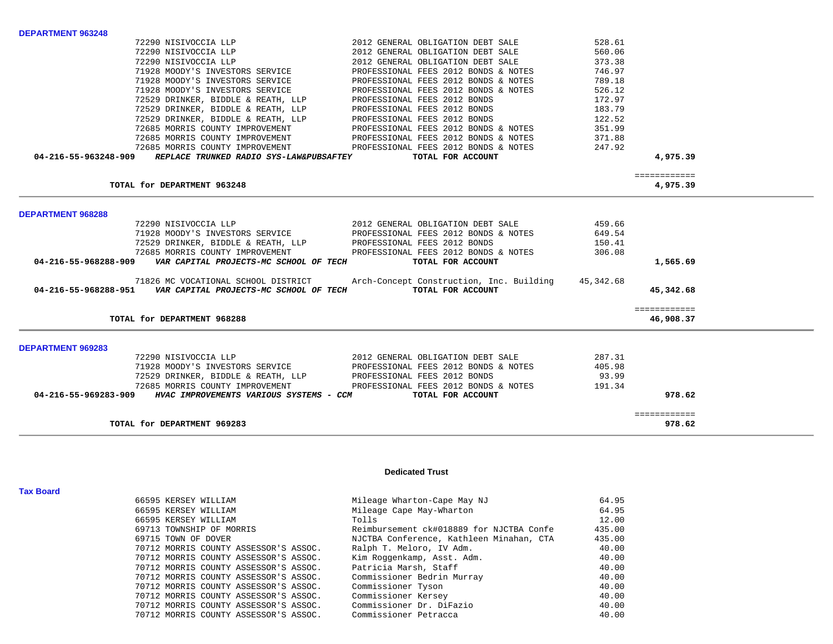|                          | TOTAL for DEPARTMENT 969283                                           |                                                                              |                  | 978.62                   |  |
|--------------------------|-----------------------------------------------------------------------|------------------------------------------------------------------------------|------------------|--------------------------|--|
|                          |                                                                       |                                                                              |                  | ============             |  |
|                          | 04-216-55-969283-909 HVAC IMPROVEMENTS VARIOUS SYSTEMS - CCM          | TOTAL FOR ACCOUNT                                                            |                  | 978.62                   |  |
|                          | 72529 DRINKER, BIDDLE & REATH, LLP<br>72685 MORRIS COUNTY IMPROVEMENT | PROFESSIONAL FEES 2012 BONDS<br>PROFESSIONAL FEES 2012 BONDS & NOTES         | 93.99<br>191.34  |                          |  |
|                          |                                                                       |                                                                              |                  |                          |  |
|                          | 72290 NISIVOCCIA LLP<br>71928 MOODY'S INVESTORS SERVICE               | 2012 GENERAL OBLIGATION DEBT SALE<br>PROFESSIONAL FEES 2012 BONDS & NOTES    | 287.31<br>405.98 |                          |  |
| <b>DEPARTMENT 969283</b> |                                                                       |                                                                              |                  |                          |  |
|                          | TOTAL for DEPARTMENT 968288                                           |                                                                              |                  | 46,908.37                |  |
|                          |                                                                       |                                                                              |                  | ============             |  |
|                          | 04-216-55-968288-951    VAR CAPITAL PROJECTS-MC SCHOOL OF TECH        | TOTAL FOR ACCOUNT                                                            |                  | 45,342.68                |  |
|                          |                                                                       | 71826 MC VOCATIONAL SCHOOL DISTRICT Arch-Concept Construction, Inc. Building | 45,342.68        |                          |  |
| 04-216-55-968288-909     | VAR CAPITAL PROJECTS-MC SCHOOL OF TECH                                | TOTAL FOR ACCOUNT                                                            |                  | 1,565.69                 |  |
|                          | 72685 MORRIS COUNTY IMPROVEMENT                                       | PROFESSIONAL FEES 2012 BONDS & NOTES                                         | 306.08           |                          |  |
|                          | 72529 DRINKER, BIDDLE & REATH, LLP                                    | PROFESSIONAL FEES 2012 BONDS                                                 | 150.41           |                          |  |
|                          | 71928 MOODY'S INVESTORS SERVICE                                       | PROFESSIONAL FEES 2012 BONDS & NOTES                                         | 649.54           |                          |  |
| <b>DEPARTMENT 968288</b> | 72290 NISIVOCCIA LLP                                                  | 2012 GENERAL OBLIGATION DEBT SALE                                            | 459.66           |                          |  |
|                          |                                                                       |                                                                              |                  |                          |  |
|                          | TOTAL for DEPARTMENT 963248                                           |                                                                              |                  | ============<br>4,975.39 |  |
|                          | 04-216-55-963248-909 REPLACE TRUNKED RADIO SYS-LAW&PUBSAFTEY          | TOTAL FOR ACCOUNT                                                            |                  | 4,975.39                 |  |
|                          | 72685 MORRIS COUNTY IMPROVEMENT                                       | PROFESSIONAL FEES 2012 BONDS & NOTES                                         | 247.92           |                          |  |
|                          | 72685 MORRIS COUNTY IMPROVEMENT                                       | PROFESSIONAL FEES 2012 BONDS & NOTES                                         | 371.88           |                          |  |
|                          | 72685 MORRIS COUNTY IMPROVEMENT                                       | PROFESSIONAL FEES 2012 BONDS & NOTES                                         | 351.99           |                          |  |
|                          | 72529 DRINKER, BIDDLE & REATH, LLP                                    | PROFESSIONAL FEES 2012 BONDS                                                 | 122.52           |                          |  |
|                          | 72529 DRINKER, BIDDLE & REATH, LLP                                    | PROFESSIONAL FEES 2012 BONDS                                                 | 183.79           |                          |  |
|                          | 72529 DRINKER, BIDDLE & REATH, LLP                                    | PROFESSIONAL FEES 2012 BONDS                                                 | 172.97           |                          |  |
|                          | 71928 MOODY'S INVESTORS SERVICE                                       | PROFESSIONAL FEES 2012 BONDS & NOTES                                         | 526.12           |                          |  |
|                          | 71928 MOODY'S INVESTORS SERVICE                                       | PROFESSIONAL FEES 2012 BONDS & NOTES                                         | 789.18           |                          |  |
|                          | 71928 MOODY'S INVESTORS SERVICE                                       | PROFESSIONAL FEES 2012 BONDS & NOTES                                         | 746.97           |                          |  |
|                          | 72290 NISIVOCCIA LLP<br>72290 NISIVOCCIA LLP                          | 2012 GENERAL OBLIGATION DEBT SALE<br>2012 GENERAL OBLIGATION DEBT SALE       | 560.06<br>373.38 |                          |  |
|                          | 72290 NISIVOCCIA LLP                                                  | 2012 GENERAL OBLIGATION DEBT SALE                                            | 528.61           |                          |  |

**Tax Board** 

**DEPARTMENT 963248** 

## **Dedicated Trust**

| 66595 KERSEY WILLIAM     |                                       | Mileage Wharton-Cape May NJ              | 64.95  |
|--------------------------|---------------------------------------|------------------------------------------|--------|
| 66595 KERSEY WILLIAM     |                                       | Mileage Cape May-Wharton                 | 64.95  |
| 66595 KERSEY WILLIAM     |                                       | Tolls                                    | 12.00  |
| 69713 TOWNSHIP OF MORRIS |                                       | Reimbursement ck#018889 for NJCTBA Confe | 435.00 |
| 69715 TOWN OF DOVER      |                                       | NJCTBA Conference, Kathleen Minahan, CTA | 435.00 |
|                          | 70712 MORRIS COUNTY ASSESSOR'S ASSOC. | Ralph T. Meloro, IV Adm.                 | 40.00  |
|                          | 70712 MORRIS COUNTY ASSESSOR'S ASSOC. | Kim Roggenkamp, Asst. Adm.               | 40.00  |
|                          | 70712 MORRIS COUNTY ASSESSOR'S ASSOC. | Patricia Marsh, Staff                    | 40.00  |
|                          | 70712 MORRIS COUNTY ASSESSOR'S ASSOC. | Commissioner Bedrin Murray               | 40.00  |
|                          | 70712 MORRIS COUNTY ASSESSOR'S ASSOC. | Commissioner Tyson                       | 40.00  |
|                          | 70712 MORRIS COUNTY ASSESSOR'S ASSOC. | Commissioner Kersey                      | 40.00  |
|                          | 70712 MORRIS COUNTY ASSESSOR'S ASSOC. | Commissioner Dr. DiFazio                 | 40.00  |
|                          | 70712 MORRIS COUNTY ASSESSOR'S ASSOC. | Commissioner Petracca                    | 40.00  |